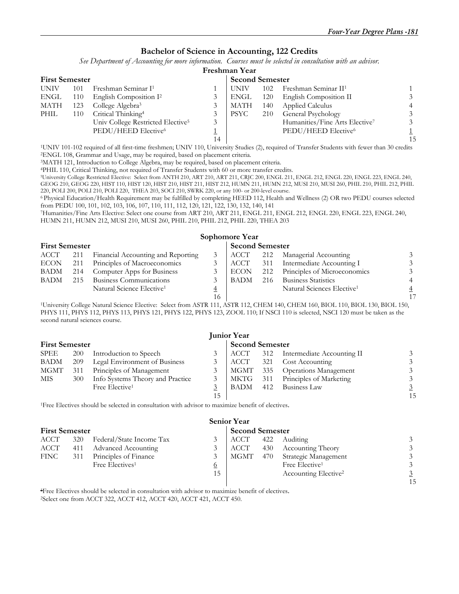#### **Bachelor of Science in Accounting, 122 Credits**

*See Department of Accounting for more information. Courses must be selected in consultation with an advisor.*

#### **Freshman Year**

| <b>First Semester</b> |     |                                               |    |      | <b>Second Semester</b> |                                            |    |  |  |  |  |  |
|-----------------------|-----|-----------------------------------------------|----|------|------------------------|--------------------------------------------|----|--|--|--|--|--|
| <b>UNIV</b>           | 101 | Freshman Seminar I <sup>1</sup>               |    | UNIV | 102                    | Freshman Seminar II <sup>1</sup>           |    |  |  |  |  |  |
| ENGL                  | 110 | English Composition I <sup>2</sup>            |    | ENGL | 120                    | English Composition II                     |    |  |  |  |  |  |
| MATH                  | 123 | College Algebra <sup>3</sup>                  |    | MATH | 140                    | Applied Calculus                           |    |  |  |  |  |  |
| PHIL                  | 110 | Critical Thinking <sup>4</sup>                |    | PSYC | 210                    | General Psychology                         |    |  |  |  |  |  |
|                       |     | Univ College Restricted Elective <sup>5</sup> | 3  |      |                        | Humanities/Fine Arts Elective <sup>7</sup> |    |  |  |  |  |  |
|                       |     | PEDU/HEED Elective <sup>6</sup>               |    |      |                        | PEDU/HEED Elective <sup>6</sup>            |    |  |  |  |  |  |
|                       |     |                                               | 14 |      |                        |                                            | 15 |  |  |  |  |  |
|                       |     |                                               |    |      |                        |                                            |    |  |  |  |  |  |

<sup>1</sup>UNIV 101-102 required of all first-time freshmen; UNIV 110, University Studies (2), required of Transfer Students with fewer than 30 credits <sup>2</sup>ENGL 108, Grammar and Usage, may be required, based on placement criteria.<br>

GEOG 210, GEOG 220, HIST 110, HIST 120, HIST 210, HIST 211, HIST 212, HUMN 211, HUMN 212, MUSI 210, MUSI 260, PHIL 210, PHIL 212, PHIL

220, POLI 200, POLI 210, POLI 220, THEA 203, SOCI 210, SWRK 220, or any 100- or 200-level course.

6 Physical Education/Health Requirement may be fulfilled by completing HEED 112, Health and Wellness (2) OR two PEDU courses selected

<sup>7</sup>Humanities/Fine Arts Elective: Select one course from ART 210, ART 211, ENGL 211, ENGL 212, ENGL 220, ENGL 223, ENGL 240, HUMN 211, HUMN 212, MUSI 210, MUSI 260, PHIL 210, PHIL 212, PHIL 220, THEA 203

#### **Sophomore Year First Semester Second Semester Second Semester** ACCT 211 Financial Accounting and Reporting 3 ACCT 212 Managerial Accounting 3 ECON 211 Principles of Macroeconomics 3 ACCT 311 Intermediate Accounting I 3<br>BADM 214 Computer Apps for Business 3 ECON 212 Principles of Microeconomics 3 BADM 214 Computer Apps for Business 3 ECON 212 Principles of Microeconomics<br>BADM 215 Business Communications 3 BADM 216 Business Statistics 215 Business Communications 3 BADM 216 Business Statistics 4 Natural Science Elective<sup>1</sup> 4 Astural Science Elective<sup>1</sup> 4 Natural Science Elective1 4 Natural Sciences Elective1 4

 16 17 1University College Natural Science Elective: Select from ASTR 111, ASTR 112, CHEM 140, CHEM 160, BIOL 110, BIOL 130, BIOL 150, PHYS 111, PHYS 112, PHYS 113, PHYS 121, PHYS 122, PHYS 123, ZOOL 110; If NSCI 110 is selected, NSCI 120 must be taken as the second natural sciences course.

| <b>Junior Year</b> |                       |                                  |    |            |     |                                |    |  |  |  |
|--------------------|-----------------------|----------------------------------|----|------------|-----|--------------------------------|----|--|--|--|
|                    | <b>First Semester</b> |                                  |    |            |     | <b>Second Semester</b>         |    |  |  |  |
| SPEE               | 200                   | Introduction to Speech           | 3  | ACCT       |     | 312 Intermediate Accounting II |    |  |  |  |
| <b>BADM</b>        | 209                   | Legal Environment of Business    |    | ACCT       | 321 | <b>Cost Accounting</b>         |    |  |  |  |
| <b>MGMT</b>        | 311                   | Principles of Management         | 3  | MGMT       |     | 335 Operations Management      |    |  |  |  |
| MIS.               | 300                   | Info Systems Theory and Practice | 3  | $MKTG$ 311 |     | Principles of Marketing        |    |  |  |  |
|                    |                       | Free Elective <sup>1</sup>       |    | BADM       | 412 | Business Law                   |    |  |  |  |
|                    |                       |                                  | 15 |            |     |                                | 15 |  |  |  |

1Free Electives should be selected in consultation with advisor to maximize benefit of electives.

|                       | <b>Senior Year</b> |                             |                |                        |     |                                  |    |  |  |  |
|-----------------------|--------------------|-----------------------------|----------------|------------------------|-----|----------------------------------|----|--|--|--|
| <b>First Semester</b> |                    |                             |                | <b>Second Semester</b> |     |                                  |    |  |  |  |
| ACCT                  | 320                | Federal/State Income Tax    |                | ACCT                   | 422 | Auditing                         |    |  |  |  |
| ACCT                  | 411                | Advanced Accounting         |                | ACCT                   |     | 430 Accounting Theory            |    |  |  |  |
| <b>FINC</b>           | 311                | Principles of Finance       |                | MGMT                   | 470 | Strategic Management             |    |  |  |  |
|                       |                    | Free Electives <sup>1</sup> | $\overline{0}$ |                        |     | Free Elective <sup>1</sup>       |    |  |  |  |
|                       |                    |                             | 15             |                        |     | Accounting Elective <sup>2</sup> |    |  |  |  |
|                       |                    |                             |                |                        |     |                                  | 15 |  |  |  |

1Free Electives should be selected in consultation with advisor to maximize benefit of electives. 2Select one from ACCT 322, ACCT 412, ACCT 420, ACCT 421, ACCT 450.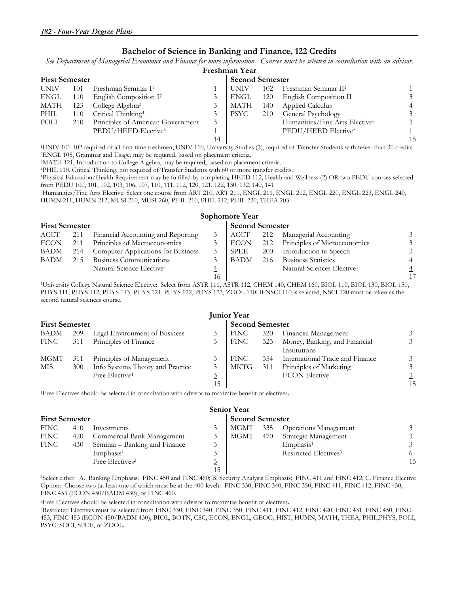#### **Bachelor of Science in Banking and Finance, 122 Credits**

*See Department of Managerial Economics and Finance for more information. Courses must be selected in consultation with an advisor.* 

|             | Freshman Year         |                                    |    |             |     |                                            |    |  |  |  |  |  |
|-------------|-----------------------|------------------------------------|----|-------------|-----|--------------------------------------------|----|--|--|--|--|--|
|             | <b>First Semester</b> |                                    |    |             |     | <b>Second Semester</b>                     |    |  |  |  |  |  |
| <b>UNIV</b> | 101                   | Freshman Seminar I <sup>1</sup>    |    | <b>UNIV</b> | 102 | Freshman Seminar II <sup>1</sup>           |    |  |  |  |  |  |
| ENGL        | 110                   | English Composition I <sup>2</sup> |    | ENGL        | 120 | English Composition II                     |    |  |  |  |  |  |
| MATH        | 123                   | College Algebra <sup>3</sup>       |    | MATH        | 140 | <b>Applied Calculus</b>                    |    |  |  |  |  |  |
| PHIL        | 110                   | Critical Thinking <sup>4</sup>     |    | PSYC        | 210 | General Psychology                         |    |  |  |  |  |  |
| POLI        | 210                   | Principles of American Government  | 3  |             |     | Humanities/Fine Arts Elective <sup>6</sup> |    |  |  |  |  |  |
|             |                       | PEDU/HEED Elective <sup>5</sup>    |    |             |     | PEDU/HEED Elective <sup>5</sup>            |    |  |  |  |  |  |
|             |                       |                                    | 14 |             |     |                                            | 15 |  |  |  |  |  |

<sup>1</sup>UNIV 101-102 required of all first-time freshmen; UNIV 110, University Studies (2), required of Transfer Students with fewer than 30 credits <sup>2</sup>ENGL 108, Grammar and Usage, may be required, based on placement criteria.<br>

<sup>6</sup>Humanities/Fine Arts Elective: Select one course from ART 210, ART 211, ENGL 211, ENGL 212, ENGL 220, ENGL 223, ENGL 240,

HUMN 211, HUMN 212, MUSI 210, MUSI 260, PHIL 210, PHIL 212, PHIL 220, THEA 203

### **Sophomore Year First Semester Second Semester Second Semester Second Semester Second Semester Second Semester Second Semester**

| ACCT        | 211 | Financial Accounting and Reporting     |    | ACCT        |            | 212 Managerial Accounting              |                |
|-------------|-----|----------------------------------------|----|-------------|------------|----------------------------------------|----------------|
|             |     |                                        |    |             |            |                                        |                |
| <b>ECON</b> | 211 | Principles of Macroeconomics           |    | ECON        |            | 212 Principles of Microeconomics       | 3              |
| BADM        |     | 214 Computer Applications for Business |    | SPEE        | <b>200</b> | Introduction to Speech                 | 3              |
| BADM        | 215 | Business Communications                |    | <b>BADM</b> | 216        | <b>Business Statistics</b>             |                |
|             |     | Natural Science Elective <sup>1</sup>  |    |             |            | Natural Sciences Elective <sup>1</sup> | $\overline{4}$ |
|             |     |                                        | 16 |             |            |                                        | 17             |

 16 17 1University College Natural Science Elective: Select from ASTR 111, ASTR 112, CHEM 140, CHEM 160, BIOL 110, BIOL 130, BIOL 150, PHYS 111, PHYS 112, PHYS 113, PHYS 121, PHYS 122, PHYS 123, ZOOL 110; If NSCI 110 is selected, NSCI 120 must be taken as the second natural sciences course.

|                       |     |                                  |                | <b>Junior Year</b>     |     |                                               |    |
|-----------------------|-----|----------------------------------|----------------|------------------------|-----|-----------------------------------------------|----|
| <b>First Semester</b> |     |                                  |                | <b>Second Semester</b> |     |                                               |    |
| BADM                  | 209 | Legal Environment of Business    | 3              | <b>FINC</b>            | 320 | Financial Management                          |    |
| <b>FINC</b>           | 311 | Principles of Finance            | 3              | FINC                   | 323 | Money, Banking, and Financial<br>Institutions |    |
| <b>MGMT</b>           | 311 | Principles of Management         |                | FINC                   | 354 | International Trade and Finance               |    |
| <b>MIS</b>            | 300 | Info Systems Theory and Practice |                | <b>MKTG</b>            | 311 | Principles of Marketing                       |    |
|                       |     | Free Elective <sup>1</sup>       | $\overline{3}$ |                        |     | <b>ECON Elective</b>                          |    |
|                       |     |                                  | 15             |                        |     |                                               | 15 |

1Free Electives should be selected in consultation with advisor to maximize benefit of electives.

|      | <b>Senior Year</b>    |                               |   |                        |     |                                   |    |  |  |  |
|------|-----------------------|-------------------------------|---|------------------------|-----|-----------------------------------|----|--|--|--|
|      | <b>First Semester</b> |                               |   | <b>Second Semester</b> |     |                                   |    |  |  |  |
| FINC | 410                   | Investments                   |   | MGMT                   | 335 | <b>Operations Management</b>      |    |  |  |  |
| FINC | 420                   | Commercial Bank Management    | 3 | MGMT                   | 470 | Strategic Management              |    |  |  |  |
| FINC | 430                   | Seminar – Banking and Finance |   |                        |     | Emphasis <sup>1</sup>             |    |  |  |  |
|      |                       | Emphasis <sup>1</sup>         |   |                        |     | Restricted Electives <sup>3</sup> |    |  |  |  |
|      |                       | Free Electives <sup>2</sup>   | ⊇ |                        |     |                                   | 15 |  |  |  |
|      |                       |                               |   |                        |     |                                   |    |  |  |  |

1Select either: A. Banking Emphasis: FINC 450 and FINC 460; B. Security Analysis Emphasis: FINC 411 and FINC 412; C. Finance Elective Option: Choose two (at least one of which must be at the 400-level): FINC 330, FINC 340, FINC 350, FINC 411, FINC 412; FINC 450, FINC 453 (ECON 450/BADM 430), or FINC 460.

<sup>2</sup>Free Electives should be selected in consultation with advisor to maximize benefit of electives.<br><sup>3</sup>Restricted Electives must be selected from FINC 330, FINC 340, FINC 350, FINC 411, FINC 412, FINC 420, FINC 431, FINC 4 453, FINC 453 (ECON 450/BADM 430), BIOL, BOTN, CSC, ECON, ENGL, GEOG, HIST, HUMN, MATH, THEA, PHIL,PHYS, POLI, PSYC, SOCI, SPEE, or ZOOL.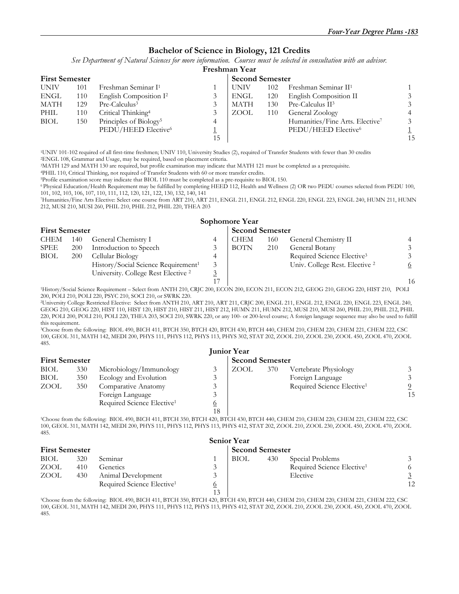#### **Bachelor of Science in Biology, 121 Credits**

*See Department of Natural Sciences for more information. Courses must be selected in consultation with an advisor.*

|                       | Freshman Year |                                    |    |             |                        |                                  |    |  |  |  |  |
|-----------------------|---------------|------------------------------------|----|-------------|------------------------|----------------------------------|----|--|--|--|--|
| <b>First Semester</b> |               |                                    |    |             | <b>Second Semester</b> |                                  |    |  |  |  |  |
| <b>UNIV</b>           | 101           | Freshman Seminar I <sup>1</sup>    |    | <b>UNIV</b> | 102                    | Freshman Seminar II <sup>1</sup> |    |  |  |  |  |
| ENGL                  | 110           | English Composition I <sup>2</sup> |    | <b>ENGL</b> | 120                    | English Composition II           |    |  |  |  |  |
| MATH                  | 129           | Pre-Calculus <sup>3</sup>          |    | MATH        | 130                    | Pre-Calculus II <sup>3</sup>     |    |  |  |  |  |
| PHIL                  | 110           | Critical Thinking <sup>4</sup>     |    | ZOOL        | 110                    | General Zoology                  |    |  |  |  |  |
| <b>BIOL</b>           | 150           | Principles of Biology <sup>5</sup> | 4  |             |                        | Humanities/Fine Arts. Elective7  | 3  |  |  |  |  |
|                       |               | PEDU/HEED Elective <sup>6</sup>    |    |             |                        | PEDU/HEED Elective <sup>6</sup>  |    |  |  |  |  |
|                       |               |                                    | 15 |             |                        |                                  | 15 |  |  |  |  |

1UNIV 101-102 required of all first-time freshmen; UNIV 110, University Studies (2), required of Transfer Students with fewer than 30 credits 2ENGL 108, Grammar and Usage, may be required, based on placement criteria.

<sup>3</sup>MATH 129 and MATH 130 are required, but profile examination may indicate that MATH 121 must be completed as a prerequisite. <sup>4</sup>PHIL 110, Critical Thinking, not required of Transfer Students with 60 or more transfer cred

6 Physical Education/Health Requirement may be fulfilled by completing HEED 112, Health and Wellness (2) OR two PEDU courses selected from PEDU 100, 101, 102, 103, 106, 107, 110, 111, 112, 120, 121, 122, 130, 132, 140, 141

7Humanities/Fine Arts Elective: Select one course from ART 210, ART 211, ENGL 211, ENGL 212, ENGL 220, ENGL 223, ENGL 240, HUMN 211, HUMN 212, MUSI 210, MUSI 260, PHIL 210, PHIL 212, PHIL 220, THEA 203

|                       | Sophomore Year |                                                 |  |             |                        |                                        |                |  |  |  |  |
|-----------------------|----------------|-------------------------------------------------|--|-------------|------------------------|----------------------------------------|----------------|--|--|--|--|
| <b>First Semester</b> |                |                                                 |  |             | <b>Second Semester</b> |                                        |                |  |  |  |  |
| <b>CHEM</b>           | 140            | General Chemistry I                             |  | CHEM        | 160                    | General Chemistry II                   |                |  |  |  |  |
| <b>SPEE</b>           | 200            | Introduction to Speech                          |  | <b>BOTN</b> | 210                    | General Botany                         | 3              |  |  |  |  |
| <b>BIOL</b>           | <b>200</b>     | Cellular Biology                                |  |             |                        | Required Science Elective <sup>3</sup> | 3              |  |  |  |  |
|                       |                | History/Social Science Requirement <sup>1</sup> |  |             |                        | Univ. College Rest. Elective 2         | 6              |  |  |  |  |
|                       |                | University. College Rest Elective <sup>2</sup>  |  |             |                        |                                        |                |  |  |  |  |
|                       |                |                                                 |  |             |                        |                                        | 1 <sub>6</sub> |  |  |  |  |

17 16 1History/Social Science Requirement – Select from ANTH 210, CRJC 200, ECON 200, ECON 211, ECON 212, GEOG 210, GEOG 220, HIST 210, POLI 200, POLI 210, POLI 220, PSYC 210, SOCI 210, or SWRK 220.

2University College Restricted Elective: Select from ANTH 210, ART 210, ART 211, CRJC 200, ENGL 211, ENGL 212, ENGL 220, ENGL 223, ENGL 240, GEOG 210, GEOG 220, HIST 110, HIST 120, HIST 210, HIST 211, HIST 212, HUMN 211, HUMN 212, MUSI 210, MUSI 260, PHIL 210, PHIL 212, PHIL 220, POLI 200, POLI 210, POLI 220, THEA 203, SOCI 210, SWRK 220, or any 100- or 200-level course; A foreign language sequence may also be used to fulfill this requirement.

3Choose from the following: BIOL 490, BICH 411, BTCH 350, BTCH 420, BTCH 430, BTCH 440, CHEM 210, CHEM 220, CHEM 221, CHEM 222, CSC 100, GEOL 311, MATH 142, MEDI 200, PHYS 111, PHYS 112, PHYS 113, PHYS 302, STAT 202, ZOOL 210, ZOOL 230, ZOOL 450, ZOOL 470, ZOOL 485.

| <b>Junior Year</b>    |     |                                        |          |                        |     |                                        |    |  |  |
|-----------------------|-----|----------------------------------------|----------|------------------------|-----|----------------------------------------|----|--|--|
| <b>First Semester</b> |     |                                        |          | <b>Second Semester</b> |     |                                        |    |  |  |
| <b>BIOL</b>           | 330 | Microbiology/Immunology                |          | ZOOL                   | 370 | Vertebrate Physiology                  |    |  |  |
| <b>BIOL</b>           | 350 | Ecology and Evolution                  |          |                        |     | Foreign Language                       |    |  |  |
| ZOOL                  | 350 | Comparative Anatomy                    |          |                        |     | Required Science Elective <sup>1</sup> |    |  |  |
|                       |     | Foreign Language                       |          |                        |     |                                        | 15 |  |  |
|                       |     | Required Science Elective <sup>1</sup> | <u>0</u> |                        |     |                                        |    |  |  |
|                       |     |                                        | 18       |                        |     |                                        |    |  |  |

1Choose from the following: BIOL 490, BICH 411, BTCH 350, BTCH 420, BTCH 430, BTCH 440, CHEM 210, CHEM 220, CHEM 221, CHEM 222, CSC 100, GEOL 311, MATH 142, MEDI 200, PHYS 111, PHYS 112, PHYS 113, PHYS 412, STAT 202, ZOOL 210, ZOOL 230, ZOOL 450, ZOOL 470, ZOOL 485.  $\cdot$   $\cdot$   $\cdot$   $\cdot$ 

|                       | Senior Year |                                        |  |      |                        |                                        |    |  |  |  |  |  |
|-----------------------|-------------|----------------------------------------|--|------|------------------------|----------------------------------------|----|--|--|--|--|--|
| <b>First Semester</b> |             |                                        |  |      | <b>Second Semester</b> |                                        |    |  |  |  |  |  |
| <b>BIOL</b>           | 320         | Seminar                                |  | BIOL | 430                    | Special Problems                       |    |  |  |  |  |  |
| ZOOL                  | 410         | <b>Genetics</b>                        |  |      |                        | Required Science Elective <sup>1</sup> |    |  |  |  |  |  |
| ZOOL                  | 430         | Animal Development                     |  |      |                        | Elective                               |    |  |  |  |  |  |
|                       |             | Required Science Elective <sup>1</sup> |  |      |                        |                                        | 12 |  |  |  |  |  |
|                       |             |                                        |  |      |                        |                                        |    |  |  |  |  |  |

1Choose from the following: BIOL 490, BICH 411, BTCH 350, BTCH 420, BTCH 430, BTCH 440, CHEM 210, CHEM 220, CHEM 221, CHEM 222, CSC 100, GEOL 311, MATH 142, MEDI 200, PHYS 111, PHYS 112, PHYS 113, PHYS 412, STAT 202, ZOOL 210, ZOOL 230, ZOOL 450, ZOOL 470, ZOOL 485.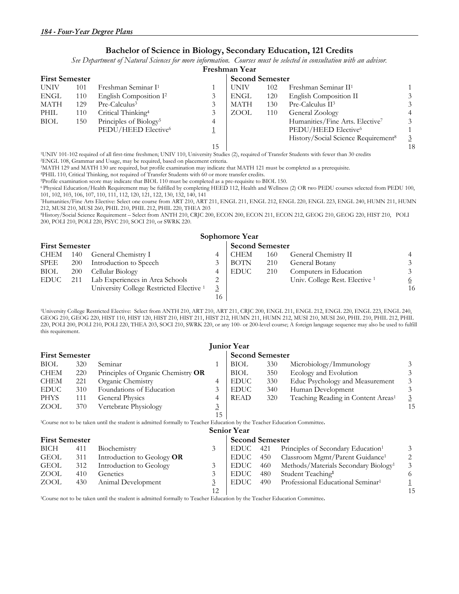#### **Bachelor of Science in Biology, Secondary Education, 121 Credits**

*See Department of Natural Sciences for more information. Courses must be selected in consultation with an advisor.*

|                       | Freshman Year |                                    |    |             |                        |                                                 |                |  |  |  |  |
|-----------------------|---------------|------------------------------------|----|-------------|------------------------|-------------------------------------------------|----------------|--|--|--|--|
| <b>First Semester</b> |               |                                    |    |             | <b>Second Semester</b> |                                                 |                |  |  |  |  |
| <b>UNIV</b>           | 101           | Freshman Seminar I <sup>1</sup>    |    | <b>UNIV</b> | 102                    | Freshman Seminar II <sup>1</sup>                |                |  |  |  |  |
| ENGL                  | 110           | English Composition I <sup>2</sup> |    | <b>ENGL</b> | 120                    | English Composition II                          | 3              |  |  |  |  |
| MATH                  | 129           | Pre-Calculus <sup>3</sup>          |    | <b>MATH</b> | 130                    | Pre-Calculus II <sup>3</sup>                    | 3              |  |  |  |  |
| PHIL                  | 110           | Critical Thinking <sup>4</sup>     |    | ZOOL        | 110                    | General Zoology                                 | $\overline{4}$ |  |  |  |  |
| <b>BIOL</b>           | 150           | Principles of Biology <sup>5</sup> | 4  |             |                        | Humanities/Fine Arts. Elective <sup>7</sup>     | 3              |  |  |  |  |
|                       |               | PEDU/HEED Elective <sup>6</sup>    |    |             |                        | PEDU/HEED Elective <sup>6</sup>                 |                |  |  |  |  |
|                       |               |                                    |    |             |                        | History/Social Science Requirement <sup>8</sup> | $\overline{3}$ |  |  |  |  |
|                       |               |                                    | 15 |             |                        |                                                 | 18             |  |  |  |  |

<sup>1</sup>UNIV 101-102 required of all first-time freshmen; UNIV 110, University Studies (2), required of Transfer Students with fewer than 30 credits <sup>2</sup>ENGL 108, Grammar and Usage, may be required, based on placement criteria.

<sup>3</sup>MATH 129 and MATH 130 are required, but profile examination may indicate that MATH 121 must be completed as a prerequisite.<br><sup>4</sup>PHIL 110, Critical Thinking, not required of Transfer Students with 60 or more transfer cred

6 Physical Education/Health Requirement may be fulfilled by completing HEED 112, Health and Wellness (2) OR two PEDU courses selected from PEDU 100, 101, 102, 103, 106, 107, 110, 111, 112, 120, 121, 122, 130, 132, 140, 141

7Humanities/Fine Arts Elective: Select one course from ART 210, ART 211, ENGL 211, ENGL 212, ENGL 220, ENGL 223, ENGL 240, HUMN 211, HUMN 212, MUSI 210, MUSI 260, PHIL 210, PHIL 212, PHIL 220, THEA 203

8History/Social Science Requirement – Select from ANTH 210, CRJC 200, ECON 200, ECON 211, ECON 212, GEOG 210, GEOG 220, HIST 210, POLI 200, POLI 210, POLI 220, PSYC 210, SOCI 210, or SWRK 220.

|                       |     |                                                     |                        | Sophomore Year |     |                                |          |
|-----------------------|-----|-----------------------------------------------------|------------------------|----------------|-----|--------------------------------|----------|
| <b>First Semester</b> |     |                                                     | <b>Second Semester</b> |                |     |                                |          |
| CHEM                  | 140 | General Chemistry I                                 |                        | CHEM           | 160 | General Chemistry II           |          |
| SPEE                  | 200 | Introduction to Speech                              |                        | BOTN           | 210 | General Botany                 |          |
| <b>BIOL</b>           | 200 | Cellular Biology                                    |                        | EDUC           | 210 | Computers in Education         |          |
| <b>EDUC</b>           | 211 | Lab Experiences in Area Schools                     |                        |                |     | Univ. College Rest. Elective 1 | <u>6</u> |
|                       |     | University College Restricted Elective <sup>1</sup> | 3                      |                |     |                                | 16       |
|                       |     |                                                     | 16                     |                |     |                                |          |

1University College Restricted Elective: Select from ANTH 210, ART 210, ART 211, CRJC 200, ENGL 211, ENGL 212, ENGL 220, ENGL 223, ENGL 240, GEOG 210, GEOG 220, HIST 110, HIST 120, HIST 210, HIST 211, HIST 212, HUMN 211, HUMN 212, MUSI 210, MUSI 260, PHIL 210, PHIL 212, PHIL 220, POLI 200, POLI 210, POLI 220, THEA 203, SOCI 210, SWRK 220, or any 100- or 200-level course; A foreign language sequence may also be used to fulfill this requirement.

| <b>Junior Year</b>    |     |                                                                                                                                     |                |                        |     |                                                  |    |  |  |  |
|-----------------------|-----|-------------------------------------------------------------------------------------------------------------------------------------|----------------|------------------------|-----|--------------------------------------------------|----|--|--|--|
| <b>First Semester</b> |     |                                                                                                                                     |                | <b>Second Semester</b> |     |                                                  |    |  |  |  |
| <b>BIOL</b>           | 320 | Seminar                                                                                                                             |                | BIOL                   | 330 | Microbiology/Immunology                          |    |  |  |  |
| <b>CHEM</b>           | 220 | Principles of Organic Chemistry OR                                                                                                  |                | <b>BIOL</b>            | 350 | Ecology and Evolution                            |    |  |  |  |
| <b>CHEM</b>           | 221 | Organic Chemistry                                                                                                                   | 4              | <b>EDUC</b>            | 330 | Educ Psychology and Measurement                  | 3  |  |  |  |
| <b>EDUC</b>           | 310 | Foundations of Education                                                                                                            | 3              | <b>EDUC</b>            | 340 | Human Development                                | 3  |  |  |  |
| <b>PHYS</b>           | 111 | <b>General Physics</b>                                                                                                              | 4              | <b>READ</b>            | 320 | Teaching Reading in Content Areas <sup>1</sup>   | 3  |  |  |  |
| ZOOL                  | 370 | Vertebrate Physiology                                                                                                               | $\overline{3}$ |                        |     |                                                  | 15 |  |  |  |
|                       |     |                                                                                                                                     | 15             |                        |     |                                                  |    |  |  |  |
|                       |     | <sup>1</sup> Course not to be taken until the student is admitted formally to Teacher Education by the Teacher Education Committee. |                |                        |     |                                                  |    |  |  |  |
|                       |     |                                                                                                                                     |                | <b>Senior Year</b>     |     |                                                  |    |  |  |  |
| <b>First Semester</b> |     |                                                                                                                                     |                | <b>Second Semester</b> |     |                                                  |    |  |  |  |
| BICH                  | 411 | Biochemistry                                                                                                                        | 3              | <b>EDUC</b>            | 421 | Principles of Secondary Education <sup>1</sup>   | 3  |  |  |  |
| GEOL                  | 311 | Introduction to Geology OR                                                                                                          |                | <b>EDUC</b>            | 450 | Classroom Mgmt/Parent Guidance <sup>1</sup>      | 2  |  |  |  |
| <b>GEOL</b>           | 312 | Introduction to Geology                                                                                                             | 3              | <b>EDUC</b>            | 460 | Methods/Materials Secondary Biology <sup>1</sup> | 3  |  |  |  |
| ZOOL                  | 410 | Genetics                                                                                                                            | 3              | <b>EDUC</b>            | 480 | Student Teaching <sup>1</sup>                    | 6  |  |  |  |
| ZOOL                  | 430 | Animal Development                                                                                                                  | $\overline{3}$ | <b>EDUC</b>            | 490 | Professional Educational Seminar <sup>1</sup>    |    |  |  |  |
|                       |     |                                                                                                                                     | 12             |                        |     |                                                  | 15 |  |  |  |

1Course not to be taken until the student is admitted formally to Teacher Education by the Teacher Education Committee**.**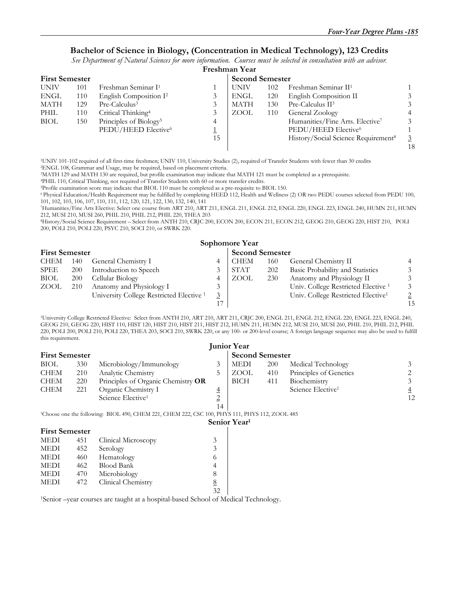#### **Bachelor of Science in Biology, (Concentration in Medical Technology), 123 Credits**

*See Department of Natural Sciences for more information. Courses must be selected in consultation with an advisor.*

|                       | Freshman Year |                                    |                        |             |     |                                                 |    |  |  |  |  |
|-----------------------|---------------|------------------------------------|------------------------|-------------|-----|-------------------------------------------------|----|--|--|--|--|
| <b>First Semester</b> |               |                                    | <b>Second Semester</b> |             |     |                                                 |    |  |  |  |  |
| <b>UNIV</b>           | 101           | Freshman Seminar I <sup>1</sup>    |                        | <b>UNIV</b> | 102 | Freshman Seminar II <sup>1</sup>                |    |  |  |  |  |
| ENGL                  | 110           | English Composition I <sup>2</sup> |                        | ENGL        | 120 | English Composition II                          |    |  |  |  |  |
| MATH                  | 129           | Pre-Calculus <sup>3</sup>          |                        | <b>MATH</b> | 130 | Pre-Calculus II <sup>3</sup>                    |    |  |  |  |  |
| PHIL                  | 110           | Critical Thinking <sup>4</sup>     |                        | ZOOL        | 110 | General Zoology                                 |    |  |  |  |  |
| <b>BIOL</b>           | 150           | Principles of Biology <sup>5</sup> | 4                      |             |     | Humanities/Fine Arts. Elective <sup>7</sup>     |    |  |  |  |  |
|                       |               | PEDU/HEED Elective <sup>6</sup>    |                        |             |     | PEDU/HEED Elective <sup>6</sup>                 |    |  |  |  |  |
|                       |               |                                    | 15                     |             |     | History/Social Science Requirement <sup>8</sup> |    |  |  |  |  |
|                       |               |                                    |                        |             |     |                                                 | 18 |  |  |  |  |

1UNIV 101-102 required of all first-time freshmen; UNIV 110, University Studies (2), required of Transfer Students with fewer than 30 credits 2ENGL 108, Grammar and Usage, may be required, based on placement criteria.

<sup>3</sup>MATH 129 and MATH 130 are required, but profile examination may indicate that MATH 121 must be completed as a prerequisite.<br><sup>4</sup>PHIL 110, Critical Thinking, not required of Transfer Students with 60 or more transfer cred

6 Physical Education/Health Requirement may be fulfilled by completing HEED 112, Health and Wellness (2) OR two PEDU courses selected from PEDU 100, 101, 102, 103, 106, 107, 110, 111, 112, 120, 121, 122, 130, 132, 140, 141

7Humanities/Fine Arts Elective: Select one course from ART 210, ART 211, ENGL 211, ENGL 212, ENGL 220, ENGL 223, ENGL 240, HUMN 211, HUMN 212, MUSI 210, MUSI 260, PHIL 210, PHIL 212, PHIL 220, THEA 203

8History/Social Science Requirement – Select from ANTH 210, CRJC 200, ECON 200, ECON 211, ECON 212, GEOG 210, GEOG 220, HIST 210, POLI 200, POLI 210, POLI 220, PSYC 210, SOCI 210, or SWRK 220.

|                       | <b>Sophomore Year</b> |                                                     |                |             |                        |                                                |    |  |  |  |  |
|-----------------------|-----------------------|-----------------------------------------------------|----------------|-------------|------------------------|------------------------------------------------|----|--|--|--|--|
| <b>First Semester</b> |                       |                                                     |                |             | <b>Second Semester</b> |                                                |    |  |  |  |  |
| <b>CHEM</b>           | 140                   | General Chemistry I                                 |                | <b>CHEM</b> | 160                    | General Chemistry II                           |    |  |  |  |  |
| SPEE                  | <b>200</b>            | Introduction to Speech                              |                | <b>STAT</b> | 202                    | Basic Probability and Statistics               |    |  |  |  |  |
| <b>BIOL</b>           | <b>200</b>            | Cellular Biology                                    |                | ZOOL        | 230                    | Anatomy and Physiology II                      |    |  |  |  |  |
| ZOOL                  | 210                   | Anatomy and Physiology I                            | 3              |             |                        | Univ. College Restricted Elective <sup>1</sup> |    |  |  |  |  |
|                       |                       | University College Restricted Elective <sup>1</sup> | $\overline{3}$ |             |                        | Univ. College Restricted Elective <sup>1</sup> |    |  |  |  |  |
|                       |                       |                                                     | 17             |             |                        |                                                | 15 |  |  |  |  |

1University College Restricted Elective: Select from ANTH 210, ART 210, ART 211, CRJC 200, ENGL 211, ENGL 212, ENGL 220, ENGL 223, ENGL 240, GEOG 210, GEOG 220, HIST 110, HIST 120, HIST 210, HIST 211, HIST 212, HUMN 211, HUMN 212, MUSI 210, MUSI 260, PHIL 210, PHIL 212, PHIL 220, POLI 200, POLI 210, POLI 220, THEA 203, SOCI 210, SWRK 220, or any 100- or 200-level course; A foreign language sequence may also be used to fulfill this requirement.

|                       |     |                                                                                                            |                 | <b>Junior Year</b>       |            |                               |                |  |
|-----------------------|-----|------------------------------------------------------------------------------------------------------------|-----------------|--------------------------|------------|-------------------------------|----------------|--|
| <b>First Semester</b> |     |                                                                                                            |                 | <b>Second Semester</b>   |            |                               |                |  |
| <b>BIOL</b>           | 330 | Microbiology/Immunology                                                                                    | 3               | <b>MEDI</b>              | <b>200</b> | Medical Technology            |                |  |
| <b>CHEM</b>           | 210 | Analytic Chemistry                                                                                         | 5               | ZOOL                     | 410        | Principles of Genetics        |                |  |
| <b>CHEM</b>           | 220 | Principles of Organic Chemistry OR                                                                         |                 | <b>BICH</b>              | 411        | Biochemistry                  | 3              |  |
| <b>CHEM</b>           | 221 | Organic Chemistry I                                                                                        | $\overline{4}$  |                          |            | Science Elective <sup>1</sup> | $\overline{4}$ |  |
|                       |     | Science Elective <sup>1</sup>                                                                              | $\overline{2}$  |                          |            |                               | 12             |  |
|                       |     |                                                                                                            | 14              |                          |            |                               |                |  |
|                       |     | <sup>1</sup> Choose one the following: BIOL 490, CHEM 221, CHEM 222, CSC 100, PHYS 111, PHYS 112, ZOOL 485 |                 |                          |            |                               |                |  |
|                       |     |                                                                                                            |                 | Senior Year <sup>1</sup> |            |                               |                |  |
| <b>First Semester</b> |     |                                                                                                            |                 |                          |            |                               |                |  |
| <b>MEDI</b>           | 451 | Clinical Microscopy                                                                                        | 3               |                          |            |                               |                |  |
| <b>MEDI</b>           | 452 | Serology                                                                                                   | 3               |                          |            |                               |                |  |
| MEDI                  | 460 | Hematology                                                                                                 | $\sigma$        |                          |            |                               |                |  |
| <b>MEDI</b>           | 462 | <b>Blood Bank</b>                                                                                          | 4               |                          |            |                               |                |  |
| <b>MEDI</b>           | 470 | Microbiology                                                                                               | 8               |                          |            |                               |                |  |
| <b>MEDI</b>           | 472 | Clinical Chemistry                                                                                         | $8\overline{6}$ |                          |            |                               |                |  |
|                       |     |                                                                                                            | 32              |                          |            |                               |                |  |

1Senior –year courses are taught at a hospital-based School of Medical Technology.

32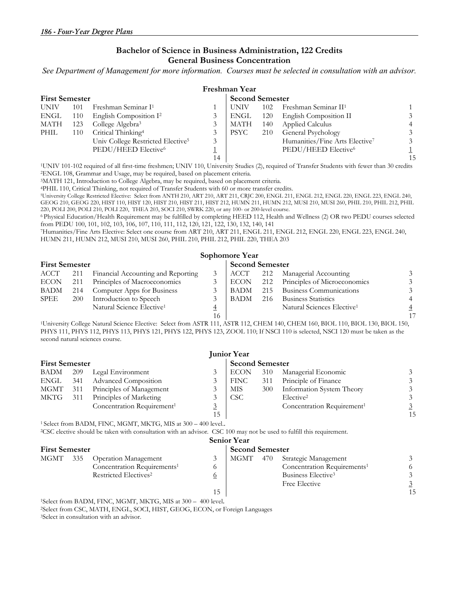#### **Bachelor of Science in Business Administration, 122 Credits General Business Concentration**

*See Department of Management for more information. Courses must be selected in consultation with an advisor.* 

|             |                       |                                               |    | Freshman Year |     |                                            |     |  |  |  |
|-------------|-----------------------|-----------------------------------------------|----|---------------|-----|--------------------------------------------|-----|--|--|--|
|             | <b>First Semester</b> |                                               |    |               |     | <b>Second Semester</b>                     |     |  |  |  |
| <b>UNIV</b> | 101                   | Freshman Seminar I <sup>1</sup>               |    | UNIV          |     | 102 Freshman Seminar $II1$                 |     |  |  |  |
| ENGL        | - 110                 | English Composition I <sup>2</sup>            |    | ENGL          |     | 120 English Composition II                 |     |  |  |  |
| MATH        | 123                   | College Algebra <sup>3</sup>                  |    | MATH          | 140 | <b>Applied Calculus</b>                    |     |  |  |  |
| PHIL        | 110                   | Critical Thinking <sup>4</sup>                |    | PSYC          | 210 | <b>General Psychology</b>                  |     |  |  |  |
|             |                       | Univ College Restricted Elective <sup>5</sup> | 3  |               |     | Humanities/Fine Arts Elective <sup>7</sup> |     |  |  |  |
|             |                       | PEDU/HEED Elective <sup>6</sup>               |    |               |     | PEDU/HEED Elective <sup>6</sup>            |     |  |  |  |
|             |                       |                                               | 14 |               |     |                                            | 1.5 |  |  |  |

<sup>1</sup>UNIV 101-102 required of all first-time freshmen; UNIV 110, University Studies (2), required of Transfer Students with fewer than 30 credits <sup>2</sup>ENGL 108, Grammar and Usage, may be required, based on placement criteria.<br>

GEOG 210, GEOG 220, HIST 110, HIST 120, HIST 210, HIST 211, HIST 212, HUMN 211, HUMN 212, MUSI 210, MUSI 260, PHIL 210, PHIL 212, PHIL 220, POLI 200, POLI 210, POLI 220, THEA 203, SOCI 210, SWRK 220, or any 100- or 200-level course.

6 Physical Education/Health Requirement may be fulfilled by completing HEED 112, Health and Wellness (2) OR two PEDU courses selected

<sup>7</sup>Humanities/Fine Arts Elective: Select one course from ART 210, ART 211, ENGL 211, ENGL 212, ENGL 220, ENGL 223, ENGL 240, HUMN 211, HUMN 212, MUSI 210, MUSI 260, PHIL 210, PHIL 212, PHIL 220, THEA 203

|                       | Sophomore Year |                                       |                        |      |     |                                        |                |  |  |  |  |
|-----------------------|----------------|---------------------------------------|------------------------|------|-----|----------------------------------------|----------------|--|--|--|--|
| <b>First Semester</b> |                |                                       | <b>Second Semester</b> |      |     |                                        |                |  |  |  |  |
| ACCT                  | 211            | Financial Accounting and Reporting    |                        | ACCT | 212 | Managerial Accounting                  | 3              |  |  |  |  |
| <b>ECON</b>           | 211            | Principles of Macroeconomics          |                        | ECON | 212 | Principles of Microeconomics           | 3              |  |  |  |  |
| BADM                  | 214            | Computer Apps for Business            |                        | BADM | 215 | Business Communications                | $\mathfrak{Z}$ |  |  |  |  |
| SPEE                  | <b>200</b>     | Introduction to Speech                |                        | BADM | 216 | <b>Business Statistics</b>             |                |  |  |  |  |
|                       |                | Natural Science Elective <sup>1</sup> | $\overline{4}$         |      |     | Natural Sciences Elective <sup>1</sup> | $\overline{4}$ |  |  |  |  |
|                       |                |                                       | 16                     |      |     |                                        |                |  |  |  |  |

<sup>1</sup>University College Natural Science Elective: Select from ASTR 111, ASTR 112, CHEM 140, CHEM 160, BIOL 110, BIOL 130, BIOL 150, PHYS 111, PHYS 112, PHYS 113, PHYS 121, PHYS 122, PHYS 123, ZOOL 110; If NSCI 110 is selected, NSCI 120 must be taken as the second natural sciences course.

|                       | <b>Junior Year</b> |                                        |    |                        |     |                                        |    |  |  |  |  |
|-----------------------|--------------------|----------------------------------------|----|------------------------|-----|----------------------------------------|----|--|--|--|--|
| <b>First Semester</b> |                    |                                        |    | <b>Second Semester</b> |     |                                        |    |  |  |  |  |
| BADM                  | 209                | Legal Environment                      |    | <b>ECON</b>            | 310 | Managerial Economic                    |    |  |  |  |  |
| ENGL                  | - 341              | <b>Advanced Composition</b>            |    | FINC                   | 311 | Principle of Finance                   |    |  |  |  |  |
| MGMT                  | 311                | Principles of Management               |    | MIS                    | 300 | Information System Theory              |    |  |  |  |  |
| MKTG                  | 311                | Principles of Marketing                |    | CSC <sup>.</sup>       |     | Elective <sup>2</sup>                  |    |  |  |  |  |
|                       |                    | Concentration Requirement <sup>1</sup> |    |                        |     | Concentration Requirement <sup>1</sup> |    |  |  |  |  |
|                       |                    |                                        | 15 |                        |     |                                        | 15 |  |  |  |  |

<sup>1</sup> Select from BADM, FINC, MGMT, MKTG, MIS at 300 – 400 level..<br><sup>2</sup>CSC elective should be taken with consultation with an advisor. CSC 100 may not be used to fulfill this requirement.

| <b>Senior Year</b>    |     |                                                                                          |                        |      |                                |                                         |    |  |  |  |
|-----------------------|-----|------------------------------------------------------------------------------------------|------------------------|------|--------------------------------|-----------------------------------------|----|--|--|--|
| <b>First Semester</b> |     |                                                                                          | <b>Second Semester</b> |      |                                |                                         |    |  |  |  |
| MGMT                  | 335 | <b>Operation Management</b>                                                              |                        | MGMT | 470                            | Strategic Management                    |    |  |  |  |
|                       |     | Concentration Requirements <sup>1</sup><br>Restricted Electives <sup>2</sup><br><u>0</u> |                        |      |                                | Concentration Requirements <sup>1</sup> |    |  |  |  |
|                       |     |                                                                                          |                        |      | Business Elective <sup>3</sup> |                                         |    |  |  |  |
|                       |     |                                                                                          |                        |      |                                | Free Elective                           |    |  |  |  |
|                       |     |                                                                                          | 15                     |      |                                |                                         | 15 |  |  |  |

1Select from BADM, FINC, MGMT, MKTG, MIS at 300 – 400 level. 2Select from CSC, MATH, ENGL, SOCI, HIST, GEOG, ECON, or Foreign Languages 3Select in consultation with an advisor.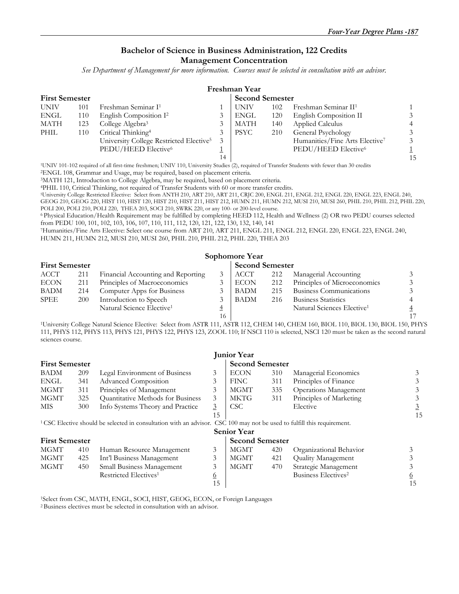#### **Bachelor of Science in Business Administration, 122 Credits Management Concentration**

*See Department of Management for more information. Courses must be selected in consultation with an advisor.* 

| Freshman Year         |     |                                                     |    |                        |     |                                  |                |  |  |  |
|-----------------------|-----|-----------------------------------------------------|----|------------------------|-----|----------------------------------|----------------|--|--|--|
| <b>First Semester</b> |     |                                                     |    | <b>Second Semester</b> |     |                                  |                |  |  |  |
| <b>UNIV</b>           | 101 | Freshman Seminar I <sup>1</sup>                     |    | <b>UNIV</b>            | 102 | Freshman Seminar II <sup>1</sup> |                |  |  |  |
| ENGL                  | 110 | English Composition I <sup>2</sup>                  | 3  | ENGL                   | 120 | English Composition II           | 3              |  |  |  |
| MATH                  | 123 | College Algebra <sup>3</sup>                        | 3  | MATH                   | 140 | <b>Applied Calculus</b>          | 4              |  |  |  |
| PHIL                  | 110 | Critical Thinking <sup>4</sup>                      | 3  | <b>PSYC</b>            | 210 | General Psychology               | 3              |  |  |  |
|                       |     | University College Restricted Elective <sup>5</sup> | 3  |                        |     | Humanities/Fine Arts Elective7   | $\mathfrak{Z}$ |  |  |  |
|                       |     | PEDU/HEED Elective <sup>6</sup>                     |    |                        |     | PEDU/HEED Elective <sup>6</sup>  |                |  |  |  |
|                       |     |                                                     | 14 |                        |     |                                  | 15             |  |  |  |

<sup>1</sup>UNIV 101-102 required of all first-time freshmen; UNIV 110, University Studies (2), required of Transfer Students with fewer than 30 credits<br>
<sup>2</sup>ENGL 108, Grammar and Usage, may be required, based on placement criteria.

GEOG 210, GEOG 220, HIST 110, HIST 120, HIST 210, HIST 211, HIST 212, HUMN 211, HUMN 212, MUSI 210, MUSI 260, PHIL 210, PHIL 212, PHIL 220, POLI 200, POLI 210, POLI 220, THEA 203, SOCI 210, SWRK 220, or any 100- or 200-level course.

6 Physical Education/Health Requirement may be fulfilled by completing HEED 112, Health and Wellness (2) OR two PEDU courses selected from PEDU 100, 101, 102, 103, 106, 107, 110, 111, 112, 120, 121, 122, 130, 132, 140, 141 7Humanities/Fine Arts Elective: Select one course from ART 210, ART 211, ENGL 211, ENGL 212, ENGL 220, ENGL 223, ENGL 240,

HUMN 211, HUMN 212, MUSI 210, MUSI 260, PHIL 210, PHIL 212, PHIL 220, THEA 203

|                       |     |                                       |                        | Sophomore Year |     |                                        |  |
|-----------------------|-----|---------------------------------------|------------------------|----------------|-----|----------------------------------------|--|
| <b>First Semester</b> |     |                                       | <b>Second Semester</b> |                |     |                                        |  |
| ACCT                  | 211 | Financial Accounting and Reporting    |                        | ACCT           | 212 | Managerial Accounting                  |  |
| <b>ECON</b>           | 211 | Principles of Macroeconomics          |                        | <b>ECON</b>    | 212 | Principles of Microeconomics           |  |
| <b>BADM</b>           | 214 | Computer Apps for Business            |                        | <b>BADM</b>    | 215 | Business Communications                |  |
| <b>SPEE</b>           | 200 | Introduction to Speech                | 3                      | <b>BADM</b>    | 216 | <b>Business Statistics</b>             |  |
|                       |     | Natural Science Elective <sup>1</sup> | 4                      |                |     | Natural Sciences Elective <sup>1</sup> |  |
|                       |     |                                       | 16                     |                |     |                                        |  |

<sup>1</sup>University College Natural Science Elective: Select from ASTR 111, ASTR 112, CHEM 140, CHEM 160, BIOL 110, BIOL 130, BIOL 150, PHYS 111, PHYS 112, PHYS 113, PHYS 121, PHYS 122, PHYS 123, ZOOL 110; If NSCI 110 is selected, NSCI 120 must be taken as the second natural sciences course.

|                       |     |                                                                                                                                    |                | <b>Junior Year</b>     |     |                                 |          |
|-----------------------|-----|------------------------------------------------------------------------------------------------------------------------------------|----------------|------------------------|-----|---------------------------------|----------|
| <b>First Semester</b> |     |                                                                                                                                    |                | <b>Second Semester</b> |     |                                 |          |
| <b>BADM</b>           | 209 | Legal Environment of Business                                                                                                      | 3              | <b>ECON</b>            | 310 | Managerial Economics            | 3        |
| ENGL                  | 341 | Advanced Composition                                                                                                               | 3              | <b>FINC</b>            | 311 | Principles of Finance           | 3        |
| <b>MGMT</b>           | 311 | Principles of Management                                                                                                           | 3              | MGMT                   | 335 | Operations Management           |          |
| <b>MGMT</b>           | 325 | Quantitative Methods for Business                                                                                                  | 3              | MKTG                   | 311 | Principles of Marketing         | 3        |
| <b>MIS</b>            | 300 | Info Systems Theory and Practice                                                                                                   | $\overline{3}$ | <b>CSC</b>             |     | Elective                        | 3        |
|                       |     |                                                                                                                                    | 15             |                        |     |                                 | 15       |
|                       |     | <sup>1</sup> CSC Elective should be selected in consultation with an advisor. CSC 100 may not be used to fulfill this requirement. |                |                        |     |                                 |          |
|                       |     |                                                                                                                                    |                | <b>Senior Year</b>     |     |                                 |          |
| <b>First Semester</b> |     |                                                                                                                                    |                | <b>Second Semester</b> |     |                                 |          |
| MGMT                  | 410 | Human Resource Management                                                                                                          | 3              | MGMT                   | 420 | Organizational Behavior         |          |
| MGMT                  | 425 | Int'l Business Management                                                                                                          | 3              | MGMT                   | 421 | Quality Management              | 3        |
| MGMT                  | 450 | Small Business Management                                                                                                          | 3              | <b>MGMT</b>            | 470 | Strategic Management            |          |
|                       |     | Restricted Electives <sup>1</sup>                                                                                                  | <u>6</u>       |                        |     | Business Electives <sup>2</sup> | <u>6</u> |
|                       |     |                                                                                                                                    | 15             |                        |     |                                 | 15       |

1Select from CSC, MATH, ENGL, SOCI, HIST, GEOG, ECON, or Foreign Languages 2 Business electives must be selected in consultation with an advisor.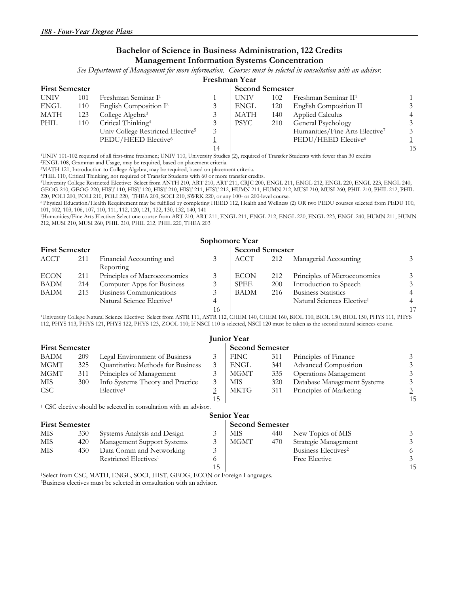#### **Bachelor of Science in Business Administration, 122 Credits Management Information Systems Concentration**

*See Department of Management for more information. Courses must be selected in consultation with an advisor.*

#### **Freshman Year**

| <b>First Semester</b> |     |                                               |    | <b>Second Semester</b> |     |                                  |    |
|-----------------------|-----|-----------------------------------------------|----|------------------------|-----|----------------------------------|----|
| <b>UNIV</b>           | 101 | Freshman Seminar I <sup>1</sup>               |    | <b>UNIV</b>            | 102 | Freshman Seminar II <sup>1</sup> |    |
| <b>ENGL</b>           | 110 | English Composition I <sup>2</sup>            |    | ENGL                   | 120 | English Composition II           |    |
| MATH                  | 123 | College Algebra <sup>3</sup>                  |    | <b>MATH</b>            | 140 | Applied Calculus                 |    |
| PHIL                  | 110 | Critical Thinking <sup>4</sup>                |    | <b>PSYC</b>            | 210 | General Psychology               |    |
|                       |     | Univ College Restricted Elective <sup>5</sup> | 3  |                        |     | Humanities/Fine Arts Elective7   |    |
|                       |     | PEDU/HEED Elective <sup>6</sup>               |    |                        |     | PEDU/HEED Elective <sup>6</sup>  |    |
|                       |     |                                               | 14 |                        |     |                                  | 15 |

1UNIV 101-102 required of all first-time freshmen; UNIV 110, University Studies (2), required of Transfer Students with fewer than 30 credits 2ENGL 108, Grammar and Usage, may be required, based on placement criteria.

3MATH 121, Introduction to College Algebra, may be required, based on placement criteria.

4PHIL 110, Critical Thinking, not required of Transfer Students with 60 or more transfer credits.<br><sup>5</sup>University College Restricted Elective: Select from ANTH 210, ART 210, ART 211, CRJC 200, ENGL 211, ENGL 212, ENGL 220, E GEOG 210, GEOG 220, HIST 110, HIST 120, HIST 210, HIST 211, HIST 212, HUMN 211, HUMN 212, MUSI 210, MUSI 260, PHIL 210, PHIL 212, PHIL 220, POLI 200, POLI 210, POLI 220, THEA 203, SOCI 210, SWRK 220, or any 100- or 200-level course.

6 Physical Education/Health Requirement may be fulfilled by completing HEED 112, Health and Wellness (2) OR two PEDU courses selected from PEDU 100, 101, 102, 103, 106, 107, 110, 111, 112, 120, 121, 122, 130, 132, 140, 141

7Humanities/Fine Arts Elective: Select one course from ART 210, ART 211, ENGL 211, ENGL 212, ENGL 220, ENGL 223, ENGL 240, HUMN 211, HUMN 212, MUSI 210, MUSI 260, PHIL 210, PHIL 212, PHIL 220, THEA 203

|                       |     |                                       |                | Sophomore Year |            |                                        |                |
|-----------------------|-----|---------------------------------------|----------------|----------------|------------|----------------------------------------|----------------|
| <b>First Semester</b> |     | <b>Second Semester</b>                |                |                |            |                                        |                |
| <b>ACCT</b>           | 211 | Financial Accounting and<br>Reporting |                | <b>ACCT</b>    | 212        | Managerial Accounting                  | 3              |
| <b>ECON</b>           | 211 | Principles of Macroeconomics          |                | <b>ECON</b>    | 212        | Principles of Microeconomics           | 3              |
| <b>BADM</b>           | 214 | Computer Apps for Business            |                | <b>SPEE</b>    | <b>200</b> | Introduction to Speech                 | 3              |
| <b>BADM</b>           | 215 | Business Communications               |                | <b>BADM</b>    | 216        | <b>Business Statistics</b>             | $\overline{4}$ |
|                       |     | Natural Science Elective <sup>1</sup> | $\overline{4}$ |                |            | Natural Sciences Elective <sup>1</sup> | $\overline{4}$ |
|                       |     |                                       | 16             |                |            |                                        |                |

 16 17 1University College Natural Science Elective: Select from ASTR 111, ASTR 112, CHEM 140, CHEM 160, BIOL 110, BIOL 130, BIOL 150, PHYS 111, PHYS 112, PHYS 113, PHYS 121, PHYS 122, PHYS 123, ZOOL 110; If NSCI 110 is selected, NSCI 120 must be taken as the second natural sciences course.

|                       | <b>Junior Year</b> |                                   |    |                        |     |                              |    |  |  |
|-----------------------|--------------------|-----------------------------------|----|------------------------|-----|------------------------------|----|--|--|
| <b>First Semester</b> |                    |                                   |    | <b>Second Semester</b> |     |                              |    |  |  |
| BADM                  | 209                | Legal Environment of Business     |    | <b>FINC</b>            | 311 | Principles of Finance        |    |  |  |
| MGMT                  | 325                | Quantitative Methods for Business | 3  | ENGL                   | 341 | Advanced Composition         |    |  |  |
| MGMT                  | 311                | Principles of Management          |    | MGMT                   | 335 | <b>Operations Management</b> |    |  |  |
| MIS.                  | 300                | Info Systems Theory and Practice  |    | MIS                    | 320 | Database Management Systems  |    |  |  |
| <b>CSC</b>            |                    | Elective <sup>1</sup>             |    | MKTG                   | 311 | Principles of Marketing      |    |  |  |
|                       |                    |                                   | 15 |                        |     |                              | 15 |  |  |

1 CSC elective should be selected in consultation with an advisor.

#### **Senior Year**

| <b>First Semester</b> |     |                                   | <b>Second Semester</b> |      |     |                                 |    |
|-----------------------|-----|-----------------------------------|------------------------|------|-----|---------------------------------|----|
| MIS                   | 330 | Systems Analysis and Design       |                        | MIS  | 440 | New Topics of MIS               |    |
| MIS                   | 420 | Management Support Systems        |                        | MGMT | 470 | Strategic Management            |    |
| <b>MIS</b>            | 430 | Data Comm and Networking          |                        |      |     | Business Electives <sup>2</sup> |    |
|                       |     | Restricted Electives <sup>1</sup> | $\Omega$               |      |     | Free Elective                   |    |
|                       |     |                                   | 15                     |      |     |                                 | 15 |

1Select from CSC, MATH, ENGL, SOCI, HIST, GEOG, ECON or Foreign Languages. 2Business electives must be selected in consultation with an advisor.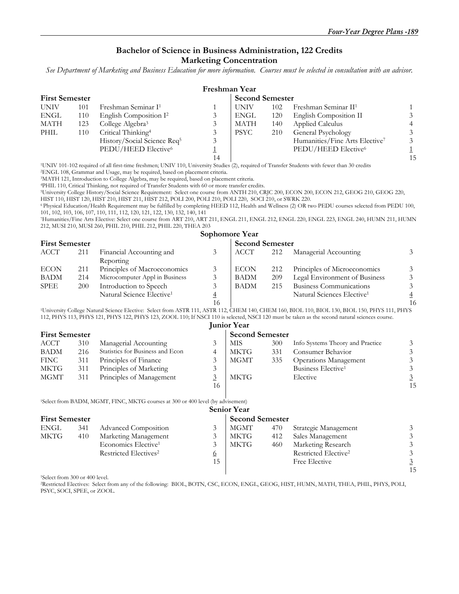## **Bachelor of Science in Business Administration, 122 Credits**

#### **Marketing Concentration**

*See Department of Marketing and Business Education for more information. Courses must be selected in consultation with an advisor.* 

|                       |     |                                         |    | Freshman Year |                        |                                            |                |  |
|-----------------------|-----|-----------------------------------------|----|---------------|------------------------|--------------------------------------------|----------------|--|
| <b>First Semester</b> |     |                                         |    |               | <b>Second Semester</b> |                                            |                |  |
| <b>UNIV</b>           | 101 | Freshman Seminar I <sup>1</sup>         |    | <b>UNIV</b>   | 102                    | Freshman Seminar II <sup>1</sup>           |                |  |
| ENGL                  | 110 | English Composition I <sup>2</sup>      |    | ENGL          | 120                    | English Composition II                     | 3              |  |
| MATH                  | 123 | College Algebra <sup>3</sup>            |    | <b>MATH</b>   | 140                    | Applied Calculus                           | $\overline{4}$ |  |
| PHIL                  | 110 | Critical Thinking <sup>4</sup>          |    | <b>PSYC</b>   | 210                    | General Psychology                         | 3              |  |
|                       |     | History/Social Science Req <sup>5</sup> |    |               |                        | Humanities/Fine Arts Elective <sup>7</sup> | 3              |  |
|                       |     | PEDU/HEED Elective <sup>6</sup>         |    |               |                        | PEDU/HEED Elective <sup>6</sup>            |                |  |
|                       |     |                                         | 14 |               |                        |                                            | 15             |  |
|                       |     |                                         |    |               |                        | .                                          |                |  |

<sup>1</sup>UNIV 101-102 required of all first-time freshmen; UNIV 110, University Studies (2), required of Transfer Students with fewer than 30 credits <sup>2</sup>ENGL 108, Grammar and Usage, may be required, based on placement criteria.

<sup>3</sup>MATH 121, Introduction to College Algebra, may be required, based on placement criteria.<br><sup>4</sup>PHIL 110, Critical Thinking, not required of Transfer Students with 60 or more transfer credits.

<sup>5</sup>University College History/Social Science Requirement: Select one course from ANTH 210, CRJC 200, ECON 200, ECON 212, GEOG 210, GEOG 220,

HIST 110, HIST 120, HIST 210, HIST 211, HIST 212, POLI 200, POLI 210, POLI 220, SOCI 210, or SWRK 220.

6 Physical Education/Health Requirement may be fulfilled by completing HEED 112, Health and Wellness (2) OR two PEDU courses selected from PEDU 100, 101, 102, 103, 106, 107, 110, 111, 112, 120, 121, 122, 130, 132, 140, 141

7Humanities/Fine Arts Elective: Select one course from ART 210, ART 211, ENGL 211, ENGL 212, ENGL 220, ENGL 223, ENGL 240, HUMN 211, HUMN 212, MUSI 210, MUSI 260, PHIL 210, PHIL 212, PHIL 220, THEA 203

#### **Sophomore Year**

| <b>First Semester</b> |     |                                       |   | <b>Second Semester</b> |     |                                        |                |
|-----------------------|-----|---------------------------------------|---|------------------------|-----|----------------------------------------|----------------|
| ACCT                  | 211 | Financial Accounting and              |   | <b>ACCT</b>            | 212 | Managerial Accounting                  | 3              |
|                       |     | Reporting                             |   |                        |     |                                        |                |
| <b>ECON</b>           | 211 | Principles of Macroeconomics          |   | <b>ECON</b>            | 212 | Principles of Microeconomics           | 3              |
| BADM                  | 214 | Microcomputer Appl in Business        |   | <b>BADM</b>            | 209 | Legal Environment of Business          | 3              |
| SPEE                  | 200 | Introduction to Speech                |   | <b>BADM</b>            | 215 | Business Communications                | $\mathfrak{Z}$ |
|                       |     | Natural Science Elective <sup>1</sup> | 4 |                        |     | Natural Sciences Elective <sup>1</sup> | $\overline{4}$ |
|                       |     |                                       |   |                        |     |                                        | 16             |

<sup>1</sup>University College Natural Science Elective: Select from ASTR 111, ASTR 112, CHEM 140, CHEM 160, BIOL 110, BIOL 130, BIOL 150, PHYS 111, PHYS 112, PHYS 113, PHYS 121, PHYS 122, PHYS 123, ZOOL 110; If NSCI 110 is selected, NSCI 120 must be taken as the second natural sciences course. **Junior Year** 

|                       |     |                                  |    | JULILOI LEAF           |     |                                  |    |
|-----------------------|-----|----------------------------------|----|------------------------|-----|----------------------------------|----|
| <b>First Semester</b> |     |                                  |    | <b>Second Semester</b> |     |                                  |    |
| ACCT                  | 310 | Managerial Accounting            |    | MIS                    | 300 | Info Systems Theory and Practice |    |
| <b>BADM</b>           | 216 | Statistics for Business and Econ |    | <b>MKTG</b>            | 331 | Consumer Behavior                |    |
| <b>FINC</b>           | 311 | Principles of Finance            |    | MGMT                   | 335 | <b>Operations Management</b>     |    |
| MKTG                  | 311 | Principles of Marketing          | 3  |                        |     | Business Elective <sup>1</sup>   |    |
| MGMT                  | 311 | Principles of Management         |    | MKTG                   |     | Elective                         |    |
|                       |     |                                  | 16 |                        |     |                                  | 15 |

1Select from BADM, MGMT, FINC, MKTG courses at 300 or 400 level (by advisement)

|                       |     |                                   |                | <b>Senior Year</b>     |     |                                  |    |
|-----------------------|-----|-----------------------------------|----------------|------------------------|-----|----------------------------------|----|
| <b>First Semester</b> |     |                                   |                | <b>Second Semester</b> |     |                                  |    |
| ENGL                  | 341 | <b>Advanced Composition</b>       |                | MGMT                   | 470 | Strategic Management             |    |
| MKTG                  | 410 | Marketing Management              |                | MKTG                   | 412 | Sales Management                 |    |
|                       |     | Economics Elective <sup>1</sup>   |                | <b>MKTG</b>            | 460 | Marketing Research               |    |
|                       |     | Restricted Electives <sup>2</sup> | $\overline{0}$ |                        |     | Restricted Elective <sup>2</sup> |    |
|                       |     |                                   | 15             |                        |     | Free Elective                    |    |
|                       |     |                                   |                |                        |     |                                  | 15 |

1Select from 300 or 400 level.

2Restricted Electives: Select from any of the following: BIOL, BOTN, CSC, ECON, ENGL, GEOG, HIST, HUMN, MATH, THEA, PHIL, PHYS, POLI, PSYC, SOCI, SPEE, or ZOOL.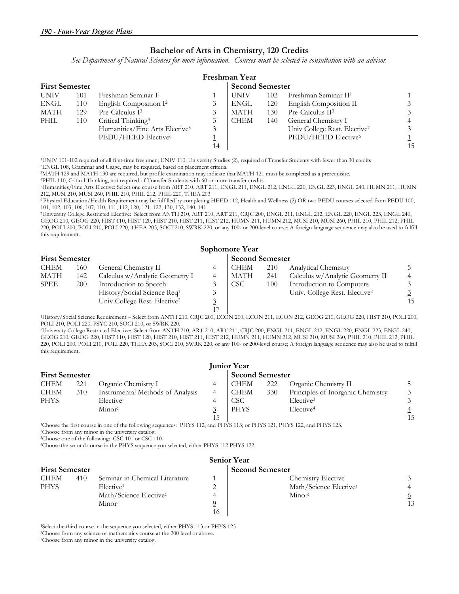#### **Bachelor of Arts in Chemistry, 120 Credits**

*See Department of Natural Sciences for more information. Courses must be selected in consultation with an advisor.* 

|                       | Freshman Year |                                            |    |             |                        |                                          |    |  |  |  |
|-----------------------|---------------|--------------------------------------------|----|-------------|------------------------|------------------------------------------|----|--|--|--|
| <b>First Semester</b> |               |                                            |    |             | <b>Second Semester</b> |                                          |    |  |  |  |
| <b>UNIV</b>           | 101           | Freshman Seminar I <sup>1</sup>            |    | <b>UNIV</b> | 102                    | Freshman Seminar II <sup>1</sup>         |    |  |  |  |
| ENGL                  | 110           | English Composition I <sup>2</sup>         |    | ENGL        | 120                    | English Composition II                   |    |  |  |  |
| MATH                  | 129           | Pre-Calculus I <sup>3</sup>                |    | <b>MATH</b> | 130                    | Pre-Calculus II <sup>3</sup>             |    |  |  |  |
| PHIL                  | 110           | Critical Thinking <sup>4</sup>             |    | <b>CHEM</b> | 140                    | General Chemistry I                      |    |  |  |  |
|                       |               | Humanities/Fine Arts Elective <sup>5</sup> | 3  |             |                        | Univ College Rest. Elective <sup>7</sup> |    |  |  |  |
|                       |               | PEDU/HEED Elective <sup>6</sup>            |    |             |                        | PEDU/HEED Elective <sup>6</sup>          |    |  |  |  |
|                       |               |                                            | 14 |             |                        |                                          | 15 |  |  |  |

1UNIV 101-102 required of all first-time freshmen; UNIV 110, University Studies (2), required of Transfer Students with fewer than 30 credits 2ENGL 108, Grammar and Usage, may be required, based on placement criteria.

4PHIL 110, Critical Thinking, not required of Transfer Students with 60 or more transfer credits.<br>5Humanities/Fine Arts Elective: Select one course from ART 210, ART 211, ENGL 211, ENGL 212, ENGL 220, ENGL 223, ENGL 240, H 212, MUSI 210, MUSI 260, PHIL 210, PHIL 212, PHIL 220, THEA 203

6 Physical Education/Health Requirement may be fulfilled by completing HEED 112, Health and Wellness (2) OR two PEDU courses selected from PEDU 100, 101, 102, 103, 106, 107, 110, 111, 112, 120, 121, 122, 130, 132, 140, 141

7University College Restricted Elective: Select from ANTH 210, ART 210, ART 211, CRJC 200, ENGL 211, ENGL 212, ENGL 220, ENGL 223, ENGL 240, GEOG 210, GEOG 220, HIST 110, HIST 120, HIST 210, HIST 211, HIST 212, HUMN 211, HUMN 212, MUSI 210, MUSI 260, PHIL 210, PHIL 212, PHIL 220, POLI 200, POLI 210, POLI 220, THEA 203, SOCI 210, SWRK 220, or any 100- or 200-level course; A foreign language sequence may also be used to fulfill this requirement.

|                       | Sophomore Year |                                          |  |                        |     |                                           |    |  |  |  |  |
|-----------------------|----------------|------------------------------------------|--|------------------------|-----|-------------------------------------------|----|--|--|--|--|
| <b>First Semester</b> |                |                                          |  | <b>Second Semester</b> |     |                                           |    |  |  |  |  |
| <b>CHEM</b>           | 160            | General Chemistry II                     |  | <b>CHEM</b>            | 210 | Analytical Chemistry                      |    |  |  |  |  |
| MATH                  | 142            | Calculus w/Analytic Geometry I           |  | MATH                   | 241 | Calculus w/Analytic Geometry II           |    |  |  |  |  |
| <b>SPEE</b>           | 200            | Introduction to Speech                   |  | <b>CSC</b>             | 100 | Introduction to Computers                 |    |  |  |  |  |
|                       |                | History/Social Science Req <sup>1</sup>  |  |                        |     | Univ. College Rest. Elective <sup>2</sup> |    |  |  |  |  |
|                       |                | Univ College Rest. Elective <sup>2</sup> |  |                        |     |                                           | 15 |  |  |  |  |
|                       |                |                                          |  |                        |     |                                           |    |  |  |  |  |

1History/Social Science Requirement – Select from ANTH 210, CRJC 200, ECON 200, ECON 211, ECON 212, GEOG 210, GEOG 220, HIST 210, POLI 200, POLI 210, POLI 220, PSYC 210, SOCI 210, or SWRK 220.

2University College Restricted Elective: Select from ANTH 210, ART 210, ART 211, CRJC 200, ENGL 211, ENGL 212, ENGL 220, ENGL 223, ENGL 240, GEOG 210, GEOG 220, HIST 110, HIST 120, HIST 210, HIST 211, HIST 212, HUMN 211, HUMN 212, MUSI 210, MUSI 260, PHIL 210, PHIL 212, PHIL 220, POLI 200, POLI 210, POLI 220, THEA 203, SOCI 210, SWRK 220, or any 100- or 200-level course; A foreign language sequence may also be used to fulfill this requirement.

|                       | <b>Junior Year</b> |                                  |  |             |     |                                   |    |  |  |  |
|-----------------------|--------------------|----------------------------------|--|-------------|-----|-----------------------------------|----|--|--|--|
| <b>First Semester</b> |                    | <b>Second Semester</b>           |  |             |     |                                   |    |  |  |  |
| <b>CHEM</b>           | 221                | Organic Chemistry I              |  | CHEM        | 222 | Organic Chemistry II              |    |  |  |  |
| <b>CHEM</b>           | 310                | Instrumental Methods of Analysis |  | <b>CHEM</b> | 330 | Principles of Inorganic Chemistry |    |  |  |  |
| <b>PHYS</b>           |                    | Elective <sup>1</sup>            |  | <b>CSC</b>  |     | Elective <sup>3</sup>             |    |  |  |  |
|                       |                    | Minor <sup>2</sup>               |  | <b>PHYS</b> |     | Elective <sup>4</sup>             |    |  |  |  |
|                       |                    |                                  |  |             |     |                                   | 15 |  |  |  |

<sup>1</sup>Choose the first course in one of the following sequences: PHYS 112, and PHYS 113; or PHYS 121, PHYS 122, and PHYS 123. <sup>2</sup>Choose from any minor in the university catalog.

3Choose one of the following: CSC 101 or CSC 110.

4Choose the second course in the PHYS sequence you selected, either PHYS 112 PHYS 122.

| <b>Senior Year</b>    |     |                                    |    |                                    |    |  |  |  |  |  |
|-----------------------|-----|------------------------------------|----|------------------------------------|----|--|--|--|--|--|
| <b>First Semester</b> |     |                                    |    | <b>Second Semester</b>             |    |  |  |  |  |  |
| <b>CHEM</b>           | 410 | Seminar in Chemical Literature     |    | <b>Chemistry Elective</b>          |    |  |  |  |  |  |
| <b>PHYS</b>           |     | Elective <sup>1</sup>              | ∸  | Math/Science Elective <sup>2</sup> |    |  |  |  |  |  |
|                       |     | Math/Science Elective <sup>2</sup> |    | Minor <sup>2</sup>                 |    |  |  |  |  |  |
|                       |     | Minor <sup>2</sup>                 |    |                                    | 13 |  |  |  |  |  |
|                       |     |                                    | 16 |                                    |    |  |  |  |  |  |

1Select the third course in the sequence you selected, either PHYS 113 or PHYS 123

2Choose from any science or mathematics course at the 200 level or above. 3Choose from any minor in the university catalog.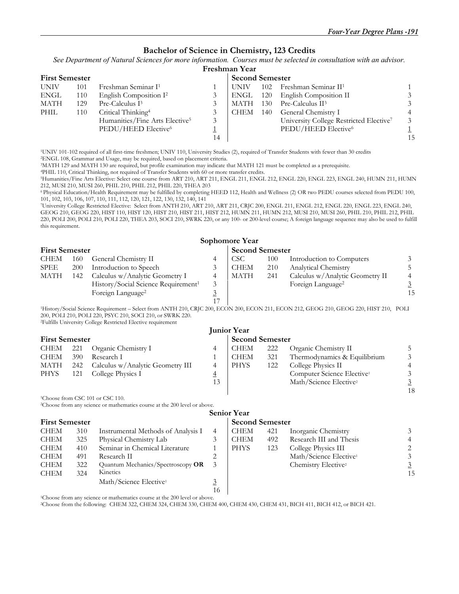#### **Bachelor of Science in Chemistry, 123 Credits**

*See Department of Natural Sciences for more information. Courses must be selected in consultation with an advisor.*

| Freshman Year |  |
|---------------|--|
|               |  |

|             | <b>First Semester</b> |                                            |    | <b>Second Semester</b> |     |                                                     |    |
|-------------|-----------------------|--------------------------------------------|----|------------------------|-----|-----------------------------------------------------|----|
| <b>UNIV</b> | 101                   | Freshman Seminar I <sup>1</sup>            |    | UNIV                   |     | 102 Freshman Seminar $II1$                          |    |
| <b>ENGL</b> | 110                   | English Composition I <sup>2</sup>         |    | ENGL                   | 120 | English Composition II                              |    |
| MATH        | 129                   | Pre-Calculus I <sup>3</sup>                |    | <b>MATH</b>            | 130 | Pre-Calculus II <sup>3</sup>                        |    |
| PHIL        | 110                   | Critical Thinking <sup>4</sup>             |    | <b>CHEM</b>            | 140 | General Chemistry I                                 |    |
|             |                       | Humanities/Fine Arts Elective <sup>5</sup> |    |                        |     | University College Restricted Elective <sup>7</sup> |    |
|             |                       | PEDU/HEED Elective <sup>6</sup>            |    |                        |     | PEDU/HEED Elective <sup>6</sup>                     |    |
|             |                       |                                            | 14 |                        |     |                                                     | 15 |
|             |                       |                                            |    |                        |     |                                                     |    |

<sup>1</sup>UNIV 101-102 required of all first-time freshmen; UNIV 110, University Studies (2), required of Transfer Students with fewer than 30 credits <sup>2</sup>ENGL 108, Grammar and Usage, may be required, based on placement criteria.<br>

<sup>4</sup>PHIL 110, Critical Thinking, not required of Transfer Students with 60 or more transfer credits.<br><sup>5</sup>Humanities/Fine Arts Elective: Select one course from ART 210, ART 211, ENGL 211, ENGL 212, ENGL 220, ENGL 223, ENGL 24 212, MUSI 210, MUSI 260, PHIL 210, PHIL 212, PHIL 220, THEA 203

6 Physical Education/Health Requirement may be fulfilled by completing HEED 112, Health and Wellness (2) OR two PEDU courses selected from PEDU 100, 101, 102, 103, 106, 107, 110, 111, 112, 120, 121, 122, 130, 132, 140, 141

7University College Restricted Elective: Select from ANTH 210, ART 210, ART 211, CRJC 200, ENGL 211, ENGL 212, ENGL 220, ENGL 223, ENGL 240, GEOG 210, GEOG 220, HIST 110, HIST 120, HIST 210, HIST 211, HIST 212, HUMN 211, HUMN 212, MUSI 210, MUSI 260, PHIL 210, PHIL 212, PHIL 220, POLI 200, POLI 210, POLI 220, THEA 203, SOCI 210, SWRK 220, or any 100- or 200-level course; A foreign language sequence may also be used to fulfill

this requirement.

|                       |            |                                                 |                        | Sophomore Year   |     |                                 |    |
|-----------------------|------------|-------------------------------------------------|------------------------|------------------|-----|---------------------------------|----|
| <b>First Semester</b> |            |                                                 | <b>Second Semester</b> |                  |     |                                 |    |
| <b>CHEM</b>           | 160        | General Chemistry II                            |                        | CSC <sup>.</sup> | 100 | Introduction to Computers       |    |
| SPEE                  | <b>200</b> | Introduction to Speech                          |                        | <b>CHEM</b>      | 210 | Analytical Chemistry            |    |
| <b>MATH</b>           | 142        | Calculus w/Analytic Geometry I                  | 4                      | <b>MATH</b>      | 241 | Calculus w/Analytic Geometry II |    |
|                       |            | History/Social Science Requirement <sup>1</sup> |                        |                  |     | Foreign Language <sup>2</sup>   |    |
|                       |            | Foreign Language <sup>2</sup>                   |                        |                  |     |                                 | 15 |
|                       |            |                                                 |                        |                  |     |                                 |    |

1History/Social Science Requirement – Select from ANTH 210, CRJC 200, ECON 200, ECON 211, ECON 212, GEOG 210, GEOG 220, HIST 210, POLI 200, POLI 210, POLI 220, PSYC 210, SOCI 210, or SWRK 220. 2Fulfills University College Restricted Elective requirement

|                       |      |                                  |                        | <b>Junior Year</b> |     |                                        |    |
|-----------------------|------|----------------------------------|------------------------|--------------------|-----|----------------------------------------|----|
| <b>First Semester</b> |      |                                  | <b>Second Semester</b> |                    |     |                                        |    |
| CHEM                  | -221 | Organic Chemistry I              |                        | CHEM               | 222 | Organic Chemistry II                   |    |
| <b>CHEM</b>           | 390  | Research I                       |                        | <b>CHEM</b>        | 321 | Thermodynamics & Equilibrium           |    |
| MATH                  | 242  | Calculus w/Analytic Geometry III |                        | <b>PHYS</b>        | 122 | College Physics II                     |    |
| <b>PHYS</b>           | 121  | College Physics I                | $\overline{4}$         |                    |     | Computer Science Elective <sup>1</sup> |    |
|                       |      |                                  | 13                     |                    |     | Math/Science Elective <sup>2</sup>     |    |
|                       |      |                                  |                        |                    |     |                                        | 18 |

<sup>1</sup>Choose from CSC 101 or CSC 110.

2Choose from any science or mathematics course at the 200 level or above.

|             |                       |                                    |    | <b>Senior Year</b>     |     |                                    |    |
|-------------|-----------------------|------------------------------------|----|------------------------|-----|------------------------------------|----|
|             | <b>First Semester</b> |                                    |    | <b>Second Semester</b> |     |                                    |    |
| <b>CHEM</b> | 310                   | Instrumental Methods of Analysis I | 4  | <b>CHEM</b>            | 421 | Inorganic Chemistry                |    |
| <b>CHEM</b> | 325                   | Physical Chemistry Lab             |    | <b>CHEM</b>            | 492 | Research III and Thesis            | 4  |
| <b>CHEM</b> | 410                   | Seminar in Chemical Literature     |    | <b>PHYS</b>            | 123 | College Physics III                |    |
| <b>CHEM</b> | 491                   | Research II                        |    |                        |     | Math/Science Elective <sup>1</sup> | 3  |
| <b>CHEM</b> | 322                   | Quantum Mechanics/Spectroscopy OR  |    |                        |     | Chemistry Elective <sup>2</sup>    |    |
| <b>CHEM</b> | 324                   | Kinetics                           |    |                        |     |                                    | 15 |
|             |                       | Math/Science Elective <sup>1</sup> |    |                        |     |                                    |    |
|             |                       |                                    | 16 |                        |     |                                    |    |

<sup>1</sup>Choose from any science or mathematics course at the 200 level or above.<br><sup>2</sup>Choose from the following: CHEM 322, CHEM 324, CHEM 330, CHEM 400, CHEM 430, CHEM 431, BICH 411, BICH 412, or BICH 421.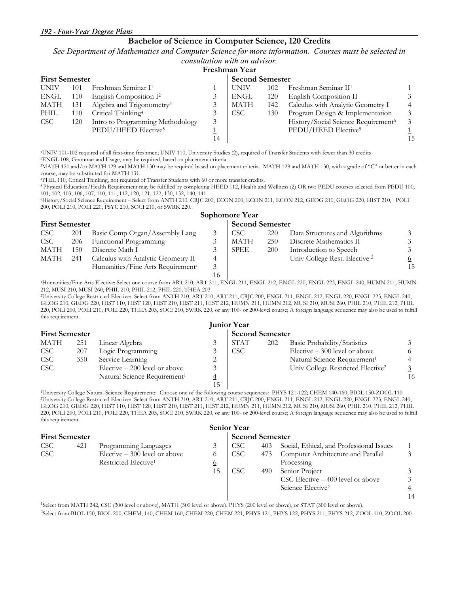### **Bachelor of Science in Computer Science, 120 Credits**

*See Department of Mathematics and Computer Science for more information. Courses must be selected in* 

## *consultation with an advisor.*

|             | Freshman Year         |                                       |    |                        |     |                                                 |    |  |  |  |
|-------------|-----------------------|---------------------------------------|----|------------------------|-----|-------------------------------------------------|----|--|--|--|
|             | <b>First Semester</b> |                                       |    | <b>Second Semester</b> |     |                                                 |    |  |  |  |
| <b>UNIV</b> | 101                   | Freshman Seminar I <sup>1</sup>       |    | <b>UNIV</b>            | 102 | Freshman Seminar II <sup>1</sup>                |    |  |  |  |
| ENGL        | 110                   | English Composition $I^2$             |    | <b>ENGL</b>            | 120 | English Composition II                          |    |  |  |  |
| MATH        | 131                   | Algebra and Trigonometry <sup>3</sup> |    | MATH                   | 142 | Calculus with Analytic Geometry I               |    |  |  |  |
| PHIL        | 110                   | Critical Thinking <sup>4</sup>        |    | <b>CSC</b>             | 130 | Program Design & Implementation                 |    |  |  |  |
| <b>CSC</b>  | 120                   | Intro to Programming Methodology      | 3  |                        |     | History/Social Science Requirement <sup>6</sup> |    |  |  |  |
|             |                       | PEDU/HEED Elective <sup>5</sup>       |    |                        |     | PEDU/HEED Elective <sup>5</sup>                 |    |  |  |  |
|             |                       |                                       | 14 |                        |     |                                                 | 15 |  |  |  |

1UNIV 101-102 required of all first-time freshmen; UNIV 110, University Studies (2), required of Transfer Students with fewer than 30 credits 2ENGL 108, Grammar and Usage, may be required, based on placement criteria.

3MATH 121 and/or MATH 129 and MATH 130 may be required based on placement criteria. MATH 129 and MATH 130, with a grade of "C" or better in each course, may be substituted for MATH 131.

<sup>4</sup>PHIL 110, Critical Thinking, not required of Transfer Students with 60 or more transfer credits.<br><sup>5</sup> Physical Education/Health Requirement may be fulfilled by completing HEED 112, Health and Wellness (2) OR two PEDU cou 101, 102, 103, 106, 107, 110, 111, 112, 120, 121, 122, 130, 132, 140, 141

6History/Social Science Requirement – Select from ANTH 210, CRJC 200, ECON 200, ECON 211, ECON 212, GEOG 210, GEOG 220, HIST 210, POLI 200, POLI 210, POLI 220, PSYC 210, SOCI 210, or SWRK 220. **Sophomore Year** 

|                       |     |                                               |    | $\sim$                 |            |                                |    |
|-----------------------|-----|-----------------------------------------------|----|------------------------|------------|--------------------------------|----|
| <b>First Semester</b> |     |                                               |    | <b>Second Semester</b> |            |                                |    |
| <b>CSC</b>            | 201 | Basic Comp Organ/Assembly Lang                |    | CSC                    | 220        | Data Structures and Algorithms |    |
| <b>CSC</b>            | 206 | Functional Programming                        |    | <b>MATH</b>            | 250        | Discrete Mathematics II        |    |
| <b>MATH</b>           | 150 | Discrete Math I                               |    | <b>SPEE</b>            | <b>200</b> | Introduction to Speech         |    |
| MATH                  | 241 | Calculus with Analytic Geometry II            |    |                        |            | Univ College Rest. Elective 2  |    |
|                       |     | Humanities/Fine Arts Requirement <sup>1</sup> |    |                        |            |                                | 15 |
|                       |     |                                               | 16 |                        |            |                                |    |

<sup>1</sup>Humanities/Fine Arts Elective: Select one course from ART 210, ART 211, ENGL 211, ENGL 212, ENGL 220, ENGL 223, ENGL 240, HUMN 211, HUMN 212, MUSI 210, MUSI 260, PHIL 210, PHIL 212, PHIL 220, THEA 203

2University College Restricted Elective: Select from ANTH 210, ART 210, ART 211, CRJC 200, ENGL 211, ENGL 212, ENGL 220, ENGL 223, ENGL 240, GEOG 210, GEOG 220, HIST 110, HIST 120, HIST 210, HIST 211, HIST 212, HUMN 211, HUMN 212, MUSI 210, MUSI 260, PHIL 210, PHIL 212, PHIL 220, POLI 200, POLI 210, POLI 220, THEA 203, SOCI 210, SWRK 220, or any 100- or 200-level course; A foreign language sequence may also be used to fulfill this requirement.

|                       |     |                                          |   | <b>Junior Year</b> |                        |                                               |    |
|-----------------------|-----|------------------------------------------|---|--------------------|------------------------|-----------------------------------------------|----|
| <b>First Semester</b> |     |                                          |   |                    | <b>Second Semester</b> |                                               |    |
| MATH                  | 251 | Linear Algebra                           |   | <b>STAT</b>        | 202                    | Basic Probability/Statistics                  |    |
| <b>CSC</b>            | 207 | Logic Programming                        |   | CSC                |                        | Elective $-300$ level or above                |    |
| <b>CSC</b>            | 350 | Service Learning                         |   |                    |                        | Natural Science Requirement <sup>1</sup>      |    |
| <b>CSC</b>            |     | Elective $-200$ level or above           |   |                    |                        | Univ College Restricted Elective <sup>2</sup> |    |
|                       |     | Natural Science Requirement <sup>1</sup> | 4 |                    |                        |                                               | 16 |
|                       |     |                                          |   |                    |                        |                                               |    |

<sup>15</sup> 150-700 ID 150 150-700 ID 150-700 ID 150-700 ID 150-700 ID 150-700 ID 150-700 ID 150-700 ID 150-700 ID 150-700 ID 150-700 ID 150-700 ID 150-700 ID 150-700 ID 150-700 ID 150-700 ID 150-700 ID 150-700 ID 150-700 ID 150-<sup>2</sup>University College Restricted Elective: Select from ANTH 210, ART 210, ART 211, CRJC 200, ENGL 211, ENGL 212, ENGL 220, ENGL 223, ENGL 240, GEOG 210, GEOG 220, HIST 110, HIST 120, HIST 210, HIST 211, HIST 212, HUMN 211, HUMN 212, MUSI 210, MUSI 260, PHIL 210, PHIL 212, PHIL 220, POLI 200, POLI 210, POLI 220, THEA 203, SOCI 210, SWRK 220, or any 100- or 200-level course; A foreign language sequence may also be used to fulfill this requirement.

|                       |     |                                  |                        | <b>Senior Year</b> |     |                                             |               |
|-----------------------|-----|----------------------------------|------------------------|--------------------|-----|---------------------------------------------|---------------|
| <b>First Semester</b> |     |                                  | <b>Second Semester</b> |                    |     |                                             |               |
| <b>CSC</b>            | 421 | Programming Languages            |                        | CSC                | 403 | Social, Ethical, and Professional Issues    |               |
| <b>CSC</b>            |     | Elective $-300$ level or above   |                        | CSC.               | 473 | Computer Architecture and Parallel          | $\mathcal{E}$ |
|                       |     | Restricted Elective <sup>1</sup> | <u>6</u>               |                    |     | Processing                                  |               |
|                       |     |                                  | 15                     | CSC                | 490 | Senior Project                              | 3             |
|                       |     |                                  |                        |                    |     | $\text{CSC}$ Elective $-400$ level or above | $\mathcal{Z}$ |
|                       |     |                                  |                        |                    |     | Science Elective <sup>2</sup>               |               |
|                       |     |                                  |                        |                    |     |                                             |               |

14 1Select from MATH 242, CSC (300 level or above), MATH (300 level or above), PHYS (200 level or above), or STAT (300 level or above).

2Select from BIOL 150, BIOL 200, CHEM, 140, CHEM 160, CHEM 220, CHEM 221, PHYS 121, PHYS 122, PHYS 211, PHYS 212, ZOOL 110, ZOOL 200.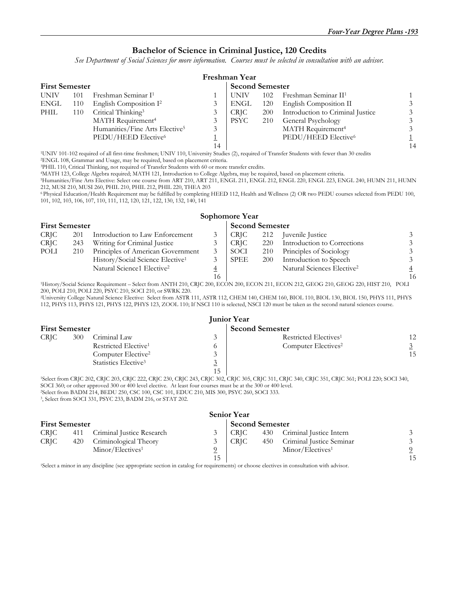#### **Bachelor of Science in Criminal Justice, 120 Credits**

*See Department of Social Sciences for more information. Courses must be selected in consultation with an advisor.* 

|                       | Freshman Year |                                            |                        |             |     |                                  |    |  |  |  |
|-----------------------|---------------|--------------------------------------------|------------------------|-------------|-----|----------------------------------|----|--|--|--|
| <b>First Semester</b> |               |                                            | <b>Second Semester</b> |             |     |                                  |    |  |  |  |
| <b>UNIV</b>           | 101           | Freshman Seminar I <sup>1</sup>            |                        | UNIV        | 102 | Freshman Seminar II <sup>1</sup> |    |  |  |  |
| <b>ENGL</b>           | 110           | English Composition I <sup>2</sup>         |                        | ENGL        | 120 | English Composition II           |    |  |  |  |
| PHIL                  | 110           | Critical Thinking <sup>3</sup>             |                        | <b>CRIC</b> | 200 | Introduction to Criminal Justice |    |  |  |  |
|                       |               | MATH Requirement <sup>4</sup>              |                        | PSYC        | 210 | General Psychology               |    |  |  |  |
|                       |               | Humanities/Fine Arts Elective <sup>5</sup> | 3                      |             |     | MATH Requirement <sup>4</sup>    |    |  |  |  |
|                       |               | PEDU/HEED Elective <sup>6</sup>            |                        |             |     | PEDU/HEED Elective <sup>6</sup>  |    |  |  |  |
|                       |               |                                            | 14                     |             |     |                                  | 14 |  |  |  |

1UNIV 101-102 required of all first-time freshmen; UNIV 110, University Studies (2), required of Transfer Students with fewer than 30 credits 2ENGL 108, Grammar and Usage, may be required, based on placement criteria.

<sup>4</sup>MATH 123, College Algebra required; MATH 121, Introduction to College Algebra, may be required, based on placement criteria.

5Humanities/Fine Arts Elective: Select one course from ART 210, ART 211, ENGL 211, ENGL 212, ENGL 220, ENGL 223, ENGL 240, HUMN 211, HUMN 212, MUSI 210, MUSI 260, PHIL 210, PHIL 212, PHIL 220, THEA 203

6 Physical Education/Health Requirement may be fulfilled by completing HEED 112, Health and Wellness (2) OR two PEDU courses selected from PEDU 100, 101, 102, 103, 106, 107, 110, 111, 112, 120, 121, 122, 130, 132, 140, 141

|        | <b>First Semester</b> |                                              |    | <b>Second Semester</b> |            |                                        |                |
|--------|-----------------------|----------------------------------------------|----|------------------------|------------|----------------------------------------|----------------|
| CRJC - | 201                   | Introduction to Law Enforcement              |    | <b>CRIC</b>            | 212        | Juvenile Justice                       |                |
| CRJC - | 243                   | Writing for Criminal Justice                 |    | CRJC                   | 220        | Introduction to Corrections            | 3              |
| POLI   | 210                   | Principles of American Government            |    | SOCI                   | 210        | Principles of Sociology                | 3              |
|        |                       | History/Social Science Elective <sup>1</sup> |    | SPEE                   | <b>200</b> | Introduction to Speech                 | 3              |
|        |                       | Natural Science1 Elective <sup>2</sup>       |    |                        |            | Natural Sciences Elective <sup>2</sup> |                |
|        |                       |                                              | 16 |                        |            |                                        | 1 <sub>0</sub> |

 16 16 1History/Social Science Requirement – Select from ANTH 210, CRJC 200, ECON 200, ECON 211, ECON 212, GEOG 210, GEOG 220, HIST 210, POLI 200, POLI 210, POLI 220, PSYC 210, SOCI 210, or SWRK 220.

2University College Natural Science Elective: Select from ASTR 111, ASTR 112, CHEM 140, CHEM 160, BIOL 110, BIOL 130, BIOL 150, PHYS 111, PHYS 112, PHYS 113, PHYS 121, PHYS 122, PHYS 123, ZOOL 110; If NSCI 110 is selected, NSCI 120 must be taken as the second natural sciences course.

|                       | <b>Junior Year</b> |                                  |    |                                                                                                                                    |    |  |  |  |  |
|-----------------------|--------------------|----------------------------------|----|------------------------------------------------------------------------------------------------------------------------------------|----|--|--|--|--|
| <b>First Semester</b> |                    |                                  |    | <b>Second Semester</b>                                                                                                             |    |  |  |  |  |
| <b>CRIC</b>           | 300                | Criminal Law                     |    | Restricted Electives <sup>1</sup>                                                                                                  | 12 |  |  |  |  |
|                       |                    | Restricted Elective <sup>1</sup> |    | Computer Electives <sup>2</sup>                                                                                                    |    |  |  |  |  |
|                       |                    | Computer Elective <sup>2</sup>   |    |                                                                                                                                    | 15 |  |  |  |  |
|                       |                    | Statistics Elective <sup>3</sup> |    |                                                                                                                                    |    |  |  |  |  |
|                       |                    |                                  | 15 |                                                                                                                                    |    |  |  |  |  |
|                       |                    |                                  |    | - Rolect from CDIC 202-CDIC 203-CDIC 222-CDIC 230-CDIC 243-CDIC 302-CDIC 305-CDIC 311-CDIC 340-CDIC 351-CDIC 361-DOLI 220-SOCI 340 |    |  |  |  |  |

02, CRJC 203, CRJC 222, CRJC 230, CRJC 243, CRJC 302, CRJC 305, CRJC 311, CRJC 340, CRJC 351, CRJC 361; POLI 220; SOCI 3 SOCI 360; or other approved 300 or 400 level elective. At least four courses must be at the 300 or 400 level. 2Select from BADM 214, BEDU 250, CSC 100, CSC 101, EDUC 210, MIS 300, PSYC 260, SOCI 333.

3, Select from SOCI 331, PSYC 233, BADM 216, or STAT 202.

| <b>Senior Year</b>    |     |                               |               |                        |  |                              |    |  |  |  |
|-----------------------|-----|-------------------------------|---------------|------------------------|--|------------------------------|----|--|--|--|
| <b>First Semester</b> |     |                               |               | <b>Second Semester</b> |  |                              |    |  |  |  |
| CRIC -                |     | 411 Criminal Justice Research | $\mathcal{E}$ | - CRIC                 |  | 430 Criminal Justice Intern  |    |  |  |  |
| <b>CRIC</b>           | 420 | Criminological Theory         |               | <b>CRIC</b>            |  | 450 Criminal Justice Seminar |    |  |  |  |
|                       |     | Minor/Electives <sup>1</sup>  |               |                        |  | Minor/Electives <sup>1</sup> |    |  |  |  |
|                       |     |                               | 15            |                        |  |                              | 15 |  |  |  |

1Select a minor in any discipline (see appropriate section in catalog for requirements) or choose electives in consultation with advisor.

#### **Sophomore Year**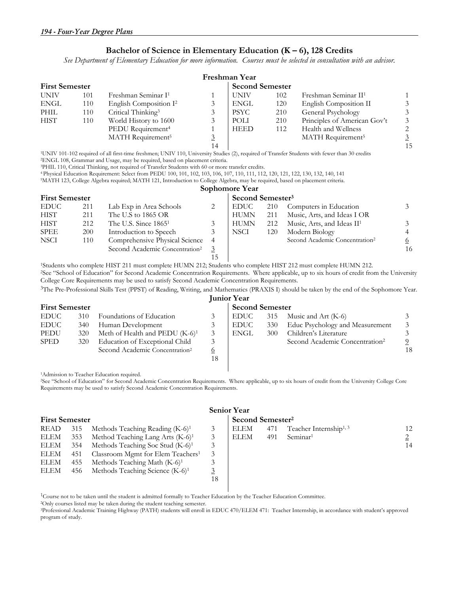#### **Bachelor of Science in Elementary Education (K – 6), 128 Credits**

*See Department of Elementary Education for more information. Courses must be selected in consultation with an advisor.* 

|                       |     |                                    |                        | Freshman Year |     |                                  |                |
|-----------------------|-----|------------------------------------|------------------------|---------------|-----|----------------------------------|----------------|
| <b>First Semester</b> |     |                                    | <b>Second Semester</b> |               |     |                                  |                |
| <b>UNIV</b>           | 101 | Freshman Seminar I <sup>1</sup>    |                        | <b>UNIV</b>   | 102 | Freshman Seminar II <sup>1</sup> |                |
| ENGL                  | 110 | English Composition I <sup>2</sup> |                        | ENGL          | 120 | English Composition II           | 3              |
| PHIL                  | 110 | Critical Thinking <sup>3</sup>     |                        | <b>PSYC</b>   | 210 | General Psychology               | 3              |
| <b>HIST</b>           | 110 | World History to 1600              |                        | POLI          | 210 | Principles of American Gov't     | 3              |
|                       |     | PEDU Requirement <sup>4</sup>      |                        | <b>HEED</b>   | 112 | Health and Wellness              | 2              |
|                       |     | MATH Requirement <sup>5</sup>      |                        |               |     | MATH Requirement <sup>5</sup>    | $\overline{3}$ |
|                       |     |                                    | 14                     |               |     |                                  | 15             |

14 14 1<br>
15 1UNIV 101-102 required of all first-time freshmen; UNIV 110, University Studies (2), required of Transfer Students with fewer than 30 credits<br>
2ENGL 108, Grammar and Usage, may be required, based on placement c

4 Physical Education Requirement: Select from PEDU 100, 101, 102, 103, 106, 107, 110, 111, 112, 120, 121, 122, 130, 132, 140, 141

5MATH 123, College Algebra required; MATH 121, Introduction to College Algebra, may be required, based on placement criteria. **Sophomore Year** 

| <b>First Semester</b> |     |                                            |    | Second Semester <sup>3</sup> |     |                                            |    |  |
|-----------------------|-----|--------------------------------------------|----|------------------------------|-----|--------------------------------------------|----|--|
| <b>EDUC</b>           | 211 | Lab Exp in Area Schools                    |    | EDUC-                        | 210 | Computers in Education                     |    |  |
| <b>HIST</b>           | 211 | The U.S to 1865 OR                         |    | <b>HUMN</b>                  | 211 | Music, Arts, and Ideas I OR                |    |  |
| <b>HIST</b>           | 212 | The U.S. Since $18651$                     |    | <b>HUMN</b>                  | 212 | Music, Arts, and Ideas II <sup>1</sup>     |    |  |
| <b>SPEE</b>           | 200 | Introduction to Speech                     |    | NSCI                         | 120 | Modern Biology                             |    |  |
| <b>NSCI</b>           | 110 | Comprehensive Physical Science             | -4 |                              |     | Second Academic Concentration <sup>2</sup> | 6  |  |
|                       |     | Second Academic Concentration <sup>2</sup> |    |                              |     |                                            | 16 |  |
|                       |     |                                            |    |                              |     |                                            |    |  |

<sup>1</sup>Students who complete HIST 211 must complete HUMN 212; Students who complete HIST 212 must complete HUMN 212.<br><sup>2</sup>See "School of Education" for Second Academic Concentration Requirements. Where applicable, up to six hour College Core Requirements may be used to satisfy Second Academic Concentration Requirements.

3The Pre-Professional Skills Test (PPST) of Reading, Writing, and Mathematics (PRAXIS I) should be taken by the end of the Sophomore Year. **Junior Year** 

|                       | TULLUL LUAL |                                            |    |                        |     |                                            |    |  |  |  |  |  |
|-----------------------|-------------|--------------------------------------------|----|------------------------|-----|--------------------------------------------|----|--|--|--|--|--|
| <b>First Semester</b> |             |                                            |    | <b>Second Semester</b> |     |                                            |    |  |  |  |  |  |
| <b>EDUC</b>           | 310         | Foundations of Education                   |    | EDUC                   | 315 | Music and Art (K-6)                        |    |  |  |  |  |  |
| <b>EDUC</b>           | 340         | Human Development                          |    | EDUC                   | 330 | Educ Psychology and Measurement            |    |  |  |  |  |  |
| PEDU                  | 320         | Meth of Health and PEDU $(K-6)^1$          |    | ENGL                   | 300 | Children's Literature                      |    |  |  |  |  |  |
| <b>SPED</b>           | 320         | Education of Exceptional Child             |    |                        |     | Second Academic Concentration <sup>2</sup> |    |  |  |  |  |  |
|                       |             | Second Academic Concentration <sup>2</sup> |    |                        |     |                                            | 18 |  |  |  |  |  |
|                       |             |                                            | 18 |                        |     |                                            |    |  |  |  |  |  |
|                       |             |                                            |    |                        |     |                                            |    |  |  |  |  |  |

<sup>1</sup>Admission to Teacher Education required.<br><sup>2</sup>See "School of Education" for Second Academic Concentration Requirements. Where applicable, up to six hours of credit from the University College Core Requirements may be used to satisfy Second Academic Concentration Requirements.

| <b>First Semester</b> |     |                                               |    | Second Semester <sup>2</sup> |     |                                    |    |  |
|-----------------------|-----|-----------------------------------------------|----|------------------------------|-----|------------------------------------|----|--|
| READ                  | 315 | Methods Teaching Reading $(K-6)^1$            | 3  | ELEM                         | 471 | Teacher Internship <sup>1, 3</sup> | 12 |  |
| ELEM                  | 353 | Method Teaching Lang Arts (K-6) <sup>1</sup>  | 3  | <b>ELEM</b>                  | 491 | Seminar <sup>1</sup>               |    |  |
| ELEM                  | 354 | Methods Teaching Soc Stud $(K-6)^1$           |    |                              |     |                                    | 14 |  |
| ELEM                  | 451 | Classroom Mgmt for Elem Teachers <sup>1</sup> |    |                              |     |                                    |    |  |
| ELEM                  | 455 | Methods Teaching Math $(K-6)^1$               |    |                              |     |                                    |    |  |
| ELEM                  | 456 | Methods Teaching Science (K-6) <sup>1</sup>   |    |                              |     |                                    |    |  |
|                       |     |                                               | 18 |                              |     |                                    |    |  |

#### **Senior Year**

#### **Figure Second Semester<sup>2</sup>**

|  | READ 315 Methods Teaching Reading (K-6) <sup>1</sup>                           |  | $\text{ELEM}$ 471 Teacher Internship <sup>1,3</sup> | 12 |
|--|--------------------------------------------------------------------------------|--|-----------------------------------------------------|----|
|  | ELEM 353 Method Teaching Lang Arts $(K-6)^1$ 3   ELEM 491 Seminar <sup>1</sup> |  |                                                     |    |
|  | $EIM = 354$ Methods Teaching Soc Stud $(K-6)^1$                                |  |                                                     | 14 |

<sup>1</sup>Course not to be taken until the student is admitted formally to Teacher Education by the Teacher Education Committee.<br>
<sup>2</sup>Only courses listed may be taken during the student teaching semester.<br>
<sup>3</sup>Professional Academic program of study.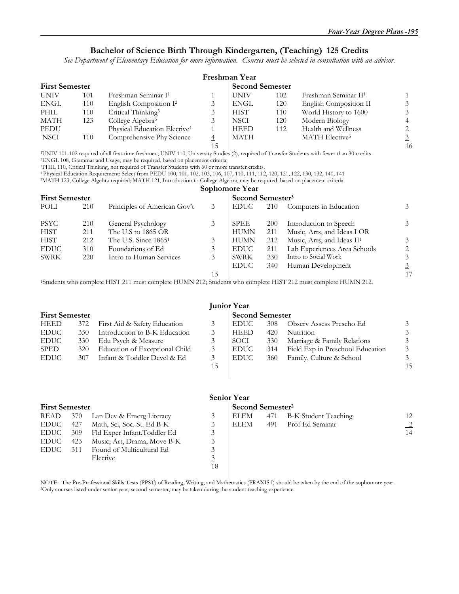#### **Bachelor of Science Birth Through Kindergarten, (Teaching) 125 Credits**

*See Department of Elementary Education for more information. Courses must be selected in consultation with an advisor.* 

| Freshman Year         |     |                                          |                        |             |     |                                  |                |  |  |
|-----------------------|-----|------------------------------------------|------------------------|-------------|-----|----------------------------------|----------------|--|--|
| <b>First Semester</b> |     |                                          | <b>Second Semester</b> |             |     |                                  |                |  |  |
| <b>UNIV</b>           | 101 | Freshman Seminar I <sup>1</sup>          |                        | UNIV        | 102 | Freshman Seminar II <sup>1</sup> |                |  |  |
| ENGL                  | 110 | English Composition I <sup>2</sup>       |                        | ENGL        | 120 | English Composition II           | 3              |  |  |
| PHIL                  | 110 | Critical Thinking <sup>3</sup>           |                        | <b>HIST</b> | 110 | World History to 1600            | 3              |  |  |
| MATH                  | 123 | College Algebra <sup>5</sup>             |                        | <b>NSCI</b> | 120 | Modern Biology                   | $\overline{4}$ |  |  |
| PEDU                  |     | Physical Education Elective <sup>4</sup> |                        | <b>HEED</b> | 112 | Health and Wellness              | 2              |  |  |
| <b>NSCI</b>           | 110 | Comprehensive Phy Science                |                        | <b>MATH</b> |     | MATH Elective <sup>5</sup>       | $\overline{3}$ |  |  |
|                       |     |                                          | 15                     |             |     |                                  | 16             |  |  |

15 15 16 101-102 required of all first-time freshmen; UNIV 110, University Studies (2), required of Transfer Students with fewer than 30 credits 2ENGL 108, Grammar and Usage, may be required, based on placement criteria.<br>2

4 Physical Education Requirement: Select from PEDU 100, 101, 102, 103, 106, 107, 110, 111, 112, 120, 121, 122, 130, 132, 140, 141 5MATH 123, College Algebra required; MATH 121, Introduction to College Algebra, may be required, based on placement criteria.

|                       |     |                              |    | Sophomore Year               |            |                                        |                |
|-----------------------|-----|------------------------------|----|------------------------------|------------|----------------------------------------|----------------|
| <b>First Semester</b> |     |                              |    | Second Semester <sup>3</sup> |            |                                        |                |
| POLI                  | 210 | Principles of American Gov't | 3  | <b>EDUC</b>                  | 210        | Computers in Education                 | 3              |
| <b>PSYC</b>           | 210 | General Psychology           | 3  | <b>SPEE</b>                  | <b>200</b> | Introduction to Speech                 | 3              |
| <b>HIST</b>           | 211 | The U.S to 1865 OR           |    | <b>HUMN</b>                  | 211        | Music, Arts, and Ideas I OR            |                |
| <b>HIST</b>           | 212 | The U.S. Since $18651$       | 3  | <b>HUMN</b>                  | 212        | Music, Arts, and Ideas II <sup>1</sup> | 3              |
| <b>EDUC</b>           | 310 | Foundations of Ed            | 3  | <b>EDUC</b>                  | 211        | Lab Experiences Area Schools           | 2              |
| <b>SWRK</b>           | 220 | Intro to Human Services      | 3  | SWRK                         | 230        | Intro to Social Work                   | 3              |
|                       |     |                              |    | <b>EDUC</b>                  | 340        | Human Development                      | $\overline{3}$ |
|                       |     |                              | 15 |                              |            |                                        | 17             |

<sup>1</sup>Students who complete HIST 211 must complete HUMN 212; Students who complete HIST 212 must complete HUMN 212.

| <b>First Semester</b> |                                | <b>Second Semester</b> |             |     |                                  |    |
|-----------------------|--------------------------------|------------------------|-------------|-----|----------------------------------|----|
| 372                   | First Aid & Safety Education   |                        | <b>EDUC</b> | 308 | Observ Assess Prescho Ed         |    |
| 350                   | Introduction to B-K Education  |                        | <b>HEED</b> | 420 | Nutrition                        |    |
| 330                   | Edu Psych & Measure            |                        | SOCI        | 330 | Marriage & Family Relations      |    |
| 320                   | Education of Exceptional Child |                        | <b>EDUC</b> | 314 | Field Exp in Preschool Education |    |
| 307                   | Infant & Toddler Devel & Ed    |                        | <b>EDUC</b> | 360 | Family, Culture & School         |    |
|                       |                                | 15                     |             |     |                                  | 15 |
|                       |                                |                        |             |     |                                  |    |

 $\overline{\phantom{a}}$ 

|                       |     |                             |                              | <b>Senior Year</b> |     |                      |                |
|-----------------------|-----|-----------------------------|------------------------------|--------------------|-----|----------------------|----------------|
| <b>First Semester</b> |     |                             | Second Semester <sup>2</sup> |                    |     |                      |                |
| READ                  | 370 | Lan Dev & Emerg Literacy    | 3                            | ELEM               | 471 | B-K Student Teaching | 12             |
| EDUC                  | 427 | Math, Sci, Soc. St. Ed B-K  | 3                            | ELEM               | 491 | Prof Ed Seminar      | $\overline{2}$ |
| <b>EDUC</b>           | 309 | Fld Exper Infant.Toddler Ed | 3                            |                    |     |                      | 14             |
| EDUC                  | 423 | Music, Art, Drama, Move B-K | 3                            |                    |     |                      |                |
| <b>EDUC</b>           | 311 | Found of Multicultural Ed   |                              |                    |     |                      |                |
|                       |     | Elective                    | $\overline{3}$               |                    |     |                      |                |
|                       |     |                             | 18                           |                    |     |                      |                |

NOTE: The Pre-Professional Skills Tests (PPST) of Reading, Writing, and Mathematics (PRAXIS I) should be taken by the end of the sophomore year.<br><sup>2</sup>Only courses listed under senior year, second semester, may be taken durin

## **Junior Year**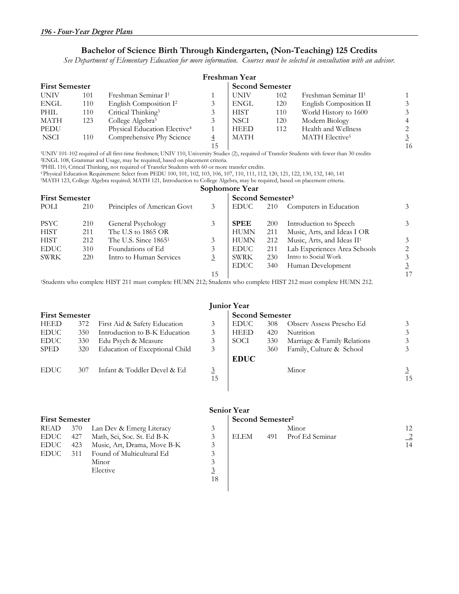#### **Bachelor of Science Birth Through Kindergarten, (Non-Teaching) 125 Credits**

*See Department of Elementary Education for more information. Courses must be selected in consultation with an advisor.* 

| Freshman Year         |     |                                          |                        |             |     |                                  |                |  |  |
|-----------------------|-----|------------------------------------------|------------------------|-------------|-----|----------------------------------|----------------|--|--|
| <b>First Semester</b> |     |                                          | <b>Second Semester</b> |             |     |                                  |                |  |  |
| <b>UNIV</b>           | 101 | Freshman Seminar I <sup>1</sup>          |                        | <b>UNIV</b> | 102 | Freshman Seminar II <sup>1</sup> |                |  |  |
| ENGL                  | 110 | English Composition I <sup>2</sup>       |                        | ENGL        | 120 | English Composition II           | 3              |  |  |
| PHIL                  | 110 | Critical Thinking <sup>3</sup>           |                        | <b>HIST</b> | 110 | World History to 1600            | 3              |  |  |
| MATH                  | 123 | College Algebra <sup>5</sup>             |                        | <b>NSCI</b> | 120 | Modern Biology                   | $\overline{4}$ |  |  |
| PEDU                  |     | Physical Education Elective <sup>4</sup> |                        | <b>HEED</b> | 112 | Health and Wellness              | 2              |  |  |
| <b>NSCI</b>           | 110 | Comprehensive Phy Science                |                        | <b>MATH</b> |     | MATH Elective <sup>5</sup>       | $\overline{3}$ |  |  |
|                       |     |                                          | 15                     |             |     |                                  | 16             |  |  |

15 15 16 101-102 required of all first-time freshmen; UNIV 110, University Studies (2), required of Transfer Students with fewer than 30 credits 2ENGL 108, Grammar and Usage, may be required, based on placement criteria.<br>2

4 Physical Education Requirement: Select from PEDU 100, 101, 102, 103, 106, 107, 110, 111, 112, 120, 121, 122, 130, 132, 140, 141 5MATH 123, College Algebra required; MATH 121, Introduction to College Algebra, may be required, based on placement criteria.

|             |                       |                                                                                                                            |                | Sophomore Year |                              |                                        |                |  |  |
|-------------|-----------------------|----------------------------------------------------------------------------------------------------------------------------|----------------|----------------|------------------------------|----------------------------------------|----------------|--|--|
|             | <b>First Semester</b> |                                                                                                                            |                |                | Second Semester <sup>3</sup> |                                        |                |  |  |
| POLI        | 210                   | Principles of American Govt                                                                                                | 3              | <b>EDUC</b>    | 210                          | Computers in Education                 | 3              |  |  |
| <b>PSYC</b> | 210                   | General Psychology                                                                                                         | 3              | <b>SPEE</b>    | 200                          | Introduction to Speech                 | 3 <sup>1</sup> |  |  |
| <b>HIST</b> | 211                   | The U.S to 1865 OR                                                                                                         |                | <b>HUMN</b>    | 211                          | Music, Arts, and Ideas I OR            |                |  |  |
| <b>HIST</b> | 212                   | The U.S. Since $18651$                                                                                                     | 3              | <b>HUMN</b>    | 212                          | Music, Arts, and Ideas II <sup>1</sup> | 3              |  |  |
| <b>EDUC</b> | 310                   | Foundations of Ed                                                                                                          | 3              | <b>EDUC</b>    | 211                          | Lab Experiences Area Schools           | 2              |  |  |
| <b>SWRK</b> | 220                   | Intro to Human Services                                                                                                    | $\overline{3}$ | SWRK           | 230                          | Intro to Social Work                   | 3              |  |  |
|             |                       |                                                                                                                            |                | <b>EDUC</b>    | 340                          | Human Development                      | $\overline{3}$ |  |  |
|             |                       |                                                                                                                            | 15             |                |                              |                                        | 17             |  |  |
|             |                       | <sup>1</sup> Students who complete HIST 211 must complete HUMN 212; Students who complete HIST 212 must complete HUMN 212. |                |                |                              |                                        |                |  |  |

#### **First Semester 1988** Second Semester HEED 372 First Aid & Safety Education 3 EDUC 308 Observ Assess Prescho Ed 3 EDUC 350 Introduction to B-K Education 3 HEED 420 Nutrition 3 3 EDUC 330 Edu Psych & Measure 3 SOCI 330 Marriage & Family Relations 3 SPED 320 Education of Exceptional Child 3 **EDUC**  360 Family, Culture & School 3 EDUC 307 Infant & Toddler Devel & Ed 3 Minor 3 15 15

| READ        | 370 | Lan Dev & Emerg Literacy    |    |             |     | Minor           | 12             |
|-------------|-----|-----------------------------|----|-------------|-----|-----------------|----------------|
| EDUC        | 427 | Math, Sci, Soc. St. Ed B-K  |    | <b>ELEM</b> | 491 | Prof Ed Seminar | $\overline{2}$ |
| EDUC        | 423 | Music, Art, Drama, Move B-K |    |             |     |                 | 14             |
| <b>EDUC</b> | 311 | Found of Multicultural Ed   |    |             |     |                 |                |
|             |     | Minor                       |    |             |     |                 |                |
|             |     | Elective                    |    |             |     |                 |                |
|             |     |                             | 18 |             |     |                 |                |

#### **Senior Year**

### **First Semester Second Semester<sup>2</sup>**

|  | READ 370 Lan Dev & Emerg Literacy   |        | Minor               |  |
|--|-------------------------------------|--------|---------------------|--|
|  | EDUC 427 Math, Sci, Soc. St. Ed B-K | I ELEM | 491 Prof Ed Seminar |  |
|  | $FNIC = 422 - M + N + N = M + D V$  |        |                     |  |

# **Junior Year**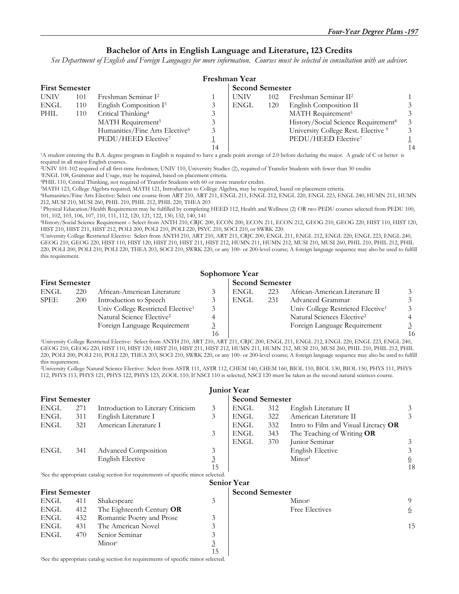#### **Bachelor of Arts in English Language and Literature, 123 Credits**

*See Department of English and Foreign Languages for more information. Courses must be selected in consultation with an advisor.* 

| Freshman Year |                       |                                            |  |      |     |                                                 |               |  |  |
|---------------|-----------------------|--------------------------------------------|--|------|-----|-------------------------------------------------|---------------|--|--|
|               | <b>First Semester</b> |                                            |  |      |     | <b>Second Semester</b>                          |               |  |  |
| <b>UNIV</b>   | 101                   | Freshman Seminar I <sup>2</sup>            |  | UNIV | 102 | Freshman Seminar II <sup>2</sup>                |               |  |  |
| <b>ENGL</b>   | 110                   | English Composition I <sup>3</sup>         |  | ENGL | 120 | English Composition II                          |               |  |  |
| PHIL          | 110                   | Critical Thinking <sup>4</sup>             |  |      |     | MATH Requirement <sup>5</sup>                   |               |  |  |
|               |                       | MATH Requirement <sup>5</sup>              |  |      |     | History/Social Science Requirement <sup>8</sup> | $\mathcal{E}$ |  |  |
|               |                       | Humanities/Fine Arts Elective <sup>6</sup> |  |      |     | University College Rest. Elective 9             | $\mathcal{E}$ |  |  |
|               |                       | PEDU/HEED Elective <sup>7</sup>            |  |      |     | PEDU/HEED Elective <sup>7</sup>                 |               |  |  |
|               |                       |                                            |  |      |     |                                                 | 14            |  |  |

<sup>1</sup>A student entering the B.A. degree program in English is required to have a grade point average of 2.0 before declaring the major. A grade of C or better is required in all major English courses.

2UNIV 101-102 required of all first-time freshmen; UNIV 110, University Studies (2), required of Transfer Students with fewer than 30 credits 3ENGL 108, Grammar and Usage, may be required, based on placement criteria.

<sup>5</sup>MATH 123, College Algebra required; MATH 121, Introduction to College Algebra, may be required, based on placement criteria.

6Humanities/Fine Arts Elective: Select one course from ART 210, ART 211, ENGL 211, ENGL 212, ENGL 220, ENGL 223, ENGL 240, HUMN 211, HUMN 212, MUSI 210, MUSI 260, PHIL 210, PHIL 212, PHIL 220, THEA 203

7 Physical Education/Health Requirement may be fulfilled by completing HEED 112, Health and Wellness (2) OR two PEDU courses selected from PEDU 100, 101, 102, 103, 106, 107, 110, 111, 112, 120, 121, 122, 130, 132, 140, 141

8History/Social Science Requirement – Select from ANTH 210, CRJC 200, ECON 200, ECON 211, ECON 212, GEOG 210, GEOG 220, HIST 110, HIST 120,

<sup>9</sup>University College Restricted Elective: Select from ANTH 210, ART 210, ART 211, CRJC 200, ENGL 211, ENGL 212, ENGL 220, ENGL 223, ENGL 240, GEOG 210, GEOG 220, HIST 110, HIST 120, HIST 210, HIST 211, HIST 212, HUMN 211, HUMN 212, MUSI 210, MUSI 260, PHIL 210, PHIL 212, PHIL 220, POLI 200, POLI 210, POLI 220, THEA 203, SOCI 210, SWRK 220, or any 100- or 200-level course; A foreign language sequence may also be used to fulfill this requirement.

#### **Sophomore Year**

| <b>First Semester</b> |            |                                               |    | <b>Second Semester</b> |     |                                               |                |
|-----------------------|------------|-----------------------------------------------|----|------------------------|-----|-----------------------------------------------|----------------|
| <b>ENGL</b>           | 220        | African-American Literature                   |    | ENGL                   | 223 | African-American Literature II                |                |
| <b>SPEE</b>           | <b>200</b> | Introduction to Speech                        |    | ENGL                   | 231 | Advanced Grammar                              | 3              |
|                       |            | Univ College Restricted Elective <sup>1</sup> |    |                        |     | Univ College Restricted Elective <sup>1</sup> | 3              |
|                       |            | Natural Science Elective <sup>2</sup>         |    |                        |     | Natural Sciences Elective <sup>2</sup>        |                |
|                       |            | Foreign Language Requirement                  |    |                        |     | Foreign Language Requirement                  |                |
|                       |            |                                               | 16 |                        |     |                                               | 1 <sub>0</sub> |

 16 16 1University College Restricted Elective: Select from ANTH 210, ART 210, ART 211, CRJC 200, ENGL 211, ENGL 212, ENGL 220, ENGL 223, ENGL 240, GEOG 210, GEOG 220, HIST 110, HIST 120, HIST 210, HIST 211, HIST 212, HUMN 211, HUMN 212, MUSI 210, MUSI 260, PHIL 210, PHIL 212, PHIL 220, POLI 200, POLI 210, POLI 220, THEA 203, SOCI 210, SWRK 220, or any 100- or 200-level course; A foreign language sequence may also be used to fulfill this requirement.

2University College Natural Science Elective: Select from ASTR 111, ASTR 112, CHEM 140, CHEM 160, BIOL 110, BIOL 130, BIOL 150, PHYS 111, PHYS 112, PHYS 113, PHYS 121, PHYS 122, PHYS 123, ZOOL 110; If NSCI 110 is selected, NSCI 120 must be taken as the second natural sciences course.

|                       |     |                                                                                               |                | <b>Junior Year</b>     |     |                                      |          |  |
|-----------------------|-----|-----------------------------------------------------------------------------------------------|----------------|------------------------|-----|--------------------------------------|----------|--|
| <b>First Semester</b> |     |                                                                                               |                | <b>Second Semester</b> |     |                                      |          |  |
| ENGL                  | 271 | Introduction to Literary Criticism                                                            | 3              | ENGL                   | 312 | English Literature II                | 3        |  |
| ENGL                  | 311 | English Literature I                                                                          | 3              | ENGL                   | 322 | American Literature II               | 3        |  |
| ENGL                  | 321 | American Literature I                                                                         |                | ENGL                   | 332 | Intro to Film and Visual Literacy OR |          |  |
|                       |     |                                                                                               | 3              | ENGL                   | 343 | The Teaching of Writing $OR$         |          |  |
|                       |     |                                                                                               |                | <b>ENGL</b>            | 370 | Junior Seminar                       | 3        |  |
| ENGL                  | 341 | Advanced Composition                                                                          | 3              |                        |     | <b>English Elective</b>              | 3        |  |
|                       |     | <b>English Elective</b>                                                                       | $\overline{3}$ |                        |     | Minor <sup>1</sup>                   | <u>6</u> |  |
|                       |     |                                                                                               | 15             |                        |     |                                      | 18       |  |
|                       |     | <sup>1</sup> See the appropriate catalog section for requirements of specific minor selected. |                |                        |     |                                      |          |  |
|                       |     |                                                                                               |                | <b>Senior Year</b>     |     |                                      |          |  |
| <b>First Semester</b> |     |                                                                                               |                | <b>Second Semester</b> |     |                                      |          |  |
| ENGL                  | 411 | Shakespeare                                                                                   | 3              |                        |     | Minor <sup>1</sup>                   | 9        |  |
| ENGL                  | 412 | The Eighteenth Century OR                                                                     |                |                        |     | Free Electives                       | <u>6</u> |  |
| ENGL                  | 432 | Romantic Poetry and Prose                                                                     | 3              |                        |     |                                      |          |  |
| ENGL                  | 431 | The American Novel                                                                            | 3              |                        |     |                                      | 15       |  |
| ENGL                  | 470 | Senior Seminar                                                                                | 3              |                        |     |                                      |          |  |
|                       |     | Minor <sup>1</sup>                                                                            | $\overline{3}$ |                        |     |                                      |          |  |
|                       |     |                                                                                               | 15             |                        |     |                                      |          |  |
|                       |     | <sup>1</sup> See the appropriate catalog section for requirements of specific minor selected. |                |                        |     |                                      |          |  |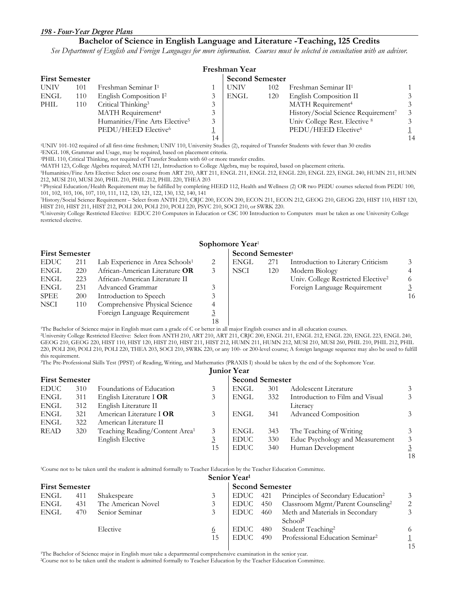## **Bachelor of Science in English Language and Literature -Teaching, 125 Credits**

*See Department of English and Foreign Languages for more information. Courses must be selected in consultation with an advisor.* 

|                       | Freshman Year |                                            |    |                        |     |                                     |    |  |  |  |  |
|-----------------------|---------------|--------------------------------------------|----|------------------------|-----|-------------------------------------|----|--|--|--|--|
| <b>First Semester</b> |               |                                            |    | <b>Second Semester</b> |     |                                     |    |  |  |  |  |
| <b>UNIV</b>           | 101           | Freshman Seminar I <sup>1</sup>            |    | <b>UNIV</b>            | 102 | Freshman Seminar II <sup>1</sup>    |    |  |  |  |  |
| ENGL                  | 110           | English Composition I <sup>2</sup>         |    | ENGL                   | 120 | English Composition II              |    |  |  |  |  |
| PHIL                  | 110           | Critical Thinking <sup>3</sup>             |    |                        |     | MATH Requirement <sup>4</sup>       |    |  |  |  |  |
|                       |               | MATH Requirement <sup>4</sup>              |    |                        |     | History/Social Science Requirement7 |    |  |  |  |  |
|                       |               | Humanities/Fine Arts Elective <sup>5</sup> |    |                        |     | Univ College Rest. Elective 8       |    |  |  |  |  |
|                       |               | PEDU/HEED Elective <sup>6</sup>            |    |                        |     | PEDU/HEED Elective6                 |    |  |  |  |  |
|                       |               |                                            | 14 |                        |     |                                     | 14 |  |  |  |  |

1UNIV 101-102 required of all first-time freshmen; UNIV 110, University Studies (2), required of Transfer Students with fewer than 30 credits 2ENGL 108, Grammar and Usage, may be required, based on placement criteria.

<sup>4</sup>MATH 123, College Algebra required; MATH 121, Introduction to College Algebra, may be required, based on placement criteria.

5Humanities/Fine Arts Elective: Select one course from ART 210, ART 211, ENGL 211, ENGL 212, ENGL 220, ENGL 223, ENGL 240, HUMN 211, HUMN 212, MUSI 210, MUSI 260, PHIL 210, PHIL 212, PHIL 220, THEA 203

6 Physical Education/Health Requirement may be fulfilled by completing HEED 112, Health and Wellness (2) OR two PEDU courses selected from PEDU 100, 101, 102, 103, 106, 107, 110, 111, 112, 120, 121, 122, 130, 132, 140, 141

7History/Social Science Requirement – Select from ANTH 210, CRJC 200, ECON 200, ECON 211, ECON 212, GEOG 210, GEOG 220, HIST 110, HIST 120,

<sup>8</sup>University College Restricted Elective: EDUC 210 Computers in Education or CSC 100 Introduction to Computers must be taken as one University College restricted elective.

## **Sophomore Year**<sup>1</sup>

|             | <b>First Semester</b> |                                             |    |      | Second Semester <sup>3</sup> |                                                |    |  |  |
|-------------|-----------------------|---------------------------------------------|----|------|------------------------------|------------------------------------------------|----|--|--|
| EDUC        | 211                   | Lab Experience in Area Schools <sup>1</sup> | 2  | ENGL | 271                          | Introduction to Literary Criticism             |    |  |  |
| ENGL        | 220                   | African-American Literature OR              | 3  | NSCI | 120                          | Modern Biology                                 |    |  |  |
| ENGL        | 223                   | African-American Literature II              |    |      |                              | Univ. College Restricted Elective <sup>2</sup> | 6  |  |  |
| <b>ENGL</b> | 231                   | Advanced Grammar                            |    |      |                              | Foreign Language Requirement                   |    |  |  |
| SPEE        | 200                   | Introduction to Speech                      |    |      |                              |                                                | 16 |  |  |
| NSCI        | 110                   | Comprehensive Physical Science              | 4  |      |                              |                                                |    |  |  |
|             |                       | Foreign Language Requirement                |    |      |                              |                                                |    |  |  |
|             |                       |                                             | 10 |      |                              |                                                |    |  |  |

I 8 |<br>The Bachelor of Science major in English must earn a grade of C or better in all major English courses and in all education courses.<br>University College Restricted Elective: Select from ANTH 210, ART 210, ART 211, CRJ GEOG 210, GEOG 220, HIST 110, HIST 120, HIST 210, HIST 211, HIST 212, HUMN 211, HUMN 212, MUSI 210, MUSI 260, PHIL 210, PHIL 212, PHIL 220, POLI 200, POLI 210, POLI 220, THEA 203, SOCI 210, SWRK 220, or any 100- or 200-level course; A foreign language sequence may also be used to fulfill this requirement.

3The Pre-Professional Skills Test (PPST) of Reading, Writing, and Mathematics (PRAXIS I) should be taken by the end of the Sophomore Year.

#### **Junior Year**

18

|             | <b>First Semester</b> |                                            |    |             |     | <b>Second Semester</b>          |                |  |  |  |
|-------------|-----------------------|--------------------------------------------|----|-------------|-----|---------------------------------|----------------|--|--|--|
| <b>EDUC</b> | 310                   | Foundations of Education                   | 3  | <b>ENGL</b> | 301 | Adolescent Literature           | 3              |  |  |  |
| ENGL        | 311                   | English Literature I OR                    |    | ENGL        | 332 | Introduction to Film and Visual | 3              |  |  |  |
| ENGL        | 312                   | English Literature II                      |    |             |     | Literacy                        |                |  |  |  |
| ENGL        | 321                   | American Literature I OR                   |    | <b>ENGL</b> | 341 | <b>Advanced Composition</b>     | 3              |  |  |  |
| ENGL        | 322                   | American Literature II                     |    |             |     |                                 |                |  |  |  |
| READ        | 320                   | Teaching Reading/Content Area <sup>1</sup> |    | <b>ENGL</b> | 343 | The Teaching of Writing         | 3              |  |  |  |
|             |                       | English Elective                           |    | <b>EDUC</b> | 330 | Educ Psychology and Measurement | 3              |  |  |  |
|             |                       |                                            | 15 | <b>EDUC</b> | 340 | Human Development               | $\overline{3}$ |  |  |  |

1Course not to be taken until the student is admitted formally to Teacher Education by the Teacher Education Committee.

|                       | Senior Year <sup>1</sup> |                    |          |                        |     |                                                        |     |  |  |  |  |
|-----------------------|--------------------------|--------------------|----------|------------------------|-----|--------------------------------------------------------|-----|--|--|--|--|
| <b>First Semester</b> |                          |                    |          | <b>Second Semester</b> |     |                                                        |     |  |  |  |  |
| ENGL                  | 411                      | Shakespeare        | 3        | EDUC                   | 421 | Principles of Secondary Education <sup>2</sup>         |     |  |  |  |  |
| ENGL                  | 431                      | The American Novel | 3        | EDUC                   | 450 | Classroom Mgmt/Parent Counseling <sup>2</sup>          | ⌒   |  |  |  |  |
| <b>ENGL</b>           | 470                      | Senior Seminar     | 3        | EDUC                   | 460 | Meth and Materials in Secondary<br>School <sup>2</sup> |     |  |  |  |  |
|                       |                          | Elective           | <u>6</u> | EDUC -                 | 480 | Student Teaching <sup>2</sup>                          |     |  |  |  |  |
|                       |                          |                    | 15       | EDUC.                  | 490 | Professional Education Seminar <sup>2</sup>            | 1.5 |  |  |  |  |

The Bachelor of Science major in English must take a departmental comprehensive examination in the senior year.<br><sup>2</sup>Course not to be taken until the student is admitted formally to Teacher Education by the Teacher Education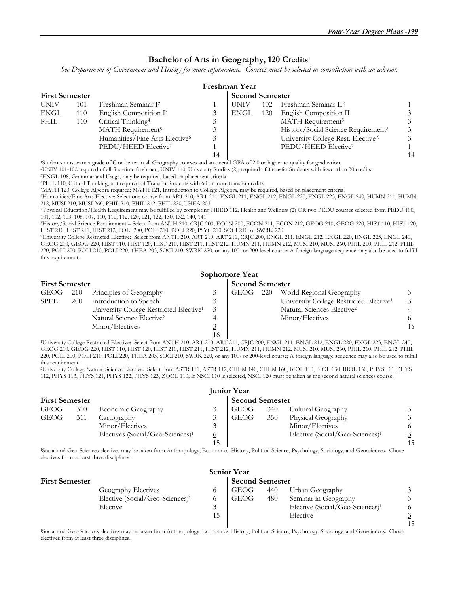#### **Bachelor of Arts in Geography, 120 Credits**<sup>1</sup>

*See Department of Government and History for more information. Courses must be selected in consultation with an advisor.* 

|             | Freshman Year         |                                            |    |             |                        |                                                 |    |  |  |  |  |
|-------------|-----------------------|--------------------------------------------|----|-------------|------------------------|-------------------------------------------------|----|--|--|--|--|
|             | <b>First Semester</b> |                                            |    |             | <b>Second Semester</b> |                                                 |    |  |  |  |  |
| <b>UNIV</b> | 101                   | Freshman Seminar I <sup>2</sup>            |    | <b>UNIV</b> | 102                    | Freshman Seminar II <sup>2</sup>                |    |  |  |  |  |
| ENGL        | 110                   | English Composition $I3$                   |    | ENGL        | 120                    | English Composition II                          |    |  |  |  |  |
| PHIL        | 110                   | Critical Thinking <sup>4</sup>             |    |             |                        | MATH Requirement <sup>5</sup>                   |    |  |  |  |  |
|             |                       | MATH Requirement <sup>5</sup>              |    |             |                        | History/Social Science Requirement <sup>8</sup> |    |  |  |  |  |
|             |                       | Humanities/Fine Arts Elective <sup>6</sup> |    |             |                        | University College Rest. Elective 9             |    |  |  |  |  |
|             |                       | PEDU/HEED Elective <sup>7</sup>            |    |             |                        | PEDU/HEED Elective <sup>7</sup>                 |    |  |  |  |  |
|             |                       |                                            | 14 |             |                        |                                                 | 14 |  |  |  |  |

1Students must earn a grade of C or better in all Geography courses and an overall GPA of 2.0 or higher to quality for graduation.

2UNIV 101-102 required of all first-time freshmen; UNIV 110, University Studies (2), required of Transfer Students with fewer than 30 credits 3ENGL 108, Grammar and Usage, may be required, based on placement criteria.

4PHIL 110, Critical Thinking, not required of Transfer Students with 60 or more transfer credits. 5MATH 123, College Algebra required; MATH 121, Introduction to College Algebra, may be required, based on placement criteria.

6Humanities/Fine Arts Elective: Select one course from ART 210, ART 211, ENGL 211, ENGL 212, ENGL 220, ENGL 223, ENGL 240, HUMN 211, HUMN 212, MUSI 210, MUSI 260, PHIL 210, PHIL 212, PHIL 220, THEA 203

7 Physical Education/Health Requirement may be fulfilled by completing HEED 112, Health and Wellness (2) OR two PEDU courses selected from PEDU 100, 101, 102, 103, 106, 107, 110, 111, 112, 120, 121, 122, 130, 132, 140, 141

8History/Social Science Requirement – Select from ANTH 210, CRJC 200, ECON 200, ECON 211, ECON 212, GEOG 210, GEOG 220, HIST 110, HIST 120,

<sup>9</sup>University College Restricted Elective: Select from ANTH 210, ART 210, ART 211, CRJC 200, ENGL 211, ENGL 212, ENGL 220, ENGL 223, ENGL 240, GEOG 210, GEOG 220, HIST 110, HIST 120, HIST 210, HIST 211, HIST 212, HUMN 211, HUMN 212, MUSI 210, MUSI 260, PHIL 210, PHIL 212, PHIL 220, POLI 200, POLI 210, POLI 220, THEA 203, SOCI 210, SWRK 220, or any 100- or 200-level course; A foreign language sequence may also be used to fulfill this requirement.

## **Sophomore Year**

|             | <b>First Semester</b> |                                                     |  |       | <b>Second Semester</b> |                                                     |    |  |  |
|-------------|-----------------------|-----------------------------------------------------|--|-------|------------------------|-----------------------------------------------------|----|--|--|
| GEOG 210    |                       | Principles of Geography                             |  | GEOG- | 220                    | World Regional Geography                            |    |  |  |
| <b>SPEE</b> | <b>200</b>            | Introduction to Speech                              |  |       |                        | University College Restricted Elective <sup>1</sup> |    |  |  |
|             |                       | University College Restricted Elective <sup>1</sup> |  |       |                        | Natural Sciences Elective <sup>2</sup>              |    |  |  |
|             |                       | Natural Science Elective <sup>2</sup>               |  |       |                        | Minor/Electives                                     |    |  |  |
|             |                       | Minor/Electives                                     |  |       |                        |                                                     | 16 |  |  |
|             |                       |                                                     |  |       |                        |                                                     |    |  |  |

 16 1University College Restricted Elective: Select from ANTH 210, ART 210, ART 211, CRJC 200, ENGL 211, ENGL 212, ENGL 220, ENGL 223, ENGL 240, GEOG 210, GEOG 220, HIST 110, HIST 120, HIST 210, HIST 211, HIST 212, HUMN 211, HUMN 212, MUSI 210, MUSI 260, PHIL 210, PHIL 212, PHIL 220, POLI 200, POLI 210, POLI 220, THEA 203, SOCI 210, SWRK 220, or any 100- or 200-level course; A foreign language sequence may also be used to fulfill this requirement.

2University College Natural Science Elective: Select from ASTR 111, ASTR 112, CHEM 140, CHEM 160, BIOL 110, BIOL 130, BIOL 150, PHYS 111, PHYS 112, PHYS 113, PHYS 121, PHYS 122, PHYS 123, ZOOL 110; If NSCI 110 is selected, NSCI 120 must be taken as the second natural sciences course.

| <b>Junior Year</b>    |     |                                              |                        |             |     |                                             |    |  |  |
|-----------------------|-----|----------------------------------------------|------------------------|-------------|-----|---------------------------------------------|----|--|--|
| <b>First Semester</b> |     |                                              | <b>Second Semester</b> |             |     |                                             |    |  |  |
| <b>GEOG</b>           | 310 | Economic Geography                           |                        | <b>GEOG</b> | 340 | Cultural Geography                          |    |  |  |
| GEOG                  | 311 | Cartography                                  |                        | GEOG        | 350 | Physical Geography                          |    |  |  |
|                       |     | Minor/Electives                              |                        |             |     | Minor/Electives                             |    |  |  |
|                       |     | Electives (Social/Geo-Sciences) <sup>1</sup> |                        |             |     | Elective (Social/Geo-Sciences) <sup>1</sup> |    |  |  |
|                       |     |                                              |                        |             |     |                                             | 15 |  |  |

1Social and Geo-Sciences electives may be taken from Anthropology, Economics, History, Political Science, Psychology, Sociology, and Geosciences. Chose electives from at least three disciplines.

|                       |                                             |  | <b>Senior Year</b> |     |                                             |    |  |  |  |
|-----------------------|---------------------------------------------|--|--------------------|-----|---------------------------------------------|----|--|--|--|
| <b>First Semester</b> | <b>Second Semester</b>                      |  |                    |     |                                             |    |  |  |  |
|                       | Geography Electives                         |  | <b>GEOG</b>        | 440 | Urban Geography                             |    |  |  |  |
|                       | Elective (Social/Geo-Sciences) <sup>1</sup> |  | <b>GEOG</b>        | 480 | Seminar in Geography                        |    |  |  |  |
|                       | Elective                                    |  |                    |     | Elective (Social/Geo-Sciences) <sup>1</sup> |    |  |  |  |
|                       |                                             |  |                    |     | Elective                                    |    |  |  |  |
|                       |                                             |  |                    |     |                                             | 15 |  |  |  |

1Social and Geo-Sciences electives may be taken from Anthropology, Economics, History, Political Science, Psychology, Sociology, and Geosciences. Chose electives from at least three disciplines.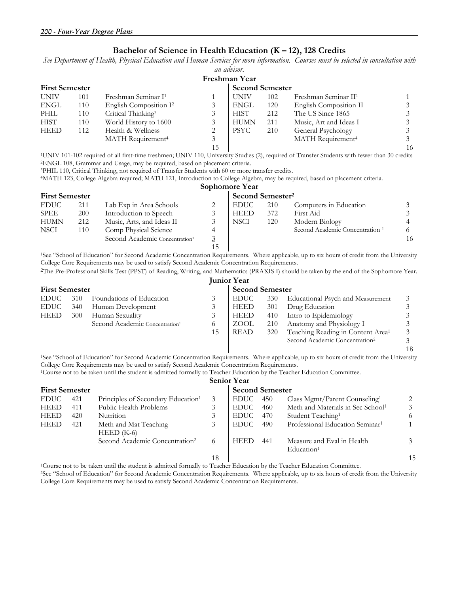#### **Bachelor of Science in Health Education (K – 12), 128 Credits**

*See Department of Health, Physical Education and Human Services for more information. Courses must be selected in consultation with an advisor.* 

|                       |     |                                    |                        | Freshman Year |     |                                  |                |
|-----------------------|-----|------------------------------------|------------------------|---------------|-----|----------------------------------|----------------|
| <b>First Semester</b> |     |                                    | <b>Second Semester</b> |               |     |                                  |                |
| <b>UNIV</b>           | 101 | Freshman Seminar I <sup>1</sup>    |                        | <b>UNIV</b>   | 102 | Freshman Seminar II <sup>1</sup> |                |
| ENGL                  | 110 | English Composition I <sup>2</sup> | 3                      | <b>ENGL</b>   | 120 | English Composition II           | 3              |
| PHIL                  | 110 | Critical Thinking <sup>3</sup>     |                        | <b>HIST</b>   | 212 | The US Since 1865                | 3              |
| <b>HIST</b>           | 110 | World History to 1600              | 3                      | <b>HUMN</b>   | 211 | Music, Art and Ideas I           | $\mathfrak{Z}$ |
| <b>HEED</b>           | 112 | Health & Wellness                  | 2                      | <b>PSYC</b>   | 210 | General Psychology               | 3              |
|                       |     | MATH Requirement <sup>4</sup>      | <u>3</u>               |               |     | MATH Requirement <sup>4</sup>    | $\overline{3}$ |
|                       |     |                                    | 15                     |               |     |                                  | 16             |
|                       |     |                                    |                        |               |     |                                  |                |

<sup>1</sup>UNIV 101-102 required of all first-time freshmen; UNIV 110, University Studies (2), required of Transfer Students with fewer than 30 credits <sup>2</sup>ENGL 108, Grammar and Usage, may be required, based on placement criteria.<br>

**Sophomore Year** 

| <b>First Semester</b> |     |                                            |    | Second Semester <sup>2</sup> |     |                                            |    |
|-----------------------|-----|--------------------------------------------|----|------------------------------|-----|--------------------------------------------|----|
| <b>EDUC</b>           | 211 | Lab Exp in Area Schools                    |    | <b>EDUC</b>                  | 210 | Computers in Education                     |    |
| <b>SPEE</b>           | 200 | Introduction to Speech                     |    | <b>HEED</b>                  | 372 | First Aid                                  |    |
| <b>HUMN</b>           | 212 | Music, Arts, and Ideas II                  |    | NSCI                         | 120 | Modern Biology                             |    |
| <b>NSCI</b>           | 110 | Comp Physical Science                      |    |                              |     | Second Academic Concentration <sup>1</sup> | 6  |
|                       |     | Second Academic Concentration <sup>1</sup> |    |                              |     |                                            | 16 |
|                       |     |                                            | 15 |                              |     |                                            |    |

 15 1See "School of Education" for Second Academic Concentration Requirements. Where applicable, up to six hours of credit from the University College Core Requirements may be used to satisfy Second Academic Concentration Requirements.

2The Pre-Professional Skills Test (PPST) of Reading, Writing, and Mathematics (PRAXIS I) should be taken by the end of the Sophomore Year. **Junior Year** 

|                       |     |                                            |    | 1.411101 1.001         |     |                                               |                |  |
|-----------------------|-----|--------------------------------------------|----|------------------------|-----|-----------------------------------------------|----------------|--|
| <b>First Semester</b> |     |                                            |    | <b>Second Semester</b> |     |                                               |                |  |
| EDUC –                | 310 | Foundations of Education                   |    | <b>EDUC</b>            | 330 | Educational Psych and Measurement             | 3              |  |
| <b>EDUC</b>           | 340 | Human Development                          |    | <b>HEED</b>            | 301 | Drug Education                                |                |  |
| <b>HEED</b>           | 300 | Human Sexuality                            |    | <b>HEED</b>            | 410 | Intro to Epidemiology                         |                |  |
|                       |     | Second Academic Concentration <sup>1</sup> | 0  | ZOOL                   | 210 | Anatomy and Physiology I                      |                |  |
|                       |     |                                            | 15 | <b>READ</b>            | 320 | Teaching Reading in Content Area <sup>1</sup> | 3              |  |
|                       |     |                                            |    |                        |     | Second Academic Concentration <sup>2</sup>    | $\overline{3}$ |  |
|                       |     |                                            |    |                        |     |                                               | 18             |  |

<sup>1</sup>See "School of Education" for Second Academic Concentration Requirements. Where applicable, up to six hours of credit from the University College Core Requirements may be used to satisfy Second Academic Concentration Requirements.

1Course not to be taken until the student is admitted formally to Teacher Education by the Teacher Education Committee. **Senior Year** 

|             |                       |                                                |    | Senior rear            |     |                                                      |    |  |
|-------------|-----------------------|------------------------------------------------|----|------------------------|-----|------------------------------------------------------|----|--|
|             | <b>First Semester</b> |                                                |    | <b>Second Semester</b> |     |                                                      |    |  |
| <b>EDUC</b> | 421                   | Principles of Secondary Education <sup>1</sup> | 3  | <b>EDUC</b>            | 450 | Class Mgmt/Parent Counseling <sup>1</sup>            |    |  |
| <b>HEED</b> | 411                   | Public Health Problems                         | 3  | <b>EDUC</b>            | 460 | Meth and Materials in Sec School <sup>1</sup>        |    |  |
| <b>HEED</b> | 420                   | Nutrition                                      | 3  | EDUC –                 | 470 | Student Teaching <sup>1</sup>                        |    |  |
| <b>HEED</b> | 421                   | Meth and Mat Teaching<br>$HEED$ (K-6)          | 3  | <b>EDUC</b>            | 490 | Professional Education Seminar <sup>1</sup>          |    |  |
|             |                       | Second Academic Concentration <sup>2</sup>     | 6  | <b>HEED</b>            | 441 | Measure and Eval in Health<br>Education <sup>1</sup> |    |  |
|             |                       |                                                | 18 |                        |     |                                                      | 15 |  |

1Course not to be taken until the student is admitted formally to Teacher Education by the Teacher Education Committee.

2See "School of Education" for Second Academic Concentration Requirements. Where applicable, up to six hours of credit from the University College Core Requirements may be used to satisfy Second Academic Concentration Requirements.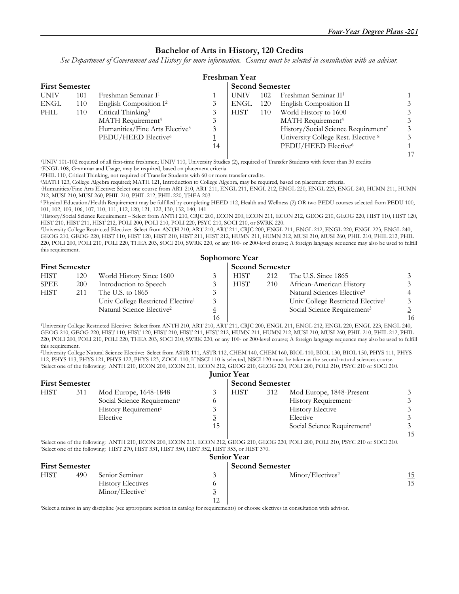#### **Bachelor of Arts in History, 120 Credits**

*See Department of Government and History for more information. Courses must be selected in consultation with an advisor.* 

|             |                       |                                            |    | Freshman Year |     |                                                 |  |  |  |
|-------------|-----------------------|--------------------------------------------|----|---------------|-----|-------------------------------------------------|--|--|--|
|             | <b>First Semester</b> |                                            |    |               |     | <b>Second Semester</b>                          |  |  |  |
| <b>UNIV</b> | 101                   | Freshman Seminar I <sup>1</sup>            |    | <b>UNIV</b>   | 102 | Freshman Seminar II <sup>1</sup>                |  |  |  |
| <b>ENGL</b> | 110                   | English Composition I <sup>2</sup>         |    | ENGL          | 120 | English Composition II                          |  |  |  |
| PHIL        | 110                   | Critical Thinking <sup>3</sup>             |    | <b>HIST</b>   | 110 | World History to 1600                           |  |  |  |
|             |                       | MATH Requirement <sup>4</sup>              | 3  |               |     | MATH Requirement <sup>4</sup>                   |  |  |  |
|             |                       | Humanities/Fine Arts Elective <sup>5</sup> | 3  |               |     | History/Social Science Requirement <sup>7</sup> |  |  |  |
|             |                       | PEDU/HEED Elective <sup>6</sup>            |    |               |     | University College Rest. Elective 8             |  |  |  |
|             |                       |                                            | 14 |               |     | PEDU/HEED Elective <sup>6</sup>                 |  |  |  |
|             |                       |                                            |    |               |     |                                                 |  |  |  |

1UNIV 101-102 required of all first-time freshmen; UNIV 110, University Studies (2), required of Transfer Students with fewer than 30 credits 2ENGL 108, Grammar and Usage, may be required, based on placement criteria.

3PHIL 110, Critical Thinking, not required of Transfer Students with 60 or more transfer credits. 4MATH 123, College Algebra required; MATH 121, Introduction to College Algebra, may be required, based on placement criteria.

<sup>5</sup>Humanities/Fine Arts Elective: Select one course from ART 210, ART 211, ENGL 211, ENGL 212, ENGL 220, ENGL 223, ENGL 240, HUMN 211, HUMN 212, MUSI 210, MUSI 260, PHIL 210, PHIL 212, PHIL 220, THEA 203

6 Physical Education/Health Requirement may be fulfilled by completing HEED 112, Health and Wellness (2) OR two PEDU courses selected from PEDU 100, 101, 102, 103, 106, 107, 110, 111, 112, 120, 121, 122, 130, 132, 140, 141

7History/Social Science Requirement – Select from ANTH 210, CRJC 200, ECON 200, ECON 211, ECON 212, GEOG 210, GEOG 220, HIST 110, HIST 120,

<sup>8</sup>University College Restricted Elective: Select from ANTH 210, ART 210, ART 211, CRJC 200, ENGL 211, ENGL 212, ENGL 220, ENGL 223, ENGL 240, GEOG 210, GEOG 220, HIST 110, HIST 120, HIST 210, HIST 211, HIST 212, HUMN 211, HUMN 212, MUSI 210, MUSI 260, PHIL 210, PHIL 212, PHIL 220, POLI 200, POLI 210, POLI 220, THEA 203, SOCI 210, SWRK 220, or any 100- or 200-level course; A foreign language sequence may also be used to fulfill this requirement.

|                       |            |                                               |    | Sophomore Year         |     |                                               |                |
|-----------------------|------------|-----------------------------------------------|----|------------------------|-----|-----------------------------------------------|----------------|
| <b>First Semester</b> |            |                                               |    | <b>Second Semester</b> |     |                                               |                |
| <b>HIST</b>           | 120        | World History Since 1600                      |    | <b>HIST</b>            | 212 | The U.S. Since 1865                           |                |
| SPEE                  | <b>200</b> | Introduction to Speech                        |    | <b>HIST</b>            | 210 | African-American History                      |                |
| <b>HIST</b>           | 211        | The U.S. to 1865                              |    |                        |     | Natural Sciences Elective <sup>2</sup>        | 4              |
|                       |            | Univ College Restricted Elective <sup>1</sup> |    |                        |     | Univ College Restricted Elective <sup>1</sup> | 3              |
|                       |            | Natural Science Elective <sup>2</sup>         |    |                        |     | Social Science Requirement <sup>3</sup>       | $\overline{3}$ |
|                       |            |                                               | 16 |                        |     |                                               | 16             |

16 16 1University College Restricted Elective: Select from ANTH 210, ART 210, ART 211, CRJC 200, ENGL 211, ENGL 212, ENGL 220, ENGL 223, ENGL 240, GEOG 210, GEOG 220, HIST 110, HIST 120, HIST 210, HIST 211, HIST 212, HUMN 211, HUMN 212, MUSI 210, MUSI 260, PHIL 210, PHIL 212, PHIL 220, POLI 200, POLI 210, POLI 220, THEA 203, SOCI 210, SWRK 220, or any 100- or 200-level course; A foreign language sequence may also be used to fulfill this requirement.

2University College Natural Science Elective: Select from ASTR 111, ASTR 112, CHEM 140, CHEM 160, BIOL 110, BIOL 130, BIOL 150, PHYS 111, PHYS <sup>3</sup>Select one of the following: ANTH 210, ECON 200, ECON 211, ECON 212, GEOG 210, GEOG 220, POLI 200, POLI 210, PSYC 210 or SOCI 210.

|                       |     |                                         |    | <b>Junior Year</b>     |     |                                         |    |
|-----------------------|-----|-----------------------------------------|----|------------------------|-----|-----------------------------------------|----|
| <b>First Semester</b> |     |                                         |    | <b>Second Semester</b> |     |                                         |    |
| <b>HIST</b>           | 311 | Mod Europe, 1648-1848                   |    | <b>HIST</b>            | 312 | Mod Europe, 1848-Present                |    |
|                       |     | Social Science Requirement <sup>1</sup> |    |                        |     | History Requirement <sup>2</sup>        |    |
|                       |     | History Requirement <sup>2</sup>        |    |                        |     | <b>History Elective</b>                 |    |
|                       |     | Elective                                | ⊻  |                        |     | Elective                                |    |
|                       |     |                                         | 15 |                        |     | Social Science Requirement <sup>1</sup> |    |
|                       |     |                                         |    |                        |     |                                         | 15 |

1Select one of the following: ANTH 210, ECON 200, ECON 211, ECON 212, GEOG 210, GEOG 220, POLI 200, POLI 210, PSYC 210 or SOCI 210. 2Select one of the following: HIST 270, HIST 331, HIST 350, HIST 352, HIST 353, or HIST 370.

|                       |     |                             |                    | <b>Senior Year</b>           |            |
|-----------------------|-----|-----------------------------|--------------------|------------------------------|------------|
| <b>First Semester</b> |     |                             |                    | <b>Second Semester</b>       |            |
| <b>HIST</b>           | 490 | Senior Seminar              | $\mathbf{\hat{z}}$ | Minor/Electives <sup>2</sup> | <u> 15</u> |
|                       |     | <b>History Electives</b>    |                    |                              | 15         |
|                       |     | Minor/Elective <sup>1</sup> | $\sim$             |                              |            |
|                       |     |                             | $1^{\circ}$        |                              |            |

1Select a minor in any discipline (see appropriate section in catalog for requirements) or choose electives in consultation with advisor.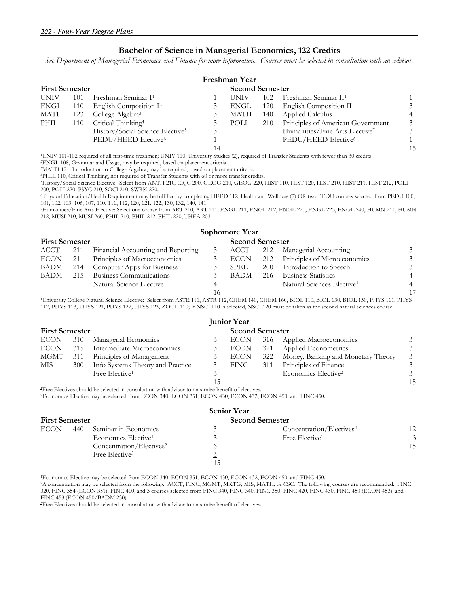#### **Bachelor of Science in Managerial Economics, 122 Credits**

*See Department of Managerial Economics and Finance for more information. Courses must be selected in consultation with an advisor.* 

|             | Freshman Year         |                                              |    |                        |     |                                   |    |  |  |  |  |
|-------------|-----------------------|----------------------------------------------|----|------------------------|-----|-----------------------------------|----|--|--|--|--|
|             | <b>First Semester</b> |                                              |    | <b>Second Semester</b> |     |                                   |    |  |  |  |  |
| <b>UNIV</b> | 101                   | Freshman Seminar I <sup>1</sup>              |    | UNIV                   | 102 | Freshman Seminar II <sup>1</sup>  |    |  |  |  |  |
| <b>ENGL</b> | 110                   | English Composition I <sup>2</sup>           |    | ENGL                   | 120 | English Composition II            |    |  |  |  |  |
| MATH        | 123                   | College Algebra <sup>3</sup>                 |    | MATH                   | 140 | Applied Calculus                  |    |  |  |  |  |
| PHIL        | 110                   | Critical Thinking <sup>4</sup>               |    | POLI                   | 210 | Principles of American Government |    |  |  |  |  |
|             |                       | History/Social Science Elective <sup>5</sup> | 3  |                        |     | Humanities/Fine Arts Elective7    |    |  |  |  |  |
|             |                       | PEDU/HEED Elective <sup>6</sup>              |    |                        |     | PEDU/HEED Elective <sup>6</sup>   |    |  |  |  |  |
|             |                       |                                              | 14 |                        |     |                                   | 15 |  |  |  |  |

1UNIV 101-102 required of all first-time freshmen; UNIV 110, University Studies (2), required of Transfer Students with fewer than 30 credits 2ENGL 108, Grammar and Usage, may be required, based on placement criteria.

3MATH 121, Introduction to College Algebra, may be required, based on placement criteria.

4PHIL 110, Critical Thinking, not required of Transfer Students with 60 or more transfer credits.<br>5History/Social Science Elective: Select from ANTH 210, CRJC 200, GEOG 210, GEOG 220, HIST 110, HIST 120, HIST 210, HIST 211 200, POLI 220, PSYC 210, SOCI 210, SWRK 220.

6 Physical Education/Health Requirement may be fulfilled by completing HEED 112, Health and Wellness (2) OR two PEDU courses selected from PEDU 100, 101, 102, 103, 106, 107, 110, 111, 112, 120, 121, 122, 130, 132, 140, 141

7Humanities/Fine Arts Elective: Select one course from ART 210, ART 211, ENGL 211, ENGL 212, ENGL 220, ENGL 223, ENGL 240, HUMN 211, HUMN 212, MUSI 210, MUSI 260, PHIL 210, PHIL 212, PHIL 220, THEA 203

#### **Sophomore Year**

| <b>First Semester</b> |     |                                       | <b>Second Semester</b> |      |     |                                        |                |
|-----------------------|-----|---------------------------------------|------------------------|------|-----|----------------------------------------|----------------|
| ACCT                  | 211 | Financial Accounting and Reporting    |                        | ACCT | 212 | Managerial Accounting                  | 3              |
| <b>ECON</b>           | 211 | Principles of Macroeconomics          |                        | ECON |     | 212 Principles of Microeconomics       | 3              |
| BADM                  | 214 | Computer Apps for Business            |                        | SPEE | 200 | Introduction to Speech                 | 3              |
| BADM                  | 215 | Business Communications               |                        | BADM | 216 | <b>Business Statistics</b>             |                |
|                       |     | Natural Science Elective <sup>1</sup> | $\overline{4}$         |      |     | Natural Sciences Elective <sup>1</sup> | $\overline{4}$ |
|                       |     |                                       | 16                     |      |     |                                        | 17             |

<sup>1</sup>University College Natural Science Elective: Select from ASTR 111, ASTR 112, CHEM 140, CHEM 160, BIOL 110, BIOL 130, BIOL 150, PHYS 111, PHYS 112, PHYS 113, PHYS 121, PHYS 122, PHYS 123, ZOOL 110; If NSCI 110 is selected, NSCI 120 must be taken as the second natural sciences course.

|                       | <b>Junior Year</b> |                                  |                        |             |     |                                    |    |  |  |  |  |
|-----------------------|--------------------|----------------------------------|------------------------|-------------|-----|------------------------------------|----|--|--|--|--|
| <b>First Semester</b> |                    |                                  | <b>Second Semester</b> |             |     |                                    |    |  |  |  |  |
| <b>ECON</b>           | 310                | Managerial Economics             |                        | <b>ECON</b> |     | 316 Applied Macroeconomics         |    |  |  |  |  |
| <b>ECON</b>           | 315                | Intermediate Microeconomics      |                        | ECON        | 321 | Applied Econometrics               |    |  |  |  |  |
| MGMT                  | 311                | Principles of Management         |                        | <b>ECON</b> | 322 | Money, Banking and Monetary Theory |    |  |  |  |  |
| MIS                   | 300                | Info Systems Theory and Practice |                        | <b>FINC</b> | 311 | Principles of Finance              |    |  |  |  |  |
|                       |                    | Free Elective <sup>1</sup>       |                        |             |     | Economics Elective <sup>2</sup>    |    |  |  |  |  |
|                       |                    |                                  | 15                     |             |     |                                    | 15 |  |  |  |  |

1Free Electives should be selected in consultation with advisor to maximize benefit of electives. 2Economics Elective may be selected from ECON 340, ECON 351, ECON 430, ECON 432, ECON 450, and FINC 450.

| <b>Senior Year</b>    |     |                                      |             |                                      |    |  |  |  |  |
|-----------------------|-----|--------------------------------------|-------------|--------------------------------------|----|--|--|--|--|
| <b>First Semester</b> |     | <b>Second Semester</b>               |             |                                      |    |  |  |  |  |
| <b>ECON</b>           | 440 | Seminar in Economics                 | 3           | Concentration/Electives <sup>2</sup> | 12 |  |  |  |  |
|                       |     | Economics Elective <sup>1</sup>      |             | Free Elective <sup>1</sup>           | 3  |  |  |  |  |
|                       |     | Concentration/Electives <sup>2</sup> |             |                                      | 15 |  |  |  |  |
|                       |     | Free Elective <sup>3</sup>           | $\sim$<br>⊻ |                                      |    |  |  |  |  |
|                       |     |                                      |             |                                      |    |  |  |  |  |

1Economics Elective may be selected from ECON 340, ECON 351, ECON 430, ECON 432, ECON 450, and FINC 450.

2A concentration may be selected from the following: ACCT, FINC, MGMT, MKTG, MIS, MATH, or CSC. The following courses are recommended: FINC 320, FINC 354 (ECON 351), FINC 410; and 3 courses selected from FINC 340, FINC 340, FINC 350, FINC 420, FINC 430, FINC 450 (ECON 453), and FINC 453 (ECON 450/BADM 230).

<sup>3</sup>Free Electives should be selected in consultation with advisor to maximize benefit of electives.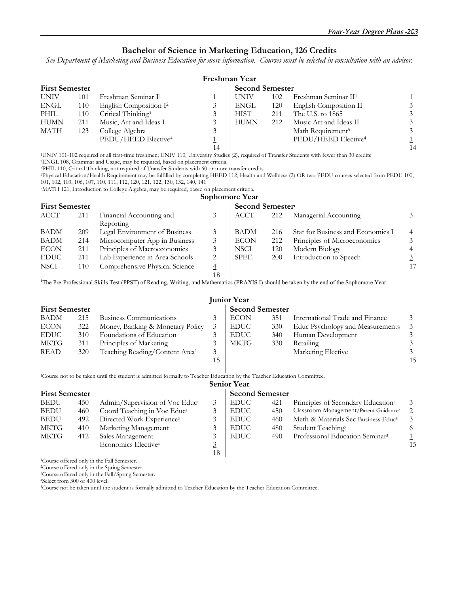#### **Bachelor of Science in Marketing Education, 126 Credits**

*See Department of Marketing and Business Education for more information. Courses must be selected in consultation with an advisor.* 

| Freshman Year         |     |                                    |    |                        |     |                                  |    |  |
|-----------------------|-----|------------------------------------|----|------------------------|-----|----------------------------------|----|--|
| <b>First Semester</b> |     |                                    |    | <b>Second Semester</b> |     |                                  |    |  |
| <b>UNIV</b>           | 101 | Freshman Seminar I <sup>1</sup>    |    | UNIV                   | 102 | Freshman Seminar II <sup>1</sup> |    |  |
| ENGL                  | 110 | English Composition I <sup>2</sup> | 3  | ENGL                   | 120 | English Composition II           |    |  |
| PHIL                  | 110 | Critical Thinking <sup>3</sup>     |    | <b>HIST</b>            | 211 | The U.S. to 1865                 |    |  |
| <b>HUMN</b>           | 211 | Music, Art and Ideas I             | 3  | <b>HUMN</b>            | 212 | Music Art and Ideas II           |    |  |
| MATH                  | 123 | College Algebra                    | 3  |                        |     | Math Requirement <sup>5</sup>    |    |  |
|                       |     | PEDU/HEED Elective <sup>4</sup>    |    |                        |     | PEDU/HEED Elective <sup>4</sup>  |    |  |
|                       |     |                                    | 14 |                        |     |                                  | 14 |  |

1UNIV 101-102 required of all first-time freshmen; UNIV 110, University Studies (2), required of Transfer Students with fewer than 30 credits 2ENGL 108, Grammar and Usage, may be required, based on placement criteria.

<sup>3</sup>PHIL 110, Critical Thinking, not required of Transfer Students with 60 or more transfer credits.<br><sup>4</sup>Physical Education/Health Requirement may be fulfilled by completing HEED 112, Health and Wellness (2) OR two PEDU cour 101, 102, 103, 106, 107, 110, 111, 112, 120, 121, 122, 130, 132, 140, 141

5MATH 121, Introduction to College Algebra, may be required, based on placement criteria.

#### **Sophomore Year**

| <b>First Semester</b> |     |                                |                | Second Semester <sup>1</sup> |     |                                   |    |  |
|-----------------------|-----|--------------------------------|----------------|------------------------------|-----|-----------------------------------|----|--|
| ACCT                  | 211 | Financial Accounting and       | 3              | <b>ACCT</b>                  | 212 | Managerial Accounting             |    |  |
|                       |     | Reporting                      |                |                              |     |                                   |    |  |
| <b>BADM</b>           | 209 | Legal Environment of Business  |                | <b>BADM</b>                  | 216 | Stat for Business and Economics I |    |  |
| BADM                  | 214 | Microcomputer App in Business  | 3              | <b>ECON</b>                  | 212 | Principles of Microeconomics      |    |  |
| <b>ECON</b>           | 211 | Principles of Macroeconomics   |                | <b>NSCI</b>                  | 120 | Modern Biology                    |    |  |
| <b>EDUC</b>           | 211 | Lab Experience in Area Schools | 2              | <b>SPEE</b>                  | 200 | Introduction to Speech            |    |  |
| <b>NSCI</b>           | 110 | Comprehensive Physical Science | 4              |                              |     |                                   | 17 |  |
|                       |     |                                | 1 <sub>Q</sub> |                              |     |                                   |    |  |

<sup>1</sup>The Pre-Professional Skills Test (PPST) of Reading, Writing, and Mathematics (PRAXIS I) should be taken by the end of the Sophomore Year.

|             | <b>Junior Year</b>    |                                            |                |             |                        |                                  |    |  |  |  |  |
|-------------|-----------------------|--------------------------------------------|----------------|-------------|------------------------|----------------------------------|----|--|--|--|--|
|             | <b>First Semester</b> |                                            |                |             | <b>Second Semester</b> |                                  |    |  |  |  |  |
| <b>BADM</b> | 215                   | Business Communications                    |                | <b>ECON</b> | 351                    | International Trade and Finance  |    |  |  |  |  |
| <b>ECON</b> | 322                   | Money, Banking & Monetary Policy           |                | <b>EDUC</b> | 330                    | Educ Psychology and Measurements |    |  |  |  |  |
| <b>EDUC</b> | 310                   | Foundations of Education                   |                | <b>EDUC</b> | 340                    | Human Development                |    |  |  |  |  |
| MKTG        | 311                   | Principles of Marketing                    |                | <b>MKTG</b> | 330                    | Retailing                        |    |  |  |  |  |
| <b>READ</b> | 320                   | Teaching Reading/Content Area <sup>1</sup> | $\overline{3}$ |             |                        | Marketing Elective               |    |  |  |  |  |
|             |                       |                                            | 15             |             |                        |                                  | 15 |  |  |  |  |

1Course not to be taken until the student is admitted formally to Teacher Education by the Teacher Education Committee.

#### **Senior Year**

|             | <b>First Semester</b> |                                            |    | <b>Second Semester</b> |     |                                                   |    |  |  |
|-------------|-----------------------|--------------------------------------------|----|------------------------|-----|---------------------------------------------------|----|--|--|
| <b>BEDU</b> | 450                   | Admin/Supervision of Voc Educ <sup>1</sup> |    | <b>EDUC</b>            | 421 | Principles of Secondary Education <sup>5</sup>    |    |  |  |
| <b>BEDU</b> | 460                   | Coord Teaching in Voc Educ <sup>2</sup>    |    | <b>EDUC</b>            | 450 | Classroom Management/Parent Guidance <sup>5</sup> |    |  |  |
| <b>BEDU</b> | 492                   | Directed Work Experience <sup>3</sup>      |    | <b>EDUC</b>            | 460 | Meth & Materials Sec Business Educ <sup>5</sup>   |    |  |  |
| MKTG        | 410                   | Marketing Management                       |    | <b>EDUC</b>            | 480 | Student Teaching <sup>5</sup>                     |    |  |  |
| MKTG        | 412                   | Sales Management                           |    | <b>EDUC</b>            | 490 | Professional Education Seminar <sup>5</sup>       |    |  |  |
|             |                       | Economics Elective <sup>4</sup>            | 3  |                        |     |                                                   | 15 |  |  |
|             |                       |                                            | 18 |                        |     |                                                   |    |  |  |

1Course offered only in the Fall Semester.

2Course offered only in the Spring Semester.

3Course offered only in the Fall/Spring Semester. 4Select from 300 or 400 level.

5Course not be taken until the student is formally admitted to Teacher Education by the Teacher Education Committee.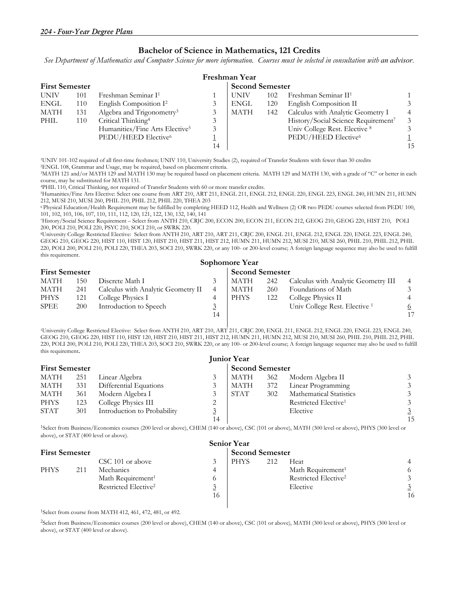#### **Bachelor of Science in Mathematics, 121 Credits**

See Department of Mathematics and Computer Science for more information. Courses must be selected in consultation with an advisor.

|                       | Freshman Year |                                            |    |                        |     |                                     |    |  |  |  |  |
|-----------------------|---------------|--------------------------------------------|----|------------------------|-----|-------------------------------------|----|--|--|--|--|
| <b>First Semester</b> |               |                                            |    | <b>Second Semester</b> |     |                                     |    |  |  |  |  |
| <b>UNIV</b>           | 101           | Freshman Seminar I <sup>1</sup>            |    | <b>UNIV</b>            | 102 | Freshman Seminar II <sup>1</sup>    |    |  |  |  |  |
| ENGL                  | 110           | English Composition I <sup>2</sup>         |    | <b>ENGL</b>            | 120 | English Composition II              |    |  |  |  |  |
| MATH                  | 131           | Algebra and Trigonometry <sup>3</sup>      |    | <b>MATH</b>            | 142 | Calculus with Analytic Geometry I   |    |  |  |  |  |
| PHIL                  | 110           | Critical Thinking <sup>4</sup>             |    |                        |     | History/Social Science Requirement7 |    |  |  |  |  |
|                       |               | Humanities/Fine Arts Elective <sup>5</sup> |    |                        |     | Univ College Rest. Elective 8       |    |  |  |  |  |
|                       |               | PEDU/HEED Elective <sup>6</sup>            |    |                        |     | PEDU/HEED Elective <sup>6</sup>     |    |  |  |  |  |
|                       |               |                                            | 14 |                        |     |                                     | 15 |  |  |  |  |

1UNIV 101-102 required of all first-time freshmen; UNIV 110, University Studies (2), required of Transfer Students with fewer than 30 credits 2ENGL 108, Grammar and Usage, may be required, based on placement criteria.

3MATH 121 and/or MATH 129 and MATH 130 may be required based on placement criteria. MATH 129 and MATH 130, with a grade of "C" or better in each course, may be substituted for MATH 131.

<sup>4</sup>PHIL 110, Critical Thinking, not required of Transfer Students with 60 or more transfer credits.<br><sup>5</sup>Humanities/Fine Arts Elective: Select one course from ART 210, ART 211, ENGL 211, ENGL 212, ENGL 220, ENGL 223, ENGL 24 212, MUSI 210, MUSI 260, PHIL 210, PHIL 212, PHIL 220, THEA 203

6 Physical Education/Health Requirement may be fulfilled by completing HEED 112, Health and Wellness (2) OR two PEDU courses selected from PEDU 100, 101, 102, 103, 106, 107, 110, 111, 112, 120, 121, 122, 130, 132, 140, 141

7History/Social Science Requirement – Select from ANTH 210, CRJC 200, ECON 200, ECON 211, ECON 212, GEOG 210, GEOG 220, HIST 210, POLI 200, POLI 210, POLI 220, PSYC 210, SOCI 210, or SWRK 220.

8University College Restricted Elective: Select from ANTH 210, ART 210, ART 211, CRJC 200, ENGL 211, ENGL 212, ENGL 220, ENGL 223, ENGL 240, GEOG 210, GEOG 220, HIST 110, HIST 120, HIST 210, HIST 211, HIST 212, HUMN 211, HUMN 212, MUSI 210, MUSI 260, PHIL 210, PHIL 212, PHIL 220, POLI 200, POLI 210, POLI 220, THEA 203, SOCI 210, SWRK 220, or any 100- or 200-level course; A foreign language sequence may also be used to fulfill this requirement.

|                       | Sophomore Year |                                    |    |             |     |                                     |    |  |  |  |  |
|-----------------------|----------------|------------------------------------|----|-------------|-----|-------------------------------------|----|--|--|--|--|
| <b>First Semester</b> |                | <b>Second Semester</b>             |    |             |     |                                     |    |  |  |  |  |
| MATH                  | 150            | Discrete Math I                    |    | MATH        | 242 | Calculus with Analytic Geometry III |    |  |  |  |  |
| MATH                  | 241            | Calculus with Analytic Geometry II | 4  | MATH        | 260 | Foundations of Math                 |    |  |  |  |  |
| <b>PHYS</b>           | 121            | College Physics I                  |    | <b>PHYS</b> | 122 | College Physics II                  |    |  |  |  |  |
| <b>SPEE</b>           | <b>200</b>     | Introduction to Speech             |    |             |     | Univ College Rest. Elective 1       | 6  |  |  |  |  |
|                       |                |                                    | 14 |             |     |                                     | 17 |  |  |  |  |

 1University College Restricted Elective: Select from ANTH 210, ART 210, ART 211, CRJC 200, ENGL 211, ENGL 212, ENGL 220, ENGL 223, ENGL 240, GEOG 210, GEOG 220, HIST 110, HIST 120, HIST 210, HIST 211, HIST 212, HUMN 211, HUMN 212, MUSI 210, MUSI 260, PHIL 210, PHIL 212, PHIL 220, POLI 200, POLI 210, POLI 220, THEA 203, SOCI 210, SWRK 220, or any 100- or 200-level course; A foreign language sequence may also be used to fulfill this requirement**.**

| <b>Junior Year</b>    |     |                             |    |      |                        |                                  |    |  |  |
|-----------------------|-----|-----------------------------|----|------|------------------------|----------------------------------|----|--|--|
| <b>First Semester</b> |     |                             |    |      | <b>Second Semester</b> |                                  |    |  |  |
| MATH                  | 251 | Linear Algebra              |    | MATH | 362                    | Modern Algebra II                |    |  |  |
| MATH                  | 331 | Differential Equations      |    | MATH | 372                    | Linear Programming               |    |  |  |
| MATH                  | 361 | Modern Algebra I            |    | STAT | 302                    | <b>Mathematical Statistics</b>   |    |  |  |
| <b>PHYS</b>           | 123 | College Physics III         |    |      |                        | Restricted Elective <sup>1</sup> |    |  |  |
| <b>STAT</b>           | 301 | Introduction to Probability |    |      |                        | Elective                         |    |  |  |
|                       |     |                             | 14 |      |                        |                                  | 15 |  |  |

1Select from Business/Economics courses (200 level or above), CHEM (140 or above), CSC (101 or above), MATH (300 level or above), PHYS (300 level or above), or STAT (400 level or above).

| <b>Senior Year</b>    |     |                                  |                        |             |     |                                  |    |  |  |
|-----------------------|-----|----------------------------------|------------------------|-------------|-----|----------------------------------|----|--|--|
| <b>First Semester</b> |     |                                  | <b>Second Semester</b> |             |     |                                  |    |  |  |
|                       |     | CSC 101 or above                 |                        | <b>PHYS</b> | 212 | Heat                             |    |  |  |
| PHYS                  | 211 | Mechanics                        | 4                      |             |     | Math Requirement <sup>1</sup>    |    |  |  |
|                       |     | Math Requirement <sup>1</sup>    | $\sigma$               |             |     | Restricted Elective <sup>2</sup> |    |  |  |
|                       |     | Restricted Elective <sup>2</sup> | $\overline{3}$         |             |     | Elective                         |    |  |  |
|                       |     |                                  | 16                     |             |     |                                  | 16 |  |  |
|                       |     |                                  |                        |             |     |                                  |    |  |  |

1Select from course from MATH 412, 461, 472, 481, or 492.

2Select from Business/Economics courses (200 level or above), CHEM (140 or above), CSC (101 or above), MATH (300 level or above), PHYS (300 level or above), or STAT (400 level or above).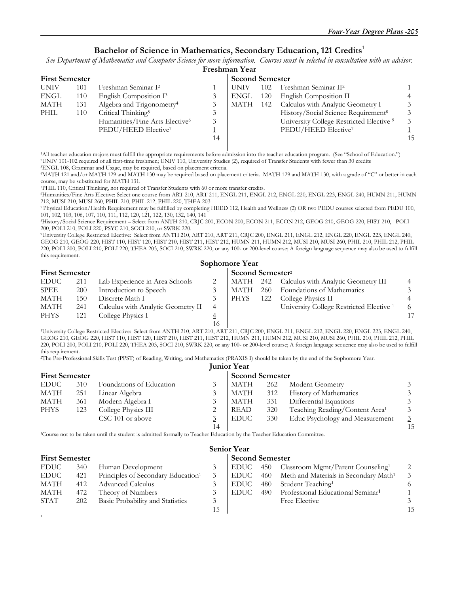#### **Bachelor of Science in Mathematics, Secondary Education, 121 Credits**<sup>1</sup>

See Department of Mathematics and Computer Science for more information. Courses must be selected in consultation with an advisor. **Freshman Year** 

|                       | Freshinan Tear |                                            |    |                        |     |                                                     |    |  |  |  |  |
|-----------------------|----------------|--------------------------------------------|----|------------------------|-----|-----------------------------------------------------|----|--|--|--|--|
| <b>First Semester</b> |                |                                            |    | <b>Second Semester</b> |     |                                                     |    |  |  |  |  |
| <b>UNIV</b>           | 101            | Freshman Seminar I <sup>2</sup>            |    | UNIV                   | 102 | Freshman Seminar II <sup>2</sup>                    |    |  |  |  |  |
| <b>ENGL</b>           | 110            | English Composition I <sup>3</sup>         |    | ENGL                   | 120 | English Composition II                              |    |  |  |  |  |
| MATH                  | 131            | Algebra and Trigonometry <sup>4</sup>      |    | <b>MATH</b>            | 142 | Calculus with Analytic Geometry I                   |    |  |  |  |  |
| PHIL                  | 110            | Critical Thinking <sup>5</sup>             |    |                        |     | History/Social Science Requirement <sup>8</sup>     |    |  |  |  |  |
|                       |                | Humanities/Fine Arts Elective <sup>6</sup> | 3  |                        |     | University College Restricted Elective <sup>9</sup> |    |  |  |  |  |
|                       |                | PEDU/HEED Elective <sup>7</sup>            |    |                        |     | PEDU/HEED Elective <sup>7</sup>                     |    |  |  |  |  |
|                       |                |                                            | 14 |                        |     |                                                     | 15 |  |  |  |  |
|                       |                |                                            |    |                        |     |                                                     |    |  |  |  |  |

<sup>1</sup>All teacher education majors must fulfill the appropriate requirements before admission into the teacher education program. (See "School of Education.") <sup>2</sup>UNIV 101-102 required of all first-time freshmen; UNIV 110, University Studies (2), required of Transfer Students with fewer than 30 credits <sup>3</sup>ENGL 108, Grammar and Usage, may be required, based on placement criteria.

4MATH 121 and/or MATH 129 and MATH 130 may be required based on placement criteria. MATH 129 and MATH 130, with a grade of "C" or better in each course, may be substituted for MATH 131.

<sup>5</sup>PHIL 110, Critical Thinking, not required of Transfer Students with 60 or more transfer credits.<br><sup>6</sup>Humanities/Fine Arts Elective: Select one course from ART 210, ART 211, ENGL 211, ENGL 212, ENGL 220, ENGL 223, ENGL 24 212, MUSI 210, MUSI 260, PHIL 210, PHIL 212, PHIL 220, THEA 203

7 Physical Education/Health Requirement may be fulfilled by completing HEED 112, Health and Wellness (2) OR two PEDU courses selected from PEDU 100, 101, 102, 103, 106, 107, 110, 111, 112, 120, 121, 122, 130, 132, 140, 141

8History/Social Science Requirement – Select from ANTH 210, CRJC 200, ECON 200, ECON 211, ECON 212, GEOG 210, GEOG 220, HIST 210, POLI 200, POLI 210, POLI 220, PSYC 210, SOCI 210, or SWRK 220.

9University College Restricted Elective: Select from ANTH 210, ART 210, ART 211, CRJC 200, ENGL 211, ENGL 212, ENGL 220, ENGL 223, ENGL 240, GEOG 210, GEOG 220, HIST 110, HIST 120, HIST 210, HIST 211, HIST 212, HUMN 211, HUMN 212, MUSI 210, MUSI 260, PHIL 210, PHIL 212, PHIL 220, POLI 200, POLI 210, POLI 220, THEA 203, SOCI 210, SWRK 220, or any 100- or 200-level course; A foreign language sequence may also be used to fulfill this requirement.

|                       | Sophomore Year |                                    |    |             |                              |                                                     |   |  |  |  |  |
|-----------------------|----------------|------------------------------------|----|-------------|------------------------------|-----------------------------------------------------|---|--|--|--|--|
| <b>First Semester</b> |                |                                    |    |             | Second Semester <sup>2</sup> |                                                     |   |  |  |  |  |
| <b>EDUC</b>           | 211            | Lab Experience in Area Schools     |    |             |                              | MATH 242 Calculus with Analytic Geometry III        |   |  |  |  |  |
| <b>SPEE</b>           | <b>200</b>     | Introduction to Speech             |    | MATH        | 260                          | Foundations of Mathematics                          |   |  |  |  |  |
| <b>MATH</b>           | 150            | Discrete Math I                    |    | <b>PHYS</b> | 122                          | College Physics II                                  |   |  |  |  |  |
| <b>MATH</b>           | 241            | Calculus with Analytic Geometry II | 4  |             |                              | University College Restricted Elective <sup>1</sup> | 6 |  |  |  |  |
| <b>PHYS</b>           | 121            | College Physics I                  |    |             |                              |                                                     |   |  |  |  |  |
|                       |                |                                    | 16 |             |                              |                                                     |   |  |  |  |  |

 16 1University College Restricted Elective: Select from ANTH 210, ART 210, ART 211, CRJC 200, ENGL 211, ENGL 212, ENGL 220, ENGL 223, ENGL 240, GEOG 210, GEOG 220, HIST 110, HIST 120, HIST 210, HIST 211, HIST 212, HUMN 211, HUMN 212, MUSI 210, MUSI 260, PHIL 210, PHIL 212, PHIL 220, POLI 200, POLI 210, POLI 220, THEA 203, SOCI 210, SWRK 220, or any 100- or 200-level course; A foreign language sequence may also be used to fulfill this requirement.

2The Pre-Professional Skills Test (PPST) of Reading, Writing, and Mathematics (PRAXIS I) should be taken by the end of the Sophomore Year.

|                       | <b>Junior Year</b> |                          |                        |             |     |                                            |    |  |  |  |
|-----------------------|--------------------|--------------------------|------------------------|-------------|-----|--------------------------------------------|----|--|--|--|
| <b>First Semester</b> |                    |                          | <b>Second Semester</b> |             |     |                                            |    |  |  |  |
| <b>EDUC</b>           | 310                | Foundations of Education |                        | MATH        | 262 | Modern Geometry                            |    |  |  |  |
| MATH                  | 251                | Linear Algebra           |                        | <b>MATH</b> | 312 | <b>History of Mathematics</b>              |    |  |  |  |
| MATH                  | 361                | Modern Algebra I         |                        | <b>MATH</b> | 331 | Differential Equations                     |    |  |  |  |
| <b>PHYS</b>           | 123                | College Physics III      |                        | READ        | 320 | Teaching Reading/Content Area <sup>1</sup> |    |  |  |  |
|                       |                    | CSC 101 or above         |                        | <b>EDUC</b> | 330 | Educ Psychology and Measurement            |    |  |  |  |
|                       |                    |                          | 14                     |             |     |                                            | 15 |  |  |  |

1Course not to be taken until the student is admitted formally to Teacher Education by the Teacher Education Committee.

1

| <b>Senior Year</b>    |     |                                                |    |        |                        |                                                   |    |  |  |  |
|-----------------------|-----|------------------------------------------------|----|--------|------------------------|---------------------------------------------------|----|--|--|--|
| <b>First Semester</b> |     |                                                |    |        | <b>Second Semester</b> |                                                   |    |  |  |  |
| <b>EDUC</b>           | 340 | Human Development                              |    | EDUC   |                        | 450 Classroom Mgmt/Parent Counseling <sup>1</sup> |    |  |  |  |
| <b>EDUC</b>           | 421 | Principles of Secondary Education <sup>1</sup> |    | EDUC   | 460                    | Meth and Materials in Secondary Math <sup>1</sup> |    |  |  |  |
| MATH                  | 412 | <b>Advanced Calculus</b>                       |    | EDUC - | 480                    | Student Teaching <sup>1</sup>                     |    |  |  |  |
| MATH                  | 472 | Theory of Numbers                              |    | EDUC-  | 490                    | Professional Educational Seminar <sup>1</sup>     |    |  |  |  |
| <b>STAT</b>           | 202 | Basic Probability and Statistics               |    |        |                        | Free Elective                                     |    |  |  |  |
|                       |     |                                                | 15 |        |                        |                                                   | 15 |  |  |  |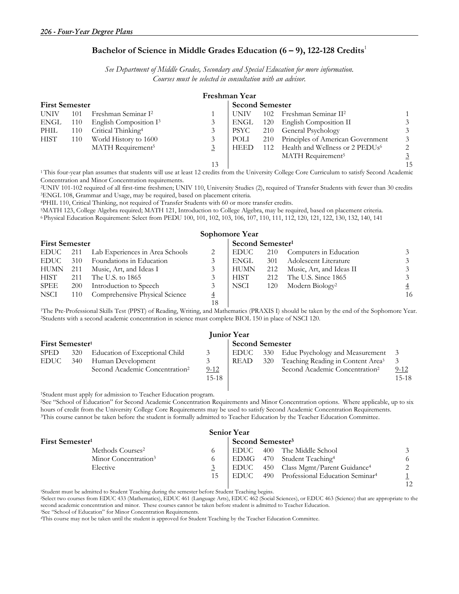#### **Bachelor of Science in Middle Grades Education (6 – 9), 122-128 Credits**<sup>1</sup>

*See Department of Middle Grades, Secondary and Special Education for more information. Courses must be selected in consultation with an advisor.* 

| Freshman Year         |     |                                    |    |             |                        |                                             |                |  |  |
|-----------------------|-----|------------------------------------|----|-------------|------------------------|---------------------------------------------|----------------|--|--|
| <b>First Semester</b> |     |                                    |    |             | <b>Second Semester</b> |                                             |                |  |  |
| <b>UNIV</b>           | 101 | Freshman Seminar I <sup>2</sup>    |    | UNIV        | 102                    | Freshman Seminar II <sup>2</sup>            |                |  |  |
| ENGL                  | 110 | English Composition I <sup>3</sup> |    | ENGL        | 120                    | English Composition II                      | 3              |  |  |
| PHIL                  | 110 | Critical Thinking <sup>4</sup>     |    | <b>PSYC</b> |                        | 210 General Psychology                      | 3              |  |  |
| <b>HIST</b>           | 110 | World History to 1600              |    | POLI        | 210                    | Principles of American Government           | 3              |  |  |
|                       |     | MATH Requirement <sup>5</sup>      |    | <b>HEED</b> | 112                    | Health and Wellness or 2 PEDUs <sup>6</sup> | 2              |  |  |
|                       |     |                                    |    |             |                        | MATH Requirement <sup>5</sup>               | $\overline{3}$ |  |  |
|                       |     |                                    | 13 |             |                        |                                             |                |  |  |

<sup>1</sup>This four-year plan assumes that students will use at least 12 credits from the University College Core Curriculum to satisfy Second Academic Concentration and Minor Concentration requirements.

<sup>2</sup>UNIV 101-102 required of all first-time freshmen; UNIV 110, University Studies (2), required of Transfer Students with fewer than 30 credits <sup>3</sup>ENGL 108, Grammar and Usage, may be required, based on placement criteria.<br>

| Sophomore Year        |            |                                 |                |                              |     |                             |    |  |  |
|-----------------------|------------|---------------------------------|----------------|------------------------------|-----|-----------------------------|----|--|--|
| <b>First Semester</b> |            |                                 |                | Second Semester <sup>1</sup> |     |                             |    |  |  |
| <b>EDUC</b>           | 211        | Lab Experiences in Area Schools | 2              | EDUC                         | 210 | Computers in Education      |    |  |  |
| EDUC –                | 310        | Foundations in Education        | 3              | ENGL                         | 301 | Adolescent Literature       |    |  |  |
| <b>HUMN</b>           | 211        | Music, Art, and Ideas I         | 3              | <b>HUMN</b>                  | 212 | Music, Art, and Ideas II    |    |  |  |
| <b>HIST</b>           | 211        | The U.S. to 1865                | 3              | <b>HIST</b>                  | 212 | The U.S. Since 1865         |    |  |  |
| <b>SPEE</b>           | <b>200</b> | Introduction to Speech          | 3              | NSCI                         | 120 | Modern Biology <sup>2</sup> |    |  |  |
| NSCI                  | 110        | Comprehensive Physical Science  | $\overline{4}$ |                              |     |                             | 16 |  |  |
|                       |            |                                 | 18             |                              |     |                             |    |  |  |

<sup>1</sup>The Pre-Professional Skills Test (PPST) of Reading, Writing, and Mathematics (PRAXIS I) should be taken by the end of the Sophomore Year.<br><sup>2</sup>Students with a second academic concentration in science must complete BIOL 15

|                             | <b>Junior Year</b> |                                            |           |                        |       |                                               |          |  |  |  |
|-----------------------------|--------------------|--------------------------------------------|-----------|------------------------|-------|-----------------------------------------------|----------|--|--|--|
| First Semester <sup>1</sup> |                    |                                            |           | <b>Second Semester</b> |       |                                               |          |  |  |  |
| <b>SPED</b>                 | 320                | Education of Exceptional Child             |           | EDUC                   | - 330 | Educ Psychology and Measurement 3             |          |  |  |  |
| EDUC                        | 340                | Human Development                          | 3         | READ                   | 320   | Teaching Reading in Content Area <sup>3</sup> | -3       |  |  |  |
|                             |                    | Second Academic Concentration <sup>2</sup> | $9-12$    |                        |       | Second Academic Concentration <sup>2</sup>    | $9 - 12$ |  |  |  |
|                             |                    |                                            | $15 - 18$ |                        |       |                                               | $15-18$  |  |  |  |
|                             |                    |                                            |           |                        |       |                                               |          |  |  |  |

1Student must apply for admission to Teacher Education program.

2See "School of Education" for Second Academic Concentration Requirements and Minor Concentration options. Where applicable, up to six hours of credit from the University College Core Requirements may be used to satisfy Second Academic Concentration Requirements.<br><sup>3</sup>This course cannot be taken before the student is formally admitted to Teacher Education b

| <b>Senior Year</b>               |          |                                                          |                |  |  |  |  |  |
|----------------------------------|----------|----------------------------------------------------------|----------------|--|--|--|--|--|
| First Semester <sup>1</sup>      |          | Second Semester <sup>3</sup>                             |                |  |  |  |  |  |
| Methods Courses <sup>2</sup>     |          | 400 The Middle School<br>EDUC                            |                |  |  |  |  |  |
| Minor Concentration <sup>3</sup> | $\Omega$ | EDMG 470 Student Teaching <sup>4</sup>                   | -6             |  |  |  |  |  |
| Elective                         |          | 450 Class Mgmt/Parent Guidance <sup>4</sup><br>EDUC      | 2              |  |  |  |  |  |
|                                  | 15       | 490 Professional Education Seminar <sup>4</sup><br>EDUC- | 1 <sub>2</sub> |  |  |  |  |  |

12<br>Student must be admitted to Student Teaching during the semester before Student Teaching begins.<br>Select two courses from EDUC 433 (Mathematics), EDUC 461 (Language Arts), EDUC 462 (Social Sciences), or EDUC 463 (Science second academic concentration and minor. These courses cannot be taken before student is admitted to Teacher Education.<br><sup>3</sup>See "School of Education" for Minor Concentration Requirements.<br>"This course may not be taken until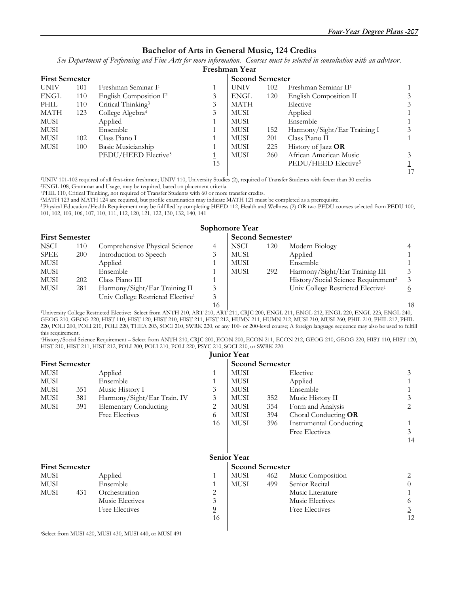#### **Bachelor of Arts in General Music, 124 Credits**

*See Department of Performing and Fine Arts for more information. Courses must be selected in consultation with an advisor.*

|                       |     |                                    |    | Freshman Year |                        |                                  |   |  |
|-----------------------|-----|------------------------------------|----|---------------|------------------------|----------------------------------|---|--|
| <b>First Semester</b> |     |                                    |    |               | <b>Second Semester</b> |                                  |   |  |
| <b>UNIV</b>           | 101 | Freshman Seminar I <sup>1</sup>    |    | UNIV          | 102                    | Freshman Seminar II <sup>1</sup> |   |  |
| <b>ENGL</b>           | 110 | English Composition I <sup>2</sup> |    | ENGL          | 120                    | English Composition II           | 3 |  |
| PHIL                  | 110 | Critical Thinking <sup>3</sup>     |    | <b>MATH</b>   |                        | Elective                         | 3 |  |
| MATH                  | 123 | College Algebra <sup>4</sup>       |    | MUSI          |                        | Applied                          |   |  |
| MUSI                  |     | Applied                            |    | MUSI          |                        | Ensemble                         |   |  |
| <b>MUSI</b>           |     | Ensemble                           |    | <b>MUSI</b>   | 152                    | Harmony/Sight/Ear Training I     | 3 |  |
| <b>MUSI</b>           | 102 | Class Piano I                      |    | <b>MUSI</b>   | 201                    | Class Piano II                   |   |  |
| <b>MUSI</b>           | 100 | Basic Musicianship                 |    | <b>MUSI</b>   | 225                    | History of Jazz OR               |   |  |
|                       |     | PEDU/HEED Elective <sup>5</sup>    |    | <b>MUSI</b>   | 260                    | African American Music           | 3 |  |
|                       |     |                                    | 15 |               |                        | PEDU/HEED Elective <sup>5</sup>  |   |  |
|                       |     |                                    |    |               |                        |                                  |   |  |

<sup>1</sup>UNIV 101-102 required of all first-time freshmen; UNIV 110, University Studies (2), required of Transfer Students with fewer than 30 credits <sup>2</sup>ENGL 108, Grammar and Usage, may be required, based on placement criteria.<br>

<sup>4</sup>MATH 123 and MATH 124 are required, but profile examination may indicate MATH 121 must be completed as a prerequisite.

<sup>5</sup> Physical Education/Health Requirement may be fulfilled by completing HEED 112, Health and Wellness (2) OR two PEDU courses selected from PEDU 100, 101, 102, 103, 106, 107, 110, 111, 112, 120, 121, 122, 130, 132, 140, 141

|                       |     |                                               |                | Sophomore Year |                              |                                                 |                |  |
|-----------------------|-----|-----------------------------------------------|----------------|----------------|------------------------------|-------------------------------------------------|----------------|--|
| <b>First Semester</b> |     |                                               |                |                | Second Semester <sup>2</sup> |                                                 |                |  |
| <b>NSCI</b>           | 110 | Comprehensive Physical Science                |                | NSCI           | 120                          | Modern Biology                                  | $\overline{4}$ |  |
| <b>SPEE</b>           | 200 | Introduction to Speech                        |                | MUSI           |                              | Applied                                         |                |  |
| MUSI                  |     | Applied                                       |                | MUSI           |                              | Ensemble                                        |                |  |
| MUSI                  |     | Ensemble                                      |                | <b>MUSI</b>    | 292                          | Harmony/Sight/Ear Training III                  | 3              |  |
| <b>MUSI</b>           | 202 | Class Piano III                               |                |                |                              | History/Social Science Requirement <sup>2</sup> | $\mathcal{E}$  |  |
| <b>MUSI</b>           | 281 | Harmony/Sight/Ear Training II                 |                |                |                              | Univ College Restricted Elective <sup>1</sup>   | 6              |  |
|                       |     | Univ College Restricted Elective <sup>1</sup> |                |                |                              |                                                 |                |  |
|                       |     |                                               | 1 <sup>2</sup> |                |                              |                                                 | 1 <sup>1</sup> |  |

 16 18 1University College Restricted Elective: Select from ANTH 210, ART 210, ART 211, CRJC 200, ENGL 211, ENGL 212, ENGL 220, ENGL 223, ENGL 240, GEOG 210, GEOG 220, HIST 110, HIST 120, HIST 210, HIST 211, HIST 212, HUMN 211, HUMN 212, MUSI 210, MUSI 260, PHIL 210, PHIL 212, PHIL 220, POLI 200, POLI 210, POLI 220, THEA 203, SOCI 210, SWRK 220, or any 100- or 200-level course; A foreign language sequence may also be used to fulfill this requirement.

2History/Social Science Requirement – Select from ANTH 210, CRJC 200, ECON 200, ECON 211, ECON 212, GEOG 210, GEOG 220, HIST 110, HIST 120, HIST 210, HIST 211, HIST 212, POLI 200, POLI 210, POLI 220, PSYC 210, SOCI 210, or SWRK 220.

|                       |     |                              |                | <b>Junior Year</b>     |                        |                               |                |  |
|-----------------------|-----|------------------------------|----------------|------------------------|------------------------|-------------------------------|----------------|--|
| <b>First Semester</b> |     |                              |                |                        | <b>Second Semester</b> |                               |                |  |
| MUSI                  |     | Applied                      |                | MUSI                   |                        | Elective                      | 3              |  |
| <b>MUSI</b>           |     | Ensemble                     |                | <b>MUSI</b>            |                        | Applied                       |                |  |
| MUSI                  | 351 | Music History I              | 3              | <b>MUSI</b>            |                        | Ensemble                      |                |  |
| MUSI                  | 381 | Harmony/Sight/Ear Train. IV  | 3              | MUSI                   | 352                    | Music History II              | 3              |  |
| MUSI                  | 391 | <b>Elementary Conducting</b> | 2              | <b>MUSI</b>            | 354                    | Form and Analysis             | 2              |  |
|                       |     | <b>Free Electives</b>        | 6              | MUSI                   | 394                    | Choral Conducting OR          |                |  |
|                       |     |                              | 16             | <b>MUSI</b>            | 396                    | Instrumental Conducting       |                |  |
|                       |     |                              |                |                        |                        | Free Electives                | $\overline{3}$ |  |
|                       |     |                              |                |                        |                        |                               | 14             |  |
|                       |     |                              |                | <b>Senior Year</b>     |                        |                               |                |  |
| <b>First Semester</b> |     |                              |                | <b>Second Semester</b> |                        |                               |                |  |
| MUSI                  |     | Applied                      | 1              | MUSI                   | 462                    | Music Composition             | 2              |  |
| MUSI                  |     | Ensemble                     | 1              | <b>MUSI</b>            | 499                    | Senior Recital                | $\theta$       |  |
| MUSI                  | 431 | Orchestration                | 2              |                        |                        | Music Literature <sup>1</sup> |                |  |
|                       |     | Music Electives              | $\mathfrak{Z}$ |                        |                        | Music Electives               | 6              |  |
|                       |     | <b>Free Electives</b>        | $\overline{0}$ |                        |                        | Free Electives                | 3              |  |
|                       |     |                              | 16             |                        |                        |                               | 12             |  |
|                       |     |                              |                |                        |                        |                               |                |  |

1Select from MUSI 420, MUSI 430, MUSI 440, or MUSI 491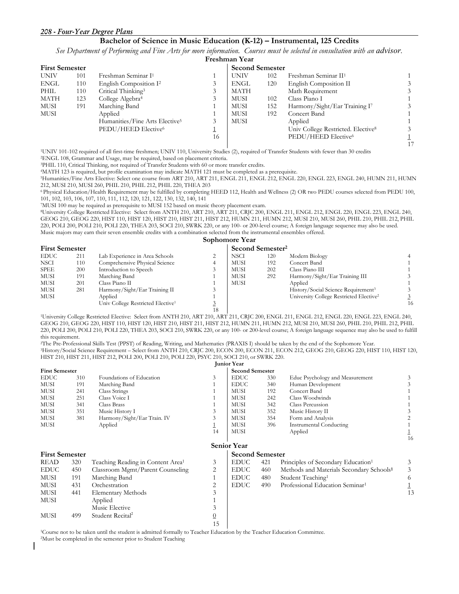#### *208 - Four-Year Degree Plans*

#### **Bachelor of Science in Music Education (K-12) – Instrumental, 125 Credits**

*See Department of Performing and Fine Arts for more information. Courses must be selected in consultation with an advisor.* 

|                       |     |                                            |    | Freshman Year          |     |                                                |  |
|-----------------------|-----|--------------------------------------------|----|------------------------|-----|------------------------------------------------|--|
| <b>First Semester</b> |     |                                            |    | <b>Second Semester</b> |     |                                                |  |
| UNIV                  | 101 | Freshman Seminar I <sup>1</sup>            |    | <b>UNIV</b>            | 102 | Freshman Seminar II <sup>1</sup>               |  |
| ENGL                  | 110 | English Composition I <sup>2</sup>         | 3  | ENGL                   | 120 | English Composition II                         |  |
| PHIL                  | 110 | Critical Thinking <sup>3</sup>             | 3  | MATH                   |     | Math Requirement                               |  |
| MATH                  | 123 | College Algebra <sup>4</sup>               | 3  | MUSI                   | 102 | Class Piano I                                  |  |
| MUSI                  | 191 | Marching Band                              |    | MUSI                   | 152 | Harmony/Sight/Ear Training I7                  |  |
| MUSI                  |     | Applied                                    |    | MUSI                   | 192 | Concert Band                                   |  |
|                       |     | Humanities/Fine Arts Elective <sup>5</sup> | 3  | MUSI                   |     | Applied                                        |  |
|                       |     | PEDU/HEED Elective <sup>6</sup>            |    |                        |     | Univ College Restricted. Elective <sup>8</sup> |  |
|                       |     |                                            | 16 |                        |     | PEDU/HEED Elective <sup>6</sup>                |  |
|                       |     |                                            |    |                        |     |                                                |  |

1UNIV 101-102 required of all first-time freshmen; UNIV 110, University Studies (2), required of Transfer Students with fewer than 30 credits 2ENGL 108, Grammar and Usage, may be required, based on placement criteria.

3PHIL 110, Critical Thinking, not required of Transfer Students with 60 or more transfer credits. 4MATH 123 is required, but profile examination may indicate MATH 121 must be completed as a prerequisite.

5Humanities/Fine Arts Elective: Select one course from ART 210, ART 211, ENGL 211, ENGL 212, ENGL 220, ENGL 223, ENGL 240, HUMN 211, HUMN 212, MUSI 210, MUSI 260, PHIL 210, PHIL 212, PHIL 220, THEA 203

6 Physical Education/Health Requirement may be fulfilled by completing HEED 112, Health and Wellness (2) OR two PEDU courses selected from PEDU 100, 101, 102, 103, 106, 107, 110, 111, 112, 120, 121, 122, 130, 132, 140, 141

7MUSI 100 may be required as prerequisite to MUSI 152 based on music theory placement exam.

8University College Restricted Elective: Select from ANTH 210, ART 210, ART 211, CRJC 200, ENGL 211, ENGL 212, ENGL 220, ENGL 223, ENGL 240, GEOG 210, GEOG 220, HIST 110, HIST 120, HIST 210, HIST 211, HIST 212, HUMN 211, HUMN 212, MUSI 210, MUSI 260, PHIL 210, PHIL 212, PHIL 220, POLI 200, POLI 210, POLI 220, THEA 203, SOCI 210, SWRK 220, or any 100- or 200-level course; A foreign language sequence may also be used. Music majors may earn their seven ensemble credits with a combination selected from the instrumental ensembles offered.

| Sophomore Year        |     |                                               |    |             |                              |                                                     |    |  |  |  |
|-----------------------|-----|-----------------------------------------------|----|-------------|------------------------------|-----------------------------------------------------|----|--|--|--|
| <b>First Semester</b> |     |                                               |    |             | Second Semester <sup>2</sup> |                                                     |    |  |  |  |
| <b>EDUC</b>           | 211 | Lab Experience in Area Schools                |    | <b>NSCI</b> | 120                          | Modern Biology                                      |    |  |  |  |
| <b>NSCI</b>           | 110 | Comprehensive Physical Science                |    | MUSI        | 192                          | Concert Band                                        |    |  |  |  |
| <b>SPEE</b>           | 200 | Introduction to Speech                        |    | <b>MUSI</b> | 202                          | Class Piano III                                     |    |  |  |  |
| MUSI                  | 191 | Marching Band                                 |    | MUSI        | 292                          | Harmony/Sight/Ear Training III                      |    |  |  |  |
| <b>MUSI</b>           | 201 | Class Piano II                                |    | <b>MUSI</b> |                              | Applied                                             |    |  |  |  |
| MUSI                  | 281 | Harmony/Sight/Ear Training II                 |    |             |                              | History/Social Science Requirement <sup>3</sup>     |    |  |  |  |
| <b>MUSI</b>           |     | Applied                                       |    |             |                              | University College Restricted Elective <sup>2</sup> |    |  |  |  |
|                       |     | Univ College Restricted Elective <sup>1</sup> |    |             |                              |                                                     | 16 |  |  |  |
|                       |     |                                               | 18 |             |                              |                                                     |    |  |  |  |

 18 1University College Restricted Elective: Select from ANTH 210, ART 210, ART 211, CRJC 200, ENGL 211, ENGL 212, ENGL 220, ENGL 223, ENGL 240, GEOG 210, GEOG 220, HIST 110, HIST 120, HIST 210, HIST 211, HIST 212, HUMN 211, HUMN 212, MUSI 210, MUSI 260, PHIL 210, PHIL 212, PHIL 220, POLI 200, POLI 210, POLI 220, THEA 203, SOCI 210, SWRK 220, or any 100- or 200-level course; A foreign language sequence may also be used to fulfill this requirement.

2The Pre-Professional Skills Test (PPST) of Reading, Writing, and Mathematics (PRAXIS I) should be taken by the end of the Sophomore Year. 3History/Social Science Requirement – Select from ANTH 210, CRJC 200, ECON 200, ECON 211, ECON 212, GEOG 210, GEOG 220, HIST 110, HIST 120, HIST 210, HIST 211, HIST 212, POLI 200, POLI 210, POLI 220, PSYC 210, SOCI 210, or SWRK 220.

|                       |     |                                               |                | <b>Junior Year</b>     |                        |                                                      |    |  |  |
|-----------------------|-----|-----------------------------------------------|----------------|------------------------|------------------------|------------------------------------------------------|----|--|--|
| <b>First Semester</b> |     |                                               |                |                        | <b>Second Semester</b> |                                                      |    |  |  |
| <b>EDUC</b>           | 310 | Foundations of Education                      | 3              | <b>EDUC</b>            | 330                    | Educ Psychology and Measurement                      | 3  |  |  |
| <b>MUSI</b>           | 191 | Marching Band                                 |                | <b>EDUC</b>            | 340                    | Human Development                                    |    |  |  |
| <b>MUSI</b>           | 241 | Class Strings                                 |                | <b>MUSI</b>            | 192                    | Concert Band                                         |    |  |  |
| <b>MUSI</b>           | 251 | Class Voice I                                 |                | <b>MUSI</b>            | 242                    | Class Woodwinds                                      |    |  |  |
| <b>MUSI</b>           | 341 | Class Brass                                   |                | <b>MUSI</b>            | 342                    | Class Percussion                                     |    |  |  |
| <b>MUSI</b>           | 351 | Music History I                               | 3              | <b>MUSI</b>            | 352                    | Music History II                                     |    |  |  |
| MUSI                  | 381 | Harmony/Sight/Ear Train. IV                   | 3              | <b>MUSI</b>            | 354                    | Form and Analysis                                    |    |  |  |
| <b>MUSI</b>           |     | Applied                                       | ┻              | <b>MUSI</b>            | 396                    | <b>Instrumental Conducting</b>                       |    |  |  |
|                       |     |                                               | 14             | <b>MUSI</b>            |                        | Applied                                              |    |  |  |
|                       |     |                                               |                |                        |                        |                                                      | 16 |  |  |
|                       |     |                                               |                | <b>Senior Year</b>     |                        |                                                      |    |  |  |
| <b>First Semester</b> |     |                                               |                | <b>Second Semester</b> |                        |                                                      |    |  |  |
| <b>READ</b>           | 320 | Teaching Reading in Content Area <sup>1</sup> | 3              | <b>EDUC</b>            | 421                    | Principles of Secondary Education <sup>1</sup>       | 3  |  |  |
| <b>EDUC</b>           | 450 | Classroom Mgmt/Parent Counseling              | 2              | <b>EDUC</b>            | 460                    | Methods and Materials Secondary Schools <sup>1</sup> | 3  |  |  |
| MUSI                  | 191 | Marching Band                                 |                | <b>EDUC</b>            | 480                    | Student Teaching <sup>1</sup>                        | 6  |  |  |
| <b>MUSI</b>           | 431 | Orchestration                                 | 2              | <b>EDUC</b>            | 490                    | Professional Education Seminar <sup>1</sup>          |    |  |  |
| <b>MUSI</b>           | 441 | <b>Elementary Methods</b>                     | 3              |                        |                        |                                                      | 13 |  |  |
| MUSI                  |     | Applied                                       |                |                        |                        |                                                      |    |  |  |
|                       |     | Music Elective                                | 3              |                        |                        |                                                      |    |  |  |
| <b>MUSI</b>           | 499 | Student Recital <sup>2</sup>                  | $\overline{0}$ |                        |                        |                                                      |    |  |  |
|                       |     |                                               | 15             |                        |                        |                                                      |    |  |  |

15 |<br>1Course not to be taken until the student is admitted formally to Teacher Education by the Teacher Education Committee.<br>2Must be completed in the semester prior to Student Teaching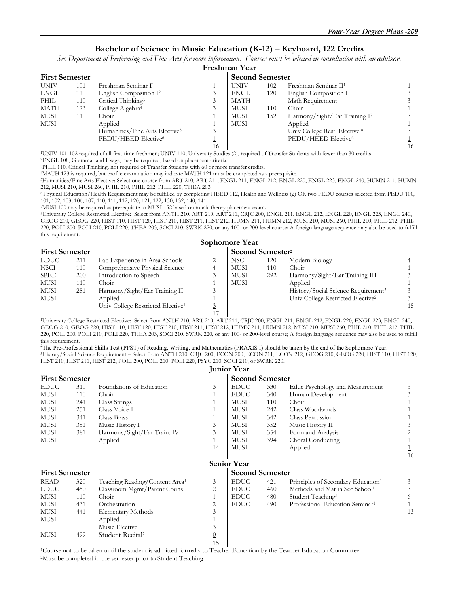#### **Bachelor of Science in Music Education (K-12) – Keyboard, 122 Credits**

*See Department of Performing and Fine Arts for more information. Courses must be selected in consultation with an advisor.*

|             | <b>First Semester</b> |                                            |    | <b>Second Semester</b> |     |                                  |    |  |  |
|-------------|-----------------------|--------------------------------------------|----|------------------------|-----|----------------------------------|----|--|--|
| <b>UNIV</b> | 101                   | Freshman Seminar I <sup>1</sup>            |    | <b>UNIV</b>            | 102 | Freshman Seminar II <sup>1</sup> |    |  |  |
| <b>ENGL</b> | 110                   | English Composition I <sup>2</sup>         |    | <b>ENGL</b>            | 120 | English Composition II           | 3  |  |  |
| PHIL        | 110                   | Critical Thinking <sup>3</sup>             |    | MATH                   |     | Math Requirement                 | 3  |  |  |
| <b>MATH</b> | 123                   | College Algebra <sup>4</sup>               |    | <b>MUSI</b>            | 110 | Choir                            |    |  |  |
| MUSI        | 110                   | Choir                                      |    | <b>MUSI</b>            | 152 | Harmony/Sight/Ear Training I7    | 3  |  |  |
| MUSI        |                       | Applied                                    |    | MUSI                   |     | Applied                          |    |  |  |
|             |                       | Humanities/Fine Arts Elective <sup>5</sup> |    |                        |     | Univ College Rest. Elective 8    | 3  |  |  |
|             |                       | PEDU/HEED Elective6                        |    |                        |     | PEDU/HEED Elective <sup>6</sup>  |    |  |  |
|             |                       |                                            | 16 |                        |     |                                  | 16 |  |  |
|             |                       |                                            |    |                        |     |                                  |    |  |  |

<sup>1</sup>UNIV 101-102 required of all first-time freshmen; UNIV 110, University Studies (2), required of Transfer Students with fewer than 30 credits <sup>2</sup>ENGL 108, Grammar and Usage, may be required, based on placement criteria.

3PHIL 110, Critical Thinking, not required of Transfer Students with 60 or more transfer credits. 4MATH 123 is required, but profile examination may indicate MATH 121 must be completed as a prerequisite.

<sup>5</sup>Humanities/Fine Arts Elective: Select one course from ART 210, ART 211, ENGL 211, ENGL 212, ENGL 220, ENGL 223, ENGL 240, HUMN 211, HUMN 212, MUSI 210, MUSI 260, PHIL 210, PHIL 212, PHIL 220, THEA 203

6 Physical Education/Health Requirement may be fulfilled by completing HEED 112, Health and Wellness (2) OR two PEDU courses selected from PEDU 100, 101, 102, 103, 106, 107, 110, 111, 112, 120, 121, 122, 130, 132, 140, 141

7MUSI 100 may be required as prerequisite to MUSI 152 based on music theory placement exam.

8University College Restricted Elective: Select from ANTH 210, ART 210, ART 211, CRJC 200, ENGL 211, ENGL 212, ENGL 220, ENGL 223, ENGL 240, GEOG 210, GEOG 220, HIST 110, HIST 120, HIST 210, HIST 211, HIST 212, HUMN 211, HUMN 212, MUSI 210, MUSI 260, PHIL 210, PHIL 212, PHIL 220, POLI 200, POLI 210, POLI 220, THEA 203, SOCI 210, SWRK 220, or any 100- or 200-level course; A foreign language sequence may also be used to fulfill this requirement. **Sophomore Year** 

|                       |     |                                               |  | sophomore rear               |     |                                                 |    |  |  |
|-----------------------|-----|-----------------------------------------------|--|------------------------------|-----|-------------------------------------------------|----|--|--|
| <b>First Semester</b> |     |                                               |  | Second Semester <sup>2</sup> |     |                                                 |    |  |  |
| <b>EDUC</b>           | 211 | Lab Experience in Area Schools                |  | <b>NSCI</b>                  | 120 | Modern Biology                                  |    |  |  |
| <b>NSCI</b>           | 110 | Comprehensive Physical Science                |  | MUSI                         | 110 | Choir                                           |    |  |  |
| <b>SPEE</b>           | 200 | Introduction to Speech                        |  | MUSI                         | 292 | Harmony/Sight/Ear Training III                  |    |  |  |
| MUSI                  | 110 | Choir                                         |  | MUSI                         |     | Applied                                         |    |  |  |
| MUSI                  | 281 | Harmony/Sight/Ear Training II                 |  |                              |     | History/Social Science Requirement <sup>3</sup> |    |  |  |
| MUSI                  |     | Applied                                       |  |                              |     | Univ College Restricted Elective <sup>2</sup>   |    |  |  |
|                       |     | Univ College Restricted Elective <sup>1</sup> |  |                              |     |                                                 | 15 |  |  |
|                       |     |                                               |  |                              |     |                                                 |    |  |  |

 17 1University College Restricted Elective: Select from ANTH 210, ART 210, ART 211, CRJC 200, ENGL 211, ENGL 212, ENGL 220, ENGL 223, ENGL 240, GEOG 210, GEOG 220, HIST 110, HIST 120, HIST 210, HIST 211, HIST 212, HUMN 211, HUMN 212, MUSI 210, MUSI 260, PHIL 210, PHIL 212, PHIL 220, POLI 200, POLI 210, POLI 220, THEA 203, SOCI 210, SWRK 220, or any 100- or 200-level course; A foreign language sequence may also be used to fulfill this requirement.

2 The Pre-Professional Skills Test (PPST) of Reading, Writing, and Mathematics (PRAXIS I) should be taken by the end of the Sophomore Year. 3History/Social Science Requirement – Select from ANTH 210, CRJC 200, ECON 200, ECON 211, ECON 212, GEOG 210, GEOG 220, HIST 110, HIST 120, HIST 210, HIST 211, HIST 212, POLI 200, POLI 210, POLI 220, PSYC 210, SOCI 210, or SWRK 220.

**Junior Year** 

|                       | <b>First Semester</b> |                                            |    |                        | <b>Second Semester</b> |                                                |    |  |
|-----------------------|-----------------------|--------------------------------------------|----|------------------------|------------------------|------------------------------------------------|----|--|
| <b>EDUC</b>           | 310                   | Foundations of Education                   | 3  | <b>EDUC</b>            | 330                    | Educ Psychology and Measurement                | 3  |  |
| MUSI                  | 110                   | Choir                                      |    | <b>EDUC</b>            | 340                    | Human Development                              | 3  |  |
| MUSI                  | 241                   | Class Strings                              |    | MUSI                   | 110                    | Choir                                          |    |  |
| MUSI                  | 251                   | Class Voice I                              |    | MUSI                   | 242                    | Class Woodwinds                                |    |  |
| MUSI                  | 341                   | Class Brass                                |    | MUSI                   | 342                    | Class Percussion                               |    |  |
| MUSI                  | 351                   | Music History I                            | 3  | MUSI                   | 352                    | Music History II                               |    |  |
| MUSI                  | 381                   | Harmony/Sight/Ear Train. IV                | 3  | MUSI                   | 354                    | Form and Analysis                              |    |  |
| MUSI                  |                       | Applied                                    | 1  | <b>MUSI</b>            | 394                    | Choral Conducting                              |    |  |
|                       |                       |                                            | 14 | MUSI                   |                        | Applied                                        |    |  |
|                       |                       |                                            |    |                        |                        |                                                | 16 |  |
|                       |                       |                                            |    | <b>Senior Year</b>     |                        |                                                |    |  |
| <b>First Semester</b> |                       |                                            |    | <b>Second Semester</b> |                        |                                                |    |  |
| <b>READ</b>           | 320                   | Teaching Reading/Content Area <sup>1</sup> | 3  | <b>EDUC</b>            | 421                    | Principles of Secondary Education <sup>1</sup> | 3  |  |
| <b>EDUC</b>           | 450                   | Classroom Mgmt/Parent Couns                | 2  | <b>EDUC</b>            | 460                    | Methods and Mat in Sec School <sup>1</sup>     | 3  |  |
| MUSI                  | 110                   | Choir                                      |    | <b>EDUC</b>            | 480                    | Student Teaching <sup>1</sup>                  | 6  |  |
| MUSI                  | 431                   | Orchestration                              | 2  | <b>EDUC</b>            | 490                    | Professional Education Seminar <sup>1</sup>    |    |  |
| MUSI                  | 441                   | <b>Elementary Methods</b>                  | 3  |                        |                        |                                                | 13 |  |
| MUSI                  |                       | Applied                                    |    |                        |                        |                                                |    |  |
|                       |                       | Music Elective                             | 3  |                        |                        |                                                |    |  |
| <b>MUSI</b>           | 499                   | Student Recital <sup>2</sup>               |    |                        |                        |                                                |    |  |

 15 1Course not to be taken until the student is admitted formally to Teacher Education by the Teacher Education Committee. 2Must be completed in the semester prior to Student Teaching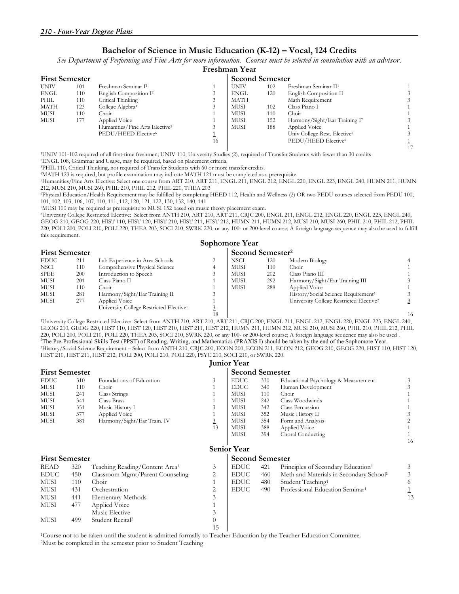#### **Bachelor of Science in Music Education (K-12) – Vocal, 124 Credits**

*See Department of Performing and Fine Arts for more information. Courses must be selected in consultation with an advisor.*

|             |                       |                                            |    | Freshman Year |                        |                                          |  |  |  |  |
|-------------|-----------------------|--------------------------------------------|----|---------------|------------------------|------------------------------------------|--|--|--|--|
|             | <b>First Semester</b> |                                            |    |               | <b>Second Semester</b> |                                          |  |  |  |  |
| <b>UNIV</b> | 101                   | Freshman Seminar I <sup>1</sup>            |    | <b>UNIV</b>   | 102                    | Freshman Seminar II <sup>1</sup>         |  |  |  |  |
| <b>ENGL</b> | 110                   | English Composition I <sup>2</sup>         | 3  | <b>ENGL</b>   | 120                    | English Composition II                   |  |  |  |  |
| PHIL        | 110                   | Critical Thinking <sup>3</sup>             |    | <b>MATH</b>   |                        | Math Requirement                         |  |  |  |  |
| MATH        | 123                   | College Algebra <sup>4</sup>               |    | MUSI          | 102                    | Class Piano I                            |  |  |  |  |
| MUSI        | 110                   | Choir                                      |    | <b>MUSI</b>   | 110                    | Choir                                    |  |  |  |  |
| MUSI        | 177                   | Applied Voice                              |    | MUSI          | 152                    | Harmony/Sight/Ear Training I7            |  |  |  |  |
|             |                       | Humanities/Fine Arts Elective <sup>5</sup> |    | <b>MUSI</b>   | 188                    | Applied Voice                            |  |  |  |  |
|             |                       | PEDU/HEED Elective <sup>6</sup>            |    |               |                        | Univ College Rest. Elective <sup>8</sup> |  |  |  |  |
|             |                       |                                            | 16 |               |                        | PEDU/HEED Elective <sup>6</sup>          |  |  |  |  |
|             |                       |                                            |    |               |                        |                                          |  |  |  |  |

1UNIV 101-102 required of all first-time freshmen; UNIV 110, University Studies (2), required of Transfer Students with fewer than 30 credits 2ENGL 108, Grammar and Usage, may be required, based on placement criteria.

3PHIL 110, Critical Thinking, not required of Transfer Students with 60 or more transfer credits. 4MATH 123 is required, but profile examination may indicate MATH 121 must be completed as a prerequisite.

5Humanities/Fine Arts Elective: Select one course from ART 210, ART 211, ENGL 211, ENGL 212, ENGL 220, ENGL 223, ENGL 240, HUMN 211, HUMN 212, MUSI 210, MUSI 260, PHIL 210, PHIL 212, PHIL 220, THEA 203

6Physical Education/Health Requirement may be fulfilled by completing HEED 112, Health and Wellness (2) OR two PEDU courses selected from PEDU 100,

101, 102, 103, 106, 107, 110, 111, 112, 120, 121, 122, 130, 132, 140, 141

7MUSI 100 may be required as prerequisite to MUSI 152 based on music theory placement exam.

8University College Restricted Elective: Select from ANTH 210, ART 210, ART 211, CRJC 200, ENGL 211, ENGL 212, ENGL 220, ENGL 223, ENGL 240, GEOG 210, GEOG 220, HIST 110, HIST 120, HIST 210, HIST 211, HIST 212, HUMN 211, HUMN 212, MUSI 210, MUSI 260, PHIL 210, PHIL 212, PHIL 220, POLI 200, POLI 210, POLI 220, THEA 203, SOCI 210, SWRK 220, or any 100- or 200-level course; A foreign language sequence may also be used to fulfill this requirement.

|                       |     |                                                     |    | Sophomore Year |                              |                                                     |    |  |  |  |
|-----------------------|-----|-----------------------------------------------------|----|----------------|------------------------------|-----------------------------------------------------|----|--|--|--|
| <b>First Semester</b> |     |                                                     |    |                | Second Semester <sup>2</sup> |                                                     |    |  |  |  |
| <b>EDUC</b>           | 211 | Lab Experience in Area Schools                      |    | <b>NSCI</b>    | 120                          | Modern Biology                                      |    |  |  |  |
| <b>NSCI</b>           | 110 | Comprehensive Physical Science                      |    | <b>MUSI</b>    | 110                          | Choir                                               |    |  |  |  |
| SPEE                  | 200 | Introduction to Speech                              |    | MUSI           | 202                          | Class Piano III                                     |    |  |  |  |
| MUSI                  | 201 | Class Piano II                                      |    | <b>MUSI</b>    | 292                          | Harmony/Sight/Ear Training III                      |    |  |  |  |
| MUSI                  | 110 | Choir                                               |    | <b>MUSI</b>    | 288                          | Applied Voice                                       |    |  |  |  |
| <b>MUSI</b>           | 281 | Harmony/Sight/Ear Training II                       |    |                |                              | History/Social Science Requirement <sup>3</sup>     |    |  |  |  |
| <b>MUSI</b>           | 277 | Applied Voice                                       |    |                |                              | University College Restricted Elective <sup>2</sup> |    |  |  |  |
|                       |     | University College Restricted Elective <sup>1</sup> |    |                |                              |                                                     |    |  |  |  |
|                       |     |                                                     | 18 |                |                              |                                                     | 16 |  |  |  |

 18 16 1University College Restricted Elective: Select from ANTH 210, ART 210, ART 211, CRJC 200, ENGL 211, ENGL 212, ENGL 220, ENGL 223, ENGL 240, GEOG 210, GEOG 220, HIST 110, HIST 120, HIST 210, HIST 211, HIST 212, HUMN 211, HUMN 212, MUSI 210, MUSI 260, PHIL 210, PHIL 212, PHIL 220, POLI 200, POLI 210, POLI 220, THEA 203, SOCI 210, SWRK 220, or any 100- or 200-level course; A foreign language sequence may also be used . 2 The Pre-Professional Skills Test (PPST) of Reading, Writing, and Mathematics (PRAXIS I) should be taken by the end of the Sophomore Year. 3History/Social Science Requirement – Select from ANTH 210, CRJC 200, ECON 200, ECON 211, ECON 212, GEOG 210, GEOG 220, HIST 110, HIST 120, HIST 210, HIST 211, HIST 212, POLI 200, POLI 210, POLI 220, PSYC 210, SOCI 210, or SWRK 220.

|                       |     |                                            |                | <b>Junior Year</b>     |     |                                                     |    |  |
|-----------------------|-----|--------------------------------------------|----------------|------------------------|-----|-----------------------------------------------------|----|--|
| <b>First Semester</b> |     |                                            |                | <b>Second Semester</b> |     |                                                     |    |  |
| <b>EDUC</b>           | 310 | Foundations of Education                   | 3              | <b>EDUC</b>            | 330 | Educational Psychology & Measurement                | 3  |  |
| <b>MUSI</b>           | 110 | Choir                                      |                | <b>EDUC</b>            | 340 | Human Development                                   | 3  |  |
| <b>MUSI</b>           | 241 | Class Strings                              |                | <b>MUSI</b>            | 110 | Choir                                               |    |  |
| <b>MUSI</b>           | 341 | Class Brass                                |                | <b>MUSI</b>            | 242 | Class Woodwinds                                     |    |  |
| <b>MUSI</b>           | 351 | Music History I                            | 3              | MUSI                   | 342 | Class Percussion                                    |    |  |
| MUSI                  | 377 | Applied Voice                              |                | <b>MUSI</b>            | 352 | Music History II                                    |    |  |
| <b>MUSI</b>           | 381 | Harmony/Sight/Ear Train. IV                | $\overline{3}$ | <b>MUSI</b>            | 354 | Form and Analysis                                   |    |  |
|                       |     |                                            | 13             | MUSI                   | 388 | Applied Voice                                       |    |  |
|                       |     |                                            |                | MUSI                   | 394 | Choral Conducting                                   |    |  |
|                       |     |                                            |                |                        |     |                                                     | 16 |  |
|                       |     |                                            |                | <b>Senior Year</b>     |     |                                                     |    |  |
| <b>First Semester</b> |     |                                            |                | <b>Second Semester</b> |     |                                                     |    |  |
| READ                  | 320 | Teaching Reading/Content Area <sup>1</sup> | 3              | <b>EDUC</b>            | 421 | Principles of Secondary Education <sup>1</sup>      | 3  |  |
| <b>EDUC</b>           | 450 | Classroom Mgmt/Parent Counseling           | 2              | <b>EDUC</b>            | 460 | Meth and Materials in Secondary School <sup>1</sup> | 3  |  |
| MUSI                  | 110 | Choir                                      | 1              | <b>EDUC</b>            | 480 | Student Teaching <sup>1</sup>                       | 6  |  |
| MUSI                  | 431 | Orchestration                              | 2              | <b>EDUC</b>            | 490 | Professional Education Seminar <sup>1</sup>         |    |  |
| MUSI                  | 441 | <b>Elementary Methods</b>                  | 3              |                        |     |                                                     | 13 |  |
| MUSI                  | 477 | Applied Voice                              |                |                        |     |                                                     |    |  |
|                       |     | Music Elective                             | 3              |                        |     |                                                     |    |  |
| MUSI                  | 499 | Student Recital <sup>2</sup>               | $\overline{0}$ |                        |     |                                                     |    |  |
|                       |     |                                            | 15             |                        |     |                                                     |    |  |

1Course not to be taken until the student is admitted formally to Teacher Education by the Teacher Education Committee. 2Must be completed in the semester prior to Student Teaching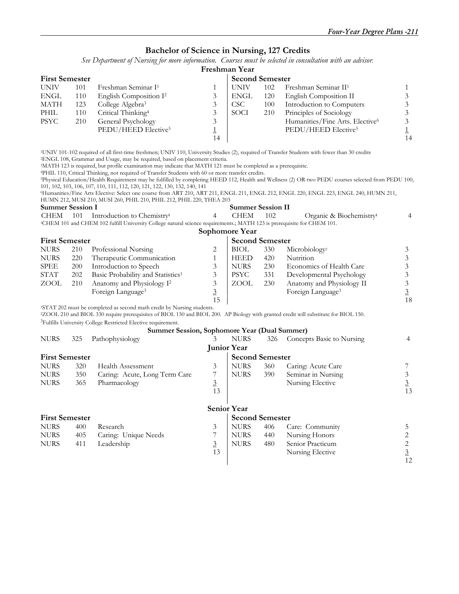#### **Bachelor of Science in Nursing, 127 Credits**

*See Department of Nursing for more information. Courses must be selected in consultation with an advisor.*

#### **Freshman Year**

|             | <b>First Semester</b> |                                    |    |             | <b>Second Semester</b> |                                  |    |  |  |  |
|-------------|-----------------------|------------------------------------|----|-------------|------------------------|----------------------------------|----|--|--|--|
| <b>UNIV</b> | 101                   | Freshman Seminar I <sup>1</sup>    |    | <b>UNIV</b> | 102                    | Freshman Seminar II <sup>1</sup> |    |  |  |  |
| <b>ENGL</b> | 110                   | English Composition I <sup>2</sup> |    | ENGL        | 120                    | English Composition II           |    |  |  |  |
| <b>MATH</b> | 123                   | College Algebra <sup>3</sup>       |    | CSC.        | 100                    | Introduction to Computers        |    |  |  |  |
| PHIL        | 110                   | Critical Thinking <sup>4</sup>     |    | SOCI        | 210                    | Principles of Sociology          |    |  |  |  |
| <b>PSYC</b> | 210                   | General Psychology                 |    |             |                        | Humanities/Fine Arts. Elective6  |    |  |  |  |
|             |                       | PEDU/HEED Elective <sup>5</sup>    |    |             |                        | PEDU/HEED Elective <sup>5</sup>  |    |  |  |  |
|             |                       |                                    | 14 |             |                        |                                  | 14 |  |  |  |

1UNIV 101-102 required of all first-time freshmen; UNIV 110, University Studies (2), required of Transfer Students with fewer than 30 credits 2ENGL 108, Grammar and Usage, may be required, based on placement criteria.

3MATH 123 is required, but profile examination may indicate that MATH 121 must be completed as a prerequisite.

<sup>5</sup>Physical Education/Health Requirement may be fulfilled by completing HEED 112, Health and Wellness (2) OR two PEDU courses selected from PEDU 100, 101, 102, 103, 106, 107, 110, 111, 112, 120, 121, 122, 130, 132, 140, 141

**Summer Session II** 

6Humanities/Fine Arts Elective: Select one course from ART 210, ART 211, ENGL 211, ENGL 212, ENGL 220, ENGL 223, ENGL 240, HUMN 211,

HUMN 212, MUSI 210, MUSI 260, PHIL 210, PHIL 212, PHIL 220, THEA 203

| <b>Summer Session I</b>     |              |  |  |  |  |  |
|-----------------------------|--------------|--|--|--|--|--|
| $C$ i i $\Gamma$ ) $\Gamma$ | $\sqrt{101}$ |  |  |  |  |  |

| CHEM           |  | 101 Introduction to Chemistry <sup>1</sup>                                                                                          |  | <b>CHEM</b> | 102 | Organic & Biochemistry |  |  |  |  |
|----------------|--|-------------------------------------------------------------------------------------------------------------------------------------|--|-------------|-----|------------------------|--|--|--|--|
|                |  | <sup>1</sup> CHEM 101 and CHEM 102 fulfill University College natural science requirements.; MATH 123 is prerequisite for CHEM 101. |  |             |     |                        |  |  |  |  |
| Sophomore Year |  |                                                                                                                                     |  |             |     |                        |  |  |  |  |

|             | <b>First Semester</b> |                                                                                    |    | <b>Second Semester</b> |     |                               |    |
|-------------|-----------------------|------------------------------------------------------------------------------------|----|------------------------|-----|-------------------------------|----|
| <b>NURS</b> | 210                   | Professional Nursing                                                               |    | BIOL                   | 330 | Microbiology <sup>2</sup>     |    |
| <b>NURS</b> | 220                   | Therapeutic Communication                                                          |    | <b>HEED</b>            | 420 | Nutrition                     |    |
| <b>SPEE</b> | <b>200</b>            | Introduction to Speech                                                             |    | <b>NURS</b>            | 230 | Economics of Health Care      |    |
| <b>STAT</b> | 202                   | Basic Probability and Statistics <sup>1</sup>                                      |    | <b>PSYC</b>            | 331 | Developmental Psychology      |    |
| ZOOL        | 210                   | Anatomy and Physiology I <sup>2</sup>                                              |    | ZOOL                   | 230 | Anatomy and Physiology II     |    |
|             |                       | Foreign Language <sup>3</sup>                                                      |    |                        |     | Foreign Language <sup>3</sup> |    |
|             |                       |                                                                                    | 15 |                        |     |                               | 18 |
|             |                       | <sup>1</sup> STAT 202 must be completed as second math credit by Nursing students. |    |                        |     |                               |    |

2ZOOL 210 and BIOL 330 require prerequisites of BIOL 150 and BIOL 200. AP Biology with granted credit will substitute for BIOL 150. 3Fulfills University College Restricted Elective requirement.

#### **Summer Session, Sophomore Year (Dual Summer)**

| <b>NURS</b>           | 325 | Pathophysiology               | 3              | <b>NURS</b>            | 326 | Concepts Basic to Nursing | 4        |
|-----------------------|-----|-------------------------------|----------------|------------------------|-----|---------------------------|----------|
|                       |     |                               |                | <b>Junior Year</b>     |     |                           |          |
| <b>First Semester</b> |     |                               |                | <b>Second Semester</b> |     |                           |          |
| <b>NURS</b>           | 320 | Health Assessment             | 3              | <b>NURS</b>            | 360 | Caring: Acute Care        |          |
| <b>NURS</b>           | 350 | Caring: Acute, Long Term Care |                | <b>NURS</b>            | 390 | Seminar in Nursing        |          |
| <b>NURS</b>           | 365 | Pharmacology                  | $\overline{3}$ |                        |     | Nursing Elective          | <u>3</u> |
|                       |     |                               | 13             |                        |     |                           | 13       |
|                       |     |                               |                |                        |     |                           |          |
|                       |     |                               |                | <b>Senior Year</b>     |     |                           |          |
| <b>First Semester</b> |     |                               |                | <b>Second Semester</b> |     |                           |          |
| <b>NURS</b>           | 400 | Research                      | 3              | <b>NURS</b>            | 406 | Care: Community           |          |
| <b>NURS</b>           | 405 | Caring: Unique Needs          |                | <b>NURS</b>            | 440 | Nursing Honors            |          |
| <b>NURS</b>           | 411 | Leadership                    | $\overline{3}$ | <b>NURS</b>            | 480 | Senior Practicum          |          |
|                       |     |                               | 13             |                        |     | Nursing Elective          |          |
|                       |     |                               |                |                        |     |                           | 12       |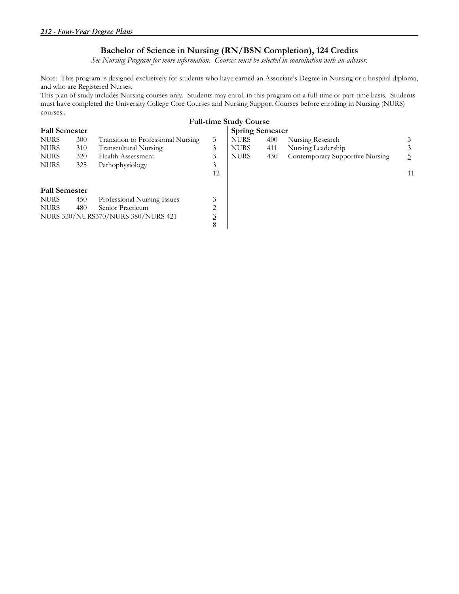## **Bachelor of Science in Nursing (RN/BSN Completion), 124 Credits**

*See Nursing Program for more information. Courses must be selected in consultation with an advisor.* 

Note: This program is designed exclusively for students who have earned an Associate's Degree in Nursing or a hospital diploma, and who are Registered Nurses.

This plan of study includes Nursing courses only. Students may enroll in this program on a full-time or part-time basis. Students must have completed the University College Core Courses and Nursing Support Courses before enrolling in Nursing (NURS) courses..

| <b>Full-time Study Course</b> |                                    |                                    |             |                        |                                 |    |  |  |  |  |  |
|-------------------------------|------------------------------------|------------------------------------|-------------|------------------------|---------------------------------|----|--|--|--|--|--|
| <b>Fall Semester</b>          |                                    |                                    |             | <b>Spring Semester</b> |                                 |    |  |  |  |  |  |
| 300                           | Transition to Professional Nursing | 3                                  | <b>NURS</b> | 400                    | Nursing Research                |    |  |  |  |  |  |
| 310                           | Transcultural Nursing              | 3                                  | <b>NURS</b> | 411                    | Nursing Leadership              |    |  |  |  |  |  |
| 320                           | Health Assessment                  | 3                                  | <b>NURS</b> | 430                    | Contemporary Supportive Nursing |    |  |  |  |  |  |
| 325                           | Pathophysiology                    | $\overline{3}$                     |             |                        |                                 |    |  |  |  |  |  |
|                               |                                    | 12                                 |             |                        |                                 | 11 |  |  |  |  |  |
|                               |                                    |                                    |             |                        |                                 |    |  |  |  |  |  |
| <b>Fall Semester</b>          |                                    |                                    |             |                        |                                 |    |  |  |  |  |  |
| 450                           | Professional Nursing Issues        | 3                                  |             |                        |                                 |    |  |  |  |  |  |
| 480                           | Senior Practicum                   | 2                                  |             |                        |                                 |    |  |  |  |  |  |
|                               |                                    |                                    |             |                        |                                 |    |  |  |  |  |  |
|                               |                                    | 8                                  |             |                        |                                 |    |  |  |  |  |  |
|                               |                                    | NURS 330/NURS370/NURS 380/NURS 421 |             |                        |                                 |    |  |  |  |  |  |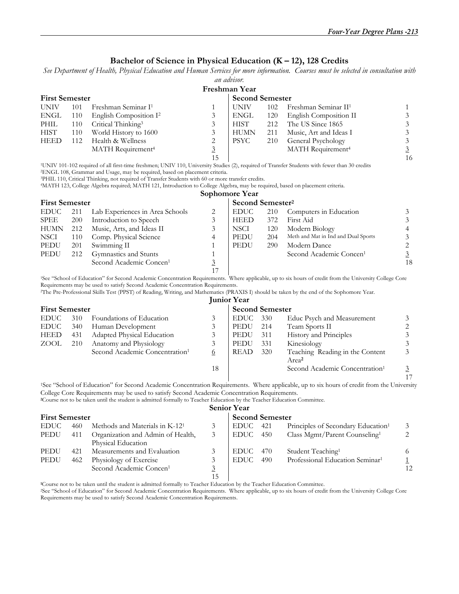### **Bachelor of Science in Physical Education (K – 12), 128 Credits**

*See Department of Health, Physical Education and Human Services for more information. Courses must be selected in consultation with* 

|                       |     |                                                                                                                                                                                                                                                                                                                                                                                                                                                                                                                    |                         | an advisor.                  |     |                                                                                                                                                                     |                          |
|-----------------------|-----|--------------------------------------------------------------------------------------------------------------------------------------------------------------------------------------------------------------------------------------------------------------------------------------------------------------------------------------------------------------------------------------------------------------------------------------------------------------------------------------------------------------------|-------------------------|------------------------------|-----|---------------------------------------------------------------------------------------------------------------------------------------------------------------------|--------------------------|
|                       |     |                                                                                                                                                                                                                                                                                                                                                                                                                                                                                                                    |                         | Freshman Year                |     |                                                                                                                                                                     |                          |
| <b>First Semester</b> |     |                                                                                                                                                                                                                                                                                                                                                                                                                                                                                                                    |                         | <b>Second Semester</b>       |     |                                                                                                                                                                     |                          |
| <b>UNIV</b>           | 101 | Freshman Seminar I <sup>1</sup>                                                                                                                                                                                                                                                                                                                                                                                                                                                                                    | 1                       | <b>UNIV</b>                  | 102 | Freshman Seminar II <sup>1</sup>                                                                                                                                    | 1                        |
| <b>ENGL</b>           | 110 | English Composition I <sup>2</sup>                                                                                                                                                                                                                                                                                                                                                                                                                                                                                 | 3                       | <b>ENGL</b>                  | 120 | English Composition II                                                                                                                                              | $\mathfrak{Z}$           |
| PHIL                  | 110 | Critical Thinking <sup>3</sup>                                                                                                                                                                                                                                                                                                                                                                                                                                                                                     | 3                       | <b>HIST</b>                  | 212 | The US Since 1865                                                                                                                                                   | $\mathfrak{Z}$           |
| <b>HIST</b>           | 110 | World History to 1600                                                                                                                                                                                                                                                                                                                                                                                                                                                                                              | 3                       | <b>HUMN</b>                  | 211 | Music, Art and Ideas I                                                                                                                                              | $\sqrt{3}$               |
| <b>HEED</b>           | 112 | Health & Wellness                                                                                                                                                                                                                                                                                                                                                                                                                                                                                                  | $\overline{\mathbf{c}}$ | <b>PSYC</b>                  | 210 | General Psychology                                                                                                                                                  | $\overline{\mathbf{3}}$  |
|                       |     | MATH Requirement <sup>4</sup>                                                                                                                                                                                                                                                                                                                                                                                                                                                                                      | $\overline{3}$          |                              |     | MATH Requirement <sup>4</sup>                                                                                                                                       | $\overline{3}$           |
|                       |     |                                                                                                                                                                                                                                                                                                                                                                                                                                                                                                                    | 15                      |                              |     |                                                                                                                                                                     | 16                       |
|                       |     | <sup>1</sup> UNIV 101-102 required of all first-time freshmen; UNIV 110, University Studies (2), required of Transfer Students with fewer than 30 credits<br><sup>2</sup> ENGL 108, Grammar and Usage, may be required, based on placement criteria.<br><sup>3</sup> PHIL 110, Critical Thinking, not required of Transfer Students with 60 or more transfer credits.<br><sup>4</sup> MATH 123, College Algebra required; MATH 121, Introduction to College Algebra, may be required, based on placement criteria. |                         |                              |     |                                                                                                                                                                     |                          |
|                       |     |                                                                                                                                                                                                                                                                                                                                                                                                                                                                                                                    |                         | Sophomore Year               |     |                                                                                                                                                                     |                          |
| <b>First Semester</b> |     |                                                                                                                                                                                                                                                                                                                                                                                                                                                                                                                    |                         | Second Semester <sup>2</sup> |     |                                                                                                                                                                     |                          |
| <b>EDUC</b>           | 211 | Lab Experiences in Area Schools                                                                                                                                                                                                                                                                                                                                                                                                                                                                                    | 2                       | <b>EDUC</b>                  | 210 | Computers in Education                                                                                                                                              | 3                        |
| <b>SPEE</b>           | 200 | Introduction to Speech                                                                                                                                                                                                                                                                                                                                                                                                                                                                                             | 3                       | <b>HEED</b>                  | 372 | First Aid                                                                                                                                                           | $\mathfrak{Z}$           |
| <b>HUMN</b>           | 212 | Music, Arts, and Ideas II                                                                                                                                                                                                                                                                                                                                                                                                                                                                                          | 3                       | <b>NSCI</b>                  | 120 | Modern Biology                                                                                                                                                      | $\overline{\mathcal{L}}$ |
| <b>NSCI</b>           | 110 | Comp. Physical Science                                                                                                                                                                                                                                                                                                                                                                                                                                                                                             | 4                       | PEDU                         | 204 | Meth and Mat in Ind and Dual Sports                                                                                                                                 | $\overline{3}$           |
| PEDU                  | 201 | Swimming II                                                                                                                                                                                                                                                                                                                                                                                                                                                                                                        | 1                       | PEDU                         | 290 | Modern Dance                                                                                                                                                        | $\overline{c}$           |
| <b>PEDU</b>           | 212 | Gymnastics and Stunts                                                                                                                                                                                                                                                                                                                                                                                                                                                                                              | 1                       |                              |     | Second Academic Concen <sup>1</sup>                                                                                                                                 | $\overline{3}$           |
|                       |     | Second Academic Concen <sup>1</sup>                                                                                                                                                                                                                                                                                                                                                                                                                                                                                | $\overline{3}$          |                              |     |                                                                                                                                                                     | 18                       |
|                       |     |                                                                                                                                                                                                                                                                                                                                                                                                                                                                                                                    | 17                      |                              |     |                                                                                                                                                                     |                          |
|                       |     | Requirements may be used to satisfy Second Academic Concentration Requirements.<br><sup>2</sup> The Pre-Professional Skills Test (PPST) of Reading, Writing, and Mathematics (PRAXIS I) should be taken by the end of the Sophomore Year.                                                                                                                                                                                                                                                                          |                         | <b>Junior Year</b>           |     | <sup>1</sup> See "School of Education" for Second Academic Concentration Requirements. Where applicable, up to six hours of credit from the University College Core |                          |
| <b>First Semester</b> |     |                                                                                                                                                                                                                                                                                                                                                                                                                                                                                                                    |                         | <b>Second Semester</b>       |     |                                                                                                                                                                     |                          |
| <b>EDUC</b>           | 310 | Foundations of Education                                                                                                                                                                                                                                                                                                                                                                                                                                                                                           | 3                       | <b>EDUC</b>                  | 330 | Educ Psych and Measurement                                                                                                                                          | 3                        |
| <b>EDUC</b>           | 340 | Human Development                                                                                                                                                                                                                                                                                                                                                                                                                                                                                                  | 3                       | PEDU                         | 214 | Team Sports II                                                                                                                                                      | $\overline{c}$           |
| <b>HEED</b>           | 431 | Adapted Physical Education                                                                                                                                                                                                                                                                                                                                                                                                                                                                                         | 3                       | PEDU                         | 311 | History and Principles                                                                                                                                              | $\mathfrak{Z}$           |
| ZOOL                  | 210 | Anatomy and Physiology                                                                                                                                                                                                                                                                                                                                                                                                                                                                                             | 3                       | PEDU                         | 331 | Kinesiology                                                                                                                                                         | $\overline{3}$           |
|                       |     | Second Academic Concentration <sup>1</sup>                                                                                                                                                                                                                                                                                                                                                                                                                                                                         | $6\phantom{1}6$         | <b>READ</b>                  | 320 | Teaching Reading in the Content<br>Area <sup>2</sup>                                                                                                                | $\overline{3}$           |

17 **17** 1See "School of Education" for Second Academic Concentration Requirements. Where applicable, up to six hours of credit from the University College Core Requirements may be used to satisfy Second Academic Concentration Requirements.

18 Second Academic Concentration<sup>1</sup> 3

**<sup>2</sup>**Course not to be taken until the student is admitted formally to Teacher Education by the Teacher Education Committee.

|                       | <b>Senior Year</b> |                                            |    |                        |     |                                                |    |  |  |  |
|-----------------------|--------------------|--------------------------------------------|----|------------------------|-----|------------------------------------------------|----|--|--|--|
| <b>First Semester</b> |                    |                                            |    | <b>Second Semester</b> |     |                                                |    |  |  |  |
| <b>EDUC</b>           | 460                | Methods and Materials in K-12 <sup>1</sup> |    | EDUC –                 | 421 | Principles of Secondary Education <sup>1</sup> |    |  |  |  |
| PEDU                  | 411                | Organization and Admin of Health,          |    | EDUC –                 | 450 | Class Mgmt/Parent Counseling <sup>1</sup>      |    |  |  |  |
|                       |                    | Physical Education                         |    |                        |     |                                                |    |  |  |  |
| PEDU                  | 421                | Measurements and Evaluation                |    | <b>EDUC</b>            | 470 | Student Teaching <sup>1</sup>                  |    |  |  |  |
| PEDU                  | 462                | Physiology of Exercise                     |    | <b>EDUC</b>            | 490 | Professional Education Seminar <sup>1</sup>    |    |  |  |  |
|                       |                    | Second Academic Concen <sup>1</sup>        |    |                        |     |                                                | 12 |  |  |  |
|                       |                    |                                            | 15 |                        |     |                                                |    |  |  |  |

<sup>1</sup>Course not to be taken until the student is admitted formally to Teacher Education by the Teacher Education Committee.

<sup>2</sup>See "School of Education" for Second Academic Concentration Requirements. Where applicable, up to six hours of credit from the University College Core Requirements may be used to satisfy Second Academic Concentration Requirements.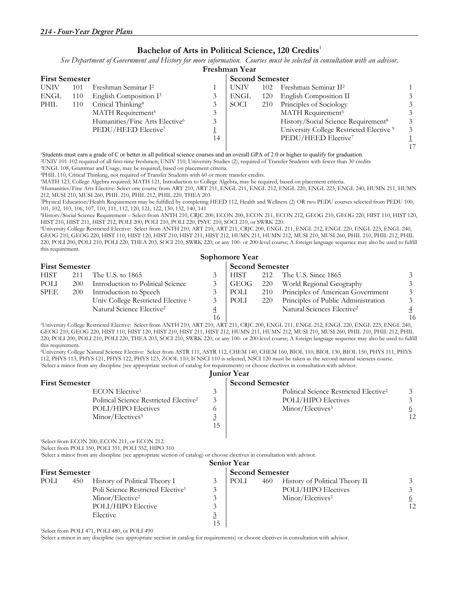#### **Bachelor of Arts in Political Science, 120 Credits**<sup>1</sup>

*See Department of Government and History for more information. Courses must be selected in consultation with an advisor.*

|                       | Freshman Year |                                                                               |         |                        |     |                                                     |  |  |  |  |  |
|-----------------------|---------------|-------------------------------------------------------------------------------|---------|------------------------|-----|-----------------------------------------------------|--|--|--|--|--|
| <b>First Semester</b> |               |                                                                               |         | <b>Second Semester</b> |     |                                                     |  |  |  |  |  |
| <b>UNIV</b>           | 101           | Freshman Seminar I <sup>2</sup>                                               |         | <b>UNIV</b>            | 102 | Freshman Seminar II <sup>2</sup>                    |  |  |  |  |  |
| ENGL                  | 110           | English Composition I <sup>3</sup>                                            |         | ENGL                   | 120 | English Composition II                              |  |  |  |  |  |
| PHIL                  | 110           | Critical Thinking <sup>4</sup>                                                |         | SOCI                   | 210 | Principles of Sociology                             |  |  |  |  |  |
|                       |               | MATH Requirement <sup>5</sup>                                                 | 3       |                        |     | MATH Requirement <sup>5</sup>                       |  |  |  |  |  |
|                       |               | Humanities/Fine Arts Elective <sup>6</sup><br>PEDU/HEED Elective <sup>7</sup> | 3<br>14 |                        |     | History/Social Science Requirement <sup>8</sup>     |  |  |  |  |  |
|                       |               |                                                                               |         |                        |     | University College Restricted Elective <sup>9</sup> |  |  |  |  |  |
|                       |               |                                                                               |         |                        |     | PEDU/HEED Elective <sup>7</sup>                     |  |  |  |  |  |
|                       |               |                                                                               |         |                        |     |                                                     |  |  |  |  |  |

<sup>1</sup>Students must earn a grade of C or better in all political science courses and an overall GPA of 2.0 or higher to qualify for graduation.

2UNIV 101-102 required of all first-time freshmen; UNIV 110, University Studies (2), required of Transfer Students with fewer than 30 credits 3ENGL 108, Grammar and Usage, may be required, based on placement criteria.

4PHIL 110, Critical Thinking, not required of Transfer Students with 60 or more transfer credits. 5MATH 123, College Algebra required; MATH 121, Introduction to College Algebra, may be required, based on placement criteria.

6Humanities/Fine Arts Elective: Select one course from ART 210, ART 211, ENGL 211, ENGL 212, ENGL 220, ENGL 223, ENGL 240, HUMN 211, HUMN 212, MUSI 210, MUSI 260, PHIL 210, PHIL 212, PHIL 220, THEA 203

7Physical Education/Health Requirement may be fulfilled by completing HEED 112, Health and Wellness (2) OR two PEDU courses selected from PEDU 100, 101, 102, 103, 106, 107, 110, 111, 112, 120, 121, 122, 130, 132, 140, 141

8History/Social Science Requirement – Select from ANTH 210, CRJC 200, ECON 200, ECON 211, ECON 212, GEOG 210, GEOG 220, HIST 110, HIST 120,

<sup>9</sup>University College Restricted Elective: Select from ANTH 210, ART 210, ART 211, CRJC 200, ENGL 211, ENGL 212, ENGL 220, ENGL 223, ENGL 240, GEOG 210, GEOG 220, HIST 110, HIST 120, HIST 210, HIST 211, HIST 212, HUMN 211, HUMN 212, MUSI 210, MUSI 260, PHIL 210, PHIL 212, PHIL 220, POLI 200, POLI 210, POLI 220, THEA 203, SOCI 210, SWRK 220, or any 100- or 200-level course; A foreign language sequence may also be used to fulfill this requirement. **Sophomore Year** 

|                       |            |                                               |    | <b>OUPHOILIOIC LCAL</b> |     |                                        |                |
|-----------------------|------------|-----------------------------------------------|----|-------------------------|-----|----------------------------------------|----------------|
| <b>First Semester</b> |            |                                               |    | <b>Second Semester</b>  |     |                                        |                |
| <b>HIST</b>           | 211        | The U.S. to 1865                              |    | <b>HIST</b>             | 212 | The U.S. Since 1865                    | 3              |
| POLI                  | 200        | Introduction to Political Science             |    | GEOG                    | 220 | World Regional Geography               | 3              |
| SPEE                  | <b>200</b> | Introduction to Speech                        |    | POLI                    | 210 | Principles of American Government      | 3              |
|                       |            | Univ College Restricted Elective <sup>1</sup> | 3. | POLI                    | 220 | Principles of Public Administration    | 3              |
|                       |            | Natural Science Elective <sup>2</sup>         | 4  |                         |     | Natural Sciences Elective <sup>2</sup> | $\overline{4}$ |
|                       |            |                                               |    |                         |     |                                        |                |

 16 16 1University College Restricted Elective: Select from ANTH 210, ART 210, ART 211, CRJC 200, ENGL 211, ENGL 212, ENGL 220, ENGL 223, ENGL 240, GEOG 210, GEOG 220, HIST 110, HIST 120, HIST 210, HIST 211, HIST 212, HUMN 211, HUMN 212, MUSI 210, MUSI 260, PHIL 210, PHIL 212, PHIL 220, POLI 200, POLI 210, POLI 220, THEA 203, SOCI 210, SWRK 220, or any 100- or 200-level course; A foreign language sequence may also be used to fulfill this requirement.

2University College Natural Science Elective: Select from ASTR 111, ASTR 112, CHEM 140, CHEM 160, BIOL 110, BIOL 130, BIOL 150, PHYS 111, PHYS <sup>3</sup>Select a minor from any discipline (see appropriate section of catalog for requirements) or choose electives in consultation with advisor.

| <b>Junior Year</b>                                 |          |                                                    |    |  |  |  |  |  |
|----------------------------------------------------|----------|----------------------------------------------------|----|--|--|--|--|--|
| First Semester                                     |          | <b>Second Semester</b>                             |    |  |  |  |  |  |
| ECON Elective <sup>1</sup>                         |          | Political Science Restricted Elective <sup>2</sup> |    |  |  |  |  |  |
| Political Science Restricted Elective <sup>2</sup> |          | <b>POLI/HIPO Electives</b>                         |    |  |  |  |  |  |
| <b>POLI/HIPO Electives</b>                         |          | Minor/Electives <sup>3</sup>                       |    |  |  |  |  |  |
| Minor/Electives <sup>3</sup>                       | <u>ژ</u> |                                                    | 12 |  |  |  |  |  |
|                                                    | 15       |                                                    |    |  |  |  |  |  |
|                                                    |          |                                                    |    |  |  |  |  |  |

1Select from ECON 200, ECON 211, or ECON 212.

2Select from POLI 350, POLI 351, POLI 352, HIPO 310

3Select a minor from any discipline (see appropriate section of catalog) or choose electives in consultation with advisor.

|                       |     |                                               |                    | <b>Senior Year</b>     |     |                                |    |
|-----------------------|-----|-----------------------------------------------|--------------------|------------------------|-----|--------------------------------|----|
| <b>First Semester</b> |     |                                               |                    | <b>Second Semester</b> |     |                                |    |
| POLI                  | 450 | History of Political Theory I                 |                    | POLI                   | 460 | History of Political Theory II |    |
|                       |     | Poli Science Restricted Elective <sup>1</sup> | $\mathbf{\hat{z}}$ |                        |     | <b>POLI/HIPO Electives</b>     |    |
|                       |     | Minor/Elective <sup>2</sup>                   |                    |                        |     | Minor/Electives <sup>2</sup>   |    |
|                       |     | POLI/HIPO Elective                            | $\mathbf{\hat{z}}$ |                        |     |                                | 12 |
|                       |     | Elective                                      | $\sim$<br>⊻        |                        |     |                                |    |
|                       |     |                                               | 15                 |                        |     |                                |    |

1Select from POLI 471, POLI 480, or POLI 490

2Select a minor in any discipline (see appropriate section in catalog for requirements) or choose electives in consultation with advisor.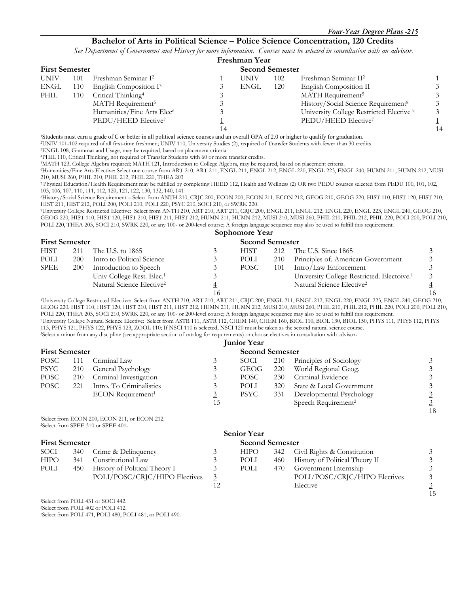#### **Bachelor of Arts in Political Science – Police Science Concentration, 120 Credits**<sup>1</sup>

*See Department of Government and History for more information. Courses must be selected in consultation with an advisor.* 

|      |                       |                                        |    | Freshman Year          |     |                                                     |    |  |
|------|-----------------------|----------------------------------------|----|------------------------|-----|-----------------------------------------------------|----|--|
|      | <b>First Semester</b> |                                        |    | <b>Second Semester</b> |     |                                                     |    |  |
| UNIV | 101                   | Freshman Seminar I <sup>2</sup>        |    | UNIV                   | 102 | Freshman Seminar II <sup>2</sup>                    |    |  |
| ENGL | 110                   | English Composition I <sup>3</sup>     |    | ENGL                   | 120 | English Composition II                              |    |  |
| PHIL | 110                   | Critical Thinking <sup>4</sup>         |    |                        |     | MATH Requirement <sup>5</sup>                       |    |  |
|      |                       | MATH Requirement <sup>5</sup>          |    |                        |     | History/Social Science Requirement <sup>8</sup>     |    |  |
|      |                       | Humanities/Fine Arts Elec <sup>6</sup> |    |                        |     | University College Restricted Elective <sup>9</sup> |    |  |
|      |                       | PEDU/HEED Elective <sup>7</sup>        |    |                        |     | PEDU/HEED Elective <sup>7</sup>                     |    |  |
|      |                       |                                        | 14 |                        |     |                                                     | 14 |  |

<sup>1</sup>Students must earn a grade of C or better in all political science courses and an overall GPA of 2.0 or higher to qualify for graduation. 2UNIV 101-102 required of all first-time freshmen; UNIV 110, University Studies (2), required of Transfer Students with fewer than 30 credits 3ENGL 108, Grammar and Usage, may be required, based on placement criteria.

4PHIL 110, Critical Thinking, not required of Transfer Students with 60 or more transfer credits. 5MATH 123, College Algebra required; MATH 121, Introduction to College Algebra, may be required, based on placement criteria.

6Humanities/Fine Arts Elective: Select one course from ART 210, ART 211, ENGL 211, ENGL 212, ENGL 220, ENGL 223, ENGL 240, HUMN 211, HUMN 212, MUSI 210, MUSI 260, PHIL 210, PHIL 212, PHIL 220, THEA 203

7 Physical Education/Health Requirement may be fulfilled by completing HEED 112, Health and Wellness (2) OR two PEDU courses selected from PEDU 100, 101, 102, 103, 106, 107, 110, 111, 112, 120, 121, 122, 130, 132, 140, 141

8History/Social Science Requirement – Select from ANTH 210, CRJC 200, ECON 200, ECON 211, ECON 212, GEOG 210, GEOG 220, HIST 110, HIST 120, HIST 210, HIST 211, HIST 212, POLI 200, POLI 210, POLI 220, PSYC 210, SOCI 210, or SWRK 220.

9University College Restricted Elective: Select from ANTH 210, ART 210, ART 211, CRJC 200, ENGL 211, ENGL 212, ENGL 220, ENGL 223, ENGL 240, GEOG 210, GEOG 220, HIST 110, HIST 120, HIST 210, HIST 211, HIST 212, HUMN 211, HUMN 212, MUSI 210, MUSI 260, PHIL 210, PHIL 212, PHIL 220, POLI 200, POLI 210, POLI 220, THEA 203, SOCI 210, SWRK 220, or any 100- or 200-level course; A foreign language sequence may also be used to fulfill this requirement.

**Sophomore Year** 

|             | <b>First Semester</b> |                                       |   | <b>Second Semester</b> |     |                                                        |    |
|-------------|-----------------------|---------------------------------------|---|------------------------|-----|--------------------------------------------------------|----|
| <b>HIST</b> | 211                   | The U.S. to 1865                      |   | <b>HIST</b>            |     | 212 The U.S. Since 1865                                |    |
| POLI        | 200                   | Intro to Political Science            |   | POLI                   | 210 | Principles of. American Government                     |    |
| <b>SPEE</b> | <b>200</b>            | Introduction to Speech                |   | POSC                   | 101 | Intro/Law Enforcement                                  |    |
|             |                       | Univ College Rest. Elec. <sup>1</sup> |   |                        |     | University College Restricted. Electoive. <sup>1</sup> |    |
|             |                       | Natural Science Elective <sup>2</sup> | 4 |                        |     | Natural Science Elective <sup>2</sup>                  |    |
|             |                       |                                       |   |                        |     |                                                        | 16 |

<sup>1</sup>University College Restricted Elective: Select from ANTH 210, ART 210, ART 211, CRJC 200, ENGL 211, ENGL 212, ENGL 220, ENGL 223, ENGL 240, GEOG 210, GEOG 220, HIST 110, HIST 120, HIST 210, HIST 211, HIST 212, HUMN 211, HUMN 212, MUSI 210, MUSI 260, PHIL 210, PHIL 212, PHIL 220, POLI 200, POLI 210, POLI 220, THEA 203, SOCI 210, SWRK 220, or any 100- or 200-level course; A foreign language sequence may also be used to fulfill this requirement. 2University College Natural Science Elective: Select from ASTR 111, ASTR 112, CHEM 140, CHEM 160, BIOL 110, BIOL 130, BIOL 150, PHYS 111, PHYS 112, PHYS 113, PHYS 121, PHYS 122, PHYS 123, ZOOL 110; If NSCI 110 is selected, NSCI 120 must be taken as the second natural science course**.** 3Select a minor from any discipline (see appropriate section of catalog for requirements) or choose electives in consultation with advisor**.** 

| <b>Junior Year</b> |  |
|--------------------|--|

|                       |     |                                 |    | TUILIUI TUAT |                        |                                 |    |  |
|-----------------------|-----|---------------------------------|----|--------------|------------------------|---------------------------------|----|--|
| <b>First Semester</b> |     |                                 |    |              | <b>Second Semester</b> |                                 |    |  |
| POSC                  | 111 | Criminal Law                    |    | SOCI         | 210                    | Principles of Sociology         |    |  |
| <b>PSYC</b>           | 210 | General Psychology              |    | GEOG         | <b>220</b>             | World Regional Geog.            |    |  |
| POSC                  | 210 | Criminal Investigation          |    | <b>POSC</b>  | 230                    | Criminal Evidence               |    |  |
| POSC                  | 221 | Intro. To Criminalistics        |    | POLI         | 320                    | State & Local Government        |    |  |
|                       |     | $ECON$ Requirement <sup>1</sup> |    | <b>PSYC</b>  | 331                    | Developmental Psychology        |    |  |
|                       |     |                                 | 15 |              |                        | Speech Requirement <sup>2</sup> |    |  |
|                       |     |                                 |    |              |                        |                                 | 18 |  |

1Select from ECON 200, ECON 211, or ECON 212. 2Select from SPEE 310 or SPEE 401**.** 

| SOCI        | 340 Crime & Delinquency           | <b>HIPO</b> |     | 342 Civil Rights & Constitution    |   |
|-------------|-----------------------------------|-------------|-----|------------------------------------|---|
| <b>HIPO</b> | 341 Constitutional Law            | POLI        |     | 460 History of Political Theory II |   |
| POLI        | 450 History of Political Theory I | POLI        | 470 | Government Internship              |   |
|             | POLI/POSC/CRJC/HIPO Electives     |             |     | POLI/POSC/CRJC/HIPO Electives      | 3 |
|             |                                   |             |     | $\Gamma$ la ativo                  |   |

1Select from POLI 431 or SOCI 442. 2Select from POLI 402 or POLI 412.

3Select from POLI 471, POLI 480, POLI 481, or POLI 490.

### **Senior Year**

**First Semester Second Semester Second Semester Second Semester Second Semester Second Semester Second Semester** 

| SOCI |     | 340 Crime & Delinquency       | HIPO. |      | 342 Civil Rights & Constitution |    |
|------|-----|-------------------------------|-------|------|---------------------------------|----|
| HIPO | 341 | Constitutional Law            | POLI  | 460  | History of Political Theory II  |    |
| POLI | 450 | History of Political Theory I | POLI  | 470. | Government Internship           |    |
|      |     | POLI/POSC/CRJC/HIPO Electives |       |      | POLI/POSC/CRJC/HIPO Electives   |    |
|      |     |                               |       |      | Elective                        |    |
|      |     |                               |       |      |                                 | 15 |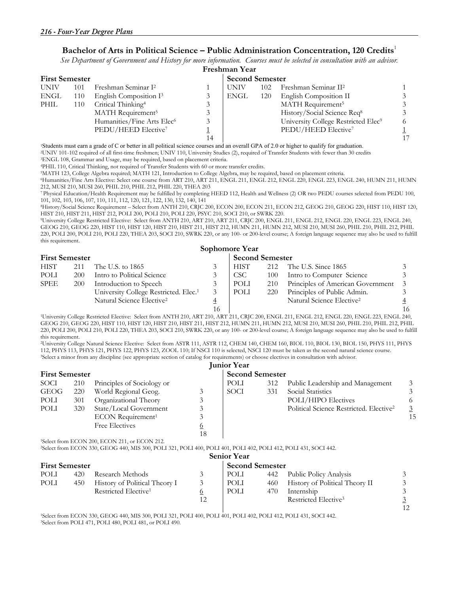#### **Bachelor of Arts in Political Science – Public Administration Concentration, 120 Credits**<sup>1</sup>

*See Department of Government and History for more information. Courses must be selected in consultation with an advisor.* 

|             |                       |                                                                                                                                     |    | Freshman Year          |     |                                                 |  |
|-------------|-----------------------|-------------------------------------------------------------------------------------------------------------------------------------|----|------------------------|-----|-------------------------------------------------|--|
|             | <b>First Semester</b> |                                                                                                                                     |    | <b>Second Semester</b> |     |                                                 |  |
| <b>UNIV</b> | 101                   | Freshman Seminar I <sup>2</sup>                                                                                                     |    | <b>UNIV</b>            | 102 | Freshman Seminar II <sup>2</sup>                |  |
| ENGL        | 110                   | English Composition I <sup>3</sup>                                                                                                  |    | ENGL                   | 120 | English Composition II                          |  |
| <b>PHIL</b> | 110                   | Critical Thinking <sup>4</sup>                                                                                                      |    |                        |     | MATH Requirement <sup>5</sup>                   |  |
|             |                       | MATH Requirement <sup>5</sup>                                                                                                       |    |                        |     | History/Social Science Req <sup>8</sup>         |  |
|             |                       | Humanities/Fine Arts Elec <sup>6</sup>                                                                                              |    |                        |     | University College Restricted Elec <sup>9</sup> |  |
|             |                       | PEDU/HEED Elective <sup>7</sup>                                                                                                     |    |                        |     | PEDU/HEED Elective <sup>7</sup>                 |  |
|             |                       |                                                                                                                                     | 14 |                        |     |                                                 |  |
|             |                       | $(0.1, 1.0)$ and $(1.0, 1.0)$ and $(1.0, 1.0)$ and $(1.0, 1.0)$ and $(1.0, 1.0)$ and $(1.0, 1.0)$ and $(1.0, 1.0)$ and $(1.0, 1.0)$ |    |                        |     |                                                 |  |

<sup>1</sup>Students must earn a grade of C or better in all political science courses and an overall GPA of 2.0 or higher to qualify for graduation. 2UNIV 101-102 required of all first-time freshmen; UNIV 110, University Studies (2), required of Transfer Students with fewer than 30 credits 3ENGL 108, Grammar and Usage, may be required, based on placement criteria.

4PHIL 110, Critical Thinking, not required of Transfer Students with 60 or more transfer credits. 5MATH 123, College Algebra required; MATH 121, Introduction to College Algebra, may be required, based on placement criteria.

6Humanities/Fine Arts Elective: Select one course from ART 210, ART 211, ENGL 211, ENGL 212, ENGL 220, ENGL 223, ENGL 240, HUMN 211, HUMN 212, MUSI 210, MUSI 260, PHIL 210, PHIL 212, PHIL 220, THEA 203

7 Physical Education/Health Requirement may be fulfilled by completing HEED 112, Health and Wellness (2) OR two PEDU courses selected from PEDU 100, 101, 102, 103, 106, 107, 110, 111, 112, 120, 121, 122, 130, 132, 140, 141

8History/Social Science Requirement – Select from ANTH 210, CRJC 200, ECON 200, ECON 211, ECON 212, GEOG 210, GEOG 220, HIST 110, HIST 120,

<sup>9</sup>University College Restricted Elective: Select from ANTH 210, ART 210, ART 211, CRJC 200, ENGL 211, ENGL 212, ENGL 220, ENGL 223, ENGL 240, GEOG 210, GEOG 220, HIST 110, HIST 120, HIST 210, HIST 211, HIST 212, HUMN 211, HUMN 212, MUSI 210, MUSI 260, PHIL 210, PHIL 212, PHIL 220, POLI 200, POLI 210, POLI 220, THEA 203, SOCI 210, SWRK 220, or any 100- or 200-level course; A foreign language sequence may also be used to fulfill this requirement.

|                       |            |                                                   |    | Sophomore Year |                        |                                       |  |  |
|-----------------------|------------|---------------------------------------------------|----|----------------|------------------------|---------------------------------------|--|--|
| <b>First Semester</b> |            |                                                   |    |                | <b>Second Semester</b> |                                       |  |  |
| <b>HIST</b>           | 211        | The U.S. to 1865                                  |    | <b>HIST</b>    | 212                    | The U.S. Since 1865                   |  |  |
| POLI                  | <b>200</b> | Intro to Political Science                        |    | CSC -          | 100                    | Intro to Computer Science             |  |  |
| <b>SPEE</b>           | <b>200</b> | Introduction to Speech                            |    | POLI           | 210                    | Principles of American Government     |  |  |
|                       |            | University College Restricted. Elec. <sup>1</sup> |    | POLI           | 220                    | Principles of Public Admin.           |  |  |
|                       |            | Natural Science Elective <sup>2</sup>             |    |                |                        | Natural Science Elective <sup>2</sup> |  |  |
|                       |            |                                                   | 16 |                |                        |                                       |  |  |

 16 16 1University College Restricted Elective: Select from ANTH 210, ART 210, ART 211, CRJC 200, ENGL 211, ENGL 212, ENGL 220, ENGL 223, ENGL 240, GEOG 210, GEOG 220, HIST 110, HIST 120, HIST 210, HIST 211, HIST 212, HUMN 211, HUMN 212, MUSI 210, MUSI 260, PHIL 210, PHIL 212, PHIL 220, POLI 200, POLI 210, POLI 220, THEA 203, SOCI 210, SWRK 220, or any 100- or 200-level course; A foreign language sequence may also be used to fulfill this requirement.

2University College Natural Science Elective: Select from ASTR 111, ASTR 112, CHEM 140, CHEM 160, BIOL 110, BIOL 130, BIOL 150, PHYS 111, PHYS <sup>3</sup>Select a minor from any discipline (see appropriate section of catalog for requirements) or choose electives in consultation with advisor.

|             |                       |                               |                | <b>Junior Year</b> |                        |                                                     |    |  |  |
|-------------|-----------------------|-------------------------------|----------------|--------------------|------------------------|-----------------------------------------------------|----|--|--|
|             | <b>First Semester</b> |                               |                |                    | <b>Second Semester</b> |                                                     |    |  |  |
| SOCI        | 210                   | Principles of Sociology or    |                | POLI               | 312                    | Public Leadership and Management                    |    |  |  |
| <b>GEOG</b> | 220                   | World Regional Geog.          |                | SOCI               | 331                    | Social Statistics                                   |    |  |  |
| POLI        | 301                   | Organizational Theory         |                |                    |                        | POLI/HIPO Electives                                 |    |  |  |
| POLI        | 320                   | State/Local Government        |                |                    |                        | Political Science Restricted. Elective <sup>2</sup> |    |  |  |
|             |                       | ECON Requirement <sup>1</sup> |                |                    |                        |                                                     | 15 |  |  |
|             |                       | <b>Free Electives</b>         | $\overline{o}$ |                    |                        |                                                     |    |  |  |
|             |                       |                               | 18             |                    |                        |                                                     |    |  |  |

1Select from ECON 200, ECON 211, or ECON 212.

2Select from ECON 330, GEOG 440, MIS 300, POLI 321, POLI 400, POLI 401, POLI 402, POLI 412, POLI 431, SOCI 442.

|                       |     |                                  |                | <b>Senior Year</b> |                        |                                    |    |  |  |
|-----------------------|-----|----------------------------------|----------------|--------------------|------------------------|------------------------------------|----|--|--|
| <b>First Semester</b> |     |                                  |                |                    | <b>Second Semester</b> |                                    |    |  |  |
| POLI                  | 420 | Research Methods                 |                | POLI               |                        | 442 Public Policy Analysis         |    |  |  |
| POLI                  | 450 | History of Political Theory I    |                | POLI               |                        | 460 History of Political Theory II |    |  |  |
|                       |     | Restricted Elective <sup>1</sup> | $\overline{0}$ | POLI               | 470                    | Internship                         |    |  |  |
|                       |     |                                  | 12             |                    |                        | Restricted Elective <sup>3</sup>   |    |  |  |
|                       |     |                                  |                |                    |                        |                                    | 12 |  |  |

1Select from ECON 330, GEOG 440, MIS 300, POLI 321, POLI 400, POLI 401, POLI 402, POLI 412, POLI 431, SOCI 442. 3Select from POLI 471, POLI 480, POLI 481, or POLI 490.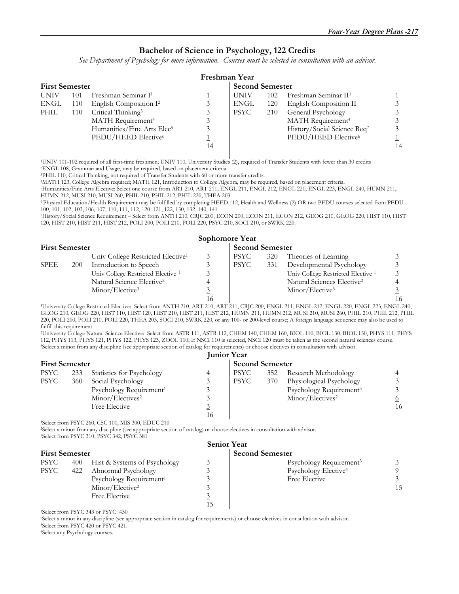#### **Bachelor of Science in Psychology, 122 Credits**

*See Department of Psychology for more information. Courses must be selected in consultation with an advisor.* 

|                       |     |                                        |    | Freshman Year          |     |                                  |    |
|-----------------------|-----|----------------------------------------|----|------------------------|-----|----------------------------------|----|
| <b>First Semester</b> |     |                                        |    | <b>Second Semester</b> |     |                                  |    |
| <b>UNIV</b>           | 101 | Freshman Seminar I <sup>1</sup>        |    | UNIV                   | 102 | Freshman Seminar II <sup>1</sup> |    |
| ENGL                  | 110 | English Composition I <sup>2</sup>     |    | ENGL                   | 120 | English Composition II           |    |
| PHIL                  | 110 | Critical Thinking <sup>3</sup>         |    | <b>PSYC</b>            | 210 | General Psychology               |    |
|                       |     | MATH Requirement <sup>4</sup>          | 3  |                        |     | MATH Requirement <sup>4</sup>    |    |
|                       |     | Humanities/Fine Arts Elec <sup>5</sup> | 3  |                        |     | History/Social Science Req7      |    |
|                       |     | PEDU/HEED Elective <sup>6</sup>        |    |                        |     | PEDU/HEED Elective <sup>6</sup>  |    |
|                       |     |                                        | 14 |                        |     |                                  | 14 |
|                       |     |                                        |    |                        |     |                                  |    |

1UNIV 101-102 required of all first-time freshmen; UNIV 110, University Studies (2), required of Transfer Students with fewer than 30 credits 2ENGL 108, Grammar and Usage, may be required, based on placement criteria.

3PHIL 110, Critical Thinking, not required of Transfer Students with 60 or more transfer credits. 4MATH 123, College Algebra required; MATH 121, Introduction to College Algebra, may be required, based on placement criteria.

5Humanities/Fine Arts Elective: Select one course from ART 210, ART 211, ENGL 211, ENGL 212, ENGL 220, ENGL 223, ENGL 240, HUMN 211, HUMN 212, MUSI 210, MUSI 260, PHIL 210, PHIL 212, PHIL 220, THEA 203

6 Physical Education/Health Requirement may be fulfilled by completing HEED 112, Health and Wellness (2) OR two PEDU courses selected from PEDU 100, 101, 102, 103, 106, 107, 110, 111, 112, 120, 121, 122, 130, 132, 140, 141

7History/Social Science Requirement – Select from ANTH 210, CRJC 200, ECON 200, ECON 211, ECON 212, GEOG 210, GEOG 220, HIST 110, HIST 120, HIST 210, HIST 211, HIST 212, POLI 200, POLI 210, POLI 220, PSYC 210, SOCI 210, or SWRK 220.

| <b>First Semester</b> |     |                                               | <b>Second Semester</b> |      |     |                                               |    |
|-----------------------|-----|-----------------------------------------------|------------------------|------|-----|-----------------------------------------------|----|
|                       |     | Univ College Restricted Elective <sup>1</sup> | 3                      | PSYC | 320 | Theories of Learning                          |    |
| <b>SPEE</b>           | 200 | Introduction to Speech                        | 3                      | PSYC | 331 | Developmental Psychology                      |    |
|                       |     | Univ College Restricted Elective <sup>1</sup> | 3                      |      |     | Univ College Restricted Elective <sup>1</sup> |    |
|                       |     | Natural Science Elective <sup>2</sup>         | 4                      |      |     | Natural Sciences Elective <sup>2</sup>        |    |
|                       |     | Minor/Elective <sup>3</sup>                   |                        |      |     | Minor/Electric <sup>3</sup>                   |    |
|                       |     |                                               |                        |      |     |                                               | 16 |

 16 16 1University College Restricted Elective: Select from ANTH 210, ART 210, ART 211, CRJC 200, ENGL 211, ENGL 212, ENGL 220, ENGL 223, ENGL 240, GEOG 210, GEOG 220, HIST 110, HIST 120, HIST 210, HIST 211, HIST 212, HUMN 211, HUMN 212, MUSI 210, MUSI 260, PHIL 210, PHIL 212, PHIL 220, POLI 200, POLI 210, POLI 220, THEA 203, SOCI 210, SWRK 220, or any 100- or 200-level course; A foreign language sequence may also be used to fulfill this requirement.

2University College Natural Science Elective: Select from ASTR 111, ASTR 112, CHEM 140, CHEM 160, BIOL 110, BIOL 130, BIOL 150, PHYS 111, PHYS 112, PHYS 113, PHYS 121, PHYS 122, PHYS 123, ZOOL 110; If NSCI 110 is selected, NSCI 120 must be taken as the second natural sciences course.<br><sup>3</sup>Select a minor from any discipline (see appropriate section of catalog for re

|                       |     |                                     |    | <b>Junior Year</b>     |     |                                     |    |
|-----------------------|-----|-------------------------------------|----|------------------------|-----|-------------------------------------|----|
| <b>First Semester</b> |     |                                     |    | <b>Second Semester</b> |     |                                     |    |
| <b>PSYC</b>           | 233 | Statistics for Psychology           | 4  | <b>PSYC</b>            | 352 | Research Methodology                |    |
| <b>PSYC</b>           | 360 | Social Psychology                   |    | <b>PSYC</b>            | 370 | Physiological Psychology            |    |
|                       |     | Psychology Requirement <sup>1</sup> |    |                        |     | Psychology Requirement <sup>3</sup> |    |
|                       |     | Minor/Electives <sup>2</sup>        |    |                        |     | Minor/Electives <sup>2</sup>        |    |
|                       |     | Free Elective                       | ౨  |                        |     |                                     | 16 |
|                       |     |                                     | 16 |                        |     |                                     |    |

1Select from PSYC 260, CSC 100, MIS 300, EDUC 210

2Select a minor from any discipline (see appropriate section of catalog) or choose electives in consultation with advisor. <sup>3</sup>Select from PSYC 310, PSYC 342, PSYC 381

|                       |     |                                     |                        | <b>Senior Year</b>                  |    |
|-----------------------|-----|-------------------------------------|------------------------|-------------------------------------|----|
| <b>First Semester</b> |     |                                     | <b>Second Semester</b> |                                     |    |
| PSYC                  | 400 | Hist & Systems of Psychology        |                        | Psychology Requirement <sup>3</sup> |    |
| <b>PSYC</b>           | 422 | Abnormal Psychology                 |                        | Psychology Elective <sup>4</sup>    |    |
|                       |     | Psychology Requirement <sup>1</sup> |                        | Free Elective                       |    |
|                       |     | Minor/Elective <sup>2</sup>         |                        |                                     | 15 |
|                       |     | Free Elective                       | ୰                      |                                     |    |
|                       |     |                                     | 15                     |                                     |    |

1Select from PSYC 343 or PSYC 430

2Select a minor in any discipline (see appropriate section in catalog for requirements) or choose electives in consultation with advisor. 3Select from PSYC 420 or PSYC 421.

4Select any Psychology courses.

#### **Sophomore Year**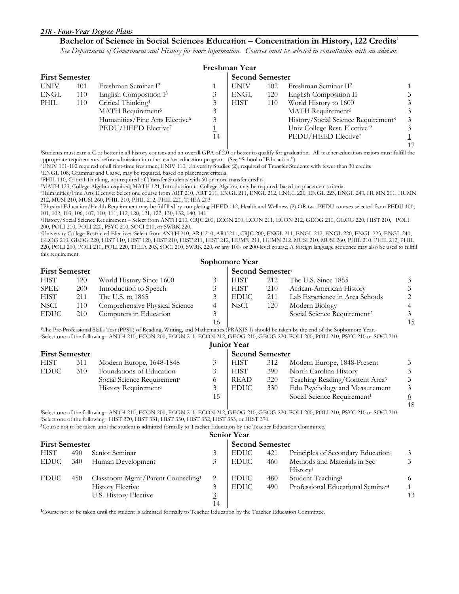#### *218 - Four-Year Degree Plans*

#### **Bachelor of Science in Social Sciences Education – Concentration in History, 122 Credits**<sup>1</sup>

*See Department of Government and History for more information. Courses must be selected in consultation with an advisor.* 

|             |                       |                                            |    | Freshman Year |     |                                                 |  |  |  |  |
|-------------|-----------------------|--------------------------------------------|----|---------------|-----|-------------------------------------------------|--|--|--|--|
|             | <b>First Semester</b> |                                            |    |               |     | <b>Second Semester</b>                          |  |  |  |  |
| <b>UNIV</b> | 101                   | Freshman Seminar I <sup>2</sup>            |    | <b>UNIV</b>   | 102 | Freshman Seminar II <sup>2</sup>                |  |  |  |  |
| ENGL        | 110                   | English Composition I <sup>3</sup>         |    | <b>ENGL</b>   | 120 | English Composition II                          |  |  |  |  |
| PHIL        | 110                   | Critical Thinking <sup>4</sup>             |    | <b>HIST</b>   | 110 | World History to 1600                           |  |  |  |  |
|             |                       | MATH Requirement <sup>5</sup>              |    |               |     | MATH Requirement <sup>5</sup>                   |  |  |  |  |
|             |                       | Humanities/Fine Arts Elective <sup>6</sup> |    |               |     | History/Social Science Requirement <sup>8</sup> |  |  |  |  |
|             |                       | PEDU/HEED Elective <sup>7</sup>            |    |               |     | Univ College Rest. Elective <sup>9</sup>        |  |  |  |  |
|             |                       |                                            | 14 |               |     | PEDU/HEED Elective <sup>7</sup>                 |  |  |  |  |
|             |                       |                                            |    |               |     |                                                 |  |  |  |  |

1Students must earn a C or better in all history courses and an overall GPA of 2.0 or better to qualify for graduation. All teacher education majors must fulfill the

appropriate requirements before admission into the teacher education program. (See "School of Education.")<br><sup>2</sup>UNIV 101-102 required of all first-time freshmen; UNIV 110, University Studies (2), required of Transfer Student

4PHIL 110, Critical Thinking, not required of Transfer Students with 60 or more transfer credits. 5MATH 123, College Algebra required; MATH 121, Introduction to College Algebra, may be required, based on placement criteria.

6Humanities/Fine Arts Elective: Select one course from ART 210, ART 211, ENGL 211, ENGL 212, ENGL 220, ENGL 223, ENGL 240, HUMN 211, HUMN 212, MUSI 210, MUSI 260, PHIL 210, PHIL 212, PHIL 220, THEA 203

7 Physical Education/Health Requirement may be fulfilled by completing HEED 112, Health and Wellness (2) OR two PEDU courses selected from PEDU 100, 101, 102, 103, 106, 107, 110, 111, 112, 120, 121, 122, 130, 132, 140, 141

8History/Social Science Requirement – Select from ANTH 210, CRJC 200, ECON 200, ECON 211, ECON 212, GEOG 210, GEOG 220, HIST 210, POLI 200, POLI 210, POLI 220, PSYC 210, SOCI 210, or SWRK 220.

9University College Restricted Elective: Select from ANTH 210, ART 210, ART 211, CRJC 200, ENGL 211, ENGL 212, ENGL 220, ENGL 223, ENGL 240, GEOG 210, GEOG 220, HIST 110, HIST 120, HIST 210, HIST 211, HIST 212, HUMN 211, HUMN 212, MUSI 210, MUSI 260, PHIL 210, PHIL 212, PHIL 220, POLI 200, POLI 210, POLI 220, THEA 203, SOCI 210, SWRK 220, or any 100- or 200-level course; A foreign language sequence may also be used to fulfill this requirement.

|                       |            |                                |    | Sophomore Year |                              |                                         |                |  |
|-----------------------|------------|--------------------------------|----|----------------|------------------------------|-----------------------------------------|----------------|--|
| <b>First Semester</b> |            |                                |    |                | Second Semester <sup>1</sup> |                                         |                |  |
| <b>HIST</b>           | 120        | World History Since 1600       |    | <b>HIST</b>    | 212                          | The U.S. Since 1865                     | 3              |  |
| SPEE                  | <b>200</b> | Introduction to Speech         |    | <b>HIST</b>    | 210                          | African-American History                | 3              |  |
| <b>HIST</b>           | 211        | The U.S. to 1865               |    | <b>EDUC</b>    | 211                          | Lab Experience in Area Schools          | 2              |  |
| <b>NSCI</b>           | 110        | Comprehensive Physical Science |    | NSCI           | 120                          | Modern Biology                          | $\overline{4}$ |  |
| <b>EDUC</b>           | 210        | Computers in Education         |    |                |                              | Social Science Requirement <sup>2</sup> | $\overline{3}$ |  |
|                       |            |                                | 16 |                |                              |                                         | 15             |  |

<sup>1</sup>The Pre-Professional Skills Test (PPST) of Reading, Writing, and Mathematics (PRAXIS I) should be taken by the end of the Sophomore Year.<br><sup>2</sup>Select one of the following: ANTH 210, ECON 200, ECON 211, ECON 212, GEOG 210,

|                       |     |                                         |    | <b>Junior Year</b> |                        |                                            |          |  |
|-----------------------|-----|-----------------------------------------|----|--------------------|------------------------|--------------------------------------------|----------|--|
| <b>First Semester</b> |     |                                         |    |                    | <b>Second Semester</b> |                                            |          |  |
| <b>HIST</b>           | 311 | Modern Europe, 1648-1848                |    | HIST               | 312                    | Modern Europe, 1848-Present                | 3        |  |
| <b>EDUC</b>           | 310 | Foundations of Education                |    | HIST               | 390                    | North Carolina History                     | 3        |  |
|                       |     | Social Science Requirement <sup>1</sup> |    | READ               | 320                    | Teaching Reading/Content Area <sup>3</sup> | 3        |  |
|                       |     | History Requirement <sup>2</sup>        |    | <b>EDUC</b>        | 330                    | Edu Psychology and Measurement             | 3        |  |
|                       |     |                                         | 15 |                    |                        | Social Science Requirement <sup>1</sup>    | <u>6</u> |  |

18 18 <sup>1</sup>Select one of the following: ANTH 210, ECON 200, ECON 211, ECON 212, GEOG 210, GEOG 220, POLI 200, POLI 210, PSYC 210 or SOCI 210. <sup>2</sup>Select one of the following: HIST 270, HIST 331, HIST 350, HIST 352, HIST 353, or HIS

<sup>3</sup>Course not to be taken until the student is admitted formally to Teacher Education by the Teacher Education Committee.

|                       |     |                                               |                        | <b>Senior Year</b> |     |                                                      |    |
|-----------------------|-----|-----------------------------------------------|------------------------|--------------------|-----|------------------------------------------------------|----|
| <b>First Semester</b> |     |                                               | <b>Second Semester</b> |                    |     |                                                      |    |
| <b>HIST</b>           | 490 | Senior Seminar                                |                        | <b>EDUC</b>        | 421 | Principles of Secondary Education <sup>1</sup>       |    |
| <b>EDUC</b>           | 340 | Human Development                             | 3                      | <b>EDUC</b>        | 460 | Methods and Materials in Sec<br>Historv <sup>1</sup> |    |
| <b>EDUC</b>           | 450 | Classroom Mgmt/Parent Counseling <sup>1</sup> |                        | <b>EDUC</b>        | 480 | Student Teaching <sup>1</sup>                        |    |
|                       |     | <b>History Elective</b>                       | 3                      | <b>EDUC</b>        | 490 | Professional Educational Seminar <sup>1</sup>        |    |
|                       |     | U.S. History Elective                         | ⊻<br>14                |                    |     |                                                      | 13 |

**1**Course not to be taken until the student is admitted formally to Teacher Education by the Teacher Education Committee.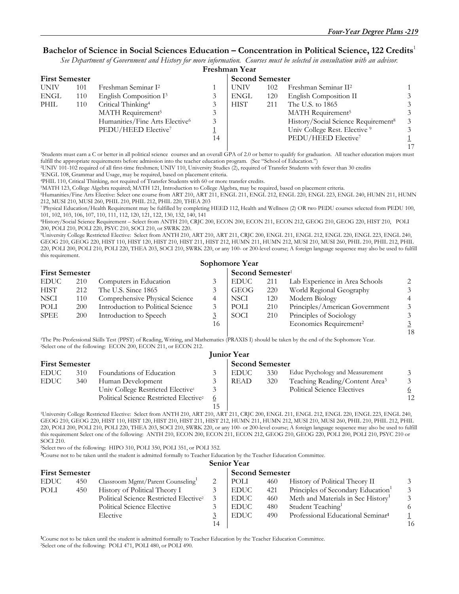#### **Bachelor of Science in Social Sciences Education – Concentration in Political Science, 122 Credits**<sup>1</sup>

*See Department of Government and History for more information. Courses must be selected in consultation with an advisor.*

|             | Freshman Year         |                                 |    |                        |     |                                                 |  |  |  |  |  |
|-------------|-----------------------|---------------------------------|----|------------------------|-----|-------------------------------------------------|--|--|--|--|--|
|             | <b>First Semester</b> |                                 |    | <b>Second Semester</b> |     |                                                 |  |  |  |  |  |
| <b>UNIV</b> | 101                   | Freshman Seminar I <sup>2</sup> |    | <b>UNIV</b>            | 102 | Freshman Seminar II <sup>2</sup>                |  |  |  |  |  |
| ENGL        | 110                   | English Composition $I^3$       |    | <b>ENGL</b>            | 120 | English Composition II                          |  |  |  |  |  |
| PHIL        | 110                   | Critical Thinking <sup>4</sup>  |    | <b>HIST</b>            | 211 | The U.S. to 1865                                |  |  |  |  |  |
|             |                       | MATH Requirement <sup>5</sup>   |    |                        |     | MATH Requirement <sup>5</sup>                   |  |  |  |  |  |
|             |                       | Humanities/Fine Arts Elective6  | 3  |                        |     | History/Social Science Requirement <sup>8</sup> |  |  |  |  |  |
|             |                       | PEDU/HEED Elective <sup>7</sup> |    |                        |     | Univ College Rest. Elective <sup>9</sup>        |  |  |  |  |  |
|             |                       |                                 | 14 |                        |     | PEDU/HEED Elective <sup>7</sup>                 |  |  |  |  |  |
|             |                       |                                 |    |                        |     |                                                 |  |  |  |  |  |

1Students must earn a C or better in all political science courses and an overall GPA of 2.0 or better to qualify for graduation. All teacher education majors must

fulfill the appropriate requirements before admission into the teacher education program. (See "School of Education.")<br>
<sup>2</sup>UNIV 101-102 required of all first-time freshmen; UNIV 110, University Studies (2), required of Tra

<sup>5</sup>MATH 123, College Algebra required; MATH 121, Introduction to College Algebra, may be required, based on placement criteria.

6Humanities/Fine Arts Elective: Select one course from ART 210, ART 211, ENGL 211, ENGL 212, ENGL 220, ENGL 223, ENGL 240, HUMN 211, HUMN 212, MUSI 210, MUSI 260, PHIL 210, PHIL 212, PHIL 220, THEA 203

7 Physical Education/Health Requirement may be fulfilled by completing HEED 112, Health and Wellness (2) OR two PEDU courses selected from PEDU 100, 101, 102, 103, 106, 107, 110, 111, 112, 120, 121, 122, 130, 132, 140, 141

8History/Social Science Requirement – Select from ANTH 210, CRJC 200, ECON 200, ECON 211, ECON 212, GEOG 210, GEOG 220, HIST 210, POLI 200, POLI 210, POLI 220, PSYC 210, SOCI 210, or SWRK 220.

9University College Restricted Elective: Select from ANTH 210, ART 210, ART 211, CRJC 200, ENGL 211, ENGL 212, ENGL 220, ENGL 223, ENGL 240, GEOG 210, GEOG 220, HIST 110, HIST 120, HIST 210, HIST 211, HIST 212, HUMN 211, HUMN 212, MUSI 210, MUSI 260, PHIL 210, PHIL 212, PHIL 220, POLI 200, POLI 210, POLI 220, THEA 203, SOCI 210, SWRK 220, or any 100- or 200-level course; A foreign language sequence may also be used to fulfill this requirement.

|                       | Sophomore Year |                                   |    |                              |     |                                    |    |  |  |  |  |
|-----------------------|----------------|-----------------------------------|----|------------------------------|-----|------------------------------------|----|--|--|--|--|
| <b>First Semester</b> |                |                                   |    | Second Semester <sup>1</sup> |     |                                    |    |  |  |  |  |
| <b>EDUC</b>           | 210            | Computers in Education            |    | <b>EDUC</b>                  | 211 | Lab Experience in Area Schools     |    |  |  |  |  |
| <b>HIST</b>           | 212            | The U.S. Since 1865               |    | GEOG                         | 220 | World Regional Geography           |    |  |  |  |  |
| <b>NSCI</b>           | 110            | Comprehensive Physical Science    | 4  | NSCI.                        | 120 | Modern Biology                     |    |  |  |  |  |
| POLI                  | 200            | Introduction to Political Science |    | POLI                         | 210 | Principles/American Government     |    |  |  |  |  |
| <b>SPEE</b>           | 200            | Introduction to Speech            |    | SOCI                         | 210 | Principles of Sociology            |    |  |  |  |  |
|                       |                |                                   | 16 |                              |     | Economics Requirement <sup>2</sup> |    |  |  |  |  |
|                       |                |                                   |    |                              |     |                                    | 18 |  |  |  |  |

1The Pre-Professional Skills Test (PPST) of Reading, Writing, and Mathematics (PRAXIS I) should be taken by the end of the Sophomore Year. 2Select one of the following: ECON 200, ECON 211, or ECON 212.

|                       | <b>Junior Year</b> |                                                    |                        |      |     |                                            |    |  |  |  |  |
|-----------------------|--------------------|----------------------------------------------------|------------------------|------|-----|--------------------------------------------|----|--|--|--|--|
| <b>First Semester</b> |                    |                                                    | <b>Second Semester</b> |      |     |                                            |    |  |  |  |  |
| <b>EDUC</b>           | 310                | Foundations of Education                           |                        | EDUC | 330 | Educ Psychology and Measurement            |    |  |  |  |  |
| <b>EDUC</b>           | 340                | Human Development                                  |                        | READ | 320 | Teaching Reading/Content Area <sup>3</sup> |    |  |  |  |  |
|                       |                    | Univ College Restricted Elective <sup>1</sup>      |                        |      |     | <b>Political Science Electives</b>         |    |  |  |  |  |
|                       |                    | Political Science Restricted Elective <sup>2</sup> | $\circ$                |      |     |                                            | 12 |  |  |  |  |
|                       |                    |                                                    | 15                     |      |     |                                            |    |  |  |  |  |

1University College Restricted Elective: Select from ANTH 210, ART 210, ART 211, CRJC 200, ENGL 211, ENGL 212, ENGL 220, ENGL 223, ENGL 240, GEOG 210, GEOG 220, HIST 110, HIST 120, HIST 210, HIST 211, HIST 212, HUMN 211, HUMN 212, MUSI 210, MUSI 260, PHIL 210, PHIL 212, PHIL 220, POLI 200, POLI 210, POLI 220, THEA 203, SOCI 210, SWRK 220, or any 100- or 200-level course; A foreign language sequence may also be used to fulfill this requirement Select one of the following: ANTH 210, ECON 200, ECON 211, ECON 212, GEOG 210, GEOG 220, POLI 200, POLI 210, PSYC 210 or SOCI 210.

2Select two of the following: HIPO 310, POLI 350, POLI 351, or POLI 352.

**3**Course not to be taken until the student is admitted formally to Teacher Education by the Teacher Education Committee.

#### **Senior Year**

| <b>First Semester</b> |     |                                                    | <b>Second Semester</b> |             |     |                                                |    |
|-----------------------|-----|----------------------------------------------------|------------------------|-------------|-----|------------------------------------------------|----|
| <b>EDUC</b>           | 450 | Classroom Mgmt/Parent Counseling                   |                        | POLI        | 460 | History of Political Theory II                 |    |
| POLI                  | 450 | History of Political Theory I                      |                        | <b>EDUC</b> | 421 | Principles of Secondary Education <sup>1</sup> |    |
|                       |     | Political Science Restricted Elective <sup>2</sup> |                        | <b>EDUC</b> | 460 | Meth and Materials in Sec History <sup>1</sup> |    |
|                       |     | Political Science Elective                         |                        | <b>EDUC</b> | 480 | Student Teaching <sup>1</sup>                  |    |
|                       |     | Elective                                           |                        | <b>EDUC</b> | 490 | Professional Educational Seminar <sup>1</sup>  |    |
|                       |     |                                                    | 14                     |             |     |                                                | 16 |

**1**Course not to be taken until the student is admitted formally to Teacher Education by the Teacher Education Committee. 2Select one of the following: POLI 471, POLI 480, or POLI 490.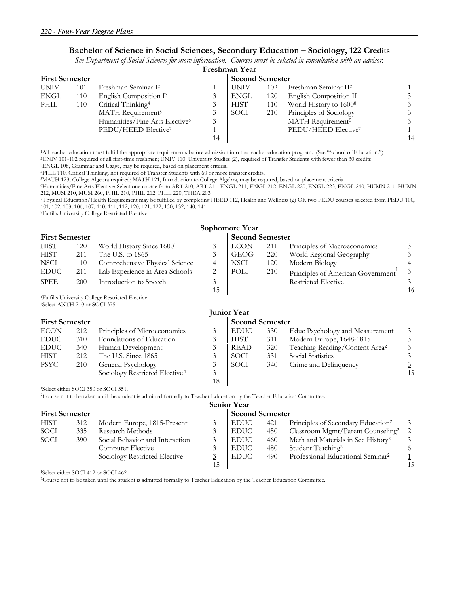### **Bachelor of Science in Social Sciences, Secondary Education – Sociology, 122 Credits**

*See Department of Social Sciences for more information. Courses must be selected in consultation with an advisor.*

|             | Freshman Year         |                                            |    |             |     |                                    |    |  |  |  |  |
|-------------|-----------------------|--------------------------------------------|----|-------------|-----|------------------------------------|----|--|--|--|--|
|             | <b>First Semester</b> |                                            |    |             |     | <b>Second Semester</b>             |    |  |  |  |  |
| <b>UNIV</b> | 101                   | Freshman Seminar I <sup>2</sup>            |    | UNIV        | 102 | Freshman Seminar II <sup>2</sup>   |    |  |  |  |  |
| <b>ENGL</b> | 110                   | English Composition I <sup>3</sup>         |    | <b>ENGL</b> | 120 | English Composition II             |    |  |  |  |  |
| PHIL        | 110                   | Critical Thinking <sup>4</sup>             |    | <b>HIST</b> | 110 | World History to 1600 <sup>8</sup> |    |  |  |  |  |
|             |                       | MATH Requirement <sup>5</sup>              |    | SOCI        | 210 | Principles of Sociology            |    |  |  |  |  |
|             |                       | Humanities/Fine Arts Elective <sup>6</sup> | 3  |             |     | MATH Requirement <sup>5</sup>      |    |  |  |  |  |
|             |                       | PEDU/HEED Elective <sup>7</sup>            |    |             |     | PEDU/HEED Elective <sup>7</sup>    |    |  |  |  |  |
|             |                       |                                            | 14 |             |     |                                    | 14 |  |  |  |  |
|             |                       |                                            |    |             |     |                                    |    |  |  |  |  |

<sup>1</sup>All teacher education must fulfill the appropriate requirements before admission into the teacher education program. (See "School of Education.")<br><sup>2</sup>UNIV 101-102 required of all first-time freshmen; UNIV 110, University

<sup>5</sup>MATH 123, College Algebra required; MATH 121, Introduction to College Algebra, may be required, based on placement criteria.

6Humanities/Fine Arts Elective: Select one course from ART 210, ART 211, ENGL 211, ENGL 212, ENGL 220, ENGL 223, ENGL 240, HUMN 211, HUMN 212, MUSI 210, MUSI 260, PHIL 210, PHIL 212, PHIL 220, THEA 203

7 Physical Education/Health Requirement may be fulfilled by completing HEED 112, Health and Wellness (2) OR two PEDU courses selected from PEDU 100, 101, 102, 103, 106, 107, 110, 111, 112, 120, 121, 122, 130, 132, 140, 141

8Fulfills University College Restricted Elective.

|                                          |     |                                                                                                                                     |                      | Sophomore Year         |     |                                                |                         |
|------------------------------------------|-----|-------------------------------------------------------------------------------------------------------------------------------------|----------------------|------------------------|-----|------------------------------------------------|-------------------------|
| <b>First Semester</b>                    |     |                                                                                                                                     |                      | <b>Second Semester</b> |     |                                                |                         |
| <b>HIST</b>                              | 120 | World History Since 1600 <sup>1</sup>                                                                                               | 3                    | <b>ECON</b>            | 211 | Principles of Macroeconomics                   | 3                       |
| <b>HIST</b>                              | 211 | The U.S. to 1865                                                                                                                    | 3                    | <b>GEOG</b>            | 220 | World Regional Geography                       | 3                       |
| <b>NSCI</b>                              | 110 | Comprehensive Physical Science                                                                                                      | 4                    | <b>NSCI</b>            | 120 | Modern Biology                                 | 4                       |
| <b>EDUC</b>                              | 211 | Lab Experience in Area Schools                                                                                                      | 2                    | POLI                   | 210 | Principles of American Government              | $\overline{3}$          |
| <b>SPEE</b>                              | 200 | Introduction to Speech                                                                                                              | $\overline{3}$<br>15 |                        |     | <b>Restricted Elective</b>                     | $\overline{3}$<br>16    |
| <sup>2</sup> Select ANTH 210 or SOCI 375 |     | <sup>1</sup> Fulfills University College Restricted Elective.                                                                       |                      |                        |     |                                                |                         |
|                                          |     |                                                                                                                                     |                      | <b>Junior Year</b>     |     |                                                |                         |
| <b>First Semester</b>                    |     |                                                                                                                                     |                      | <b>Second Semester</b> |     |                                                |                         |
| <b>ECON</b>                              | 212 | Principles of Microeconomics                                                                                                        | 3                    | <b>EDUC</b>            | 330 | Educ Psychology and Measurement                | 3                       |
| <b>EDUC</b>                              | 310 | Foundations of Education                                                                                                            | 3                    | <b>HIST</b>            | 311 | Modern Europe, 1648-1815                       | 3                       |
| <b>EDUC</b>                              | 340 | Human Development                                                                                                                   | 3                    | <b>READ</b>            | 320 | Teaching Reading/Content Area <sup>2</sup>     | $\overline{\mathbf{3}}$ |
| <b>HIST</b>                              | 212 | The U.S. Since 1865                                                                                                                 | 3                    | <b>SOCI</b>            | 331 | Social Statistics                              | $\overline{\mathbf{3}}$ |
| <b>PSYC</b>                              | 210 | General Psychology                                                                                                                  | 3                    | <b>SOCI</b>            | 340 | Crime and Delinquency                          | $\overline{3}$          |
|                                          |     | Sociology Restricted Elective <sup>1</sup>                                                                                          | $\overline{3}$       |                        |     |                                                | 15                      |
|                                          |     |                                                                                                                                     | 18                   |                        |     |                                                |                         |
|                                          |     | <sup>1</sup> Select either SOCI 350 or SOCI 351.                                                                                    |                      |                        |     |                                                |                         |
|                                          |     | <sup>2</sup> Course not to be taken until the student is admitted formally to Teacher Education by the Teacher Education Committee. |                      |                        |     |                                                |                         |
|                                          |     |                                                                                                                                     |                      | <b>Senior Year</b>     |     |                                                |                         |
| <b>First Semester</b>                    |     |                                                                                                                                     |                      | <b>Second Semester</b> |     |                                                |                         |
| <b>HIST</b>                              | 312 | Modern Europe, 1815-Present                                                                                                         | 3                    | <b>EDUC</b>            | 421 | Principles of Secondary Education <sup>2</sup> | 3                       |
| SOCI                                     | 335 | Research Methods                                                                                                                    | 3                    | <b>EDUC</b>            | 450 | Classroom Mgmt/Parent Counseling <sup>2</sup>  | $\boldsymbol{2}$        |
| SOCI                                     | 390 | Social Behavior and Interaction                                                                                                     | 3                    | <b>EDUC</b>            | 460 | Meth and Materials in Sec History <sup>2</sup> | $\mathfrak{Z}$          |
|                                          |     | Computer Elective                                                                                                                   | 3                    | <b>EDUC</b>            | 480 | Student Teaching <sup>2</sup>                  | 6                       |
|                                          |     | Sociology Restricted Elective <sup>1</sup>                                                                                          | $\underline{3}$      | <b>EDUC</b>            | 490 | Professional Educational Seminar <sup>2</sup>  | $\overline{1}$          |
|                                          |     |                                                                                                                                     | 15                   |                        |     |                                                | 15                      |

1Select either SOCI 412 or SOCI 462.

**2**Course not to be taken until the student is admitted formally to Teacher Education by the Teacher Education Committee.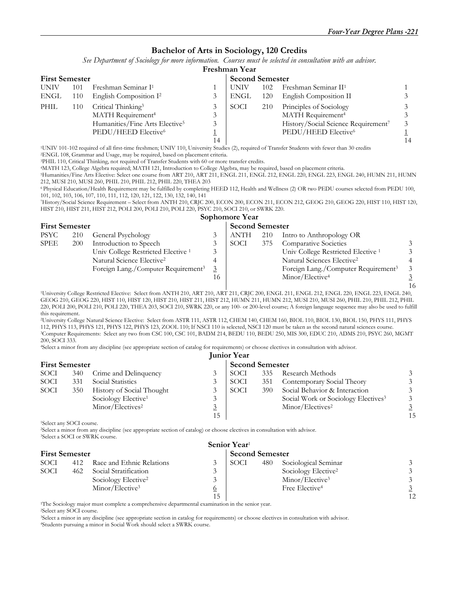#### **Bachelor of Arts in Sociology, 120 Credits**

*See Department of Sociology for more information. Courses must be selected in consultation with an advisor.*

|             | Freshman Year         |                                            |    |             |                        |                                     |    |  |  |  |  |  |
|-------------|-----------------------|--------------------------------------------|----|-------------|------------------------|-------------------------------------|----|--|--|--|--|--|
|             | <b>First Semester</b> |                                            |    |             | <b>Second Semester</b> |                                     |    |  |  |  |  |  |
| <b>UNIV</b> | 101                   | Freshman Seminar I <sup>1</sup>            |    | UNIV        | 102                    | Freshman Seminar II <sup>1</sup>    |    |  |  |  |  |  |
| ENGL        | 110                   | English Composition I <sup>2</sup>         |    | <b>ENGL</b> | 120                    | English Composition II              |    |  |  |  |  |  |
| PHIL        | 110                   | Critical Thinking <sup>3</sup>             |    | SOCI        | 210                    | Principles of Sociology             |    |  |  |  |  |  |
|             |                       | MATH Requirement <sup>4</sup>              |    |             |                        | MATH Requirement <sup>4</sup>       |    |  |  |  |  |  |
|             |                       | Humanities/Fine Arts Elective <sup>5</sup> |    |             |                        | History/Social Science Requirement7 |    |  |  |  |  |  |
|             |                       | PEDU/HEED Elective <sup>6</sup>            |    |             |                        | PEDU/HEED Elective <sup>6</sup>     |    |  |  |  |  |  |
|             |                       |                                            | 14 |             |                        |                                     | 14 |  |  |  |  |  |

1UNIV 101-102 required of all first-time freshmen; UNIV 110, University Studies (2), required of Transfer Students with fewer than 30 credits 2ENGL 108, Grammar and Usage, may be required, based on placement criteria.

3PHIL 110, Critical Thinking, not required of Transfer Students with 60 or more transfer credits. 4MATH 123, College Algebra required; MATH 121, Introduction to College Algebra, may be required, based on placement criteria.

5Humanities/Fine Arts Elective: Select one course from ART 210, ART 211, ENGL 211, ENGL 212, ENGL 220, ENGL 223, ENGL 240, HUMN 211, HUMN 212, MUSI 210, MUSI 260, PHIL 210, PHIL 212, PHIL 220, THEA 203

6 Physical Education/Health Requirement may be fulfilled by completing HEED 112, Health and Wellness (2) OR two PEDU courses selected from PEDU 100, 101, 102, 103, 106, 107, 110, 111, 112, 120, 121, 122, 130, 132, 140, 141

7History/Social Science Requirement – Select from ANTH 210, CRJC 200, ECON 200, ECON 211, ECON 212, GEOG 210, GEOG 220, HIST 110, HIST 120, HIST 210, HIST 211, HIST 212, POLI 200, POLI 210, POLI 220, PSYC 210, SOCI 210, or SWRK 220.

|                       |     |                                                 |    | Sophomore Year |                        |                                                 |                |  |
|-----------------------|-----|-------------------------------------------------|----|----------------|------------------------|-------------------------------------------------|----------------|--|
| <b>First Semester</b> |     |                                                 |    |                | <b>Second Semester</b> |                                                 |                |  |
| PSYC                  | 210 | General Psychology                              |    | ANTH           | 210                    | Intro to Anthropology OR                        |                |  |
| SPEE                  | 200 | Introduction to Speech                          |    | SOCI           | 375                    | <b>Comparative Societies</b>                    |                |  |
|                       |     | Univ College Restricted Elective <sup>1</sup>   |    |                |                        | Univ College Restricted Elective <sup>1</sup>   | $\mathcal{Z}$  |  |
|                       |     | Natural Science Elective <sup>2</sup>           | 4  |                |                        | Natural Sciences Elective <sup>2</sup>          |                |  |
|                       |     | Foreign Lang./Computer Requirement <sup>3</sup> |    |                |                        | Foreign Lang./Computer Requirement <sup>3</sup> | $\mathcal{Z}$  |  |
|                       |     |                                                 | 16 |                |                        | Minor/Elective <sup>4</sup>                     |                |  |
|                       |     |                                                 |    |                |                        |                                                 | 1 <sup>1</sup> |  |

 16 1University College Restricted Elective: Select from ANTH 210, ART 210, ART 211, CRJC 200, ENGL 211, ENGL 212, ENGL 220, ENGL 223, ENGL 240, GEOG 210, GEOG 220, HIST 110, HIST 120, HIST 210, HIST 211, HIST 212, HUMN 211, HUMN 212, MUSI 210, MUSI 260, PHIL 210, PHIL 212, PHIL 220, POLI 200, POLI 210, POLI 220, THEA 203, SOCI 210, SWRK 220, or any 100- or 200-level course; A foreign language sequence may also be used to fulfill this requirement.

2University College Natural Science Elective: Select from ASTR 111, ASTR 112, CHEM 140, CHEM 160, BIOL 110, BIOL 130, BIOL 150, PHYS 111, PHYS <sup>3</sup>Computer Requirements: Select any two from CSC 100, CSC 101, BADM 214, BEDU 110, BEDU 250, MIS 300, EDUC 210, ADMS 210, PSYC 260, MGMT 200, SOCI 333.

<sup>4</sup>Select a minor from any discipline (see appropriate section of catalog for requirements) or choose electives in consultation with advisor.

|                       |     |                                 |    | <b>Junior Year</b>     |     |                                                 |    |  |
|-----------------------|-----|---------------------------------|----|------------------------|-----|-------------------------------------------------|----|--|
| <b>First Semester</b> |     |                                 |    | <b>Second Semester</b> |     |                                                 |    |  |
| SOCI                  | 340 | Crime and Delinquency           |    | SOCI                   | 335 | Research Methods                                |    |  |
| SOCI                  | 331 | Social Statistics               |    | SOCI                   | 351 | Contemporary Social Theory                      |    |  |
| SOCI                  | 350 | History of Social Thought       |    | SOCI                   | 390 | Social Behavior & Interaction                   |    |  |
|                       |     | Sociology Elective <sup>1</sup> |    |                        |     | Social Work or Sociology Electives <sup>3</sup> |    |  |
|                       |     | Minor/Electives <sup>2</sup>    |    |                        |     | Minor/Electives <sup>2</sup>                    |    |  |
|                       |     |                                 | 15 |                        |     |                                                 | 15 |  |

1Select any SOCI course.

2Select a minor from any discipline (see appropriate section of catalog) or choose electives in consultation with advisor. 3Select a SOCI or SWRK course.

|                       | Senior Year <sup>1</sup> |                                 |                        |      |     |                                 |    |  |  |  |
|-----------------------|--------------------------|---------------------------------|------------------------|------|-----|---------------------------------|----|--|--|--|
| <b>First Semester</b> |                          |                                 | <b>Second Semester</b> |      |     |                                 |    |  |  |  |
| SOCI                  | 412                      | Race and Ethnic Relations       |                        | SOCI | 480 | Sociological Seminar            |    |  |  |  |
| SOCI                  | 462                      | Social Stratification           |                        |      |     | Sociology Elective <sup>2</sup> |    |  |  |  |
|                       |                          | Sociology Elective <sup>2</sup> |                        |      |     | Minor/Elective <sup>3</sup>     |    |  |  |  |
|                       |                          | Minor/Elective <sup>3</sup>     | $\overline{0}$         |      |     | Free Elective <sup>4</sup>      |    |  |  |  |
|                       |                          |                                 |                        |      |     |                                 | 12 |  |  |  |

1The Sociology major must complete a comprehensive departmental examination in the senior year. 2Select any SOCI course.

3Select a minor in any discipline (see appropriate section in catalog for requirements) or choose electives in consultation with advisor. 4Students pursuing a minor in Social Work should select a SWRK course.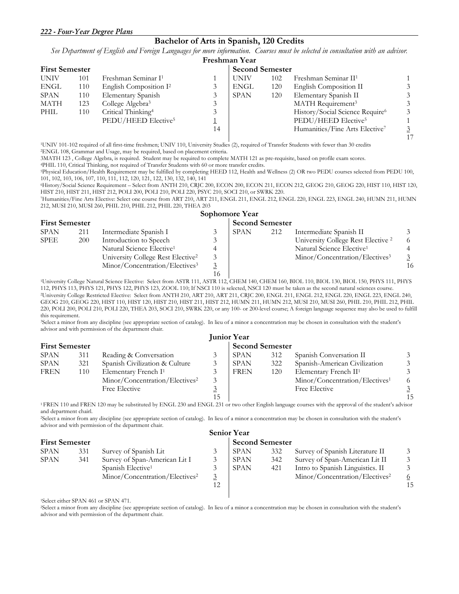#### **Bachelor of Arts in Spanish, 120 Credits**

*See Department of English and Foreign Languages for more information. Courses must be selected in consultation with an advisor.*

|             | Freshman Year         |                                    |    |             |                        |                                             |  |  |  |  |  |
|-------------|-----------------------|------------------------------------|----|-------------|------------------------|---------------------------------------------|--|--|--|--|--|
|             | <b>First Semester</b> |                                    |    |             | <b>Second Semester</b> |                                             |  |  |  |  |  |
| <b>UNIV</b> | 101                   | Freshman Seminar I <sup>1</sup>    |    | <b>UNIV</b> | 102                    | Freshman Seminar II <sup>1</sup>            |  |  |  |  |  |
| ENGL        | 110                   | English Composition I <sup>2</sup> |    | <b>ENGL</b> | 120                    | English Composition II                      |  |  |  |  |  |
| <b>SPAN</b> | 110                   | Elementary Spanish                 |    | <b>SPAN</b> | 120                    | Elementary Spanish II                       |  |  |  |  |  |
| MATH        | 123                   | College Algebra <sup>3</sup>       |    |             |                        | MATH Requirement <sup>3</sup>               |  |  |  |  |  |
| PHIL        | 110                   | Critical Thinking <sup>4</sup>     |    |             |                        | History/Social Science Require <sup>6</sup> |  |  |  |  |  |
|             |                       | PEDU/HEED Elective <sup>5</sup>    |    |             |                        | PEDU/HEED Elective <sup>5</sup>             |  |  |  |  |  |
|             |                       |                                    | 14 |             |                        | Humanities/Fine Arts Elective <sup>7</sup>  |  |  |  |  |  |
|             |                       |                                    |    |             |                        |                                             |  |  |  |  |  |

1UNIV 101-102 required of all first-time freshmen; UNIV 110, University Studies (2), required of Transfer Students with fewer than 30 credits 2ENGL 108, Grammar and Usage, may be required, based on placement criteria.

3MATH 123, College Algebra, is required. Student may be required to complete MATH 121 as pre-requisite, based on profile exam scores.<br>
<sup>4</sup>PHIL 110, Critical Thinking, not required of Transfer Students with 60 or more trans

101, 102, 103, 106, 107, 110, 111, 112, 120, 121, 122, 130, 132, 140, 141

6History/Social Science Requirement – Select from ANTH 210, CRJC 200, ECON 200, ECON 211, ECON 212, GEOG 210, GEOG 220, HIST 110, HIST 120,

7Humanities/Fine Arts Elective: Select one course from ART 210, ART 211, ENGL 211, ENGL 212, ENGL 220, ENGL 223, ENGL 240, HUMN 211, HUMN 212, MUSI 210, MUSI 260, PHIL 210, PHIL 212, PHIL 220, THEA 203 **Sophomore Year** 

| <b>First Semester</b> |     |                                               |    | <b>Second Semester</b> |     |                                               |    |  |
|-----------------------|-----|-----------------------------------------------|----|------------------------|-----|-----------------------------------------------|----|--|
| <b>SPAN</b>           | 211 | Intermediate Spanish I                        |    | <b>SPAN</b>            | 212 | Intermediate Spanish II                       |    |  |
| <b>SPEE</b>           | 200 | Introduction to Speech                        |    |                        |     | University College Rest Elective <sup>2</sup> |    |  |
|                       |     | Natural Science Elective <sup>1</sup>         |    |                        |     | Natural Science Elective <sup>1</sup>         |    |  |
|                       |     | University College Rest Elective <sup>2</sup> |    |                        |     | Minor/Concentration/Electives <sup>3</sup>    |    |  |
|                       |     | Minor/Concentration/Electives <sup>3</sup>    |    |                        |     |                                               | 16 |  |
|                       |     |                                               | 16 |                        |     |                                               |    |  |

<sup>1</sup>University College Natural Science Elective: Select from ASTR 111, ASTR 112, CHEM 140, CHEM 160, BIOL 110, BIOL 130, BIOL 150, PHYS 111, PHYS 112, PHYS 122, PHYS 123, ZOOL 110, If NSCI 110 is selected, NSCI 120 must be <sup>2</sup>University College Restricted Elective: Select from ANTH 210, ART 210, ART 211, CRJC 200, ENGL 211, ENGL 212, ENGL 220, ENGL 223, ENGL 240, GEOG 210, GEOG 220, HIST 110, HIST 120, HIST 210, HIST 211, HIST 212, HUMN 211, HUMN 212, MUSI 210, MUSI 260, PHIL 210, PHIL 212, PHIL 220, POLI 200, POLI 210, POLI 220, THEA 203, SOCI 210, SWRK 220, or any 100- or 200-level course; A foreign language sequence may also be used to fulfill this requirement.

3Select a minor from any discipline (see appropriate section of catalog). In lieu of a minor a concentration may be chosen in consultation with the student's advisor and with permission of the department chair.

|                       |     |                                            |    | <b>Junior Year</b>     |     |                                            |    |  |
|-----------------------|-----|--------------------------------------------|----|------------------------|-----|--------------------------------------------|----|--|
| <b>First Semester</b> |     |                                            |    | <b>Second Semester</b> |     |                                            |    |  |
| <b>SPAN</b>           | 311 | Reading & Conversation                     |    | <b>SPAN</b>            | 312 | Spanish Conversation II                    |    |  |
| <b>SPAN</b>           | 321 | Spanish Civilization & Culture             |    | <b>SPAN</b>            | 322 | Spanish-American Civilization              |    |  |
| <b>FREN</b>           | 110 | Elementary French I <sup>1</sup>           |    | <b>FREN</b>            | 120 | Elementary French II <sup>1</sup>          |    |  |
|                       |     | Minor/Concentration/Electives <sup>2</sup> |    |                        |     | Minor/Concentration/Electives <sup>1</sup> |    |  |
|                       |     | Free Elective                              |    |                        |     | Free Elective                              |    |  |
|                       |     |                                            | 15 |                        |     |                                            | 15 |  |

1 FREN 110 and FREN 120 may be substituted by ENGL 230 and ENGL 231 or two other English language courses with the approval of the student's advisor and department chairl.

2Select a minor from any discipline (see appropriate section of catalog). In lieu of a minor a concentration may be chosen in consultation with the student's advisor and with permission of the department chair.

|                       |     |                                            |  | <b>Senior Year</b>     |     |                                            |    |  |
|-----------------------|-----|--------------------------------------------|--|------------------------|-----|--------------------------------------------|----|--|
| <b>First Semester</b> |     |                                            |  | <b>Second Semester</b> |     |                                            |    |  |
| <b>SPAN</b>           | 331 | Survey of Spanish Lit                      |  | <b>SPAN</b>            | 332 | Survey of Spanish Literature II            |    |  |
| <b>SPAN</b>           | 341 | Survey of Span-American Lit I              |  | <b>SPAN</b>            | 342 | Survey of Span-American Lit II             |    |  |
|                       |     | Spanish Elective <sup>1</sup>              |  | <b>SPAN</b>            | 421 | Intro to Spanish Linguistics. II           |    |  |
|                       |     | Minor/Concentration/Electives <sup>2</sup> |  |                        |     | Minor/Concentration/Electives <sup>2</sup> |    |  |
|                       |     |                                            |  |                        |     |                                            | 15 |  |
|                       |     |                                            |  |                        |     |                                            |    |  |

1Select either SPAN 461 or SPAN 471.

2Select a minor from any discipline (see appropriate section of catalog). In lieu of a minor a concentration may be chosen in consultation with the student's advisor and with permission of the department chair.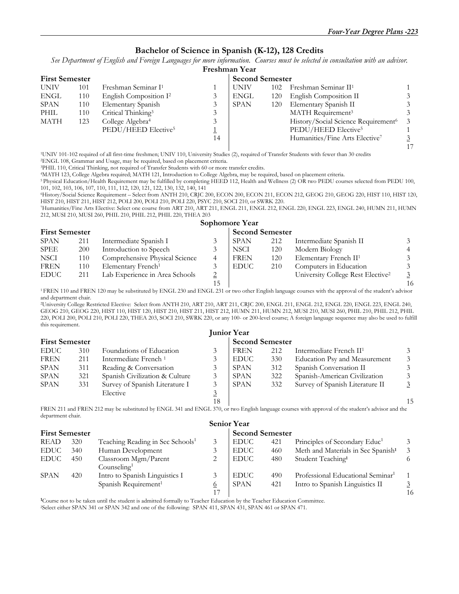#### **Bachelor of Science in Spanish (K-12), 128 Credits**

*See Department of English and Foreign Languages for more information. Courses must be selected in consultation with an advisor.* 

|             | Freshman Year         |                                    |    |             |     |                                                 |  |  |  |  |
|-------------|-----------------------|------------------------------------|----|-------------|-----|-------------------------------------------------|--|--|--|--|
|             | <b>First Semester</b> |                                    |    |             |     | <b>Second Semester</b>                          |  |  |  |  |
| <b>UNIV</b> | 101                   | Freshman Seminar I <sup>1</sup>    |    | <b>UNIV</b> | 102 | Freshman Seminar II <sup>1</sup>                |  |  |  |  |
| ENGL        | 110                   | English Composition I <sup>2</sup> |    | ENGL        | 120 | English Composition II                          |  |  |  |  |
| <b>SPAN</b> | 110                   | Elementary Spanish                 |    | <b>SPAN</b> | 120 | Elementary Spanish II                           |  |  |  |  |
| PHIL        | 110                   | Critical Thinking <sup>3</sup>     |    |             |     | MATH Requirement <sup>3</sup>                   |  |  |  |  |
| MATH        | 123                   | College Algebra <sup>4</sup>       |    |             |     | History/Social Science Requirement <sup>6</sup> |  |  |  |  |
|             |                       | PEDU/HEED Elective <sup>5</sup>    |    |             |     | PEDU/HEED Elective <sup>5</sup>                 |  |  |  |  |
|             |                       |                                    | 14 |             |     | Humanities/Fine Arts Elective <sup>7</sup>      |  |  |  |  |
|             |                       |                                    |    |             |     |                                                 |  |  |  |  |

1UNIV 101-102 required of all first-time freshmen; UNIV 110, University Studies (2), required of Transfer Students with fewer than 30 credits 2ENGL 108, Grammar and Usage, may be required, based on placement criteria.

3PHIL 110, Critical Thinking, not required of Transfer Students with 60 or more transfer credits. 4MATH 123, College Algebra required; MATH 121, Introduction to College Algebra, may be required, based on placement criteria.

5 Physical Education/Health Requirement may be fulfilled by completing HEED 112, Health and Wellness (2) OR two PEDU courses selected from PEDU 100, 101, 102, 103, 106, 107, 110, 111, 112, 120, 121, 122, 130, 132, 140, 141

6History/Social Science Requirement – Select from ANTH 210, CRJC 200, ECON 200, ECON 211, ECON 212, GEOG 210, GEOG 220, HIST 110, HIST 120,

7Humanities/Fine Arts Elective: Select one course from ART 210, ART 211, ENGL 211, ENGL 212, ENGL 220, ENGL 223, ENGL 240, HUMN 211, HUMN 212, MUSI 210, MUSI 260, PHIL 210, PHIL 212, PHIL 220, THEA 203

#### **Sophomore Year**

|             | <b>First Semester</b> |                                |    | <b>Second Semester</b> |     |                                               |                |
|-------------|-----------------------|--------------------------------|----|------------------------|-----|-----------------------------------------------|----------------|
| <b>SPAN</b> | 211                   | Intermediate Spanish I         |    | <b>SPAN</b>            | 212 | Intermediate Spanish II                       |                |
| <b>SPEE</b> | 200                   | Introduction to Speech         |    | <b>NSCI</b>            | 120 | Modern Biology                                |                |
| <b>NSCI</b> | 110                   | Comprehensive Physical Science |    | <b>FREN</b>            | 120 | Elementary French II <sup>1</sup>             |                |
| <b>FREN</b> | 110                   | Elementary French <sup>1</sup> |    | <b>EDUC</b>            | 210 | Computers in Education                        |                |
| <b>EDUC</b> | 211                   | Lab Experience in Area Schools |    |                        |     | University College Rest Elective <sup>2</sup> | $\overline{3}$ |
|             |                       |                                | 15 |                        |     |                                               | 16             |

<sup>1</sup> FREN 110 and FREN 120 may be substituted by ENGL 230 and ENGL 231 or two other English language courses with the approval of the student's advisor and department chair.

2University College Restricted Elective: Select from ANTH 210, ART 210, ART 211, CRJC 200, ENGL 211, ENGL 212, ENGL 220, ENGL 223, ENGL 240, GEOG 210, GEOG 220, HIST 110, HIST 120, HIST 210, HIST 211, HIST 212, HUMN 211, HUMN 212, MUSI 210, MUSI 260, PHIL 210, PHIL 212, PHIL 220, POLI 200, POLI 210, POLI 220, THEA 203, SOCI 210, SWRK 220, or any 100- or 200-level course; A foreign language sequence may also be used to fulfill this requirement.

|                       |     |                                  |                        | <b>Junior Year</b> |     |                                     |    |
|-----------------------|-----|----------------------------------|------------------------|--------------------|-----|-------------------------------------|----|
| <b>First Semester</b> |     |                                  | <b>Second Semester</b> |                    |     |                                     |    |
| <b>EDUC</b>           | 310 | Foundations of Education         |                        | <b>FREN</b>        | 212 | Intermediate French II <sup>1</sup> |    |
| <b>FREN</b>           | 211 | Intermediate French <sup>1</sup> |                        | <b>EDUC</b>        | 330 | Education Psy and Measurement       |    |
| <b>SPAN</b>           | 311 | Reading & Conversation           |                        | <b>SPAN</b>        | 312 | Spanish Conversation II             |    |
| <b>SPAN</b>           | 321 | Spanish Civilization & Culture   |                        | <b>SPAN</b>        | 322 | Spanish-American Civilization       |    |
| <b>SPAN</b>           | 331 | Survey of Spanish Literature I   |                        | <b>SPAN</b>        | 332 | Survey of Spanish Literature II     |    |
|                       |     | Elective                         |                        |                    |     |                                     |    |
|                       |     |                                  | 18                     |                    |     |                                     | 15 |

FREN 211 and FREN 212 may be substituted by ENGL 341 and ENGL 370, or two English language courses with approval of the student's advisor and the department chair. **Senior Year** 

| <b>First Semester</b> |                                                 |  |             | <b>Second Semester</b> |                                                |    |  |  |  |
|-----------------------|-------------------------------------------------|--|-------------|------------------------|------------------------------------------------|----|--|--|--|
| 320                   | Teaching Reading in Sec Schools <sup>1</sup>    |  | <b>EDUC</b> | 421                    | Principles of Secondary Educ <sup>1</sup>      |    |  |  |  |
| 340                   | Human Development                               |  | <b>EDUC</b> | 460                    | Meth and Materials in Sec Spanish <sup>1</sup> |    |  |  |  |
| 450                   | Classroom Mgm/Parent<br>Counseling <sup>1</sup> |  | <b>EDUC</b> | 480                    | Student Teaching <sup>1</sup>                  |    |  |  |  |
| 420                   | Intro to Spanish Linguistics I                  |  | <b>EDUC</b> | 490                    | Professional Educational Seminar <sup>1</sup>  |    |  |  |  |
|                       | Spanish Requirement <sup>1</sup>                |  | <b>SPAN</b> | 421                    | Intro to Spanish Linguistics II                | 16 |  |  |  |
|                       |                                                 |  |             | Senior Year            |                                                |    |  |  |  |

<sup>1</sup>Course not to be taken until the student is admitted formally to Teacher Education by the Teacher Education Committee.<br><sup>2</sup>Select either SPAN 341 or SPAN 342 and one of the following: SPAN 411, SPAN 431, SPAN 461 or SPAN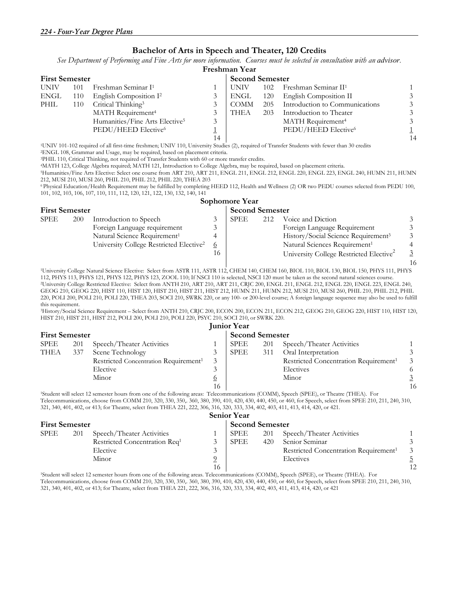#### **Bachelor of Arts in Speech and Theater, 120 Credits**

*See Department of Performing and Fine Arts for more information. Courses must be selected in consultation with an advisor.*

|                       | Freshman Year |                                            |    |             |                        |                                  |    |  |  |  |  |
|-----------------------|---------------|--------------------------------------------|----|-------------|------------------------|----------------------------------|----|--|--|--|--|
| <b>First Semester</b> |               |                                            |    |             | <b>Second Semester</b> |                                  |    |  |  |  |  |
| <b>UNIV</b>           | 101           | Freshman Seminar I <sup>1</sup>            |    | <b>UNIV</b> | 102                    | Freshman Seminar II <sup>1</sup> |    |  |  |  |  |
| ENGL                  | 110           | English Composition I <sup>2</sup>         | 3  | ENGL        | 120                    | English Composition II           |    |  |  |  |  |
| PHIL                  | 110           | Critical Thinking <sup>3</sup>             |    | <b>COMM</b> | 205                    | Introduction to Communications   |    |  |  |  |  |
|                       |               | MATH Requirement <sup>4</sup>              |    | THEA        | 203                    | Introduction to Theater          |    |  |  |  |  |
|                       |               | Humanities/Fine Arts Elective <sup>5</sup> | 3  |             |                        | MATH Requirement <sup>4</sup>    |    |  |  |  |  |
|                       |               | PEDU/HEED Elective <sup>6</sup>            |    |             |                        | PEDU/HEED Elective <sup>6</sup>  |    |  |  |  |  |
|                       |               |                                            | 14 |             |                        |                                  | 14 |  |  |  |  |

1UNIV 101-102 required of all first-time freshmen; UNIV 110, University Studies (2), required of Transfer Students with fewer than 30 credits 2ENGL 108, Grammar and Usage, may be required, based on placement criteria.

<sup>4</sup>MATH 123, College Algebra required; MATH 121, Introduction to College Algebra, may be required, based on placement criteria.

5Humanities/Fine Arts Elective: Select one course from ART 210, ART 211, ENGL 211, ENGL 212, ENGL 220, ENGL 223, ENGL 240, HUMN 211, HUMN 212, MUSI 210, MUSI 260, PHIL 210, PHIL 212, PHIL 220, THEA 203

6 Physical Education/Health Requirement may be fulfilled by completing HEED 112, Health and Wellness (2) OR two PEDU courses selected from PEDU 100, 101, 102, 103, 106, 107, 110, 111, 112, 120, 121, 122, 130, 132, 140, 141

|                       |     |                                                     |                        | <b>Sophomore Year</b> |     |                                                     |                |
|-----------------------|-----|-----------------------------------------------------|------------------------|-----------------------|-----|-----------------------------------------------------|----------------|
| <b>First Semester</b> |     |                                                     | <b>Second Semester</b> |                       |     |                                                     |                |
| <b>SPEE</b>           | 200 | Introduction to Speech                              |                        | SPEE                  | 212 | Voice and Diction                                   |                |
|                       |     | Foreign Language requirement                        |                        |                       |     | Foreign Language Requirement                        | 3              |
|                       |     | Natural Science Requirement <sup>1</sup>            |                        |                       |     | History/Social Science Requirement <sup>3</sup>     | 3              |
|                       |     | University College Restricted Elective <sup>2</sup> | $\overline{o}$         |                       |     | Natural Sciences Requirement <sup>1</sup>           |                |
|                       |     |                                                     | 16                     |                       |     | University College Restricted Elective <sup>2</sup> | $\overline{3}$ |
|                       |     |                                                     |                        |                       |     |                                                     | $\overline{1}$ |

16<br>I University College Natural Science Elective: Select from ASTR 111, ASTR 112, CHEM 140, CHEM 160, BIOL 110, BIOL 130, BIOL 150, PHYS 111, PHYS<br>The Second Hatural sciences course.<br>In Second Hatural Sciences course. <sup>2</sup>University College Restricted Elective: Select from ANTH 210, ART 210, ART 211, CRJC 200, ENGL 211, ENGL 212, ENGL 220, ENGL 223, ENGL 240, GEOG 210, GEOG 220, HIST 110, HIST 120, HIST 210, HIST 211, HIST 212, HUMN 211, HUMN 212, MUSI 210, MUSI 260, PHIL 210, PHIL 212, PHIL 220, POLI 200, POLI 210, POLI 220, THEA 203, SOCI 210, SWRK 220, or any 100- or 200-level course; A foreign language sequence may also be used to fulfill this requirement.

3History/Social Science Requirement – Select from ANTH 210, CRJC 200, ECON 200, ECON 211, ECON 212, GEOG 210, GEOG 220, HIST 110, HIST 120, HIST 210, HIST 211, HIST 212, POLI 200, POLI 210, POLI 220, PSYC 210, SOCI 210, or SWRK 220.

|                       | <b>Junior Year</b> |                                                   |                |                        |     |                                                   |    |  |  |  |  |
|-----------------------|--------------------|---------------------------------------------------|----------------|------------------------|-----|---------------------------------------------------|----|--|--|--|--|
| <b>First Semester</b> |                    |                                                   |                | <b>Second Semester</b> |     |                                                   |    |  |  |  |  |
| <b>SPEE</b>           | 201                | Speech/Theater Activities                         |                | SPEE                   | 201 | Speech/Theater Activities                         |    |  |  |  |  |
| <b>THEA</b>           | 337                | Scene Technology                                  |                | SPEE                   | 311 | Oral Interpretation                               |    |  |  |  |  |
|                       |                    | Restricted Concentration Requirement <sup>1</sup> | 3              |                        |     | Restricted Concentration Requirement <sup>1</sup> |    |  |  |  |  |
|                       |                    | Elective                                          |                |                        |     | Electives                                         |    |  |  |  |  |
|                       |                    | Minor                                             | $\overline{o}$ |                        |     | Minor                                             |    |  |  |  |  |
|                       |                    |                                                   | 16             |                        |     |                                                   | 16 |  |  |  |  |

1Student will select 12 semester hours from one of the following areas: Telecommunications (COMM), Speech (SPEE), or Theatre (THEA). For Telecommunications, choose from COMM 210, 320, 330, 350,. 360, 380, 390, 410, 420, 430, 440, 450, or 460, for Speech, select from SPEE 210, 211, 240, 310, 321, 340, 401, 402, or 413; for Theatre, select from THEA 221, 222, 306, 316, 320, 333, 334, 402, 403, 411, 413, 414, 420, or 421.

|                       | <b>Senior Year</b> |                                           |    |                        |     |                                                   |    |  |  |  |  |
|-----------------------|--------------------|-------------------------------------------|----|------------------------|-----|---------------------------------------------------|----|--|--|--|--|
| <b>First Semester</b> |                    |                                           |    | <b>Second Semester</b> |     |                                                   |    |  |  |  |  |
| SPEE                  | 201                | Speech/Theater Activities                 |    | <b>SPEE</b>            | 201 | Speech/Theater Activities                         |    |  |  |  |  |
|                       |                    | Restricted Concentration Req <sup>1</sup> |    | SPEE                   | 420 | Senior Seminar                                    |    |  |  |  |  |
|                       |                    | Elective                                  |    |                        |     | Restricted Concentration Requirement <sup>1</sup> |    |  |  |  |  |
|                       |                    | Minor                                     |    |                        |     | Electives                                         |    |  |  |  |  |
|                       |                    |                                           | 16 |                        |     |                                                   | 12 |  |  |  |  |

1Student will select 12 semester hours from one of the following areas. Telecommunications (COMM), Speech (SPEE), or Theatre (THEA). For Telecommunications, choose from COMM 210, 320, 330, 350,. 360, 380, 390, 410, 420, 430, 440, 450, or 460, for Speech, select from SPEE 210, 211, 240, 310, 321, 340, 401, 402, or 413; for Theatre, select from THEA 221, 222, 306, 316, 320, 333, 334, 402, 403, 411, 413, 414, 420, or 421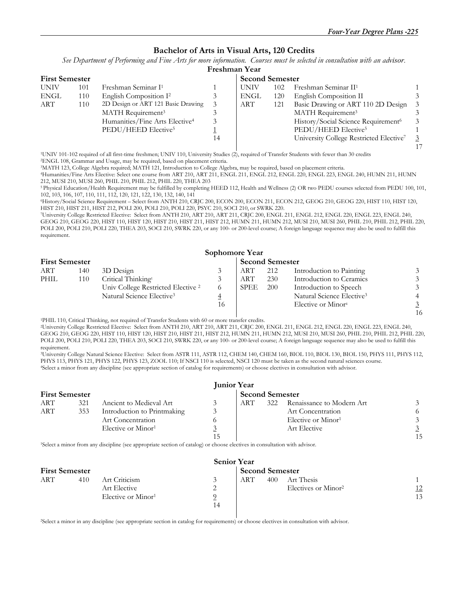#### **Bachelor of Arts in Visual Arts, 120 Credits**

*See Department of Performing and Fine Arts for more information. Courses must be selected in consultation with an advisor.*

|             | Freshman Year         |                                            |    |            |     |                                                     |  |  |  |  |
|-------------|-----------------------|--------------------------------------------|----|------------|-----|-----------------------------------------------------|--|--|--|--|
|             | <b>First Semester</b> |                                            |    |            |     | <b>Second Semester</b>                              |  |  |  |  |
| <b>UNIV</b> | 101                   | Freshman Seminar I <sup>1</sup>            |    | UNIV       | 102 | Freshman Seminar II <sup>1</sup>                    |  |  |  |  |
| <b>ENGL</b> | 110                   | English Composition I <sup>2</sup>         |    | ENGL       | 120 | English Composition II                              |  |  |  |  |
| ART         | 110                   | 2D Design or ART 121 Basic Drawing         | 3  | <b>ART</b> | 121 | Basic Drawing or ART 110 2D Design                  |  |  |  |  |
|             |                       | MATH Requirement <sup>3</sup>              |    |            |     | MATH Requirement <sup>3</sup>                       |  |  |  |  |
|             |                       | Humanities/Fine Arts Elective <sup>4</sup> | 3  |            |     | History/Social Science Requirement <sup>6</sup>     |  |  |  |  |
|             |                       | PEDU/HEED Elective <sup>5</sup>            |    |            |     | PEDU/HEED Elective <sup>5</sup>                     |  |  |  |  |
|             |                       |                                            | 14 |            |     | University College Restricted Elective <sup>7</sup> |  |  |  |  |
|             |                       |                                            |    |            |     |                                                     |  |  |  |  |

1UNIV 101-102 required of all first-time freshmen; UNIV 110, University Studies (2), required of Transfer Students with fewer than 30 credits 2ENGL 108, Grammar and Usage, may be required, based on placement criteria.

3MATH 123, College Algebra required; MATH 121, Introduction to College Algebra, may be required, based on placement criteria.

4Humanities/Fine Arts Elective: Select one course from ART 210, ART 211, ENGL 211, ENGL 212, ENGL 220, ENGL 223, ENGL 240, HUMN 211, HUMN 212, MUSI 210, MUSI 260, PHIL 210, PHIL 212, PHIL 220, THEA 203

5 Physical Education/Health Requirement may be fulfilled by completing HEED 112, Health and Wellness (2) OR two PEDU courses selected from PEDU 100, 101, 102, 103, 106, 107, 110, 111, 112, 120, 121, 122, 130, 132, 140, 141

6History/Social Science Requirement – Select from ANTH 210, CRJC 200, ECON 200, ECON 211, ECON 212, GEOG 210, GEOG 220, HIST 110, HIST 120,

7University College Restricted Elective: Select from ANTH 210, ART 210, ART 211, CRJC 200, ENGL 211, ENGL 212, ENGL 220, ENGL 223, ENGL 240, GEOG 210, GEOG 220, HIST 110, HIST 120, HIST 210, HIST 211, HIST 212, HUMN 211, HUMN 212, MUSI 210, MUSI 260, PHIL 210, PHIL 212, PHIL 220, POLI 200, POLI 210, POLI 220, THEA 203, SOCI 210, SWRK 220, or any 100- or 200-level course; A foreign language sequence may also be used to fulfill this requirement.

| Sophomore Year        |     |                                               |                        |             |     |                                       |                |  |  |  |
|-----------------------|-----|-----------------------------------------------|------------------------|-------------|-----|---------------------------------------|----------------|--|--|--|
| <b>First Semester</b> |     |                                               | <b>Second Semester</b> |             |     |                                       |                |  |  |  |
| ART                   | 140 | 3D Design                                     |                        | ART         | 212 | Introduction to Painting              | 3              |  |  |  |
| <b>PHIL</b>           | 110 | Critical Thinking <sup>1</sup>                |                        | <b>ART</b>  | 230 | Introduction to Ceramics              | $\mathfrak{Z}$ |  |  |  |
|                       |     | Univ College Restricted Elective <sup>2</sup> |                        | <b>SPEE</b> | 200 | Introduction to Speech                | $\mathfrak{Z}$ |  |  |  |
|                       |     | Natural Science Elective <sup>3</sup>         |                        |             |     | Natural Science Elective <sup>3</sup> | $\overline{4}$ |  |  |  |
|                       |     |                                               | 16                     |             |     | Elective or Minor <sup>4</sup>        |                |  |  |  |
|                       |     |                                               |                        |             |     |                                       |                |  |  |  |

16 1PHIL 110, Critical Thinking, not required of Transfer Students with 60 or more transfer credits.

2University College Restricted Elective: Select from ANTH 210, ART 210, ART 211, CRJC 200, ENGL 211, ENGL 212, ENGL 220, ENGL 223, ENGL 240, GEOG 210, GEOG 220, HIST 110, HIST 120, HIST 210, HIST 211, HIST 212, HUMN 211, HUMN 212, MUSI 210, MUSI 260, PHIL 210, PHIL 212, PHIL 220, POLI 200, POLI 210, POLI 220, THEA 203, SOCI 210, SWRK 220, or any 100- or 200-level course; A foreign language sequence may also be used to fulfill this requirement.

<sup>3</sup>University College Natural Science Elective: Select from ASTR 111, ASTR 112, CHEM 140, CHEM 160, BIOL 110, BIOL 130, BIOL 150, PHYS 111, PHYS 112, PHYS 112, PHYS 112, PHYS 112, PHYS 112, PHYS 121, PHYS 121, PHYS 121, PH <sup>4</sup>Select a minor from any discipline (see appropriate section of catalog for requirements) or choose electives in consultation with advisor.

| <b>Junior Year</b>    |     |                                |                        |            |     |                                |    |  |  |
|-----------------------|-----|--------------------------------|------------------------|------------|-----|--------------------------------|----|--|--|
| <b>First Semester</b> |     |                                | <b>Second Semester</b> |            |     |                                |    |  |  |
| ART                   | 321 | Ancient to Medieval Art        | 3                      | <b>ART</b> | 322 | Renaissance to Modern Art      |    |  |  |
| <b>ART</b>            | 353 | Introduction to Printmaking    | 3                      |            |     | Art Concentration              |    |  |  |
|                       |     | Art Concentration              |                        |            |     | Elective or Minor <sup>1</sup> |    |  |  |
|                       |     | Elective or Minor <sup>1</sup> | 3                      |            |     | Art Elective                   |    |  |  |
|                       |     |                                | 15                     |            |     |                                | 15 |  |  |

1Select a minor from any discipline (see appropriate section of catalog) or choose electives in consultation with advisor.

| <b>Senior Year</b>    |     |                                                                 |                        |     |     |                                               |          |  |
|-----------------------|-----|-----------------------------------------------------------------|------------------------|-----|-----|-----------------------------------------------|----------|--|
| <b>First Semester</b> |     |                                                                 | <b>Second Semester</b> |     |     |                                               |          |  |
| <b>ART</b>            | 410 | Art Criticism<br>Art Elective<br>Elective or Minor <sup>1</sup> | $\mathcal{Z}$<br>14    | ART | 400 | Art Thesis<br>Electives or Minor <sup>2</sup> | 12<br>13 |  |

2Select a minor in any discipline (see appropriate section in catalog for requirements) or choose electives in consultation with advisor.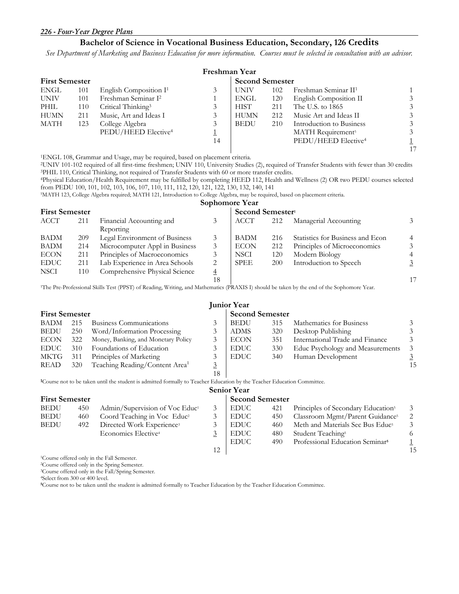#### **Bachelor of Science in Vocational Business Education, Secondary, 126 Credits**

*See Department of Marketing and Business Education for more information. Courses must be selected in consultation with an advisor.* 

|                       | Freshman Year |                                 |                        |             |     |                                  |  |  |  |  |
|-----------------------|---------------|---------------------------------|------------------------|-------------|-----|----------------------------------|--|--|--|--|
| <b>First Semester</b> |               |                                 | <b>Second Semester</b> |             |     |                                  |  |  |  |  |
| ENGL                  | 101           | English Composition $I^1$       | 3                      | <b>UNIV</b> | 102 | Freshman Seminar II <sup>1</sup> |  |  |  |  |
| UNIV                  | 101           | Freshman Seminar I <sup>2</sup> |                        | ENGL        | 120 | English Composition II           |  |  |  |  |
| PHIL                  | 110           | Critical Thinking <sup>3</sup>  |                        | <b>HIST</b> | 211 | The U.S. to 1865                 |  |  |  |  |
| HUMN                  | 211           | Music, Art and Ideas I          | 3                      | <b>HUMN</b> | 212 | Music Art and Ideas II           |  |  |  |  |
| MATH                  | 123           | College Algebra                 | 3                      | <b>BEDU</b> | 210 | Introduction to Business         |  |  |  |  |
|                       |               | PEDU/HEED Elective <sup>4</sup> |                        |             |     | MATH Requirement <sup>5</sup>    |  |  |  |  |
|                       |               |                                 | 14                     |             |     | PEDU/HEED Elective <sup>4</sup>  |  |  |  |  |
|                       |               |                                 |                        |             |     |                                  |  |  |  |  |

<sup>1</sup>ENGL 108, Grammar and Usage, may be required, based on placement criteria.<br><sup>2</sup>UNIV 101-102 required of all first-time freshmen; UNIV 110, University Studies (2), required of Transfer Students with fewer than 30 credits<br>

from PEDU 100, 101, 102, 103, 106, 107, 110, 111, 112, 120, 121, 122, 130, 132, 140, 141<br><sup>5</sup>MATH 123, College Algebra required; MATH 121, Introduction to College Algebra, may be required, based on placement criteria.

|                       |     |                                |    | Sophomore Year               |     |                                  |                |  |
|-----------------------|-----|--------------------------------|----|------------------------------|-----|----------------------------------|----------------|--|
| <b>First Semester</b> |     |                                |    | Second Semester <sup>1</sup> |     |                                  |                |  |
| ACCT                  | 211 | Financial Accounting and       |    | <b>ACCT</b>                  | 212 | Managerial Accounting            | $\mathfrak{Z}$ |  |
|                       |     | Reporting                      |    |                              |     |                                  |                |  |
| <b>BADM</b>           | 209 | Legal Environment of Business  |    | <b>BADM</b>                  | 216 | Statistics for Business and Econ | $\overline{4}$ |  |
| BADM                  | 214 | Microcomputer Appl in Business |    | <b>ECON</b>                  | 212 | Principles of Microeconomics     | 3              |  |
| <b>ECON</b>           | 211 | Principles of Macroeconomics   |    | <b>NSCI</b>                  | 120 | Modern Biology                   | $\overline{4}$ |  |
| <b>EDUC</b>           | 211 | Lab Experience in Area Schools |    | <b>SPEE</b>                  | 200 | Introduction to Speech           | $\overline{3}$ |  |
| <b>NSCI</b>           | 110 | Comprehensive Physical Science |    |                              |     |                                  |                |  |
|                       |     |                                | 18 |                              |     |                                  | 17             |  |

18 17 1The Pre-Professional Skills Test (PPST) of Reading, Writing, and Mathematics (PRAXIS I) should be taken by the end of the Sophomore Year.

|                       | <b>Junior Year</b> |                                            |                        |             |     |                                  |               |  |  |  |
|-----------------------|--------------------|--------------------------------------------|------------------------|-------------|-----|----------------------------------|---------------|--|--|--|
| <b>First Semester</b> |                    |                                            | <b>Second Semester</b> |             |     |                                  |               |  |  |  |
| BADM                  | 215                | Business Communications                    |                        | <b>BEDU</b> | 315 | Mathematics for Business         |               |  |  |  |
| <b>BEDU</b>           | 250                | Word/Information Processing                | 3                      | <b>ADMS</b> | 320 | Desktop Publishing               |               |  |  |  |
| <b>ECON</b>           | 322                | Money, Banking, and Monetary Policy        |                        | <b>ECON</b> | 351 | International Trade and Finance  |               |  |  |  |
| <b>EDUC</b>           | 310                | Foundations of Education                   |                        | <b>EDUC</b> | 330 | Educ Psychology and Measurements | $\mathcal{Z}$ |  |  |  |
| MKTG                  | 311                | Principles of Marketing                    |                        | <b>EDUC</b> | 340 | Human Development                |               |  |  |  |
| READ                  | 320                | Teaching Reading/Content Area <sup>1</sup> | 3                      |             |     |                                  | 15            |  |  |  |
|                       |                    |                                            | 18                     |             |     |                                  |               |  |  |  |

**1**Course not to be taken until the student is admitted formally to Teacher Education by the Teacher Education Committee.

| <b>Senior Year</b>    |     |                                            |                        |             |     |                                                |    |  |  |
|-----------------------|-----|--------------------------------------------|------------------------|-------------|-----|------------------------------------------------|----|--|--|
| <b>First Semester</b> |     |                                            | <b>Second Semester</b> |             |     |                                                |    |  |  |
| <b>BEDU</b>           | 450 | Admin/Supervision of Voc Educ <sup>1</sup> | 3                      | <b>EDUC</b> | 421 | Principles of Secondary Education <sup>5</sup> |    |  |  |
| <b>BEDU</b>           | 460 | Coord Teaching in Voc Educ <sup>2</sup>    |                        | <b>EDUC</b> | 450 | Classroom Mgmt/Parent Guidance <sup>5</sup>    |    |  |  |
| <b>BEDU</b>           | 492 | Directed Work Experience <sup>3</sup>      |                        | <b>EDUC</b> | 460 | Meth and Materials Sec Bus Educ <sup>5</sup>   |    |  |  |
|                       |     | Economics Elective                         |                        | <b>EDUC</b> | 480 | Student Teaching <sup>5</sup>                  |    |  |  |
|                       |     |                                            |                        | <b>EDUC</b> | 490 | Professional Education Seminar <sup>5</sup>    |    |  |  |
|                       |     |                                            | 12                     |             |     |                                                | 15 |  |  |

1Course offered only in the Fall Semester.

2Course offered only in the Spring Semester.

<sup>3</sup>Course offered only in the Fall/Spring Semester.<br><sup>4</sup>Select from 300 or 400 level.

**5**Course not to be taken until the student is admitted formally to Teacher Education by the Teacher Education Committee.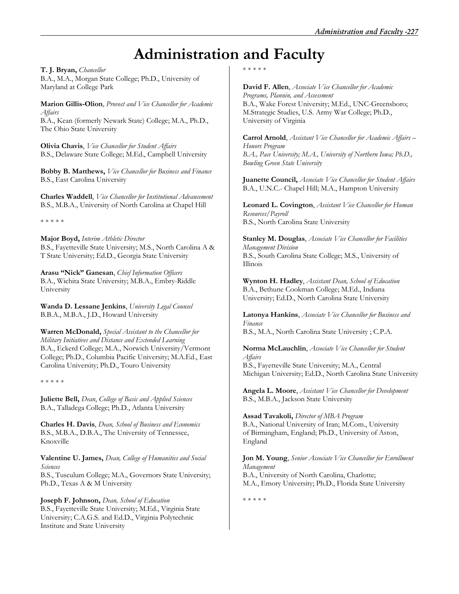# **Administration and Faculty**

**T. J. Bryan,** *Chancellor* 

B.A., M.A., Morgan State College; Ph.D., University of Maryland at College Park

**Marion Gillis-Olion**, *Provost and Vice Chancellor for Academic Affairs*  B.A., Kean (formerly Newark State) College; M.A., Ph.D., The Ohio State University

**Olivia Chavis**, *Vice Chancellor for Student Affairs*  B.S., Delaware State College; M.Ed., Campbell University

**Bobby B. Matthews,** *Vice Chancellor for Business and Finance*  B.S., East Carolina University

**Charles Waddell**, *Vice Chancellor for Institutional Advancement*  B.S., M.B.A., University of North Carolina at Chapel Hill

\* \* \* \* \*

**Major Boyd,** *Interim Athletic Director* B.S., Fayetteville State University; M.S., North Carolina A & T State University; Ed.D., Georgia State University

**Arasu "Nick" Ganesan**, *Chief Information Officers*  B.A., Wichita State University; M.B.A., Embry-Riddle University

**Wanda D. Lessane Jenkins**, *University Legal Counsel*  B.B.A., M.B.A., J.D., Howard University

**Warren McDonald,** *Special Assistant to the Chancellor for Military Initiatives and Distance and Extended Learning* B.A., Eckerd College; M.A., Norwich University/Vermont College; Ph.D., Columbia Pacific University; M.A.Ed., East Carolina University; Ph.D., Touro University

\* \* \* \* \*

**Juliette Bell,** *Dean*, *College of Basic and Applied Sciences*  B.A., Talladega College; Ph.D., Atlanta University

**Charles H. Davis**, *Dean, School of Business and Economics*  B.S., M.B.A., D.B.A., The University of Tennessee, Knoxville

**Valentine U. James,** *Dean, College of Humanities and Social Sciences* 

B.S., Tusculum College; M.A., Governors State University; Ph.D., Texas A & M University

**Joseph F. Johnson,** *Dean, School of Education*  B.S., Fayetteville State University; M.Ed., Virginia State University; C.A.G.S. and Ed.D., Virginia Polytechnic Institute and State University

\* \* \* \* \*

**David F. Allen**, *Associate Vice Chancellor for Academic Programs, Plannin, and Assessment*  B.A., Wake Forest University; M.Ed., UNC-Greensboro; M.Strategic Studies, U.S. Army War College; Ph.D., University of Virginia

**Carrol Arnold**, *Assistant Vice Chancellor for Academic Affairs – Honors Program B.A., Pace University; M.A., University of Northern Iowa; Ph.D., Bowling Green State University* 

**Juanette Council,** *Associate Vice Chancellor for Student Affairs* B.A., U.N.C.- Chapel Hill; M.A., Hampton University

**Leonard L. Covington**, *Assistant Vice Chancellor for Human Resources/Payroll*  B.S., North Carolina State University

**Stanley M. Douglas**, *Associate Vice Chancellor for Facilities Management Division*  B.S., South Carolina State College; M.S., University of Illinois

**Wynton H. Hadley**, *Assistant Dean, School of Education*  B.A., Bethune Cookman College; M.Ed., Indiana University; Ed.D., North Carolina State University

**Latonya Hankins**, *Associate Vice Chancellor for Business and Finance*  B.S., M.A., North Carolina State University ; C.P.A.

**Norma McLauchlin**, *Associate Vice Chancellor for Student Affairs*  B.S., Fayetteville State University; M.A., Central Michigan University; Ed.D., North Carolina State University

**Angela L. Moore**, *Assistant Vice Chancellor for Development*  B.S., M.B.A., Jackson State University

**Assad Tavakoli,** *Director of MBA Program*  B.A., National University of Iran; M.Com., University of Birmingham, England; Ph.D., University of Aston, England

**Jon M. Young**, *Senior Associate Vice Chancellor for Enrollment Management*

B.A., University of North Carolina, Charlotte; M.A., Emory University; Ph.D., Florida State University

\* \* \* \* \*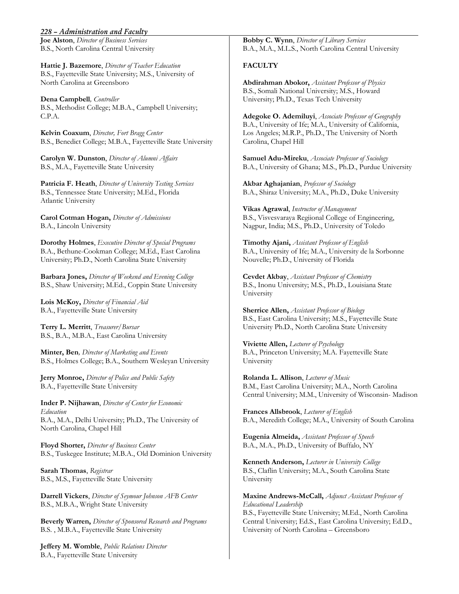#### *228 – Administration and Faculty*

**Joe Alston**, *Director of Business Services*  B.S., North Carolina Central University

**Hattie J. Bazemore**, *Director of Teacher Education*  B.S., Fayetteville State University; M.S., University of North Carolina at Greensboro

**Dena Campbell***, Controller*  B.S., Methodist College; M.B.A., Campbell University; C.P.A.

**Kelvin Coaxum**, *Director, Fort Bragg Center*  B.S., Benedict College; M.B.A., Fayetteville State University

**Carolyn W. Dunston**, *Director of Alumni Affairs*  B.S., M.A., Fayetteville State University

**Patricia F. Heath**, *Director of University Testing Services*  B.S., Tennessee State University; M.Ed., Florida Atlantic University

**Carol Cotman Hogan,** *Director of Admissions*  B.A., Lincoln University

**Dorothy Holmes**, *Executive Director of Special Programs*  B.A., Bethune-Cookman College; M.Ed., East Carolina University; Ph.D., North Carolina State University

**Barbara Jones,** *Director of Weekend and Evening College*  B.S., Shaw University; M.Ed., Coppin State University

**Lois McKoy,** *Director of Financial Aid*  B.A., Fayetteville State University

**Terry L. Merritt**, *Treasurer/Bursar*  B.S., B.A., M.B.A., East Carolina University

**Minter, Ben***, Director of Marketing and Events*  B.S., Holmes College; B.A., Southern Wesleyan University

**Jerry Monroe,** *Director of Police and Public Safety*  B.A., Fayetteville State University

**Inder P. Nijhawan**, *Director of Center for Economic Education*  B.A., M.A., Delhi University; Ph.D., The University of North Carolina, Chapel Hill

**Floyd Shorter,** *Director of Business Center*  B.S., Tuskegee Institute; M.B.A., Old Dominion University

**Sarah Thomas**, *Registrar*  B.S., M.S., Fayetteville State University

**Darrell Vickers**, *Director of Seymour Johnson AFB Center*  B.S., M.B.A., Wright State University

**Beverly Warren,** *Director of Sponsored Research and Programs*  B.S. , M.B.A., Fayetteville State University

**Jeffery M. Womble**, *Public Relations Director*  B.A., Fayetteville State University

**Bobby C. Wynn**, *Director of Library Services*  B.A., M.A., M.L.S., North Carolina Central University

#### **FACULTY**

**Abdirahman Abokor,** *Assistant Professor of Physics*  B.S., Somali National University; M.S., Howard University; Ph.D., Texas Tech University

**Adegoke O. Ademiluyi**, *Associate Professor of Geography*  B.A., University of Ife; M.A., University of California, Los Angeles; M.R.P., Ph.D., The University of North Carolina, Chapel Hill

**Samuel Adu-Mireku**, *Associate Professor of Sociology* B.A., University of Ghana; M.S., Ph.D., Purdue University

**Akbar Aghajanian**, *Professor of Sociology*  B.A., Shiraz University; M.A., Ph.D., Duke University

**Vikas Agrawal**, *Instructor of Management* B.S., Visvesvaraya Regiional College of Engineering, Nagpur, India; M.S., Ph.D., University of Toledo

**Timothy Ajani,** *Assistant Professor of English*  B.A., University of Ife; M.A., University de la Sorbonne Nouvelle; Ph.D., University of Florida

**Cevdet Akbay**, *Assistant Professor of Chemistry* B.S., Inonu University; M.S., Ph.D., Louisiana State University

**Sherrice Allen,** *Assistant Professor of Biology*  B.S., East Carolina University; M.S., Fayetteville State University Ph.D., North Carolina State University

**Viviette Allen,** *Lecturer of Psychology*  B.A., Princeton University; M.A. Fayetteville State University

**Rolanda L. Allison**, *Lecturer of Music*  B.M., East Carolina University; M.A., North Carolina Central University; M.M., University of Wisconsin- Madison

**Frances Allsbrook**, *Lecturer of English*  B.A., Meredith College; M.A., University of South Carolina

**Eugenia Almeida,** *Assistant Professor of Speech*  B.A., M.A., Ph.D., University of Buffalo, NY

**Kenneth Anderson,** *Lecturer in University College*  B.S., Claflin University; M.A., South Carolina State University

**Maxine Andrews-McCall,** *Adjunct Assistant Professor of Educational Leadership*  B.S., Fayetteville State University; M.Ed., North Carolina Central University; Ed.S., East Carolina University; Ed.D., University of North Carolina – Greensboro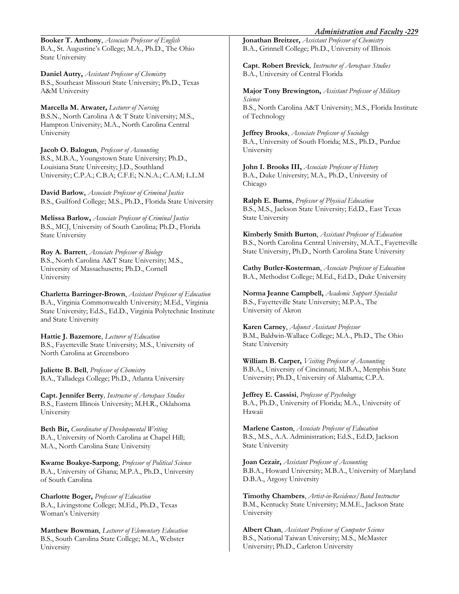**Booker T. Anthony**, *Associate Professor of English*  B.A., St. Augustine's College; M.A., Ph.D., The Ohio State University

**Daniel Autry,** *Assistant Professor of Chemistry* B.S., Southeast Missouri State University; Ph.D., Texas A&M University

**Marcella M. Atwater,** *Lecturer of Nursing* B.S.N., North Carolina A & T State University; M.S., Hampton University; M.A., North Carolina Central University

**Jacob O. Balogun**, *Professor of Accounting*  B.S., M.B.A., Youngstown State University; Ph.D., Louisiana State University; J.D., Southland University; C.P.A.; C.B.A; C.F.E; N.N.A.; C.A.M; L.L.M

**David Barlow***, Associate Professor of Criminal Justice*  B.S., Guilford College; M.S., Ph.D., Florida State University

**Melissa Barlow,** *Associate Professor of Criminal Justice*  B.S., MCJ, University of South Carolina; Ph.D., Florida State University

**Roy A. Barrett**, *Associate Professor of Biology*  B.S., North Carolina A&T State University; M.S., University of Massachusetts; Ph.D., Cornell University

**Charletta Barringer-Brown**, *Assistant Professor of Education*  B.A., Virginia Commonwealth University; M.Ed., Virginia State University; Ed.S., Ed.D., Virginia Polytechnic Institute and State University

**Hattie J. Bazemore**, *Lecturer of Education*  B.S., Fayetteville State University; M.S., University of North Carolina at Greensboro

**Juliette B. Bell**, *Professor of Chemistry*  B.A., Talladega College; Ph.D., Atlanta University

**Capt. Jennifer Berry***, Instructor of Aerospace Studies* B.S., Eastern Illinois University; M.H.R., Oklahoma University

**Beth Bir,** *Coordinator of Developmental Writing*  B.A., University of North Carolina at Chapel Hill; M.A., North Carolina State University

**Kwame Boakye-Sarpong**, *Professor of Political Science*  B.A., University of Ghana; M.P.A., Ph.D., University of South Carolina

**Charlotte Boger,** *Professor of Education*  B.A., Livingstone College; M.Ed., Ph.D., Texas Woman's University

**Matthew Bowman**, *Lecturer of Elementary Education*  B.S., South Carolina State College; M.A., Webster University

**Jonathan Breitzer,** *Assistant Professor of Chemistry*  B.A., Grinnell College; Ph.D., University of Illinois

**Capt. Robert Brevick***, Instructor of Aerospace Studies*  B.A., University of Central Florida

**Major Tony Brewington,** *Assistant Professor of Military Science*  B.S., North Carolina A&T University; M.S., Florida Institute of Technology

**Jeffrey Brooks**, *Associate Professor of Sociology*  B.A., University of South Florida; M.S., Ph.D., Purdue University

**John I. Brooks III,** *Associate Professor of History*  B.A., Duke University; M.A., Ph.D., University of Chicago

**Ralph E. Burns**, *Professor of Physical Education*  B.S., M.S., Jackson State University; Ed.D., East Texas State University

**Kimberly Smith Burton**, *Assistant Professor of Education*  B.S., North Carolina Central University, M.A.T., Fayetteville State University, Ph.D., North Carolina State University

**Cathy Butler-Kosterman**, *Associate Professor of Education*  B.A., Methodist College; M.Ed., Ed.D., Duke University

**Norma Jeanne Campbell,** *Academic Support Specialist*  B.S., Fayetteville State University; M.P.A., The University of Akron

**Karen Carney**, *Adjunct Assistant Professor* B.M., Baldwin-Wallace College; M.A., Ph.D., The Ohio State University

**William B. Carper,** *Visiting Professor of Accounting* B.B.A., University of Cincinnati; M.B.A., Memphis State University; Ph.D., University of Alabama; C.P.A.

**Jeffrey E. Cassisi**, *Professor of Psychology* B.A., Ph.D., University of Florida; M.A., University of Hawaii

**Marlene Caston**, *Associate Professor of Education*  B.S., M.S., A.A. Administration; Ed.S., Ed.D, Jackson State University

**Joan Cezair,** *Assistant Professor of Accounting*  B.B.A., Howard University; M.B.A., University of Maryland D.B.A., Argosy University

**Timothy Chambers**, *Artist-in-Residence/Band Instructor*  B.M., Kentucky State University; M.M.E., Jackson State University

**Albert Chan**, *Assistant Professor of Computer Science* B.S., National Taiwan University; M.S., McMaster University; Ph.D., Carleton University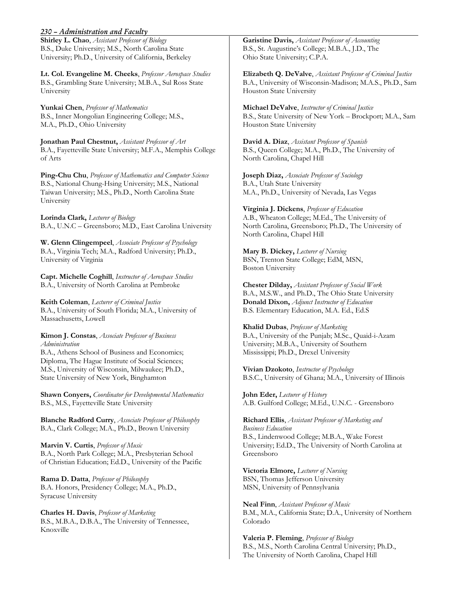#### *230 – Administration and Faculty*

**Shirley L. Chao**, *Assistant Professor of Biology*  B.S., Duke University; M.S., North Carolina State University; Ph.D., University of California, Berkeley

**Lt. Col. Evangeline M. Cheeks**, *Professor Aerospace Studies*  B.S., Grambling State University; M.B.A., Sul Ross State University

**Yunkai Chen**, *Professor of Mathematics*  B.S., Inner Mongolian Engineering College; M.S., M.A., Ph.D., Ohio University

**Jonathan Paul Chestnut,** *Assistant Professor of Art*  B.A., Fayetteville State University; M.F.A., Memphis College of Arts

**Ping-Chu Chu**, *Professor of Mathematics and Computer Science*  B.S., National Chung-Hsing University; M.S., National Taiwan University; M.S., Ph.D., North Carolina State University

**Lorinda Clark,** *Lecturer of Biology*  B.A., U.N.C – Greensboro; M.D., East Carolina University

**W. Glenn Clingempeel**, *Associate Professor of Psychology* B.A., Virginia Tech; M.A., Radford University; Ph.D., University of Virginia

**Capt. Michelle Coghill**, *Instructor of Aerospace Studies* B.A., University of North Carolina at Pembroke

**Keith Coleman**, *Lecturer of Criminal Justice*  B.A., University of South Florida; M.A., University of Massachusetts, Lowell

**Kimon J. Constas**, *Associate Professor of Business Administration* 

B.A., Athens School of Business and Economics; Diploma, The Hague Institute of Social Sciences; M.S., University of Wisconsin, Milwaukee; Ph.D., State University of New York, Binghamton

**Shawn Conyers,** *Coordinator for Developmental Mathematics*  B.S., M.S., Fayetteville State University

**Blanche Radford Curry**, *Associate Professor of Philosophy*  B.A., Clark College; M.A., Ph.D., Brown University

**Marvin V. Curtis**, *Professor of Music*  B.A., North Park College; M.A., Presbyterian School of Christian Education; Ed.D., University of the Pacific

**Rama D. Datta**, *Professor of Philosophy*  B.A. Honors, Presidency College; M.A., Ph.D., Syracuse University

**Charles H. Davis**, *Professor of Marketing*  B.S., M.B.A., D.B.A., The University of Tennessee, Knoxville

**Garistine Davis,** *Assistant Professor of Accounting*  B.S., St. Augustine's College; M.B.A., J.D., The Ohio State University; C.P.A.

**Elizabeth Q. DeValve**, *Assistant Professor of Criminal Justice*  B.A., University of Wisconsin-Madison; M.A.S., Ph.D., Sam Houston State University

**Michael DeValve**, *Instructor of Criminal Justice*  B.S., State University of New York – Brockport; M.A., Sam Houston State University

**David A. Diaz**, *Assistant Professor of Spanish*  B.S., Queen College; M.A., Ph.D., The University of North Carolina, Chapel Hill

**Joseph Diaz,** *Associate Professor of Sociology* B.A., Utah State University M.A., Ph.D., University of Nevada, Las Vegas

**Virginia J. Dickens**, *Professor of Education*  A.B., Wheaton College; M.Ed., The University of North Carolina, Greensboro; Ph.D., The University of North Carolina, Chapel Hill

**Mary B. Dickey,** *Lecturer of Nursing*  BSN, Trenton State College; EdM, MSN, Boston University

**Chester Dilday,** *Assistant Professor of Social Work*  B.A., M.S.W., and Ph.D., The Ohio State University **Donald Dixon,** *Adjunct Instructor of Education*  B.S. Elementary Education, M.A. Ed., Ed.S

**Khalid Dubas**, *Professor of Marketing*  B.A., University of the Punjab; M.Sc., Quaid-i-Azam University; M.B.A., University of Southern Mississippi; Ph.D., Drexel University

**Vivian Dzokoto**, *Instructor of Psychology* B.S.C., University of Ghana; M.A., University of Illinois

**John Eder,** *Lecturer of History*  A.B. Guilford College; M.Ed., U.N.C. - Greensboro

**Richard Ellis**, *Assistant Professor of Marketing and Business Education*  B.S., Lindenwood College; M.B.A., Wake Forest University; Ed.D., The University of North Carolina at Greensboro

**Victoria Elmore,** *Lecturer of Nursing*  BSN, Thomas Jefferson University MSN, University of Pennsylvania

**Neal Finn**, *Assistant Professor of Music* B.M., M.A., California State; D.A., University of Northern Colorado

**Valeria P. Fleming**, *Professor of Biology*  B.S., M.S., North Carolina Central University; Ph.D., The University of North Carolina, Chapel Hill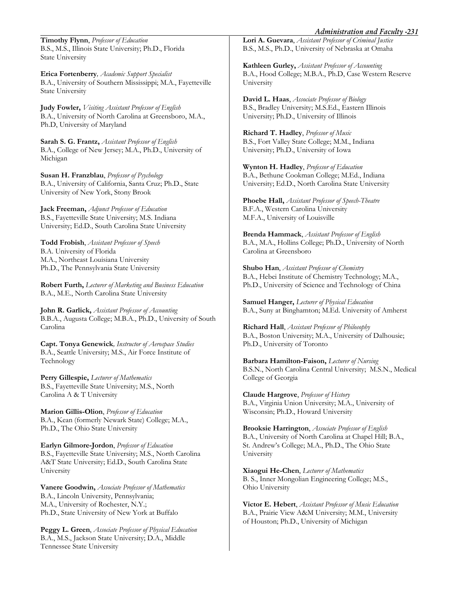*Administration and Faculty -231* 

**Timothy Flynn**, *Professor of Education*  B.S., M.S., Illinois State University; Ph.D., Florida State University

**Erica Fortenberry***, Academic Support Specialist*  B.A., University of Southern Mississippi; M.A., Fayetteville State University

**Judy Fowler,** *Visiting Assistant Professor of English*  B.A., University of North Carolina at Greensboro, M.A., Ph.D, University of Maryland

**Sarah S. G. Frantz,** *Assistant Professor of English* B.A., College of New Jersey; M.A., Ph.D., University of Michigan

**Susan H. Franzblau**, *Professor of Psychology*  B.A., University of California, Santa Cruz; Ph.D., State University of New York, Stony Brook

**Jack Freeman,** *Adjunct Professor of Education*  B.S., Fayetteville State University; M.S. Indiana University; Ed.D., South Carolina State University

**Todd Frobish**, *Assistant Professor of Speech* B.A. University of Florida M.A., Northeast Louisiana University Ph.D., The Pennsylvania State University

**Robert Furth,** *Lecturer of Marketing and Business Education*  B.A., M.E., North Carolina State University

**John R. Garlick,** *Assistant Professor of Accounting* B.B.A., Augusta College; M.B.A., Ph.D., University of South Carolina

**Capt. Tonya Genewick***, Instructor of Aerospace Studies* B.A., Seattle University; M.S., Air Force Institute of Technology

**Perry Gillespie,** *Lecturer of Mathematics*  B.S., Fayetteville State University; M.S., North Carolina A & T University

**Marion Gillis-Olion**, *Professor of Education*  B.A., Kean (formerly Newark State) College; M.A., Ph.D., The Ohio State University

**Earlyn Gilmore-Jordon**, *Professor of Education* B.S., Fayetteville State University; M.S., North Carolina A&T State University; Ed.D., South Carolina State University

**Vanere Goodwin,** *Associate Professor of Mathematics* B.A., Lincoln University, Pennsylvania; M.A., University of Rochester, N.Y.; Ph.D., State University of New York at Buffalo

**Peggy L. Green**, *Associate Professor of Physical Education*  B.A., M.S., Jackson State University; D.A., Middle Tennessee State University

**Lori A. Guevara**, *Assistant Professor of Criminal Justice* B.S., M.S., Ph.D., University of Nebraska at Omaha

**Kathleen Gurley,** *Assistant Professor of Accounting*  B.A., Hood College; M.B.A., Ph.D, Case Western Reserve University

**David L. Haas**, *Associate Professor of Biology*  B.S., Bradley University; M.S.Ed., Eastern Illinois University; Ph.D., University of Illinois

**Richard T. Hadley**, *Professor of Music*  B.S., Fort Valley State College; M.M., Indiana University; Ph.D., University of Iowa

**Wynton H. Hadley**, *Professor of Education*  B.A., Bethune Cookman College; M.Ed., Indiana University; Ed.D., North Carolina State University

**Phoebe Hall,** *Assistant Professor of Speech-Theatre*  B.F.A., Western Carolina University M.F.A., University of Louisville

**Brenda Hammack**, *Assistant Professor of English* B.A., M.A., Hollins College; Ph.D., University of North Carolina at Greensboro

**Shubo Han**, *Assistant Professor of Chemistry* B.A., Hebei Institute of Chemistry Technology; M.A., Ph.D., University of Science and Technology of China

**Samuel Hanger,** *Lecturer of Physical Education*  B.A., Suny at Binghamton; M.Ed. University of Amherst

**Richard Hall**, *Assistant Professor of Philosophy*  B.A., Boston University; M.A., University of Dalhousie; Ph.D., University of Toronto

**Barbara Hamilton-Faison,** *Lecturer of Nursing* B.S.N., North Carolina Central University; M.S.N., Medical College of Georgia

**Claude Hargrove**, *Professor of History*  B.A., Virginia Union University; M.A., University of Wisconsin; Ph.D., Howard University

**Brooksie Harrington**, *Associate Professor of English*  B.A., University of North Carolina at Chapel Hill; B.A., St. Andrew's College; M.A., Ph.D., The Ohio State University

**Xiaogui He-Chen**, *Lecturer of Mathematics*  B. S., Inner Mongolian Engineering College; M.S., Ohio University

**Victor E. Hebert**, *Assistant Professor of Music Education*  B.A., Prairie View A&M University; M.M., University of Houston; Ph.D., University of Michigan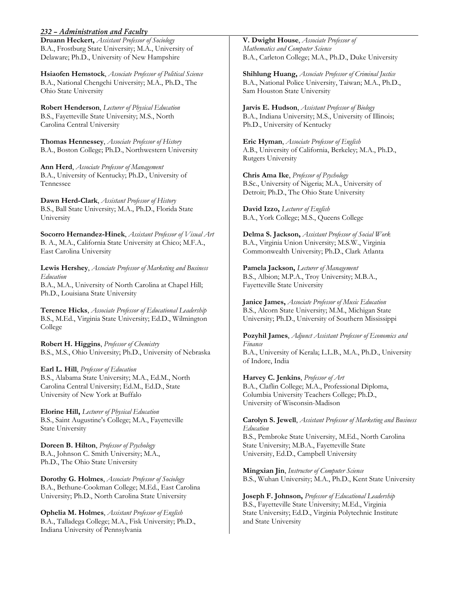#### *232 – Administration and Faculty*

**Druann Heckert,** *Assistant Professor of Sociology*  B.A., Frostburg State University; M.A., University of Delaware; Ph.D., University of New Hampshire

**Hsiaofen Hemstock**, *Associate Professor of Political Science*  B.A., National Chengchi University; M.A., Ph.D., The Ohio State University

**Robert Henderson**, *Lecturer of Physical Education*  B.S., Fayetteville State University; M.S., North Carolina Central University

**Thomas Hennessey**, *Associate Professor of History*  B.A., Boston College; Ph.D., Northwestern University

**Ann Herd**, *Associate Professor of Management* B.A., University of Kentucky; Ph.D., University of Tennessee

**Dawn Herd-Clark**, *Assistant Professor of History* B.S., Ball State University; M.A., Ph.D., Florida State University

**Socorro Hernandez-Hinek**, *Assistant Professor of Visual Art*  B. A., M.A., California State University at Chico; M.F.A., East Carolina University

**Lewis Hershey**, *Associate Professor of Marketing and Business Education*  B.A., M.A., University of North Carolina at Chapel Hill; Ph.D., Louisiana State University

**Terence Hicks**, *Associate Professor of Educational Leadership*  B.S., M.Ed., Virginia State University; Ed.D., Wilmington College

**Robert H. Higgins**, *Professor of Chemistry*  B.S., M.S., Ohio University; Ph.D., University of Nebraska

**Earl L. Hill**, *Professor of Education*  B.S., Alabama State University; M.A., Ed.M., North Carolina Central University; Ed.M., Ed.D., State University of New York at Buffalo

**Elorine Hill,** *Lecturer of Physical Education*  B.S., Saint Augustine's College; M.A., Fayetteville State University

**Doreen B. Hilton**, *Professor of Psychology*  B.A., Johnson C. Smith University; M.A., Ph.D., The Ohio State University

**Dorothy G. Holmes**, *Associate Professor of Sociology*  B.A., Bethune-Cookman College; M.Ed., East Carolina University; Ph.D., North Carolina State University

**Ophelia M. Holmes**, *Assistant Professor of English*  B.A., Talladega College; M.A., Fisk University; Ph.D., Indiana University of Pennsylvania

**V. Dwight House**, *Associate Professor of Mathematics and Computer Science*  B.A., Carleton College; M.A., Ph.D., Duke University

**Shihlung Huang,** *Associate Professor of Criminal Justice*  B.A., National Police University, Taiwan; M.A., Ph.D., Sam Houston State University

**Jarvis E. Hudson**, *Assistant Professor of Biology*  B.A., Indiana University; M.S., University of Illinois; Ph.D., University of Kentucky

**Eric Hyman**, *Associate Professor of English*  A.B., University of California, Berkeley; M.A., Ph.D., Rutgers University

**Chris Ama Ike**, *Professor of Psychology*  B.Sc., University of Nigeria; M.A., University of Detroit; Ph.D., The Ohio State University

**David Izzo,** *Lecturer of English* B.A., York College; M.S., Queens College

**Delma S. Jackson,** *Assistant Professor of Social Work*  B.A., Virginia Union University; M.S.W., Virginia Commonwealth University; Ph.D., Clark Atlanta

**Pamela Jackson,** *Lecturer of Management*  B.S., Albion; M.P.A., Troy University; M.B.A., Fayetteville State University

**Janice James,** *Associate Professor of Music Education*  B.S., Alcorn State University; M.M., Michigan State University; Ph.D., University of Southern Mississippi

**Pozyhil James**, *Adjunct Assistant Professor of Economics and Finance* 

B.A., University of Kerala; L.L.B., M.A., Ph.D., University of Indore, India

**Harvey C. Jenkins**, *Professor of Art*  B.A., Claflin College; M.A., Professional Diploma, Columbia University Teachers College; Ph.D., University of Wisconsin-Madison

**Carolyn S. Jewell**, *Assistant Professor of Marketing and Business Education* 

B.S., Pembroke State University, M.Ed., North Carolina State University; M.B.A., Fayetteville State University, Ed.D., Campbell University

**Mingxian Jin**, *Instructor of Computer Science* B.S., Wuhan University; M.A., Ph.D., Kent State University

**Joseph F. Johnson,** *Professor of Educational Leadership*  B.S., Fayetteville State University; M.Ed., Virginia State University; Ed.D., Virginia Polytechnic Institute and State University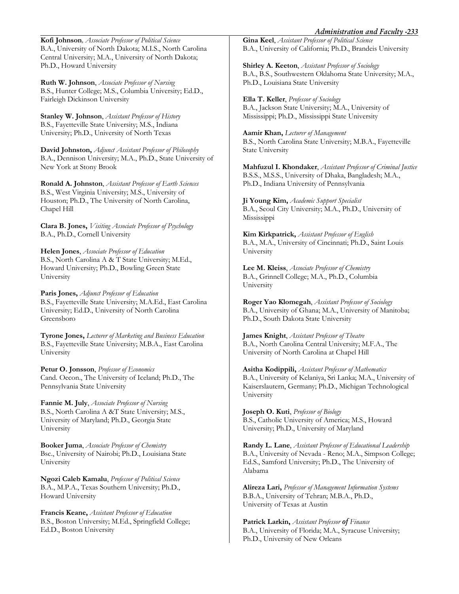#### *Administration and Faculty -233*

**Kofi Johnson***, Associate Professor of Political Science*  B.A., University of North Dakota; M.I.S., North Carolina Central University; M.A., University of North Dakota; Ph.D., Howard University

**Ruth W. Johnson**, *Associate Professor of Nursing* B.S., Hunter College; M.S., Columbia University; Ed.D., Fairleigh Dickinson University

**Stanley W. Johnson**, *Assistant Professor of History*  B.S., Fayetteville State University; M.S., Indiana University; Ph.D., University of North Texas

**David Johnston,** *Adjunct Assistant Professor of Philosophy*  B.A., Dennison University; M.A., Ph.D., State University of New York at Stony Brook

**Ronald A. Johnston**, *Assistant Professor of Earth Sciences*  B.S., West Virginia University; M.S., University of Houston; Ph.D., The University of North Carolina, Chapel Hill

**Clara B. Jones,** *Visiting Associate Professor of Psychology* B.A., Ph.D., Cornell University

**Helen Jones**, *Associate Professor of Education*  B.S., North Carolina A & T State University; M.Ed., Howard University; Ph.D., Bowling Green State University

**Paris Jones,** *Adjunct Professor of Education*  B.S., Fayetteville State University; M.A.Ed., East Carolina University; Ed.D., University of North Carolina Greensboro

**Tyrone Jones,** *Lecturer of Marketing and Business Education*  B.S., Fayetteville State University; M.B.A., East Carolina University

**Petur O. Jonsson**, *Professor of Economics*  Cand. Oecon., The University of Iceland; Ph.D., The Pennsylvania State University

**Fannie M. July**, *Associate Professor of Nursing*  B.S., North Carolina A &T State University; M.S., University of Maryland; Ph.D., Georgia State University

**Booker Juma**, *Associate Professor of Chemistry*  Bsc., University of Nairobi; Ph.D., Louisiana State University

**Ngozi Caleb Kamalu**, *Professor of Political Science*  B.A., M.P.A., Texas Southern University; Ph.D., Howard University

**Francis Keane,** *Assistant Professor of Education*  B.S., Boston University; M.Ed., Springfield College; Ed.D., Boston University

**Gina Keel**, *Assistant Professor of Political Science*  B.A., University of California; Ph.D., Brandeis University

**Shirley A. Keeton**, *Assistant Professor of Sociology* B.A., B.S., Southwestern Oklahoma State University; M.A., Ph.D., Louisiana State University

**Ella T. Keller**, *Professor of Sociology*  B.A., Jackson State University; M.A., University of Mississippi; Ph.D., Mississippi State University

**Aamir Khan,** *Lecturer of Management* B.S., North Carolina State University; M.B.A., Fayetteville State University

**Mahfuzul I. Khondaker**, *Assistant Professor of Criminal Justice* B.S.S., M.S.S., University of Dhaka, Bangladesh; M.A., Ph.D., Indiana University of Pennsylvania

**Ji Young Kim,** *Academic Support Specialist*  B.A., Seoul City University; M.A., Ph.D., University of Mississippi

**Kim Kirkpatrick,** *Assistant Professor of English*  B.A., M.A., University of Cincinnati; Ph.D., Saint Louis University

**Lee M. Kleiss**, *Associate Professor of Chemistry*  B.A., Grinnell College; M.A., Ph.D., Columbia University

**Roger Yao Klomegah**, *Assistant Professor of Sociology* B.A., University of Ghana; M.A., University of Manitoba; Ph.D., South Dakota State University

**James Knight**, *Assistant Professor of Theatre*  B.A., North Carolina Central University; M.F.A., The University of North Carolina at Chapel Hill

**Asitha Kodippili,** *Assistant Professor of Mathematics*  B.A., University of Kelaniya, Sri Lanka; M.A., University of Kaiserslautern, Germany; Ph.D., Michigan Technological University

**Joseph O. Kuti**, *Professor of Biology* B.S., Catholic University of America; M.S., Howard University; Ph.D., University of Maryland

**Randy L. Lane**, *Assistant Professor of Educational Leadership*  B.A., University of Nevada - Reno; M.A., Simpson College; Ed.S., Samford University; Ph.D., The University of Alabama

**Alireza Lari,** *Professor of Management Information Systems*  B.B.A., University of Tehran; M.B.A., Ph.D., University of Texas at Austin

**Patrick Larkin,** *Assistant Professor of Finance*  B.A., University of Florida; M.A., Syracuse University; Ph.D., University of New Orleans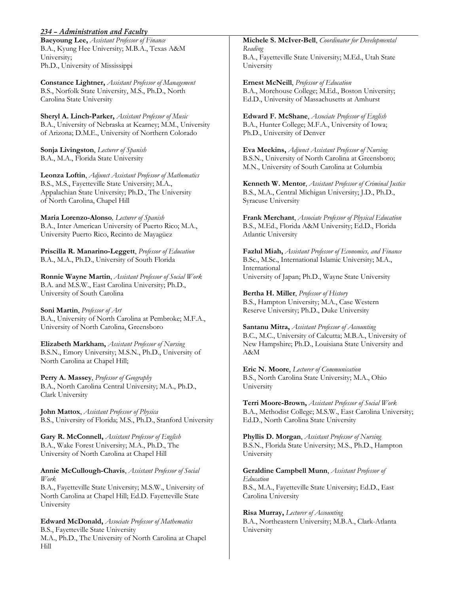#### *234 – Administration and Faculty*

**Baeyoung Lee,** *Assistant Professor of Finance*  B.A., Kyung Hee University; M.B.A., Texas A&M University; Ph.D., University of Mississippi

**Constance Lightner,** *Assistant Professor of Management*  B.S., Norfolk State University, M.S., Ph.D., North Carolina State University

**Sheryl A. Linch-Parker,** *Assistant Professor of Music*  B.A., University of Nebraska at Kearney; M.M., University of Arizona; D.M.E., University of Northern Colorado

**Sonja Livingston**, *Lecturer of Spanish*  B.A., M.A., Florida State University

**Leonza Loftin**, *Adjunct Assistant Professor of Mathematics*  B.S., M.S., Fayetteville State University; M.A., Appalachian State University; Ph.D., The University of North Carolina, Chapel Hill

**Maria Lorenzo-Alonso***, Lecturer of Spanish*  B.A., Inter American University of Puerto Rico; M.A., University Puerto Rico, Recinto de Mayagüez

**Priscilla R. Manarino-Leggett**, *Professor of Education*  B.A., M.A., Ph.D., University of South Florida

**Ronnie Wayne Martin**, *Assistant Professor of Social Work*  B.A. and M.S.W., East Carolina University; Ph.D., University of South Carolina

**Soni Martin**, *Professor of Art*  B.A., University of North Carolina at Pembroke; M.F.A., University of North Carolina, Greensboro

**Elizabeth Markham,** *Assistant Professor of Nursing*  B.S.N., Emory University; M.S.N., Ph.D., University of North Carolina at Chapel Hill;

**Perry A. Massey**, *Professor of Geography*  B.A., North Carolina Central University; M.A., Ph.D., Clark University

**John Mattox**, *Assistant Professor of Physica*  B.S., University of Florida; M.S., Ph.D., Stanford University

**Gary R. McConnell,** *Assistant Professor of English*  B.A., Wake Forest University; M.A., Ph.D., The University of North Carolina at Chapel Hill

**Annie McCullough-Chavis**, *Assistant Professor of Social Work* 

B.A., Fayetteville State University; M.S.W., University of North Carolina at Chapel Hill; Ed.D. Fayetteville State University

**Edward McDonald,** *Associate Professor of Mathematics* B.S., Fayetteville State University M.A., Ph.D., The University of North Carolina at Chapel Hill

**Michele S. McIver-Bell**, *Coordinator for Developmental Reading*  B.A., Fayetteville State University; M.Ed., Utah State University

**Ernest McNeill**, *Professor of Education*  B.A., Morehouse College; M.Ed., Boston University; Ed.D., University of Massachusetts at Amhurst

**Edward F. McShane**, *Associate Professor of English*  B.A., Hunter College; M.F.A., University of Iowa; Ph.D., University of Denver

**Eva Meekins,** *Adjunct Assistant Professor of Nursing*  B.S.N., University of North Carolina at Greensboro; M.N., University of South Carolina at Columbia

**Kenneth W. Mentor**, *Assistant Professor of Criminal Justice*  B.S., M.A., Central Michigan University; J.D., Ph.D., Syracuse University

**Frank Merchant**, *Associate Professor of Physical Education*  B.S., M.Ed., Florida A&M University; Ed.D., Florida Atlantic University

**Fazlul Miah,** *Assistant Professor of Economics, and Finance*  B.Sc., M.Sc., International Islamic University; M.A., International University of Japan; Ph.D., Wayne State University

**Bertha H. Miller**, *Professor of History*  B.S., Hampton University; M.A., Case Western Reserve University; Ph.D., Duke University

**Santanu Mitra,** *Assistant Professor of Accounting*  B.C., M.C., University of Calcutta; M.B.A., University of New Hampshire; Ph.D., Louisiana State University and A&M

**Eric N. Moore**, *Lecturer of Communication*  B.S., North Carolina State University; M.A., Ohio University

**Terri Moore-Brown,** *Assistant Professor of Social Work* B.A., Methodist College; M.S.W., East Carolina University; Ed.D., North Carolina State University

**Phyllis D. Morgan**, *Assistant Professor of Nursing* B.S.N., Florida State University; M.S., Ph.D., Hampton University

**Geraldine Campbell Munn**, *Assistant Professor of Education*  B.S., M.A., Fayetteville State University; Ed.D., East Carolina University

**Risa Murray,** *Lecturer of Accounting*  B.A., Northeastern University; M.B.A., Clark-Atlanta University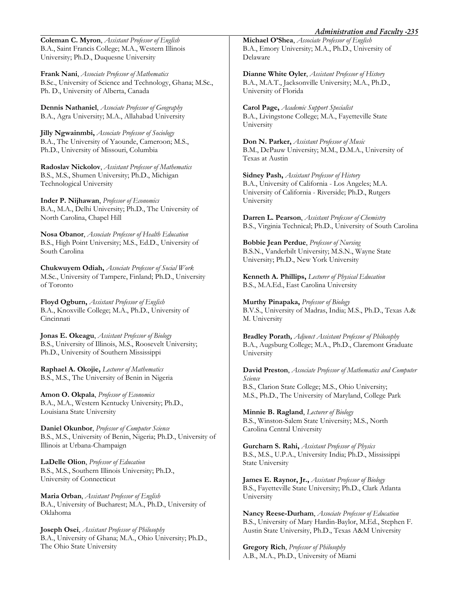**Coleman C. Myron**, *Assistant Professor of English*  B.A., Saint Francis College; M.A., Western Illinois University; Ph.D., Duquesne University

**Frank Nani**, *Associate Professor of Mathematics* B.Sc., University of Science and Technology, Ghana; M.Sc., Ph. D., University of Alberta, Canada

**Dennis Nathaniel**, *Associate Professor of Geography*  B.A., Agra University; M.A., Allahabad University

**Jilly Ngwainmbi,** *Associate Professor of Sociology*  B.A., The University of Yaounde, Cameroon; M.S., Ph.D., University of Missouri, Columbia

**Radoslav Nickolov**, *Assistant Professor of Mathematics* B.S., M.S., Shumen University; Ph.D., Michigan Technological University

**Inder P. Nijhawan**, *Professor of Economics*  B.A., M.A., Delhi University; Ph.D., The University of North Carolina, Chapel Hill

**Nosa Obanor**, *Associate Professor of Health Education*  B.S., High Point University; M.S., Ed.D., University of South Carolina

**Chukwuyem Odiah,** *Associate Professor of Social Work*  M.Sc., University of Tampere, Finland; Ph.D., University of Toronto

**Floyd Ogburn,** *Assistant Professor of English*  B.A., Knoxville College; M.A., Ph.D., University of Cincinnati

**Jonas E. Okeagu**, *Assistant Professor of Biology*  B.S., University of Illinois, M.S., Roosevelt University; Ph.D., University of Southern Mississippi

**Raphael A. Okojie,** *Lecturer of Mathematics* B.S., M.S., The University of Benin in Nigeria

**Amon O. Okpala**, *Professor of Economics*  B.A., M.A., Western Kentucky University; Ph.D., Louisiana State University

**Daniel Okunbor**, *Professor of Computer Science* B.S., M.S., University of Benin, Nigeria; Ph.D., University of Illinois at Urbana-Champaign

**LaDelle Olion**, *Professor of Education*  B.S., M.S., Southern Illinois University; Ph.D., University of Connecticut

**Maria Orban**, *Assistant Professor of English* B.A., University of Bucharest; M.A., Ph.D., University of Oklahoma

**Joseph Osei**, *Assistant Professor of Philosophy* B.A., University of Ghana; M.A., Ohio University; Ph.D., The Ohio State University

**Michael O'Shea**, *Associate Professor of English* B.A., Emory University; M.A., Ph.D., University of Delaware

**Dianne White Oyler**, *Assistant Professor of History*  B.A., M.A.T., Jacksonville University; M.A., Ph.D., University of Florida

**Carol Page,** *Academic Support Specialist*  B.A., Livingstone College; M.A., Fayetteville State University

**Don N. Parker,** *Assistant Professor of Music*  B.M., DePauw University; M.M., D.M.A., University of Texas at Austin

**Sidney Pash,** *Assistant Professor of History*  B.A., University of California - Los Angeles; M.A. University of California - Riverside; Ph.D., Rutgers University

**Darren L. Pearson**, *Assistant Professor of Chemistry* B.S., Virginia Technical; Ph.D., University of South Carolina

**Bobbie Jean Perdue**, *Professor of Nursing* B.S.N., Vanderbilt University; M.S.N., Wayne State University; Ph.D., New York University

**Kenneth A. Phillips,** *Lecturer of Physical Education*  B.S., M.A.Ed., East Carolina University

**Murthy Pinapaka,** *Professor of Biology*  B.V.S., University of Madras, India; M.S., Ph.D., Texas A.& M. University

**Bradley Porath***, Adjunct Assistant Professor of Philosophy* B.A., Augsburg College; M.A., Ph.D., Claremont Graduate University

**David Preston**, *Associate Professor of Mathematics and Computer Science*  B.S., Clarion State College; M.S., Ohio University; M.S., Ph.D., The University of Maryland, College Park

**Minnie B. Ragland**, *Lecturer of Biology*  B.S., Winston-Salem State University; M.S., North Carolina Central University

**Gurcharn S. Rahi,** *Assistant Professor of Physics*  B.S., M.S., U.P.A., University India; Ph.D., Mississippi State University

**James E. Raynor, Jr.,** *Assistant Professor of Biology*  B.S., Fayetteville State University; Ph.D., Clark Atlanta University

**Nancy Reese-Durham**, *Associate Professor of Education* B.S., University of Mary Hardin-Baylor, M.Ed., Stephen F. Austin State University, Ph.D., Texas A&M University

**Gregory Rich**, *Professor of Philosophy*  A.B., M.A., Ph.D., University of Miami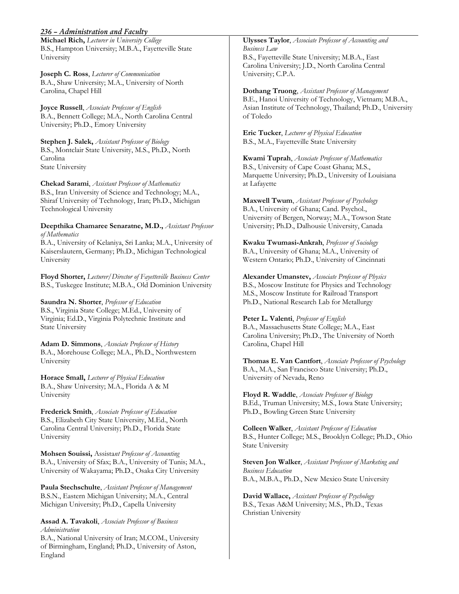#### *236 – Administration and Faculty*

**Michael Rich,** *Lecturer in University College*  B.S., Hampton University; M.B.A., Fayetteville State University

**Joseph C. Ross**, *Lecturer of Communication*  B.A., Shaw University; M.A., University of North Carolina, Chapel Hill

**Joyce Russell**, *Associate Professor of English*  B.A., Bennett College; M.A., North Carolina Central University; Ph.D., Emory University

**Stephen J. Salek,** *Assistant Professor of Biology*  B.S., Montclair State University, M.S., Ph.D., North Carolina State University

**Chekad Sarami**, *Assistant Professor of Mathematics*  B.S., Iran University of Science and Technology; M.A., Shiraf University of Technology, Iran; Ph.D., Michigan Technological University

**Deepthika Chamaree Senaratne, M.D.,** *Assistant Professor of Mathematics* 

B.A., University of Kelaniya, Sri Lanka; M.A., University of Kaiserslautern, Germany; Ph.D., Michigan Technological University

**Floyd Shorter,** *Lecturer/Director of Fayetteville Business Center* B.S., Tuskegee Institute; M.B.A., Old Dominion University

**Saundra N. Shorter**, *Professor of Education*  B.S., Virginia State College; M.Ed., University of Virginia; Ed.D., Virginia Polytechnic Institute and State University

**Adam D. Simmons**, *Associate Professor of History*  B.A., Morehouse College; M.A., Ph.D., Northwestern University

**Horace Small,** *Lecturer of Physical Education*  B.A., Shaw University; M.A., Florida A & M University

**Frederick Smith**, *Associate Professor of Education*  B.S., Elizabeth City State University, M.Ed., North Carolina Central University; Ph.D., Florida State University

**Mohsen Souissi,** Assista*nt Professor of Accounting* B.A., University of Sfax; B.A., University of Tunis; M.A., University of Wakayama; Ph.D., Osaka City University

**Paula Stechschulte**, *Assistant Professor of Management* B.S.N., Eastern Michigan University; M.A., Central Michigan University; Ph.D., Capella University

#### **Assad A. Tavakoli**, *Associate Professor of Business Administration*

B.A., National University of Iran; M.COM., University of Birmingham, England; Ph.D., University of Aston, England

**Ulysses Taylor**, *Associate Professor of Accounting and Business Law*  B.S., Fayetteville State University; M.B.A., East Carolina University; J.D., North Carolina Central University; C.P.A.

**Dothang Truong**, *Assistant Professor of Management* B.E., Hanoi University of Technology, Vietnam; M.B.A., Asian Institute of Technology, Thailand; Ph.D., University of Toledo

**Eric Tucker**, *Lecturer of Physical Education*  B.S., M.A., Fayetteville State University

**Kwami Tuprah**, *Associate Professor of Mathematics*  B.S., University of Cape Coast Ghana; M.S., Marquette University; Ph.D., University of Louisiana at Lafayette

**Maxwell Twum**, *Assistant Professor of Psychology*  B.A., University of Ghana; Cand. Psychol., University of Bergen, Norway; M.A., Towson State University; Ph.D., Dalhousie University, Canada

**Kwaku Twumasi-Ankrah**, *Professor of Sociology*  B.A., University of Ghana; M.A., University of Western Ontario; Ph.D., University of Cincinnati

**Alexander Umanstev,** *Associate Professor of Physics*  B.S., Moscow Institute for Physics and Technology M.S., Moscow Institute for Railroad Transport Ph.D., National Research Lab for Metallurgy

**Peter L. Valenti**, *Professor of English*  B.A., Massachusetts State College; M.A., East Carolina University; Ph.D., The University of North Carolina, Chapel Hill

**Thomas E. Van Cantfort**, *Associate Professor of Psychology*  B.A., M.A., San Francisco State University; Ph.D., University of Nevada, Reno

**Floyd R. Waddle**, *Associate Professor of Biology*  B.Ed., Truman University; M.S., Iowa State University; Ph.D., Bowling Green State University

**Colleen Walker**, *Assistant Professor of Education* B.S., Hunter College; M.S., Brooklyn College; Ph.D., Ohio State University

**Steven Jon Walker**, *Assistant Professor of Marketing and Business Education*  B.A., M.B.A., Ph.D., New Mexico State University

**David Wallace,** *Assistant Professor of Psychology*  B.S., Texas A&M University; M.S., Ph.D., Texas Christian University